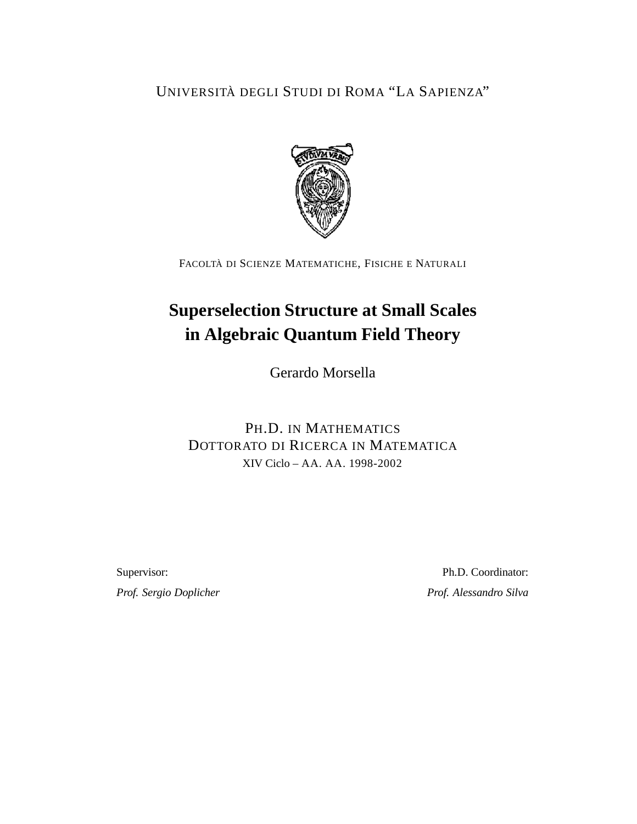UNIVERSITÀ DEGLI STUDI DI ROMA "LA SAPIENZA"



FACOLTÀ DI SCIENZE MATEMATICHE, FISICHE E NATURALI

# **Superselection Structure at Small Scales in Algebraic Quantum Field Theory**

Gerardo Morsella

## PH.D. IN MATHEMATICS DOTTORATO DI RICERCA IN MATEMATICA XIV Ciclo – AA. AA. 1998-2002

Supervisor: Ph.D. Coordinator: *Prof. Sergio Doplicher Prof. Alessandro Silva*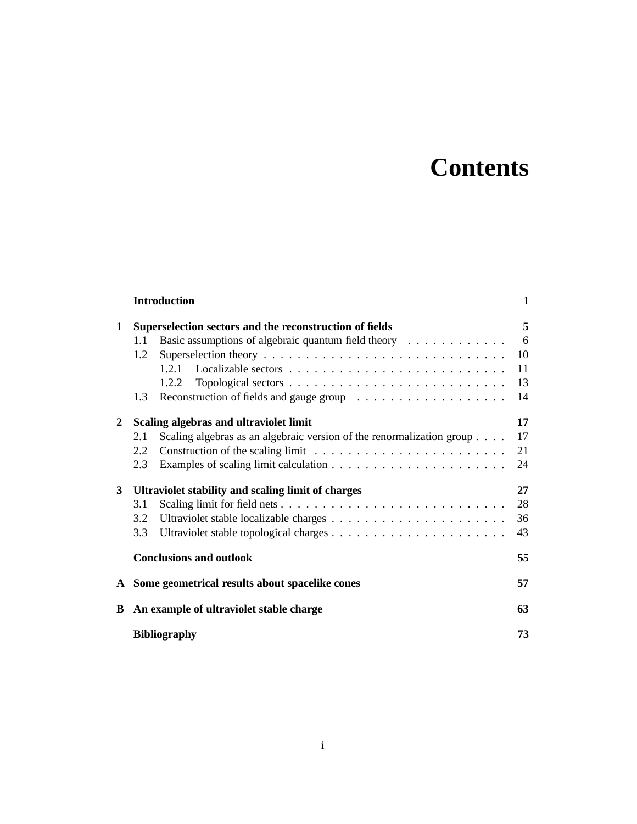# **Contents**

|              |                                                         | <b>Introduction</b>                                                                  | 1  |
|--------------|---------------------------------------------------------|--------------------------------------------------------------------------------------|----|
| 1            | Superselection sectors and the reconstruction of fields |                                                                                      | 5  |
|              | 1.1                                                     | Basic assumptions of algebraic quantum field theory                                  | 6  |
|              | 1.2                                                     |                                                                                      | 10 |
|              |                                                         | 1.2.1                                                                                | 11 |
|              |                                                         | 1.2.2                                                                                | 13 |
|              | 1.3                                                     |                                                                                      | 14 |
| $\mathbf{2}$ | Scaling algebras and ultraviolet limit                  |                                                                                      | 17 |
|              | 2.1                                                     | Scaling algebras as an algebraic version of the renormalization group                | 17 |
|              | 2.2                                                     | Construction of the scaling limit $\ldots \ldots \ldots \ldots \ldots \ldots \ldots$ | 21 |
|              | 2.3                                                     |                                                                                      | 24 |
| 3            | Ultraviolet stability and scaling limit of charges      |                                                                                      | 27 |
|              | 3.1                                                     |                                                                                      | 28 |
|              | 3.2                                                     |                                                                                      | 36 |
|              | 3.3                                                     |                                                                                      | 43 |
|              |                                                         | <b>Conclusions and outlook</b>                                                       | 55 |
| A            |                                                         | Some geometrical results about spacelike cones                                       | 57 |
| B            | An example of ultraviolet stable charge                 |                                                                                      | 63 |
|              |                                                         | <b>Bibliography</b>                                                                  | 73 |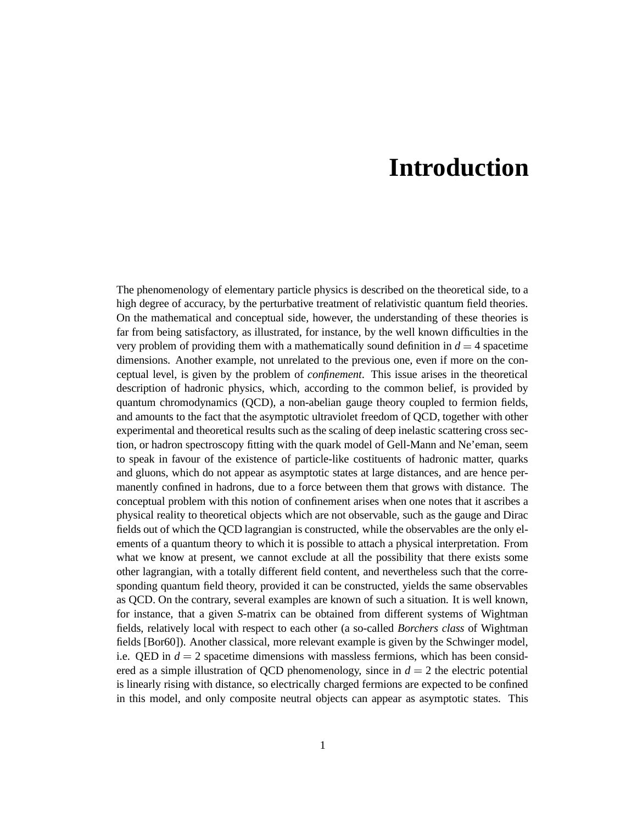# **Introduction**

The phenomenology of elementary particle physics is described on the theoretical side, to a high degree of accuracy, by the perturbative treatment of relativistic quantum field theories. On the mathematical and conceptual side, however, the understanding of these theories is far from being satisfactory, as illustrated, for instance, by the well known difficulties in the very problem of providing them with a mathematically sound definition in  $d = 4$  spacetime dimensions. Another example, not unrelated to the previous one, even if more on the conceptual level, is given by the problem of *confinement*. This issue arises in the theoretical description of hadronic physics, which, according to the common belief, is provided by quantum chromodynamics (QCD), a non-abelian gauge theory coupled to fermion fields, and amounts to the fact that the asymptotic ultraviolet freedom of QCD, together with other experimental and theoretical results such as the scaling of deep inelastic scattering cross section, or hadron spectroscopy fitting with the quark model of Gell-Mann and Ne'eman, seem to speak in favour of the existence of particle-like costituents of hadronic matter, quarks and gluons, which do not appear as asymptotic states at large distances, and are hence permanently confined in hadrons, due to a force between them that grows with distance. The conceptual problem with this notion of confinement arises when one notes that it ascribes a physical reality to theoretical objects which are not observable, such as the gauge and Dirac fields out of which the QCD lagrangian is constructed, while the observables are the only elements of a quantum theory to which it is possible to attach a physical interpretation. From what we know at present, we cannot exclude at all the possibility that there exists some other lagrangian, with a totally different field content, and nevertheless such that the corresponding quantum field theory, provided it can be constructed, yields the same observables as QCD. On the contrary, several examples are known of such a situation. It is well known, for instance, that a given *S*-matrix can be obtained from different systems of Wightman fields, relatively local with respect to each other (a so-called *Borchers class* of Wightman fields [Bor60]). Another classical, more relevant example is given by the Schwinger model, i.e. QED in  $d = 2$  spacetime dimensions with massless fermions, which has been considered as a simple illustration of QCD phenomenology, since in  $d = 2$  the electric potential is linearly rising with distance, so electrically charged fermions are expected to be confined in this model, and only composite neutral objects can appear as asymptotic states. This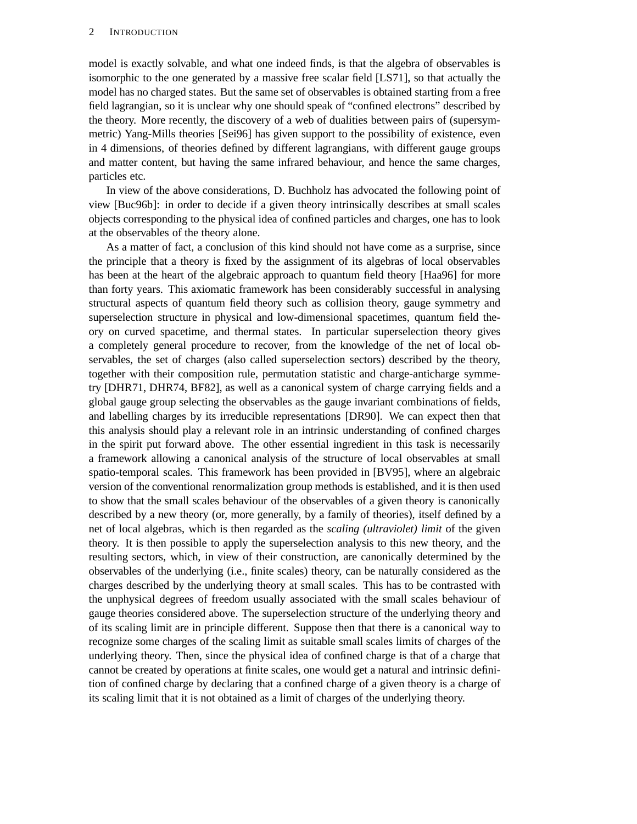model is exactly solvable, and what one indeed finds, is that the algebra of observables is isomorphic to the one generated by a massive free scalar field [LS71], so that actually the model has no charged states. But the same set of observables is obtained starting from a free field lagrangian, so it is unclear why one should speak of "confined electrons" described by the theory. More recently, the discovery of a web of dualities between pairs of (supersymmetric) Yang-Mills theories [Sei96] has given support to the possibility of existence, even in 4 dimensions, of theories defined by different lagrangians, with different gauge groups and matter content, but having the same infrared behaviour, and hence the same charges, particles etc.

In view of the above considerations, D. Buchholz has advocated the following point of view [Buc96b]: in order to decide if a given theory intrinsically describes at small scales objects corresponding to the physical idea of confined particles and charges, one has to look at the observables of the theory alone.

As a matter of fact, a conclusion of this kind should not have come as a surprise, since the principle that a theory is fixed by the assignment of its algebras of local observables has been at the heart of the algebraic approach to quantum field theory [Haa96] for more than forty years. This axiomatic framework has been considerably successful in analysing structural aspects of quantum field theory such as collision theory, gauge symmetry and superselection structure in physical and low-dimensional spacetimes, quantum field theory on curved spacetime, and thermal states. In particular superselection theory gives a completely general procedure to recover, from the knowledge of the net of local observables, the set of charges (also called superselection sectors) described by the theory, together with their composition rule, permutation statistic and charge-anticharge symmetry [DHR71, DHR74, BF82], as well as a canonical system of charge carrying fields and a global gauge group selecting the observables as the gauge invariant combinations of fields, and labelling charges by its irreducible representations [DR90]. We can expect then that this analysis should play a relevant role in an intrinsic understanding of confined charges in the spirit put forward above. The other essential ingredient in this task is necessarily a framework allowing a canonical analysis of the structure of local observables at small spatio-temporal scales. This framework has been provided in [BV95], where an algebraic version of the conventional renormalization group methods is established, and it is then used to show that the small scales behaviour of the observables of a given theory is canonically described by a new theory (or, more generally, by a family of theories), itself defined by a net of local algebras, which is then regarded as the *scaling (ultraviolet) limit* of the given theory. It is then possible to apply the superselection analysis to this new theory, and the resulting sectors, which, in view of their construction, are canonically determined by the observables of the underlying (i.e., finite scales) theory, can be naturally considered as the charges described by the underlying theory at small scales. This has to be contrasted with the unphysical degrees of freedom usually associated with the small scales behaviour of gauge theories considered above. The superselection structure of the underlying theory and of its scaling limit are in principle different. Suppose then that there is a canonical way to recognize some charges of the scaling limit as suitable small scales limits of charges of the underlying theory. Then, since the physical idea of confined charge is that of a charge that cannot be created by operations at finite scales, one would get a natural and intrinsic definition of confined charge by declaring that a confined charge of a given theory is a charge of its scaling limit that it is not obtained as a limit of charges of the underlying theory.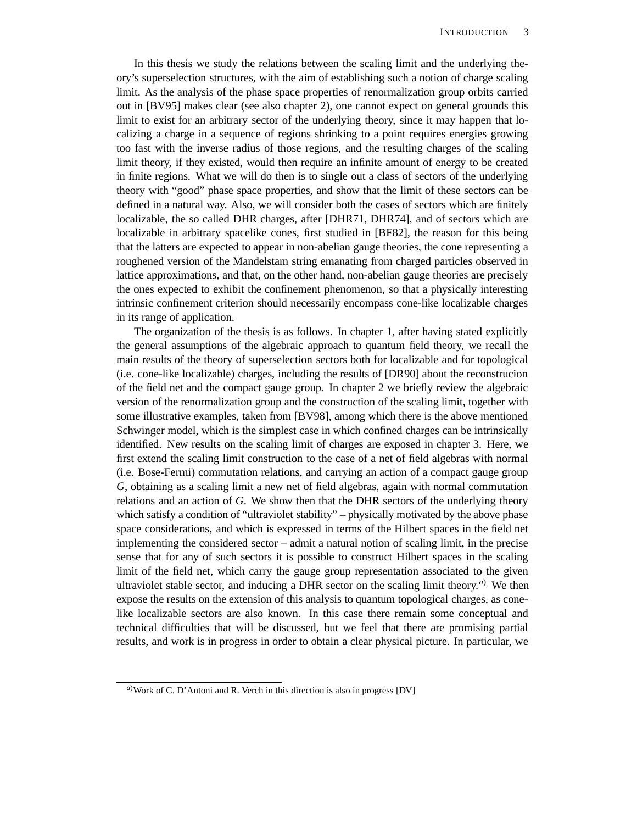In this thesis we study the relations between the scaling limit and the underlying theory's superselection structures, with the aim of establishing such a notion of charge scaling limit. As the analysis of the phase space properties of renormalization group orbits carried out in [BV95] makes clear (see also chapter 2), one cannot expect on general grounds this limit to exist for an arbitrary sector of the underlying theory, since it may happen that localizing a charge in a sequence of regions shrinking to a point requires energies growing too fast with the inverse radius of those regions, and the resulting charges of the scaling limit theory, if they existed, would then require an infinite amount of energy to be created in finite regions. What we will do then is to single out a class of sectors of the underlying theory with "good" phase space properties, and show that the limit of these sectors can be defined in a natural way. Also, we will consider both the cases of sectors which are finitely localizable, the so called DHR charges, after [DHR71, DHR74], and of sectors which are localizable in arbitrary spacelike cones, first studied in [BF82], the reason for this being that the latters are expected to appear in non-abelian gauge theories, the cone representing a roughened version of the Mandelstam string emanating from charged particles observed in lattice approximations, and that, on the other hand, non-abelian gauge theories are precisely the ones expected to exhibit the confinement phenomenon, so that a physically interesting intrinsic confinement criterion should necessarily encompass cone-like localizable charges in its range of application.

The organization of the thesis is as follows. In chapter 1, after having stated explicitly the general assumptions of the algebraic approach to quantum field theory, we recall the main results of the theory of superselection sectors both for localizable and for topological (i.e. cone-like localizable) charges, including the results of [DR90] about the reconstrucion of the field net and the compact gauge group. In chapter 2 we briefly review the algebraic version of the renormalization group and the construction of the scaling limit, together with some illustrative examples, taken from [BV98], among which there is the above mentioned Schwinger model, which is the simplest case in which confined charges can be intrinsically identified. New results on the scaling limit of charges are exposed in chapter 3. Here, we first extend the scaling limit construction to the case of a net of field algebras with normal (i.e. Bose-Fermi) commutation relations, and carrying an action of a compact gauge group *G*, obtaining as a scaling limit a new net of field algebras, again with normal commutation relations and an action of *G*. We show then that the DHR sectors of the underlying theory which satisfy a condition of "ultraviolet stability" – physically motivated by the above phase space considerations, and which is expressed in terms of the Hilbert spaces in the field net implementing the considered sector – admit a natural notion of scaling limit, in the precise sense that for any of such sectors it is possible to construct Hilbert spaces in the scaling limit of the field net, which carry the gauge group representation associated to the given ultraviolet stable sector, and inducing a DHR sector on the scaling limit theory. *<sup>a</sup>*) We then expose the results on the extension of this analysis to quantum topological charges, as conelike localizable sectors are also known. In this case there remain some conceptual and technical difficulties that will be discussed, but we feel that there are promising partial results, and work is in progress in order to obtain a clear physical picture. In particular, we

*<sup>a</sup>*)Work of C. D'Antoni and R. Verch in this direction is also in progress [DV]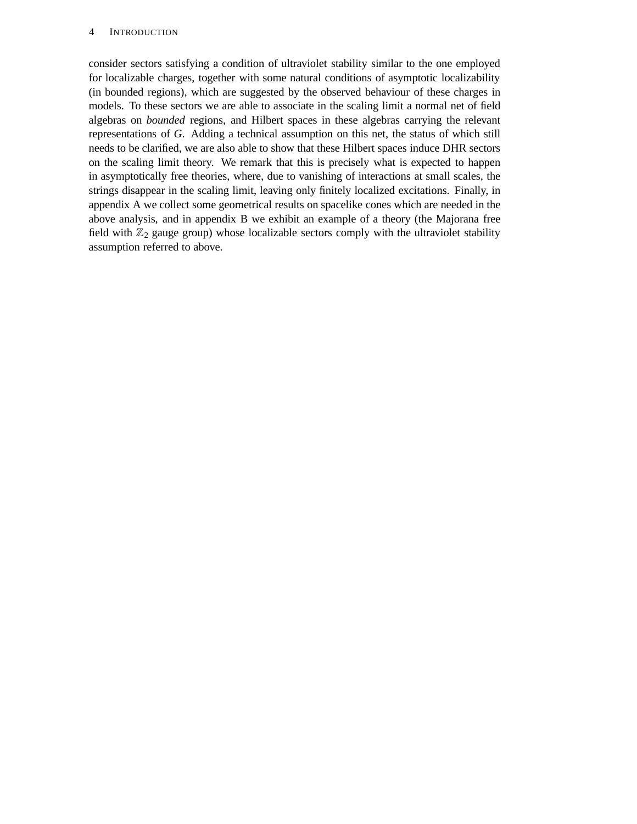#### 4 INTRODUCTION

consider sectors satisfying a condition of ultraviolet stability similar to the one employed for localizable charges, together with some natural conditions of asymptotic localizability (in bounded regions), which are suggested by the observed behaviour of these charges in models. To these sectors we are able to associate in the scaling limit a normal net of field algebras on *bounded* regions, and Hilbert spaces in these algebras carrying the relevant representations of *G*. Adding a technical assumption on this net, the status of which still needs to be clarified, we are also able to show that these Hilbert spaces induce DHR sectors on the scaling limit theory. We remark that this is precisely what is expected to happen in asymptotically free theories, where, due to vanishing of interactions at small scales, the strings disappear in the scaling limit, leaving only finitely localized excitations. Finally, in appendix A we collect some geometrical results on spacelike cones which are needed in the above analysis, and in appendix B we exhibit an example of a theory (the Majorana free field with  $\mathbb{Z}_2$  gauge group) whose localizable sectors comply with the ultraviolet stability assumption referred to above.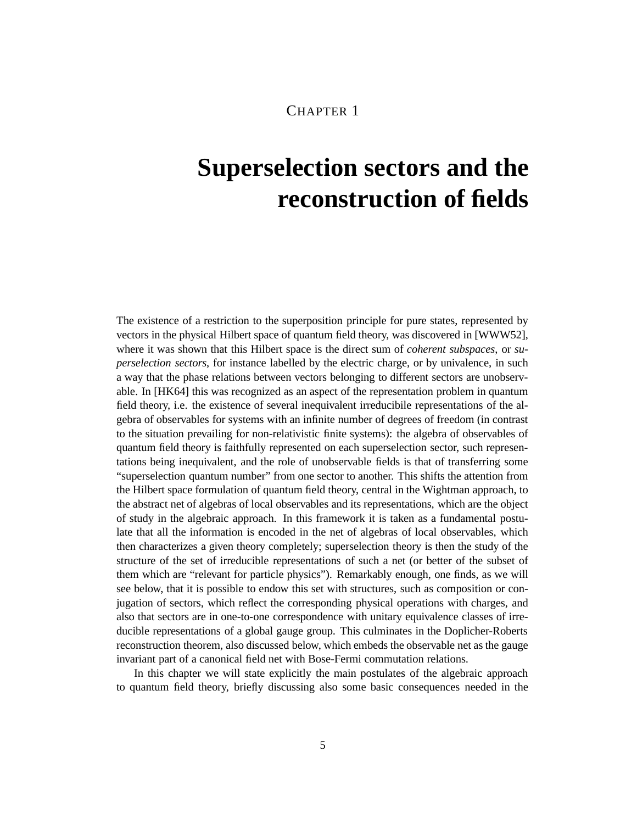# **Superselection sectors and the reconstruction of fields**

The existence of a restriction to the superposition principle for pure states, represented by vectors in the physical Hilbert space of quantum field theory, was discovered in [WWW52], where it was shown that this Hilbert space is the direct sum of *coherent subspaces*, or *superselection sectors*, for instance labelled by the electric charge, or by univalence, in such a way that the phase relations between vectors belonging to different sectors are unobservable. In [HK64] this was recognized as an aspect of the representation problem in quantum field theory, i.e. the existence of several inequivalent irreducibile representations of the algebra of observables for systems with an infinite number of degrees of freedom (in contrast to the situation prevailing for non-relativistic finite systems): the algebra of observables of quantum field theory is faithfully represented on each superselection sector, such representations being inequivalent, and the role of unobservable fields is that of transferring some "superselection quantum number" from one sector to another. This shifts the attention from the Hilbert space formulation of quantum field theory, central in the Wightman approach, to the abstract net of algebras of local observables and its representations, which are the object of study in the algebraic approach. In this framework it is taken as a fundamental postulate that all the information is encoded in the net of algebras of local observables, which then characterizes a given theory completely; superselection theory is then the study of the structure of the set of irreducible representations of such a net (or better of the subset of them which are "relevant for particle physics"). Remarkably enough, one finds, as we will see below, that it is possible to endow this set with structures, such as composition or conjugation of sectors, which reflect the corresponding physical operations with charges, and also that sectors are in one-to-one correspondence with unitary equivalence classes of irreducible representations of a global gauge group. This culminates in the Doplicher-Roberts reconstruction theorem, also discussed below, which embeds the observable net as the gauge invariant part of a canonical field net with Bose-Fermi commutation relations.

In this chapter we will state explicitly the main postulates of the algebraic approach to quantum field theory, briefly discussing also some basic consequences needed in the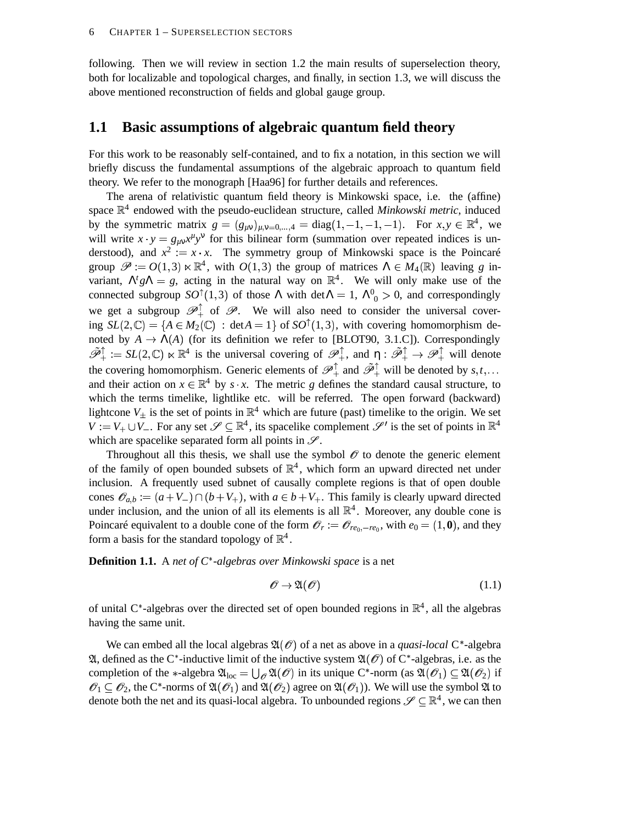following. Then we will review in section 1.2 the main results of superselection theory, both for localizable and topological charges, and finally, in section 1.3, we will discuss the above mentioned reconstruction of fields and global gauge group.

#### **1.1 Basic assumptions of algebraic quantum field theory**

For this work to be reasonably self-contained, and to fix a notation, in this section we will briefly discuss the fundamental assumptions of the algebraic approach to quantum field theory. We refer to the monograph [Haa96] for further details and references.

The arena of relativistic quantum field theory is Minkowski space, i.e. the (affine) space  $\mathbb{R}^4$  endowed with the pseudo-euclidean structure, called *Minkowski metric*, induced by the symmetric matrix  $g = (g_{\mu\nu})_{\mu,\nu=0,...,4} = \text{diag}(1, -1, -1, -1)$ . For  $x, y \in \mathbb{R}^4$ , we will write  $x \cdot y = g_{\mu\nu} x^{\mu} y^{\nu}$  for this bilinear form (summation over repeated indices is understood), and  $x^2 := x \cdot x$ . The symmetry group of Minkowski space is the Poincaré group  $\mathscr{P} := O(1,3) \ltimes \mathbb{R}^4$ , with  $O(1,3)$  the group of matrices  $\Lambda \in M_4(\mathbb{R})$  leaving g invariant,  $\Lambda^t g \Lambda = g$ , acting in the natural way on  $\mathbb{R}^4$ . We will only make use of the connected subgroup  $SO^{\dagger}(1,3)$  of those  $\Lambda$  with det $\Lambda = 1$ ,  $\Lambda^0_{0} > 0$ , and correspondingly we get a subgroup  $\mathscr{P}_+^{\perp}$  of  $\mathscr{P}_+$ . We will also need to consider the universal covering  $SL(2,\mathbb{C}) = \{A \in M_2(\mathbb{C}) : \det A = 1\}$  of  $SO^{\uparrow}(1,3)$ , with covering homomorphism denoted by  $A \to \Lambda(A)$  (for its definition we refer to [BLOT90, 3.1.C]). Correspondingly  $\tilde{\mathcal{P}}_+^{\uparrow} := SL(2,\mathbb{C}) \ltimes \mathbb{R}^4$  is the universal covering of  $\mathcal{P}_+^{\uparrow}$ , and  $\eta : \tilde{\mathcal{P}}_+^{\uparrow} \to \mathcal{P}_+^{\uparrow}$  will denote the covering homomorphism. Generic elements of  $\mathscr{P}_+^{\uparrow}$  and  $\tilde{\mathscr{P}}_+^{\uparrow}$  will be denoted by  $s,t,...$ and their action on  $x \in \mathbb{R}^4$  by *s*  $\cdot$  *x*. The metric *g* defines the standard causal structure, to which the terms timelike, lightlike etc. will be referred. The open forward (backward) lightcone  $V_+$  is the set of points in  $\mathbb{R}^4$  which are future (past) timelike to the origin. We set  $V := V_+ \cup V_-$ . For any set  $\mathscr{S} \subseteq \mathbb{R}^4$ , its spacelike complement  $\mathscr{S}'$  is the set of points in  $\mathbb{R}^4$ which are spacelike separated form all points in  $\mathscr{S}$ .

Throughout all this thesis, we shall use the symbol  $\mathcal O$  to denote the generic element of the family of open bounded subsets of  $\mathbb{R}^4$ , which form an upward directed net under inclusion. A frequently used subnet of causally complete regions is that of open double cones  $\mathscr{O}_{a,b} := (a+V_-) \cap (b+V_+),$  with  $a \in b+V_+$ . This family is clearly upward directed under inclusion, and the union of all its elements is all  $\mathbb{R}^4$ . Moreover, any double cone is Poincaré equivalent to a double cone of the form  $\mathscr{O}_r := \mathscr{O}_{re_0, -re_0}$ , with  $e_0 = (1, \mathbf{0})$ , and they form a basis for the standard topology of  $\mathbb{R}^4$ .

**Definition 1.1.** A *net of C* <sup>+</sup> *-algebras over Minkowski space* is a net

$$
\mathscr{O} \to \mathfrak{A}(\mathscr{O}) \tag{1.1}
$$

of unital C\*-algebras over the directed set of open bounded regions in  $\mathbb{R}^4$ , all the algebras having the same unit.

We can embed all the local algebras  $\mathfrak{A}(\mathscr{O})$  of a net as above in a *quasi-local* C<sup>\*</sup>-algebra  $\mathfrak{A}$ , defined as the C<sup>\*</sup>-inductive limit of the inductive system  $\mathfrak{A}(\mathscr{O})$  of C<sup>\*</sup>-algebras, i.e. as the completion of the \*-algebra  $\mathfrak{A}_{loc} = \bigcup_{\mathcal{O}} \mathfrak{A}(\mathcal{O})$  in its unique C\*-norm (as  $\mathfrak{A}(\mathcal{O}_1) \subseteq \mathfrak{A}(\mathcal{O}_2)$  if  $\mathscr{O}_1 \subset \mathscr{O}_2$ , the C<sup>\*</sup>-norms of  $\mathfrak{A}(\mathscr{O}_1)$  and  $\mathfrak{A}(\mathscr{O}_2)$  agree on  $\mathfrak{A}(\mathscr{O}_1)$ ). We will use the symbol  $\mathfrak A$  to denote both the net and its quasi-local algebra. To unbounded regions  $\mathscr{S} \subseteq \mathbb{R}^4$ , we can then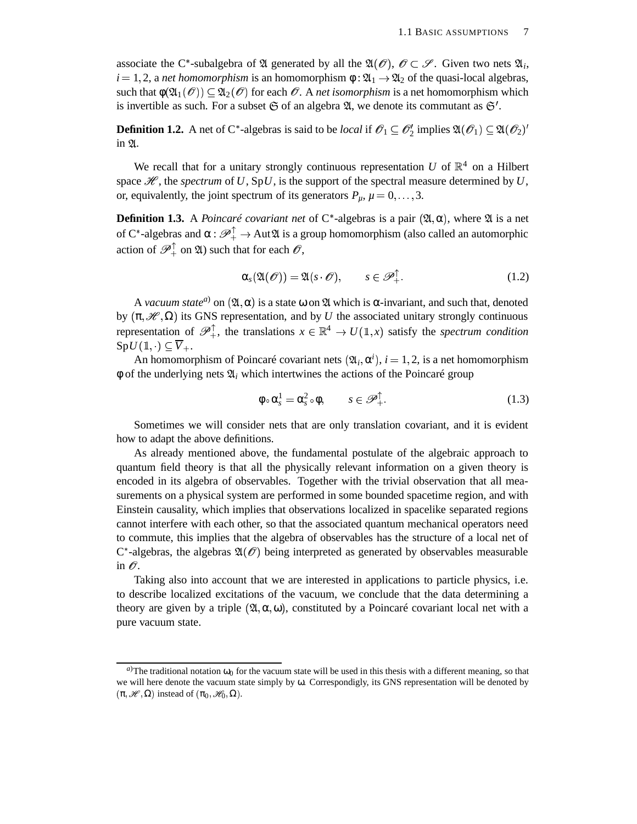associate the C<sup>\*</sup>-subalgebra of  $\mathfrak A$  generated by all the  $\mathfrak A(\mathscr O),\ \mathscr O\subset \mathscr S.$  Given two nets  $\mathfrak A_i$ ,  $i = 1, 2$ , a *net homomorphism* is an homomorphism  $\phi : \mathfrak{A}_1 \to \mathfrak{A}_2$  of the quasi-local algebras, such that  $\phi(\mathfrak{A}_1(\mathscr{O})) \subset \mathfrak{A}_2(\mathscr{O})$  for each  $\mathscr{O}$ . A *net isomorphism* is a net homomorphism which is invertible as such. For a subset  $\mathfrak S$  of an algebra  $\mathfrak A$ , we denote its commutant as  $\mathfrak S'$ .

**Definition 1.2.** A net of C\*-algebras is said to be *local* if  $\mathscr{O}_1 \subseteq \mathscr{O}_2'$  implies  $\mathfrak{A}(\mathscr{O}_1) \subseteq \mathfrak{A}(\mathscr{O}_2)'$ in 21.

We recall that for a unitary strongly continuous representation  $U$  of  $\mathbb{R}^4$  on a Hilbert space  $\mathcal{H}$ , the *spectrum* of U, SpU, is the support of the spectral measure determined by U, or, equivalently, the joint spectrum of its generators  $P_{\mu}$ ,  $\mu = 0, \ldots, 3$ .

**Definition 1.3.** A *Poincaré covariant net* of C<sup>\*</sup>-algebras is a pair  $(\mathfrak{A}, \alpha)$ , where  $\mathfrak{A}$  is a net of C<sup>\*</sup>-algebras and  $\alpha: \mathscr{P}_+^{\perp} \to \text{Aut}\mathfrak{A}$  is a group homomorphism (also called an automorphic action of  $\mathscr{P}_+^{\perp}$  on  $\mathfrak{A}$ ) such that for each  $\mathscr{O},$ 

$$
\alpha_s(\mathfrak{A}(\mathscr{O})) = \mathfrak{A}(s \cdot \mathscr{O}), \qquad s \in \mathscr{P}_+^\top. \tag{1.2}
$$

A *vacuum state<sup>a</sup>*) on  $(\mathfrak{A}, \alpha)$  is a state  $\omega$  on  $\mathfrak A$  which is  $\alpha$ -invariant, and such that, denoted by  $(\pi, \mathcal{H}, \Omega)$  its GNS representation, and by *U* the associated unitary strongly continuous representation of  $\mathscr{P}_+^{\uparrow}$ , the translations  $x \in \mathbb{R}^4 \to U(\mathbb{1},x)$  satisfy the *spectrum condition*  $SpU(\mathbb{1},\cdot)\subseteq\overline{V}_{+}.$ 

An homomorphism of Poincaré covariant nets  $(\mathfrak{A}_i, \alpha^i)$ ,  $i = 1, 2$ , is a net homomorphism  $\phi$  of the underlying nets  $\mathfrak{A}_i$  which intertwines the actions of the Poincaré group

$$
\phi \circ \alpha_s^1 = \alpha_s^2 \circ \phi, \qquad s \in \mathscr{P}_+^\uparrow. \tag{1.3}
$$

Sometimes we will consider nets that are only translation covariant, and it is evident how to adapt the above definitions.

As already mentioned above, the fundamental postulate of the algebraic approach to quantum field theory is that all the physically relevant information on a given theory is encoded in its algebra of observables. Together with the trivial observation that all measurements on a physical system are performed in some bounded spacetime region, and with Einstein causality, which implies that observations localized in spacelike separated regions cannot interfere with each other, so that the associated quantum mechanical operators need to commute, this implies that the algebra of observables has the structure of a local net of  $C^*$ -algebras, the algebras  $\mathfrak{A}(\mathcal{O})$  being interpreted as generated by observables measurable in  $\mathscr O$ .

Taking also into account that we are interested in applications to particle physics, i.e. to describe localized excitations of the vacuum, we conclude that the data determining a theory are given by a triple  $(\mathfrak{A}, \alpha, \omega)$ , constituted by a Poincaré covariant local net with a pure vacuum state.

*a*)The traditional notation  $\omega_0$  for the vacuum state will be used in this thesis with a different meaning, so that we will here denote the vacuum state simply by  $\omega$ . Correspondigly, its GNS representation will be denoted by  $(\pi,\mathscr{H},\Omega)$  instead of  $(\pi_0,\mathscr{H}_0,\Omega)$ .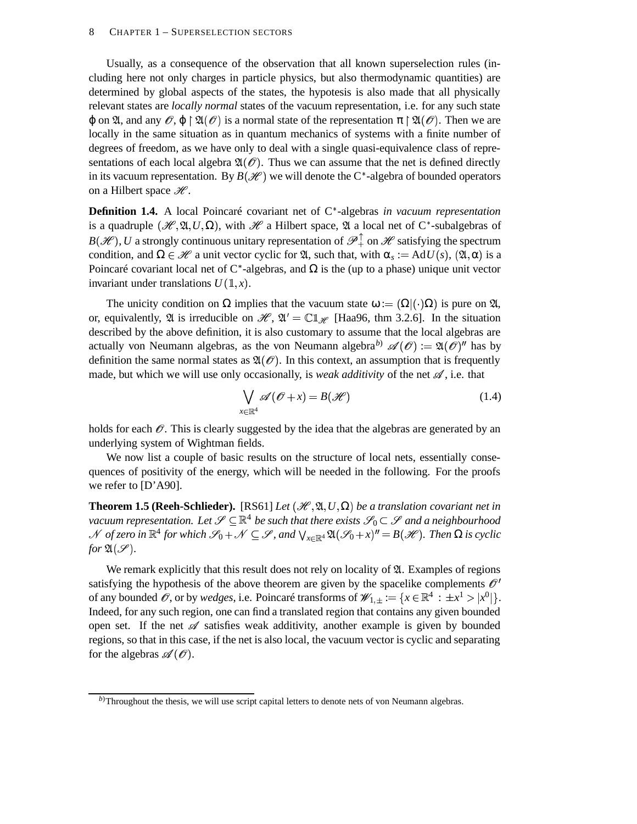#### 8 CHAPTER 1 – SUPERSELECTION SECTORS

Usually, as a consequence of the observation that all known superselection rules (including here not only charges in particle physics, but also thermodynamic quantities) are determined by global aspects of the states, the hypotesis is also made that all physically relevant states are *locally normal* states of the vacuum representation, i.e. for any such state  $\varphi$  on  $\mathfrak{A}$ , and any  $\mathscr{O}, \varphi \upharpoonright \mathfrak{A}(\mathscr{O})$  is a normal state of the representation  $\pi \upharpoonright \mathfrak{A}(\mathscr{O})$ . Then we are locally in the same situation as in quantum mechanics of systems with a finite number of degrees of freedom, as we have only to deal with a single quasi-equivalence class of representations of each local algebra  $\mathfrak{A}(\mathcal{O})$ . Thus we can assume that the net is defined directly in its vacuum representation. By  $B(\mathcal{H})$  we will denote the C<sup>\*</sup>-algebra of bounded operators on a Hilbert space  $\mathscr{H}.$ 

**Definition 1.4.** A local Poincaré covariant net of C<sup>\*</sup>-algebras *in vacuum representation* is a quadruple  $(\mathcal{H}, \mathfrak{A}, U, \Omega)$ , with  $\mathcal{H}$  a Hilbert space,  $\mathfrak A$  a local net of C\*-subalgebras of  $B(\mathscr{H})$ , *U* a strongly continuous unitary representation of  $\mathscr{P}_+^{\top}$  on  $\mathscr{H}$  satisfying the spectrum condition, and  $\Omega \in \mathcal{H}$  a unit vector cyclic for  $\mathfrak{A}$ , such that, with  $\alpha_s := AdU(s)$ ,  $(\mathfrak{A}, \alpha)$  is a Poincaré covariant local net of  $C^*$ -algebras, and  $\Omega$  is the (up to a phase) unique unit vector invariant under translations  $U(\mathbb{1},x)$ .

The unicity condition on  $\Omega$  implies that the vacuum state  $\omega := (\Omega | (\cdot) \Omega)$  is pure on  $\mathfrak{A}$ , or, equivalently,  $\mathfrak A$  is irreducible on  $\mathscr H, \mathfrak A' = \mathbb{C} \mathbb{1}_{\mathscr H}$  [Haa96, thm 3.2.6]. In the situation described by the above definition, it is also customary to assume that the local algebras are actually von Neumann algebras, as the von Neumann algebra<sup>b)</sup>  $\mathscr{A}(\mathscr{O}) := \mathfrak{A}(\mathscr{O})^n$  has by definition the same normal states as  $\mathfrak{A}(\mathcal{O})$ . In this context, an assumption that is frequently made, but which we will use only occasionally, is *weak additivity* of the net  $\mathscr A$ , i.e. that

$$
\bigvee_{x \in \mathbb{R}^4} \mathscr{A}(\mathscr{O} + x) = B(\mathscr{H})
$$
\n(1.4)

holds for each  $\mathcal O$ . This is clearly suggested by the idea that the algebras are generated by an underlying system of Wightman fields.

We now list a couple of basic results on the structure of local nets, essentially consequences of positivity of the energy, which will be needed in the following. For the proofs we refer to [D'A90].

**Theorem 1.5 (Reeh-Schlieder).** [RS61] *Let*  $(\mathcal{H}, \mathfrak{A}, U, \Omega)$  *be a translation covariant net in vacuum representation. Let*  $\mathscr{S} \subseteq \mathbb{R}^4$  *be such that there exists*  $\mathscr{S}_0 \subset \mathscr{S}$  *and a neighbourhood*  $\mathscr N$  of zero in  $\mathbb R^4$  for which  $\mathscr S_0+\mathscr N\subseteq \mathscr S$  , and  $\bigvee_{x\in\mathbb R^4}\mathfrak A(\mathscr S_0+x)^{\prime\prime}=B(\mathscr H).$  Then  $\Omega$  is cyclic *for*  $\mathfrak{A}(\mathcal{S})$ *.* 

We remark explicitly that this result does not rely on locality of  $\mathfrak{A}$ . Examples of regions satisfying the hypothesis of the above theorem are given by the spacelike complements  $\mathcal{O}'$ of any bounded  $\mathscr{O}$ , or by *wedges*, i.e. Poincaré transforms of  $\mathscr{W}_{1,\pm} := \{x \in \mathbb{R}^4 : \pm x^1 > |x^0|\}.$ Indeed, for any such region, one can find a translated region that contains any given bounded open set. If the net  $\mathscr A$  satisfies weak additivity, another example is given by bounded regions, so that in this case, if the net is also local, the vacuum vector is cyclic and separating for the algebras  $\mathscr{A}(\mathscr{O})$ .

*b*)Throughout the thesis, we will use script capital letters to denote nets of von Neumann algebras.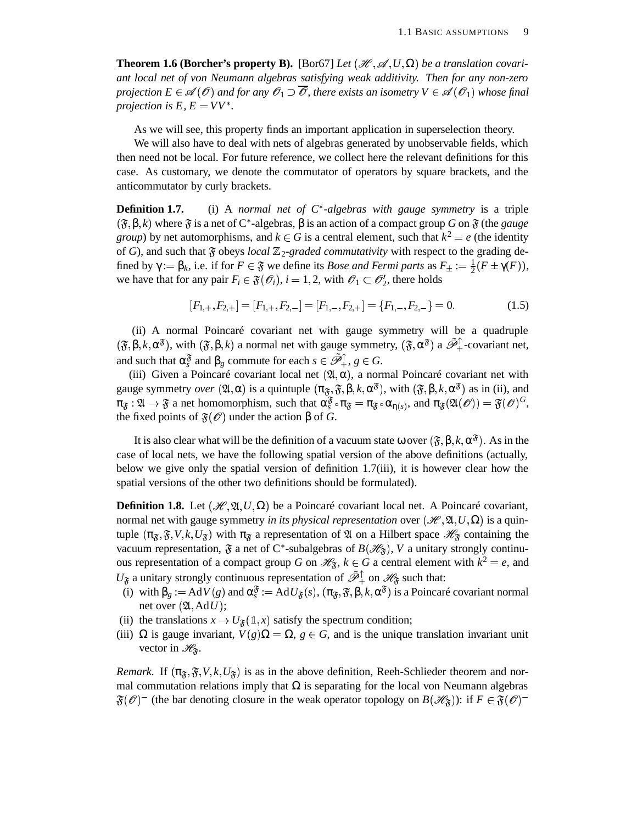**Theorem 1.6 (Borcher's property B).** [Bor67] *Let*  $(\mathcal{H}, \mathcal{A}, U, \Omega)$  *be a translation covariant local net of von Neumann algebras satisfying weak additivity. Then for any non-zero projection*  $E \in \mathscr{A}(\mathscr{O})$  *and for any*  $\mathscr{O}_1 \supset \overline{\mathscr{O}}$ , *there exists an isometry*  $V \in \mathscr{A}(\mathscr{O}_1)$  *whose final projection is*  $E, E = VV^*$ .

As we will see, this property finds an important application in superselection theory.

We will also have to deal with nets of algebras generated by unobservable fields, which then need not be local. For future reference, we collect here the relevant definitions for this case. As customary, we denote the commutator of operators by square brackets, and the anticommutator by curly brackets.

**Definition 1.7.** (i) A *normal net of*  $C^*$ -*algebras with gauge symmetry* is a triple  $(\mathfrak{F},\beta,k)$  where  $\mathfrak F$  is a net of C\*-algebras,  $\beta$  is an action of a compact group  $G$  on  $\mathfrak F$  (the *gauge group*) by net automorphisms, and  $k \in G$  is a central element, such that  $k^2 = e$  (the identity of G), and such that  $\mathfrak F$  obeys *local*  $\mathbb Z_2$ -graded *commutativity* with respect to the grading defined by  $\gamma := \beta_k$ , i.e. if for  $F \in \mathfrak{F}$  we define its *Bose and Fermi parts* as  $F_{\pm} := \frac{1}{2}(F \pm \gamma(F)),$ we have that for any pair  $F_i \in \mathfrak{F}(\mathcal{O}_i)$ ,  $i = 1, 2$ , with  $\mathcal{O}_1 \subset \mathcal{O}_2'$ , there holds

$$
[F_{1,+}, F_{2,+}] = [F_{1,+}, F_{2,-}] = [F_{1,-}, F_{2,+}] = \{F_{1,-}, F_{2,-}\} = 0.
$$
 (1.5)

(ii) A normal Poincaré covariant net with gauge symmetry will be a quadruple  $(\mathfrak{F}, \beta, k, \alpha^{\mathfrak{F}})$ , with  $(\mathfrak{F}, \beta, k)$  a normal net with gauge symmetry,  $(\mathfrak{F}, \alpha^{\mathfrak{F}})$  a  $\tilde{\mathscr{P}}_+^{\uparrow}$ -covariant net, and such that  $\alpha_s^{\mathfrak{F}}$  and  $\beta_g$  commute for each  $s \in \tilde{\mathscr{P}}_+^{\uparrow}$ ,  $g \in G$ .

(iii) Given a Poincaré covariant local net  $(\mathfrak{A}, \alpha)$ , a normal Poincaré covariant net with gauge symmetry *over*  $(\mathfrak{A}, \alpha)$  is a quintuple  $(\pi_{\mathfrak{F}}, \mathfrak{F}, \beta, k, \alpha^{\mathfrak{F}})$ , with  $(\mathfrak{F}, \beta, k, \alpha^{\mathfrak{F}})$  as in (ii), and  $\pi_{\mathfrak{F}} : \mathfrak{A} \to \mathfrak{F}$  a net homomorphism, such that  $\alpha_s^{\mathfrak{F}} \circ \pi_{\mathfrak{F}} = \pi_{\mathfrak{F}} \circ \alpha_{\eta(s)}$ , and  $\pi_{\mathfrak{F}}(\mathfrak{A}(\mathscr{O})) = \mathfrak{F}(\mathscr{O})^G$ , the fixed points of  $\mathfrak{F}(\mathcal{O})$  under the action  $\beta$  of *G*.

It is also clear what will be the definition of a vacuum state  $\omega$  over  $(\mathfrak{F}, \beta, k, \alpha^{\mathfrak{F}})$ . As in the case of local nets, we have the following spatial version of the above definitions (actually, below we give only the spatial version of definition 1.7(iii), it is however clear how the spatial versions of the other two definitions should be formulated).

**Definition 1.8.** Let  $(\mathcal{H}, \mathfrak{A}, U, \Omega)$  be a Poincaré covariant local net. A Poincaré covariant, normal net with gauge symmetry *in its physical representation* over  $(\mathcal{H}, \mathfrak{A}, U, \Omega)$  is a quintuple  $(\pi_{\mathfrak{F}}, \mathfrak{F}, V, k, U_{\mathfrak{F}})$  with  $\pi_{\mathfrak{F}}$  a representation of  $\mathfrak{A}$  on a Hilbert space  $\mathscr{H}_{\mathfrak{F}}$  containing the vacuum representation,  $\mathfrak{F}$  a net of C<sup>\*</sup>-subalgebras of  $B(\mathcal{H}_{\mathfrak{F}})$ , V a unitary strongly continuous representation of a compact group *G* on  $\mathcal{H}_{\mathfrak{F}}$ ,  $k \in G$  a central element with  $k^2 = e$ , and  $U_{\mathfrak{F}}$  a unitary strongly continuous representation of  $\tilde{\mathcal{P}}_{+}^{\uparrow}$  on  $\mathcal{H}_{\mathfrak{F}}$  such that:

- (i) with  $\beta_g := AdV(g)$  and  $\alpha_s^{\mathfrak{F}} := AdU_{\mathfrak{F}}(s)$ ,  $(\pi_{\mathfrak{F}}, \mathfrak{F}, \beta, k, \alpha^{\mathfrak{F}})$  is a Poincaré covariant normal net over  $(\mathfrak{A}, \mathrm{Ad} U)$ ;
- (ii) the translations  $x \to U_{\mathfrak{F}}(1,x)$  satisfy the spectrum condition;
- (iii)  $\Omega$  is gauge invariant,  $V(g)\Omega = \Omega$ ,  $g \in G$ , and is the unique translation invariant unit vector in  $\mathcal{H}_{\mathfrak{F}}$ .

*Remark.* If  $(\pi_{\mathfrak{F}}, \mathfrak{F}, V, k, U_{\mathfrak{F}})$  is as in the above definition, Reeh-Schlieder theorem and normal commutation relations imply that  $\Omega$  is separating for the local von Neumann algebras  $\mathfrak{F}(\mathcal{O})^-$  (the bar denoting closure in the weak operator topology on  $B(\mathcal{H}_\mathfrak{F}))$ : if  $F \in \mathfrak{F}(\mathcal{O})^-$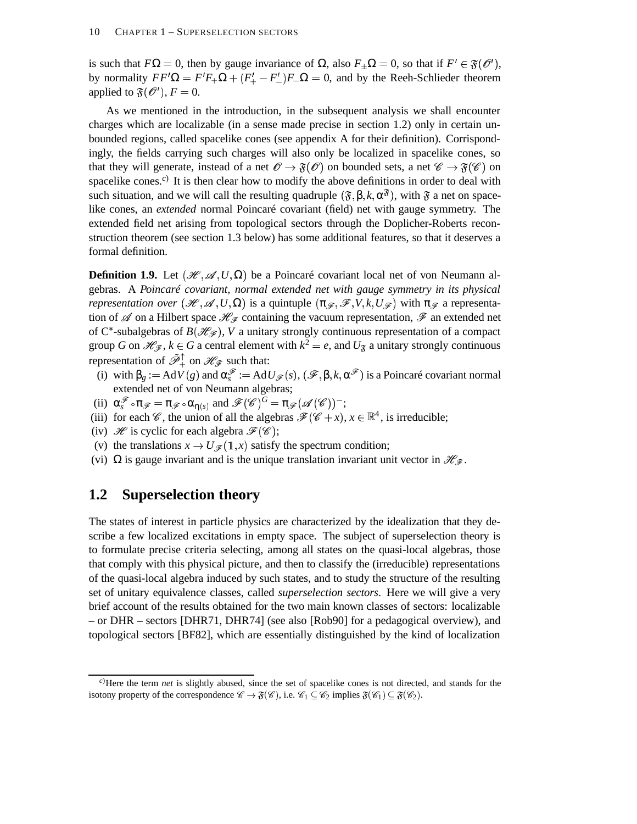is such that  $F\Omega = 0$ , then by gauge invariance of  $\Omega$ , also  $F_{\pm}\Omega = 0$ , so that if  $F' \in \mathfrak{F}(\mathcal{O}'),$ by normality  $FF' \Omega = F'F_+ \Omega + (F_+' - F_-')F_- \Omega = 0$ , and by the Reeh-Schlieder theorem applied to  $\mathfrak{F}(\mathcal{O}'), F = 0.$ 

As we mentioned in the introduction, in the subsequent analysis we shall encounter charges which are localizable (in a sense made precise in section 1.2) only in certain unbounded regions, called spacelike cones (see appendix A for their definition). Corrispondingly, the fields carrying such charges will also only be localized in spacelike cones, so that they will generate, instead of a net  $\mathscr{O} \to \mathfrak{F}(\mathscr{O})$  on bounded sets, a net  $\mathscr{C} \to \mathfrak{F}(\mathscr{C})$  on spacelike cones.<sup>*c*)</sup> It is then clear how to modify the above definitions in order to deal with such situation, and we will call the resulting quadruple  $(\mathfrak{F}, \beta, k, \alpha^{\mathfrak{F}})$ , with  $\mathfrak{F}$  a net on spacelike cones, an *extended* normal Poincaré covariant (field) net with gauge symmetry. The extended field net arising from topological sectors through the Doplicher-Roberts reconstruction theorem (see section 1.3 below) has some additional features, so that it deserves a formal definition.

**Definition 1.9.** Let  $(\mathcal{H}, \mathcal{A}, U, \Omega)$  be a Poincaré covariant local net of von Neumann algebras. A *Poincaré covariant, normal extended net with gauge symmetry in its physical representation over*  $(\mathcal{H}, \mathcal{A}, U, \Omega)$  is a quintuple  $(\pi_{\mathcal{F}}, \mathcal{F}, V, k, U_{\mathcal{F}})$  with  $\pi_{\mathcal{F}}$  a representation of  $\mathscr A$  on a Hilbert space  $\mathscr H_{\mathscr F}$  containing the vacuum representation,  $\mathscr F$  an extended net of C<sup>\*</sup>-subalgebras of  $B(\mathcal{H}_{\mathcal{F}})$ , V a unitary strongly continuous representation of a compact group *G* on  $\mathcal{H}_{\mathcal{F}}$ ,  $k \in G$  a central element with  $k^2 = e$ , and  $U_{\mathfrak{F}}$  a unitary strongly continuous representation of  $\tilde{\mathscr{P}}_+^{\uparrow}$  on  $\mathscr{H}_{\mathscr{F}}$  such that:

- (i) with  $\beta_g := AdV(g)$  and  $\alpha_s^{\mathscr{F}} := AdU_{\mathscr{F}}(s), (\mathscr{F}, \beta, k, \alpha^{\mathscr{F}})$  is a Poincaré covariant normal extended net of von Neumann algebras;
- (ii)  $\alpha_s^{\mathscr{F}} \circ \pi_{\mathscr{F}} = \pi_{\mathscr{F}} \circ \alpha_{\eta(s)}$  and  $\mathscr{F}(\mathscr{C})^G = \pi_{\mathscr{F}}(\mathscr{A}(\mathscr{C}))^-$ ;
- (iii) for each *C*, the union of all the algebras  $\mathscr{F}(\mathscr{C}+x)$ ,  $x \in \mathbb{R}^4$ , is irreducible;
- (iv) H is cyclic for each algebra  $\mathscr{F}(\mathscr{C});$
- (v) the translations  $x \to U_{\mathscr{F}}(1,x)$  satisfy the spectrum condition;
- (vi)  $\Omega$  is gauge invariant and is the unique translation invariant unit vector in  $\mathcal{H}_{\mathcal{F}}$ .

### **1.2 Superselection theory**

The states of interest in particle physics are characterized by the idealization that they describe a few localized excitations in empty space. The subject of superselection theory is to formulate precise criteria selecting, among all states on the quasi-local algebras, those that comply with this physical picture, and then to classify the (irreducible) representations of the quasi-local algebra induced by such states, and to study the structure of the resulting set of unitary equivalence classes, called *superselection sectors*. Here we will give a very brief account of the results obtained for the two main known classes of sectors: localizable – or DHR – sectors [DHR71, DHR74] (see also [Rob90] for a pedagogical overview), and topological sectors [BF82], which are essentially distinguished by the kind of localization

*<sup>c</sup>*)Here the term *net* is slightly abused, since the set of spacelike cones is not directed, and stands for the isotony property of the correspondence  $\mathscr{C} \to \mathfrak{F}(\mathscr{C}),$  i.e.  $\mathscr{C}_1 \subseteq \mathscr{C}_2$  implies  $\mathfrak{F}(\mathscr{C}_1) \subseteq \mathfrak{F}(\mathscr{C}_2)$ .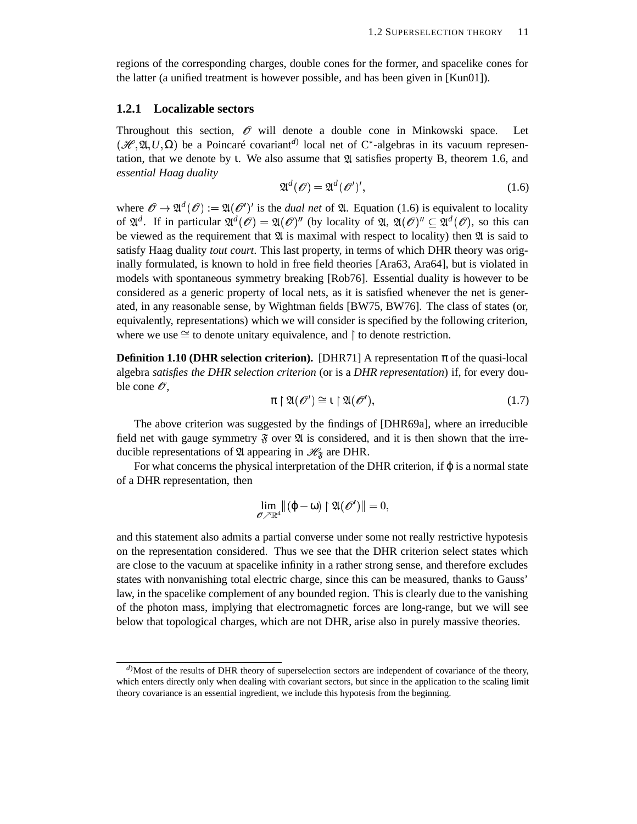regions of the corresponding charges, double cones for the former, and spacelike cones for the latter (a unified treatment is however possible, and has been given in [Kun01]).

#### **1.2.1 Localizable sectors**

Throughout this section,  $\mathcal O$  will denote a double cone in Minkowski space. Let  $(\mathcal{H}, \mathfrak{A}, U, \Omega)$  be a Poincaré covariant<sup>*d*)</sup> local net of C<sup>\*</sup>-algebras in its vacuum representation, that we denote by *ι.* We also assume that  $\mathfrak A$  satisfies property B, theorem 1.6, and *essential Haag duality*

$$
\mathfrak{A}^d(\mathcal{O}) = \mathfrak{A}^d(\mathcal{O}')',\tag{1.6}
$$

where  $\mathscr{O} \to \mathfrak{A}^d(\mathscr{O}) := \mathfrak{A}(\mathscr{O}')'$  is the *dual net* of  $\mathfrak{A}$ . Equation (1.6) is equivalent to locality of  $\mathfrak{A}^d$ . If in particular  $\mathfrak{A}^d(\mathcal{O}) = \mathfrak{A}(\mathcal{O})^n$  (by locality of  $\mathfrak{A}, \mathfrak{A}(\mathcal{O})^n \subseteq \mathfrak{A}^d(\mathcal{O})$ , so this can be viewed as the requirement that  $\mathfrak A$  is maximal with respect to locality) then  $\mathfrak A$  is said to satisfy Haag duality *tout court*. This last property, in terms of which DHR theory was originally formulated, is known to hold in free field theories [Ara63, Ara64], but is violated in models with spontaneous symmetry breaking [Rob76]. Essential duality is however to be considered as a generic property of local nets, as it is satisfied whenever the net is generated, in any reasonable sense, by Wightman fields [BW75, BW76]. The class of states (or, equivalently, representations) which we will consider is specified by the following criterion, where we use  $\cong$  to denote unitary equivalence, and  $\upharpoonright$  to denote restriction.

**Definition 1.10 (DHR selection criterion).** [DHR71] A representation  $\pi$  of the quasi-local algebra *satisfies the DHR selection criterion* (or is a *DHR representation*) if, for every double cone  $\mathscr O$ ,

$$
\pi \upharpoonright \mathfrak{A}(\mathscr{O}') \cong \iota \upharpoonright \mathfrak{A}(\mathscr{O}'),\tag{1.7}
$$

The above criterion was suggested by the findings of [DHR69a], where an irreducible field net with gauge symmetry  $\mathfrak F$  over  $\mathfrak A$  is considered, and it is then shown that the irreducible representations of  $\mathfrak A$  appearing in  $\mathcal H_{\mathfrak F}$  are DHR.

For what concerns the physical interpretation of the DHR criterion, if  $\varphi$  is a normal state of a DHR representation, then

$$
\lim_{\mathscr{O} \nearrow \mathbb{R}^4} \lVert (\varphi - \omega) \restriction \mathfrak{A}(\mathscr{O}') \rVert = 0,
$$

and this statement also admits a partial converse under some not really restrictive hypotesis on the representation considered. Thus we see that the DHR criterion select states which are close to the vacuum at spacelike infinity in a rather strong sense, and therefore excludes states with nonvanishing total electric charge, since this can be measured, thanks to Gauss' law, in the spacelike complement of any bounded region. This is clearly due to the vanishing of the photon mass, implying that electromagnetic forces are long-range, but we will see below that topological charges, which are not DHR, arise also in purely massive theories.

*d*)Most of the results of DHR theory of superselection sectors are independent of covariance of the theory, which enters directly only when dealing with covariant sectors, but since in the application to the scaling limit theory covariance is an essential ingredient, we include this hypotesis from the beginning.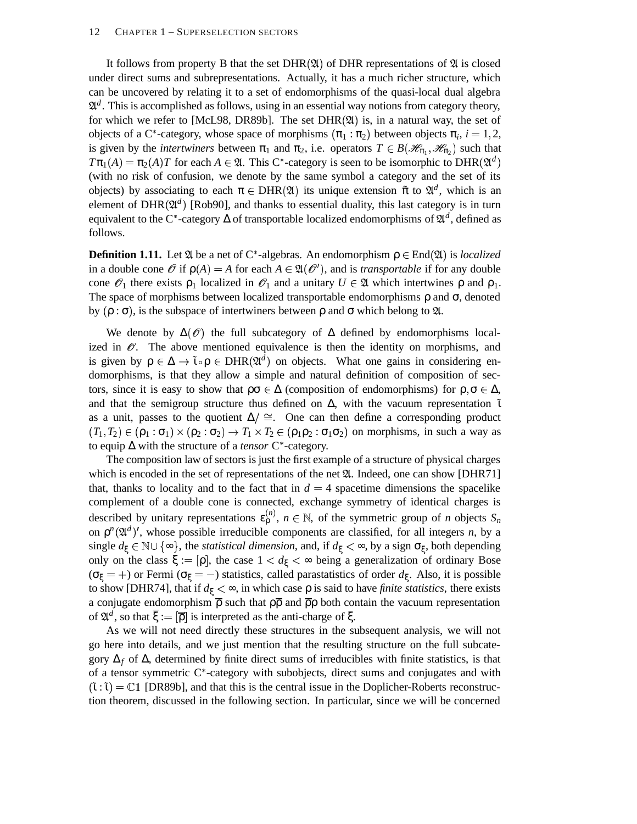It follows from property B that the set  $DHR(\mathfrak{A})$  of DHR representations of  $\mathfrak A$  is closed under direct sums and subrepresentations. Actually, it has a much richer structure, which can be uncovered by relating it to a set of endomorphisms of the quasi-local dual algebra  $\mathfrak{A}^d$ . This is accomplished as follows, using in an essential way notions from category theory, for which we refer to [McL98, DR89b]. The set  $DHR(\mathfrak{A})$  is, in a natural way, the set of objects of a C<sup>\*</sup>-category, whose space of morphisms  $(\pi_1 : \pi_2)$  between objects  $\pi_i$ ,  $i = 1, 2$ , is given by the *intertwiners* between  $\pi_1$  and  $\pi_2$ , i.e. operators  $T \in B(\mathcal{H}_{\pi_1}, \mathcal{H}_{\pi_2})$  such that  $T\pi_1(A) = \pi_2(A)T$  for each  $A \in \mathfrak{A}$ . This C<sup>\*</sup>-category is seen to be isomorphic to DHR( $\mathfrak{A}^d$ ) (with no risk of confusion, we denote by the same symbol a category and the set of its objects) by associating to each  $\pi \in \text{DHR}(\mathfrak{A})$  its unique extension  $\tilde{\pi}$  to  $\mathfrak{A}^d$ , which is an element of DHR $(\mathfrak{A}^d)$  [Rob90], and thanks to essential duality, this last category is in turn equivalent to the C<sup>\*</sup>-category  $\Delta$  of transportable localized endomorphisms of  $\mathfrak{A}^d$ , defined as follows.

**Definition 1.11.** Let  $\mathfrak{A}$  be a net of C<sup>\*</sup>-algebras. An endomorphism  $\rho \in \text{End}(\mathfrak{A})$  is *localized* in a double cone  $\mathcal O$  if  $\rho(A) = A$  for each  $A \in \mathfrak A(\mathcal O')$ , and is *transportable* if for any double cone  $\mathcal{O}_1$  there exists  $\rho_1$  localized in  $\mathcal{O}_1$  and a unitary  $U \in \mathfrak{A}$  which intertwines  $\rho$  and  $\rho_1$ . The space of morphisms between localized transportable endomorphisms  $\rho$  and  $\sigma$ , denoted by  $(\rho : \sigma)$ , is the subspace of intertwiners between  $\rho$  and  $\sigma$  which belong to  $\mathfrak{A}$ .

We denote by  $\Delta(\mathscr{O})$  the full subcategory of  $\Delta$  defined by endomorphisms localized in  $\mathscr O$ . The above mentioned equivalence is then the identity on morphisms, and is given by  $\rho \in \Delta \to \tilde{\iota} \circ \rho \in DHR(\mathfrak{A}^d)$  on objects. What one gains in considering endomorphisms, is that they allow a simple and natural definition of composition of sectors, since it is easy to show that  $\rho\sigma \in \Delta$  (composition of endomorphisms) for  $\rho, \sigma \in \Delta$ , and that the semigroup structure thus defined on  $\Delta$ , with the vacuum representation  $\tilde{\iota}$ as a unit, passes to the quotient  $\Delta / \cong$ . One can then define a corresponding product  $(T_1, T_2) \in (\rho_1 : \sigma_1) \times (\rho_2 : \sigma_2) \rightarrow T_1 \times T_2 \in (\rho_1 \rho_2 : \sigma_1 \sigma_2)$  on morphisms, in such a way as to equip ∆ with the structure of a *tensor* C<sup>\*</sup>-category.

The composition law of sectors is just the first example of a structure of physical charges which is encoded in the set of representations of the net  $\mathfrak{A}$ . Indeed, one can show [DHR71] that, thanks to locality and to the fact that in  $d = 4$  spacetime dimensions the spacelike complement of a double cone is connected, exchange symmetry of identical charges is described by unitary representations  $\varepsilon_p^{(n)}$ ,  $n \in \mathbb{N}$ , of the symmetric group of *n* objects  $S_n$ on  $\rho^{n}(\mathfrak{A}^{d})'$ , whose possible irreducible components are classified, for all integers *n*, by a single  $d_\xi \in \mathbb{N} \cup \{\infty\}$ , the *statistical dimension*, and, if  $d_\xi < \infty$ , by a sign  $\sigma_\xi$ , both depending only on the class  $\xi := [\rho]$ , the case  $1 < d_{\xi} < \infty$  being a generalization of ordinary Bose ( $\sigma_{\xi}$  = +) or Fermi ( $\sigma_{\xi}$  = -) statistics, called parastatistics of order  $d_{\xi}$ . Also, it is possible to show [DHR74], that if  $d<sub>ξ</sub> < ∞$ , in which case  $ρ$  is said to have *finite statistics*, there exists a conjugate endomorphism  $\overline{\rho}$  such that  $\rho\overline{\rho}$  and  $\overline{\rho}\rho$  both contain the vacuum representation of  $\mathfrak{A}^d$ , so that  $\overline{\xi} := [\overline{\rho}]$  is interpreted as the anti-charge of  $\xi$ .

As we will not need directly these structures in the subsequent analysis, we will not go here into details, and we just mention that the resulting structure on the full subcategory  $\Delta_f$  of  $\Delta$ , determined by finite direct sums of irreducibles with finite statistics, is that of a tensor symmetric  $C^*$ -category with subobjects, direct sums and conjugates and with  $(\tilde{\iota} : \tilde{\iota}) = \mathbb{C} \mathbb{1}$  [DR89b], and that this is the central issue in the Doplicher-Roberts reconstruction theorem, discussed in the following section. In particular, since we will be concerned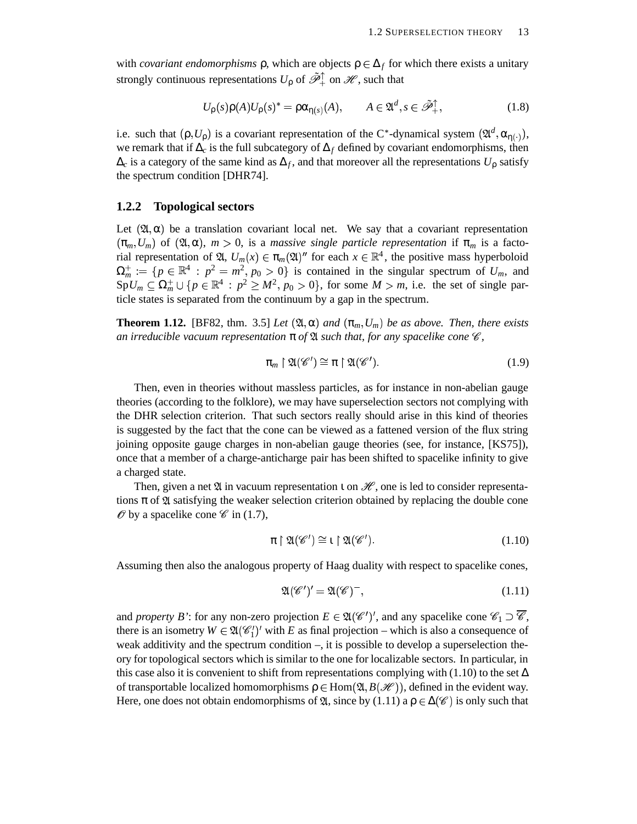with *covariant endomorphisms*  $\rho$ , which are objects  $\rho \in \Delta_f$  for which there exists a unitary strongly continuous representations  $U_{\rho}$  of  $\tilde{\mathscr{P}}^{\uparrow}_{+}$  on  $\mathscr{H}$ , such that

$$
U_{\rho}(s)\rho(A)U_{\rho}(s)^{*} = \rho\alpha_{\eta(s)}(A), \qquad A \in \mathfrak{A}^{d}, s \in \tilde{\mathcal{P}}_{+}^{\uparrow}, \tag{1.8}
$$

i.e. such that  $(\rho, U_{\rho})$  is a covariant representation of the C<sup>\*</sup>-dynamical system  $(\mathfrak{A}^d, \alpha_{\eta(\cdot)})$ , we remark that if ∆*<sup>c</sup>* is the full subcategory of ∆*<sup>f</sup>* defined by covariant endomorphisms, then ∆*<sup>c</sup>* is a category of the same kind as ∆*<sup>f</sup>* , and that moreover all the representations *U*<sup>ρ</sup> satisfy the spectrum condition [DHR74].

#### **1.2.2 Topological sectors**

Let  $(\mathfrak{A}, \alpha)$  be a translation covariant local net. We say that a covariant representation  $(\pi_m, U_m)$  of  $(\mathfrak{A}, \alpha)$ ,  $m > 0$ , is a *massive single particle representation* if  $\pi_m$  is a factorial representation of  $\mathfrak{A}, U_m(x) \in \pi_m(\mathfrak{A})^n$  for each  $x \in \mathbb{R}^4$ , the positive mass hyperboloid  $\Omega_m^+ := \{ p \in \mathbb{R}^4 : p^2 = m^2, p_0 > 0 \}$  is contained in the singular spectrum of  $U_m$ , and  $SpU_m \subseteq \Omega_m^+ \cup \{p \in \mathbb{R}^4 : p^2 \ge M^2, p_0 > 0\}$ , for some  $M > m$ , i.e. the set of single particle states is separated from the continuum by a gap in the spectrum.

**Theorem 1.12.** [BF82, thm. 3.5] *Let*  $(\mathfrak{A}, \alpha)$  *and*  $(\pi_m, U_m)$  *be as above. Then, there exists an irreducible vacuum representation*  $\pi$  *of*  $\mathfrak A$  *such that, for any spacelike cone*  $\mathscr C$ *,* 

$$
\pi_m \upharpoonright \mathfrak{A}(\mathscr{C}') \cong \pi \upharpoonright \mathfrak{A}(\mathscr{C}'). \tag{1.9}
$$

Then, even in theories without massless particles, as for instance in non-abelian gauge theories (according to the folklore), we may have superselection sectors not complying with the DHR selection criterion. That such sectors really should arise in this kind of theories is suggested by the fact that the cone can be viewed as a fattened version of the flux string joining opposite gauge charges in non-abelian gauge theories (see, for instance, [KS75]), once that a member of a charge-anticharge pair has been shifted to spacelike infinity to give a charged state.

Then, given a net  $\mathfrak A$  in vacuum representation  $\iota$  on  $\mathscr H$ , one is led to consider representations  $\pi$  of  $\mathfrak A$  satisfying the weaker selection criterion obtained by replacing the double cone  $\mathscr O$  by a spacelike cone  $\mathscr C$  in (1.7),

$$
\pi \upharpoonright \mathfrak{A}(\mathscr{C}') \cong \iota \upharpoonright \mathfrak{A}(\mathscr{C}'). \tag{1.10}
$$

Assuming then also the analogous property of Haag duality with respect to spacelike cones,

$$
\mathfrak{A}(\mathscr{C}')' = \mathfrak{A}(\mathscr{C})^-, \tag{1.11}
$$

and *property* B': for any non-zero projection  $E \in \mathfrak{A}(\mathscr{C})'$ , and any spacelike cone  $\mathscr{C}_1 \supset \mathscr{C}$ , there is an isometry  $W \in \mathfrak{A}(\mathscr{C}_1')'$  with *E* as final projection – which is also a consequence of weak additivity and the spectrum condition –, it is possible to develop a superselection theory for topological sectors which is similar to the one for localizable sectors. In particular, in this case also it is convenient to shift from representations complying with (1.10) to the set  $\Delta$ of transportable localized homomorphisms  $\rho \in Hom(\mathfrak{A}, B(\mathcal{H}))$ , defined in the evident way. Here, one does not obtain endomorphisms of  $\mathfrak{A}$ , since by (1.11) a  $\rho \in \Delta(\mathscr{C})$  is only such that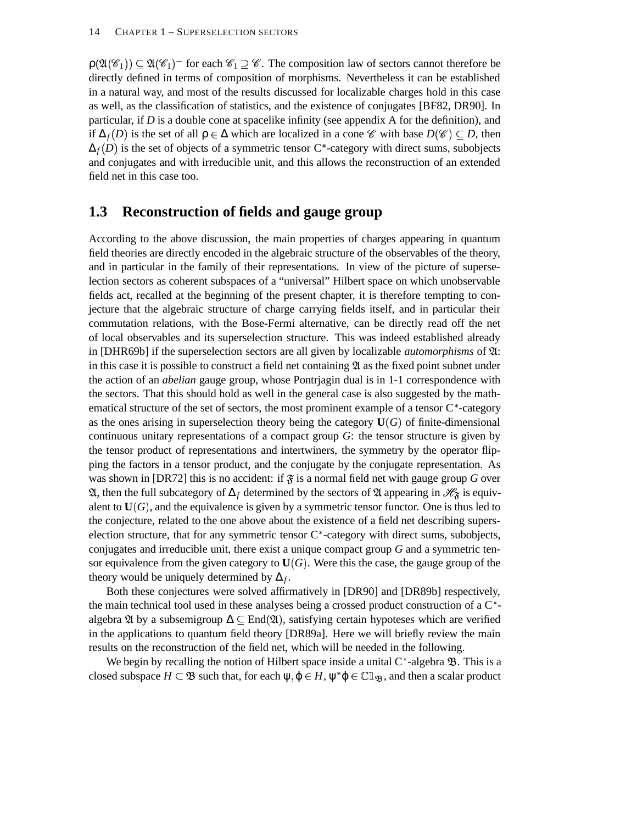$p(\mathfrak{A}(\mathscr{C}_1)) \subseteq \mathfrak{A}(\mathscr{C}_1)$  for each  $\mathscr{C}_1 \supseteq \mathscr{C}$ . The composition law of sectors cannot therefore be directly defined in terms of composition of morphisms. Nevertheless it can be established in a natural way, and most of the results discussed for localizable charges hold in this case as well, as the classification of statistics, and the existence of conjugates [BF82, DR90]. In particular, if *D* is a double cone at spacelike infinity (see appendix A for the definition), and if  $\Delta_f(D)$  is the set of all  $\rho \in \Delta$  which are localized in a cone  $\mathscr C$  with base  $D(\mathscr C) \subseteq D$ , then  $\Delta_f(D)$  is the set of objects of a symmetric tensor C<sup>\*</sup>-category with direct sums, subobjects and conjugates and with irreducible unit, and this allows the reconstruction of an extended field net in this case too.

#### **1.3 Reconstruction of fields and gauge group**

According to the above discussion, the main properties of charges appearing in quantum field theories are directly encoded in the algebraic structure of the observables of the theory, and in particular in the family of their representations. In view of the picture of superselection sectors as coherent subspaces of a "universal" Hilbert space on which unobservable fields act, recalled at the beginning of the present chapter, it is therefore tempting to conjecture that the algebraic structure of charge carrying fields itself, and in particular their commutation relations, with the Bose-Fermi alternative, can be directly read off the net of local observables and its superselection structure. This was indeed established already in  $[DHR69b]$  if the superselection sectors are all given by localizable *automorphisms* of  $\mathfrak{A}$ : in this case it is possible to construct a field net containing  $\mathfrak A$  as the fixed point subnet under the action of an *abelian* gauge group, whose Pontrjagin dual is in 1-1 correspondence with the sectors. That this should hold as well in the general case is also suggested by the mathematical structure of the set of sectors, the most prominent example of a tensor  $C^*$ -category as the ones arising in superselection theory being the category  $U(G)$  of finite-dimensional continuous unitary representations of a compact group *G*: the tensor structure is given by the tensor product of representations and intertwiners, the symmetry by the operator flipping the factors in a tensor product, and the conjugate by the conjugate representation. As was shown in [DR72] this is no accident: if  $\mathfrak{F}$  is a normal field net with gauge group G over  $\mathfrak A$ , then the full subcategory of  $\Delta_f$  determined by the sectors of  $\mathfrak A$  appearing in  $\mathscr H_{\mathfrak F}$  is equivalent to  $U(G)$ , and the equivalence is given by a symmetric tensor functor. One is thus led to the conjecture, related to the one above about the existence of a field net describing superselection structure, that for any symmetric tensor  $C^*$ -category with direct sums, subobjects, conjugates and irreducible unit, there exist a unique compact group *G* and a symmetric tensor equivalence from the given category to  $U(G)$ . Were this the case, the gauge group of the theory would be uniquely determined by  $\Delta_f$ .

Both these conjectures were solved affirmatively in [DR90] and [DR89b] respectively, the main technical tool used in these analyses being a crossed product construction of a  $C^*$ algebra  $\mathfrak A$  by a subsemigroup  $\Delta \subset$  End $(\mathfrak A)$ , satisfying certain hypoteses which are verified in the applications to quantum field theory [DR89a]. Here we will briefly review the main results on the reconstruction of the field net, which will be needed in the following.

We begin by recalling the notion of Hilbert space inside a unital  $C^*$ -algebra  $\mathfrak{B}$ . This is a closed subspace  $H \subset \mathfrak{B}$  such that, for each  $\psi, \varphi \in H$ ,  $\psi^* \varphi \in \mathbb{C} \mathbb{1}_{\mathfrak{B}}$ , and then a scalar product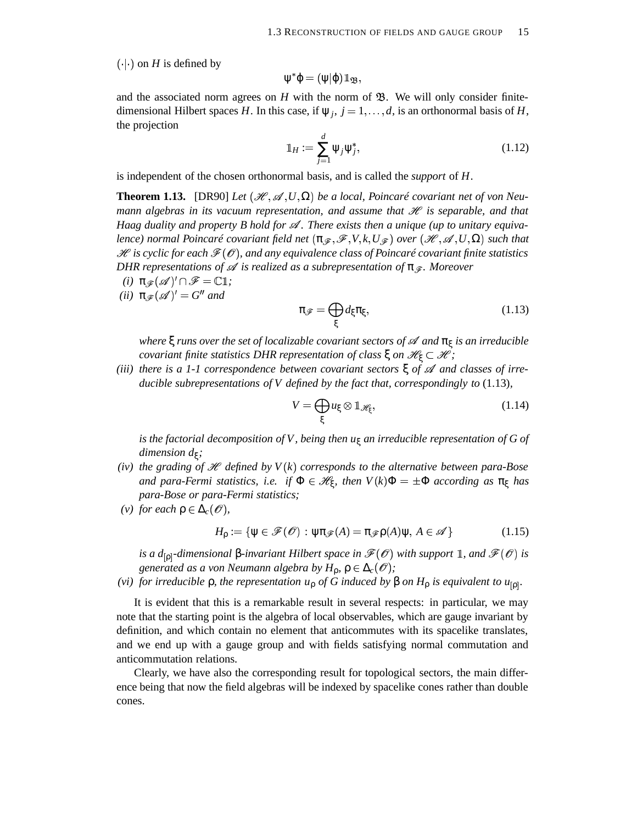$(\cdot | \cdot)$  on *H* is defined by

$$
\psi^*\phi=(\psi|\phi)1\!\!1_{\mathfrak{B}},
$$

and the associated norm agrees on  $H$  with the norm of  $\mathfrak{B}$ . We will only consider finitedimensional Hilbert spaces *H*. In this case, if  $\psi_j$ ,  $j = 1, ..., d$ , is an orthonormal basis of *H*, the projection

$$
\mathbb{1}_H := \sum_{j=1}^d \Psi_j \Psi_j^*,\tag{1.12}
$$

is independent of the chosen orthonormal basis, and is called the *support* of *H*.

**Theorem 1.13.** [DR90] Let  $(\mathcal{H}, \mathcal{A}, U, \Omega)$  be a local, Poincaré covariant net of von Neu*mann algebras in its vacuum representation, and assume that* - *is separable, and that Haag duality and property B hold for . There exists then a unique (up to unitary equivalence*) normal Poincaré covariant field net  $(\pi_{\mathscr{F}},\mathscr{F},V,k,U_{\mathscr{F}})$  over  $(\mathscr{H},\mathscr{A},U,\Omega)$  such that  $\mathscr H$  is cyclic for each  $\mathscr F(\mathscr O)$ , and any equivalence class of Poincaré covariant finite statistics *DHR representations of is realized as a subrepresentation of* π*. Moreover*

- $(i)$   $\pi_{\mathscr{F}}(\mathscr{A})' \cap \mathscr{F} = \mathbb{C}1;$
- *(ii)*  $\pi_{\mathscr{F}}(\mathscr{A})' = G''$  and

$$
\pi_{\mathscr{F}} = \bigoplus_{\xi} d_{\xi} \pi_{\xi},\tag{1.13}
$$

*where* ξ *runs over the set of localizable covariant sectors of and* π<sup>ξ</sup> *is an irreducible covariant finite statistics DHR representation of class* ξ *on*  $\mathscr{H}_\xi \subset \mathscr{H}$ *;* 

*(iii) there is a 1-1 correspondence between covariant sectors* ξ *of and classes of irreducible subrepresentations of V defined by the fact that, correspondingly to* (1.13)*,*

$$
V = \bigoplus_{\xi} u_{\xi} \otimes \mathbb{1}_{\mathscr{H}_{\xi}},\tag{1.14}
$$

*is the factorial decomposition of V, being then u*<sup>ξ</sup> *an irreducible representation of G of dimension d*<sup>ξ</sup> *;*

- *(iv)* the grading of  $\mathcal{H}$  defined by  $V(k)$  corresponds to the alternative between para-Bose and para-Fermi statistics, i.e. if  $\Phi \in \mathscr{H}_\xi$ , then  $V(k)\Phi = \pm \Phi$  according as  $\pi_\xi$  has *para-Bose or para-Fermi statistics;*
- *(v) for each*  $\rho \in \Delta_c(\mathcal{O})$ *,*

$$
H_{\rho} := \{ \psi \in \mathcal{F}(\mathscr{O}) : \psi \pi_{\mathscr{F}}(A) = \pi_{\mathscr{F}} \rho(A) \psi, A \in \mathscr{A} \}
$$
(1.15)

*is a d*<sub>[p]</sub>-dimensional β-invariant Hilbert space in  $\mathcal{F}(\mathcal{O})$  with support 1, and  $\mathcal{F}(\mathcal{O})$  is *generated as a von Neumann algebra by*  $H_p$ ,  $\rho \in \Delta_c(\mathcal{O})$ ;

*(vi) for irreducible*  $ρ$ *, the representation*  $u<sub>ρ</sub>$  *of G induced by*  $β$  *on*  $H<sub>ρ</sub>$  *is equivalent to*  $u<sub>[ρ]</sub>$ *.* 

It is evident that this is a remarkable result in several respects: in particular, we may note that the starting point is the algebra of local observables, which are gauge invariant by definition, and which contain no element that anticommutes with its spacelike translates, and we end up with a gauge group and with fields satisfying normal commutation and anticommutation relations.

Clearly, we have also the corresponding result for topological sectors, the main difference being that now the field algebras will be indexed by spacelike cones rather than double cones.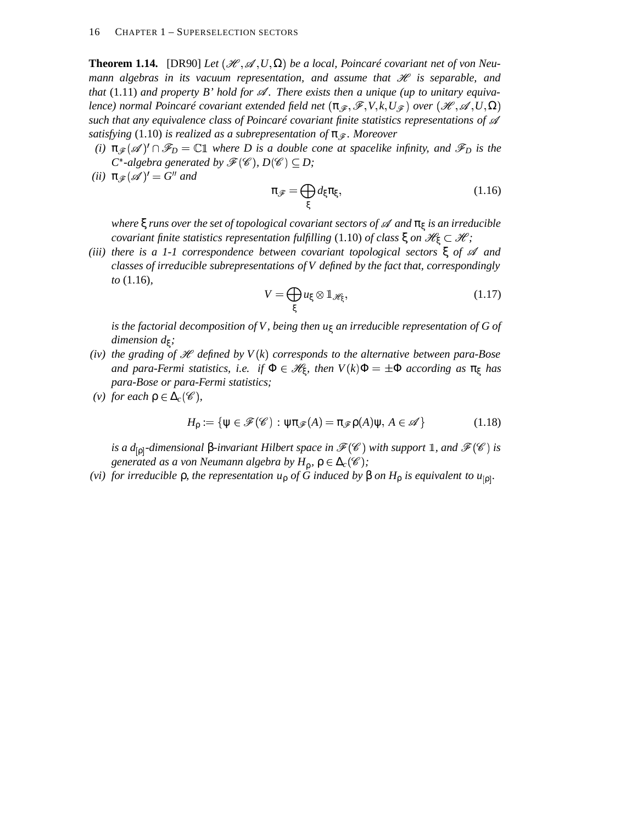**Theorem 1.14.** [DR90] Let  $(\mathcal{H}, \mathcal{A}, U, \Omega)$  be a local, Poincaré covariant net of von Neu*mann* algebras in its vacuum representation, and assume that  $\mathscr H$  is separable, and *that* (1.11) *and property B bold for*  $\mathcal{A}$ . There exists then *a unique* (*up to unitary equivalence*) normal Poincaré covariant extended field net  $(\pi_{\mathscr{F}},\mathscr{F},V,k,U_{\mathscr{F}})$  over  $(\mathscr{H},\mathscr{A},U,\Omega)$ *such that any equivalence class of Poincaré covariant finite statistics representations of satisfying* (1.10) *is realized as a subrepresentation of* π*. Moreover*

- *(i)*  $\pi_{\mathscr{F}}(\mathscr{A})' \cap \mathscr{F}_D = \mathbb{C}1$  where D is a double cone at spacelike infinity, and  $\mathscr{F}_D$  is the  $C^*$ -algebra generated by  $\mathscr{F}(\mathscr{C})$ ,  $D(\mathscr{C}) \subseteq D$ ;
- *(ii)*  $\pi_{\mathscr{F}}(\mathscr{A})' = G''$  and

$$
\pi_{\mathscr{F}} = \bigoplus_{\xi} d_{\xi} \pi_{\xi},\tag{1.16}
$$

*where* ξ *runs over the set of topological covariant sectors of and* π<sup>ξ</sup> *is an irreducible*  $c$ *covariant finite statistics representation fulfilling* (1.10) *of class*  $\xi$  *on*  $\mathscr{H}_{\xi} \subset \mathscr{H}$ ;

*(iii) there is a 1-1 correspondence between covariant topological sectors* ξ *of and classes of irreducible subrepresentations of V defined by the fact that, correspondingly to* (1.16)*,*

$$
V = \bigoplus_{\xi} u_{\xi} \otimes \mathbb{1}_{\mathscr{H}_{\xi}},\tag{1.17}
$$

*is the factorial decomposition of V, being then u*<sup>ξ</sup> *an irreducible representation of G of dimension d*<sup>ξ</sup> *;*

- *(iv)* the grading of  $\mathcal{H}$  defined by  $V(k)$  corresponds to the alternative between para-Bose  $i$  *and para-Fermi statistics, i.e. if*  $\Phi \in \mathscr{H}_{\xi}$ *, then*  $V(k)\Phi = \pm \Phi$  *according as*  $\pi_{\xi}$  *has para-Bose or para-Fermi statistics;*
- *(v) for each*  $\rho \in \Delta_c(\mathscr{C})$ ,

$$
H_{\rho} := \{ \psi \in \mathcal{F}(\mathscr{C}) : \psi \pi_{\mathscr{F}}(A) = \pi_{\mathscr{F}} \rho(A) \psi, A \in \mathscr{A} \}
$$
(1.18)

*is a d*<sub>[p]</sub>-dimensional β-invariant Hilbert space in  $\mathcal{F}(\mathscr{C})$  with support 1, and  $\mathcal{F}(\mathscr{C})$  is generated as a von Neumann algebra by  $H_\rho$ ,  $\rho \in \Delta_c(\mathscr{C})$ ;

*(vi) for irreducible*  $ρ$ *, the representation*  $u<sub>ρ</sub>$  *of G induced by*  $β$  *on*  $H<sub>ρ</sub>$  *is equivalent to*  $u<sub>[ρ]</sub>$ *.*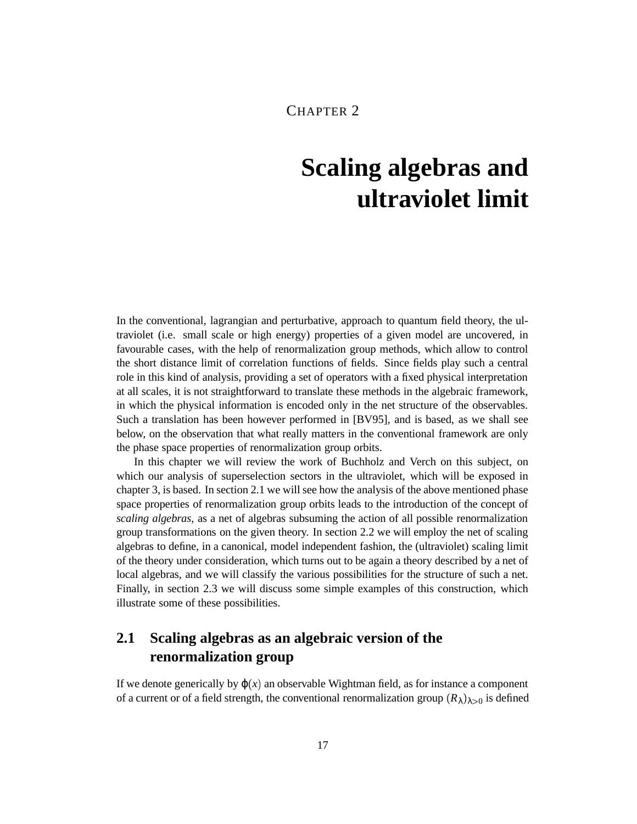### CHAPTER 2

# **Scaling algebras and ultraviolet limit**

In the conventional, lagrangian and perturbative, approach to quantum field theory, the ultraviolet (i.e. small scale or high energy) properties of a given model are uncovered, in favourable cases, with the help of renormalization group methods, which allow to control the short distance limit of correlation functions of fields. Since fields play such a central role in this kind of analysis, providing a set of operators with a fixed physical interpretation at all scales, it is not straightforward to translate these methods in the algebraic framework, in which the physical information is encoded only in the net structure of the observables. Such a translation has been however performed in [BV95], and is based, as we shall see below, on the observation that what really matters in the conventional framework are only the phase space properties of renormalization group orbits.

In this chapter we will review the work of Buchholz and Verch on this subject, on which our analysis of superselection sectors in the ultraviolet, which will be exposed in chapter 3, is based. In section 2.1 we will see how the analysis of the above mentioned phase space properties of renormalization group orbits leads to the introduction of the concept of *scaling algebras*, as a net of algebras subsuming the action of all possible renormalization group transformations on the given theory. In section 2.2 we will employ the net of scaling algebras to define, in a canonical, model independent fashion, the (ultraviolet) scaling limit of the theory under consideration, which turns out to be again a theory described by a net of local algebras, and we will classify the various possibilities for the structure of such a net. Finally, in section 2.3 we will discuss some simple examples of this construction, which illustrate some of these possibilities.

## **2.1 Scaling algebras as an algebraic version of the renormalization group**

If we denote generically by  $\varphi(x)$  an observable Wightman field, as for instance a component of a current or of a field strength, the conventional renormalization group  $(R_{\lambda})_{\lambda>0}$  is defined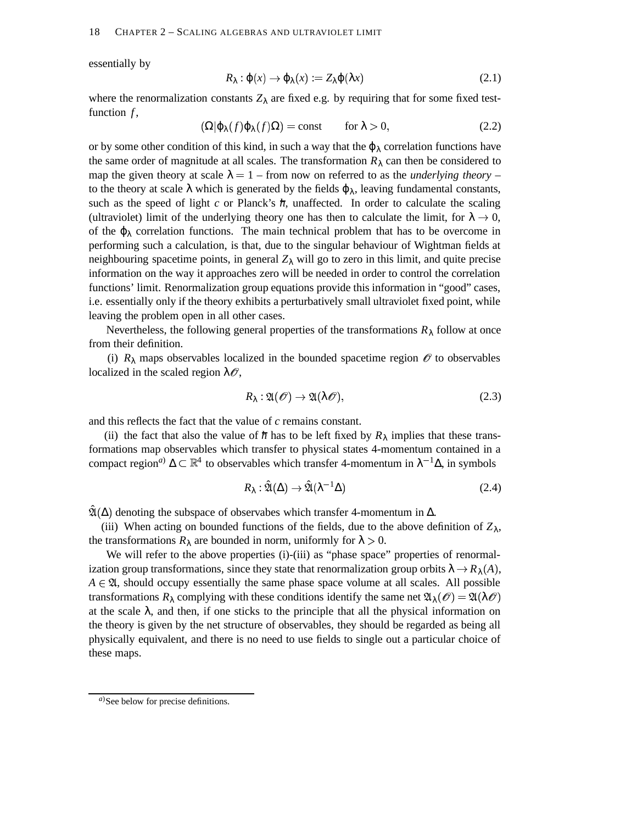essentially by

$$
R_{\lambda} : \phi(x) \to \phi_{\lambda}(x) := Z_{\lambda} \phi(\lambda x) \tag{2.1}
$$

where the renormalization constants  $Z_{\lambda}$  are fixed e.g. by requiring that for some fixed testfunction  $f$ ,

$$
(\Omega|\varphi_{\lambda}(f)\varphi_{\lambda}(f)\Omega) = \text{const} \qquad \text{for } \lambda > 0,
$$
 (2.2)

or by some other condition of this kind, in such a way that the  $\varphi_{\lambda}$  correlation functions have the same order of magnitude at all scales. The transformation  $R_{\lambda}$  can then be considered to map the given theory at scale  $\lambda = 1$  – from now on referred to as the *underlying theory* – to the theory at scale  $\lambda$  which is generated by the fields  $\varphi_{\lambda}$ , leaving fundamental constants, such as the speed of light  $c$  or Planck's  $\hbar$ , unaffected. In order to calculate the scaling (ultraviolet) limit of the underlying theory one has then to calculate the limit, for  $\lambda \to 0$ , of the  $\varphi_{\lambda}$  correlation functions. The main technical problem that has to be overcome in performing such a calculation, is that, due to the singular behaviour of Wightman fields at neighbouring spacetime points, in general  $Z_{\lambda}$  will go to zero in this limit, and quite precise information on the way it approaches zero will be needed in order to control the correlation functions' limit. Renormalization group equations provide this information in "good" cases, i.e. essentially only if the theory exhibits a perturbatively small ultraviolet fixed point, while leaving the problem open in all other cases.

Nevertheless, the following general properties of the transformations  $R_{\lambda}$  follow at once from their definition.

(i)  $R_{\lambda}$  maps observables localized in the bounded spacetime region  $\mathscr O$  to observables localized in the scaled region  $\lambda \mathcal{O}$ ,

$$
R_{\lambda}: \mathfrak{A}(\mathscr{O}) \to \mathfrak{A}(\lambda \mathscr{O}), \tag{2.3}
$$

and this reflects the fact that the value of *c* remains constant.

(ii) the fact that also the value of  $\hbar$  has to be left fixed by  $R_{\lambda}$  implies that these transformations map observables which transfer to physical states 4-momentum contained in a compact region<sup>*a*)</sup>  $\Delta \subset \mathbb{R}^4$  to observables which transfer 4-momentum in  $\lambda^{-1}\Delta$ , in symbols

$$
R_{\lambda} : \hat{\mathfrak{A}}(\Delta) \to \hat{\mathfrak{A}}(\lambda^{-1} \Delta) \tag{2.4}
$$

 $\hat{\mathfrak{A}}(\Delta)$  denoting the subspace of observabes which transfer 4-momentum in  $\Delta$ .

(iii) When acting on bounded functions of the fields, due to the above definition of  $Z_{\lambda}$ , the transformations  $R_{\lambda}$  are bounded in norm, uniformly for  $\lambda > 0$ .

We will refer to the above properties (i)-(iii) as "phase space" properties of renormalization group transformations, since they state that renormalization group orbits  $\lambda \to R_{\lambda}(A)$ ,  $A \in \mathfrak{A}$ , should occupy essentially the same phase space volume at all scales. All possible transformations  $R_\lambda$  complying with these conditions identify the same net  $\mathfrak{A}_\lambda(\mathscr{O}) = \mathfrak{A}(\lambda \mathscr{O})$ at the scale  $\lambda$ , and then, if one sticks to the principle that all the physical information on the theory is given by the net structure of observables, they should be regarded as being all physically equivalent, and there is no need to use fields to single out a particular choice of these maps.

*a*)See below for precise definitions.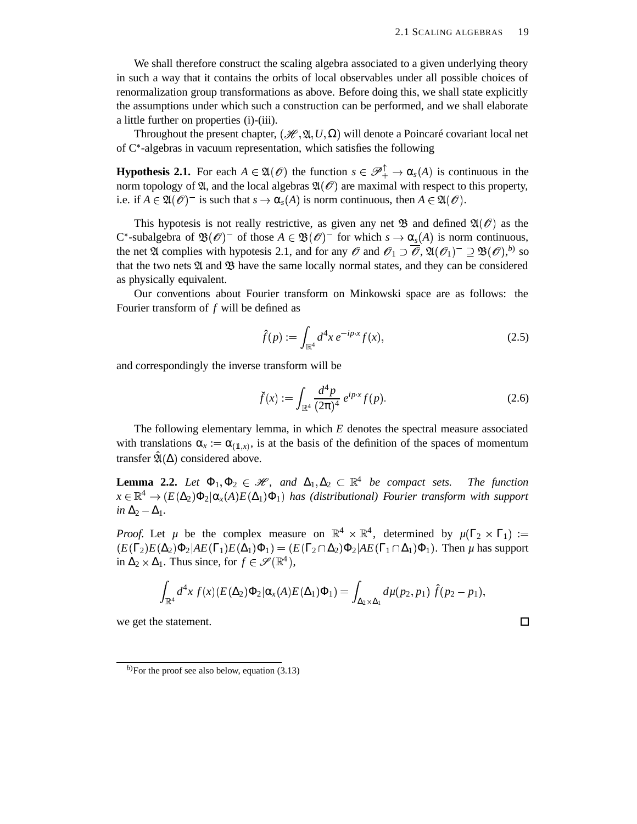We shall therefore construct the scaling algebra associated to a given underlying theory in such a way that it contains the orbits of local observables under all possible choices of renormalization group transformations as above. Before doing this, we shall state explicitly the assumptions under which such a construction can be performed, and we shall elaborate a little further on properties (i)-(iii).

Throughout the present chapter,  $(\mathcal{H}, \mathfrak{A}, U, \Omega)$  will denote a Poincaré covariant local net of  $C^*$ -algebras in vacuum representation, which satisfies the following

**Hypothesis 2.1.** For each  $A \in \mathfrak{A}(\mathcal{O})$  the function  $s \in \mathcal{P}_+^{\top} \to \alpha_s(A)$  is continuous in the norm topology of  $\mathfrak{A}$ , and the local algebras  $\mathfrak{A}(\mathcal{O})$  are maximal with respect to this property, i.e. if  $A \in \mathfrak{A}(\mathcal{O})^-$  is such that  $s \to \alpha_s(A)$  is norm continuous, then  $A \in \mathfrak{A}(\mathcal{O})$ .

This hypotesis is not really restrictive, as given any net  $\mathfrak B$  and defined  $\mathfrak A(\mathcal O)$  as the C<sup>\*</sup>-subalgebra of  $\mathfrak{B}(\mathcal{O})^-$  of those  $A \in \mathfrak{B}(\mathcal{O})^-$  for which  $s \to \alpha_s(A)$  is norm continuous, the net  $\mathfrak A$  complies with hypotesis 2.1, and for any  $\mathscr O$  and  $\mathscr O_1 \supset \overline{\mathscr O}$ ,  $\mathfrak A(\mathscr O_1)^-\supseteq \mathfrak B(\mathscr O),^{b)}$  so that the two nets  $\mathfrak A$  and  $\mathfrak B$  have the same locally normal states, and they can be considered as physically equivalent.

Our conventions about Fourier transform on Minkowski space are as follows: the Fourier transform of *f* will be defined as

$$
\hat{f}(p) := \int_{\mathbb{R}^4} d^4x \, e^{-ip \cdot x} f(x),\tag{2.5}
$$

and correspondingly the inverse transform will be

$$
\check{f}(x) := \int_{\mathbb{R}^4} \frac{d^4 p}{(2\pi)^4} \, e^{ip \cdot x} f(p). \tag{2.6}
$$

 $\Box$ 

The following elementary lemma, in which *E* denotes the spectral measure associated with translations  $\alpha_x := \alpha_{(\mathbb{1},x)}$ , is at the basis of the definition of the spaces of momentum transfer  $\hat{\mathfrak{A}}(\Delta)$  considered above.

**Lemma 2.2.** Let  $\Phi_1, \Phi_2 \in \mathcal{H}$ , and  $\Delta_1, \Delta_2 \subset \mathbb{R}^4$  be compact sets. The function  $x \in \mathbb{R}^4 \to (E(\Delta_2) \Phi_2 | \alpha_x(A) E(\Delta_1) \Phi_1)$  has *(distributional)* Fourier *transform* with support *in*  $\Delta_2 - \Delta_1$ .

*Proof.* Let  $\mu$  be the complex measure on  $\mathbb{R}^4 \times \mathbb{R}^4$ , determined by  $\mu(\Gamma_2 \times \Gamma_1) :=$  $(E(\Gamma_2)E(\Delta_2)\Phi_2|AE(\Gamma_1)E(\Delta_1)\Phi_1)=(E(\Gamma_2\cap \Delta_2)\Phi_2|AE(\Gamma_1\cap \Delta_1)\Phi_1).$  Then  $\mu$  has support in  $\Delta_2 \times \Delta_1$ . Thus since, for  $f \in \mathscr{S}(\mathbb{R}^4)$ ,

$$
\int_{\mathbb{R}^4} d^4x f(x) (E(\Delta_2) \Phi_2 | \alpha_x(A) E(\Delta_1) \Phi_1) = \int_{\Delta_2 \times \Delta_1} d\mu(p_2, p_1) \hat{f}(p_2 - p_1),
$$

we get the statement.

 $b$ )For the proof see also below, equation (3.13)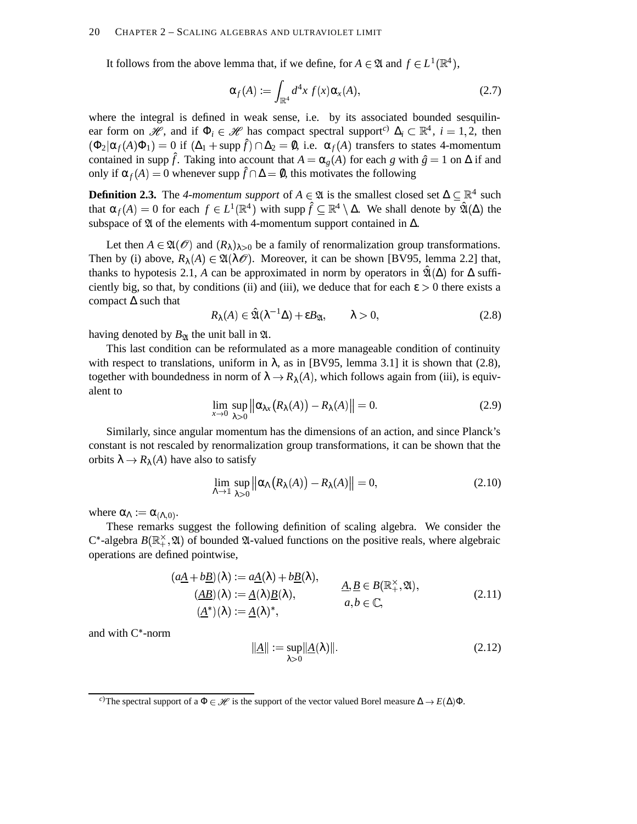It follows from the above lemma that, if we define, for  $A \in \mathfrak{A}$  and  $f \in L^1(\mathbb{R}^4)$ ,

$$
\alpha_f(A) := \int_{\mathbb{R}^4} d^4x \, f(x) \alpha_x(A), \tag{2.7}
$$

where the integral is defined in weak sense, i.e. by its associated bounded sesquilinear form on  $\mathscr{H}$ , and if  $\Phi_i \in \mathscr{H}$  has compact spectral support<sup>c)</sup>  $\Delta_i \subset \mathbb{R}^4$ ,  $i = 1, 2$ , then  $(\Phi_2 | \alpha_f(A) \Phi_1) = 0$  if  $(\Delta_1 + \text{supp} \hat{f}) \cap \Delta_2 = \emptyset$ , i.e.  $\alpha_f(A)$  transfers to states 4-momentum contained in supp  $\hat{f}$ . Taking into account that  $A = \alpha_g(A)$  for each *g* with  $\hat{g} = 1$  on  $\Delta$  if and only if  $\alpha_f(A) = 0$  whenever supp  $\hat{f} \cap \Delta = \emptyset$ , this motivates the following

**Definition 2.3.** The 4-momentum support of  $A \in \mathfrak{A}$  is the smallest closed set  $\Delta \subseteq \mathbb{R}^4$  such that  $\alpha_f(A) = 0$  for each  $f \in L^1(\mathbb{R}^4)$  with supp  $\hat{f} \subseteq \mathbb{R}^4 \setminus \Delta$ . We shall denote by  $\hat{\mathfrak{A}}(\Delta)$  the subspace of  $\mathfrak A$  of the elements with 4-momentum support contained in  $\Delta$ .

Let then  $A \in \mathfrak{A}(\mathcal{O})$  and  $(R_{\lambda})_{\lambda>0}$  be a family of renormalization group transformations. Then by (i) above,  $R_{\lambda}(A) \in \mathfrak{A}(\lambda \mathcal{O})$ . Moreover, it can be shown [BV95, lemma 2.2] that, thanks to hypotesis 2.1, *A* can be approximated in norm by operators in  $\hat{\mathfrak{A}}(\Delta)$  for  $\Delta$  sufficiently big, so that, by conditions (ii) and (iii), we deduce that for each  $\varepsilon > 0$  there exists a compact ∆ such that

$$
R_{\lambda}(A) \in \hat{\mathfrak{A}}(\lambda^{-1}\Delta) + \varepsilon B_{\mathfrak{A}}, \qquad \lambda > 0,
$$
\n(2.8)

having denoted by  $B_{\mathfrak{A}}$  the unit ball in  $\mathfrak{A}$ .

This last condition can be reformulated as a more manageable condition of continuity with respect to translations, uniform in  $\lambda$ , as in [BV95, lemma 3.1] it is shown that (2.8), together with boundedness in norm of  $\lambda \to R_{\lambda}(A)$ , which follows again from (iii), is equivalent to

$$
\lim_{x \to 0} \sup_{\lambda > 0} \left\| \alpha_{\lambda x} \big( R_{\lambda}(A) \big) - R_{\lambda}(A) \right\| = 0. \tag{2.9}
$$

Similarly, since angular momentum has the dimensions of an action, and since Planck's constant is not rescaled by renormalization group transformations, it can be shown that the orbits  $\lambda \to R_{\lambda}(A)$  have also to satisfy

$$
\lim_{\Lambda \to 1} \sup_{\lambda > 0} \left\| \alpha_{\Lambda} (R_{\lambda}(A)) - R_{\lambda}(A) \right\| = 0, \tag{2.10}
$$

where  $\alpha_{\Lambda} := \alpha_{(\Lambda,0)}$ .

These remarks suggest the following definition of scaling algebra. We consider the  $C^*$ -algebra  $B(\mathbb{R}_+^{\times}, \mathfrak{A})$  of bounded  $\mathfrak{A}$ -valued functions on the positive reals, where algebraic operations are defined pointwise,

$$
(a\underline{A} + b\underline{B})(\lambda) := a\underline{A}(\lambda) + b\underline{B}(\lambda),
$$
  
\n
$$
(\underline{AB})(\lambda) := \underline{A}(\lambda)\underline{B}(\lambda),
$$
  
\n
$$
(\underline{A}^*)(\lambda) := \underline{A}(\lambda)^*,
$$
  
\n
$$
a, b \in \mathbb{C},
$$
  
\n(2.11)

and with  $C^*$ -norm

$$
\|\underline{A}\| := \sup_{\lambda > 0} \|\underline{A}(\lambda)\|.
$$
 (2.12)

*c*)The spectral support of a  $\Phi \in \mathcal{H}$  is the support of the vector valued Borel measure  $\Delta \to E(\Delta)\Phi$ .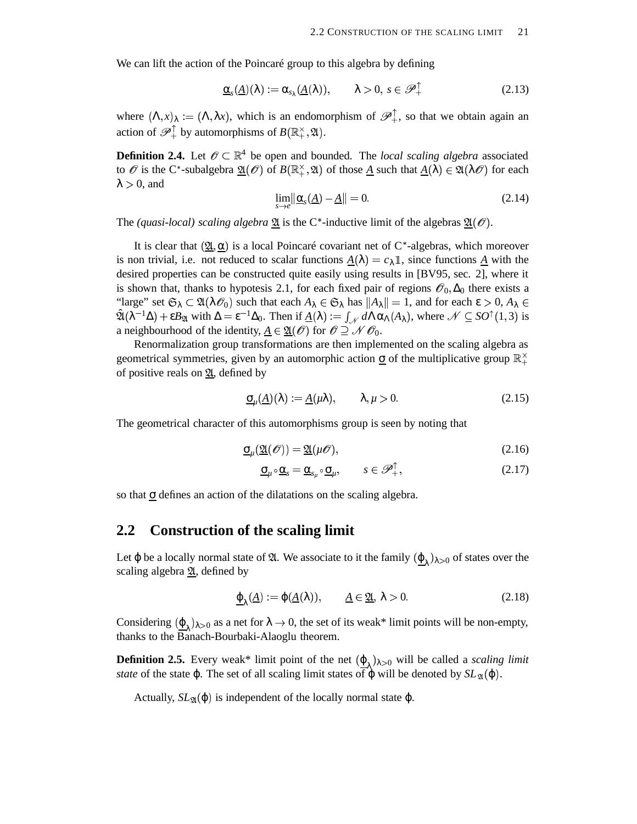We can lift the action of the Poincaré group to this algebra by defining

$$
\underline{\alpha}_s(\underline{A})(\lambda) := \alpha_{s_\lambda}(\underline{A}(\lambda)), \qquad \lambda > 0, \ s \in \mathscr{P}_+^{\uparrow}
$$
\n(2.13)

where  $(\Lambda, x)_\lambda := (\Lambda, \lambda x)$ , which is an endomorphism of  $\mathscr{P}_+^{\top}$ , so that we obtain again an action of  $\mathscr{P}_+^{\perp}$  by automorphisms of  $B(\mathbb{R}_+^{\times}, \mathfrak{A})$ .

**Definition 2.4.** Let  $\mathscr{O} \subset \mathbb{R}^4$  be open and bounded. The *local scaling algebra* associated to  $\mathscr O$  is the C<sup>\*</sup>-subalgebra  $\underline{\mathfrak A}(\mathscr O)$  of  $B(\mathbb{R}_+^\times,\mathfrak A)$  of those <u>A</u> such that  $\underline{A}(\lambda)\in\mathfrak A(\lambda\mathscr O)$  for each  $\lambda > 0$ , and

$$
\lim_{s \to e} \|\underline{\alpha}_s(\underline{A}) - \underline{A}\| = 0. \tag{2.14}
$$

The *(quasi-local) scaling algebra*  $\underline{\mathfrak{A}}$  is the C<sup>\*</sup>-inductive limit of the algebras  $\underline{\mathfrak{A}}(\mathcal{O})$ .

It is clear that  $(\underline{\mathfrak{A}}, \underline{\alpha})$  is a local Poincaré covariant net of C<sup>\*</sup>-algebras, which moreover is non trivial, i.e. not reduced to scalar functions  $\underline{A}(\lambda) = c_{\lambda} \mathbb{1}$ , since functions  $\underline{A}$  with the desired properties can be constructed quite easily using results in [BV95, sec. 2], where it is shown that, thanks to hypotesis 2.1, for each fixed pair of regions  $\mathcal{O}_0$ ,  $\Delta_0$  there exists a "large" set  $\mathfrak{S}_\lambda \subset \mathfrak{A}(\lambda \mathscr{O}_0)$  such that each  $A_\lambda \in \mathfrak{S}_\lambda$  has  $||A_\lambda|| = 1$ , and for each  $\varepsilon > 0$ ,  $A_\lambda \in$  $\hat{\mathfrak{A}}(\lambda^{-1}\Delta) + \epsilon B_{\mathfrak{A}}$  with  $\Delta = \epsilon^{-1}\Delta_0$ . Then if  $\underline{A}(\lambda) := \int_{\mathcal{N}} d\Lambda \alpha_{\Lambda}(A_{\lambda})$ , where  $\mathcal{N} \subseteq SO^{\uparrow}(1,3)$  is a neighbourhood of the identity,  $\underline{A} \in \underline{\mathfrak{A}}(\mathscr{O})$  for  $\mathscr{O} \supseteq \mathscr{N} \mathscr{O}_0$ .

Renormalization group transformations are then implemented on the scaling algebra as geometrical symmetries, given by an automorphic action  $\sigma$  of the multiplicative group  $\mathbb{R}^{\times}_{+}$ of positive reals on  $\mathfrak{A}$ , defined by

$$
\underline{\sigma}_{\mu}(\underline{A})(\lambda) := \underline{A}(\mu\lambda), \qquad \lambda, \mu > 0. \tag{2.15}
$$

The geometrical character of this automorphisms group is seen by noting that

$$
\underline{\sigma}_{\mu}(\underline{\mathfrak{A}}(\mathcal{O})) = \underline{\mathfrak{A}}(\mu\mathcal{O}),\tag{2.16}
$$

$$
\underline{\sigma}_{\mu} \circ \underline{\alpha}_{s} = \underline{\alpha}_{s_{\mu}} \circ \underline{\sigma}_{\mu}, \qquad s \in \mathscr{P}_{+}^{\top}, \tag{2.17}
$$

so that  $\sigma$  defines an action of the dilatations on the scaling algebra.

#### **2.2 Construction of the scaling limit**

Let  $\varphi$  be a locally normal state of  $\mathfrak{A}$ . We associate to it the family  $(\underline{\varphi}_{\lambda})_{\lambda>0}$  of states over the scaling algebra  $2*l*$ , defined by

$$
\underline{\varphi}_{\lambda}(\underline{A}) := \varphi(\underline{A}(\lambda)), \qquad \underline{A} \in \underline{\mathfrak{A}}, \ \lambda > 0. \tag{2.18}
$$

Considering  $(\underline{\varphi}_{\lambda})_{\lambda>0}$  as a net for  $\lambda \to 0$ , the set of its weak\* limit points will be non-empty, thanks to the Banach-Bourbaki-Alaoglu theorem.

**Definition 2.5.** Every weak\* limit point of the net  $(\underline{\varphi}_{\lambda})_{\lambda>0}$  will be called a *scaling limit state* of the state  $\varphi$ . The set of all scaling limit states of  $\varphi$  will be denoted by  $SL_{\mathfrak{A}}(\varphi)$ .

Actually,  $SL_{\mathfrak{A}}(\varphi)$  is independent of the locally normal state  $\varphi$ .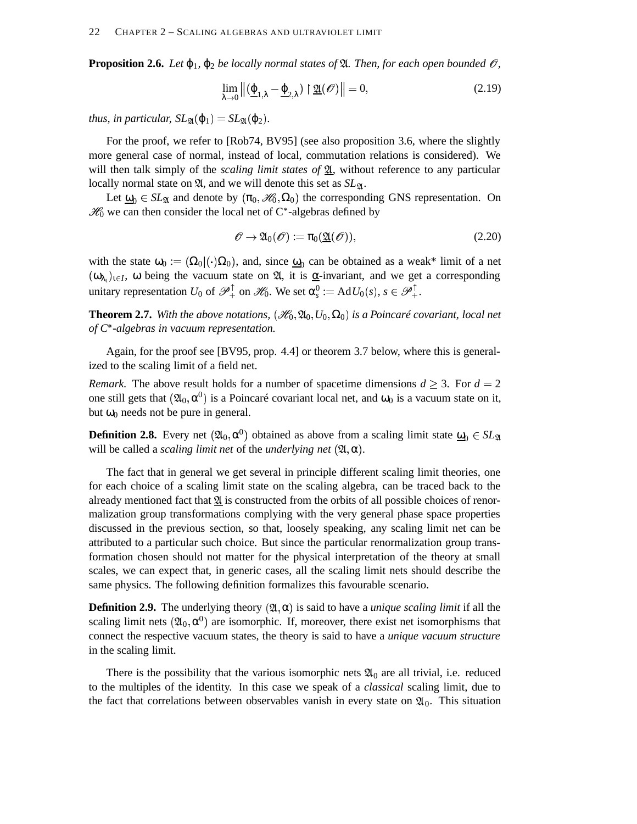**Proposition 2.6.** *Let*  $\varphi_1$ *,*  $\varphi_2$  *be locally normal states of*  $\mathfrak{A}$ *. Then, for each open bounded*  $\mathcal{O}$ *,* 

$$
\lim_{\lambda \to 0} \left\| \left( \underline{\varphi}_{1,\lambda} - \underline{\varphi}_{2,\lambda} \right) \upharpoonright \underline{\mathfrak{A}}(\mathscr{O}) \right\| = 0, \tag{2.19}
$$

*thus, in particular,*  $SL_{\mathfrak{A}}(\varphi_1) = SL_{\mathfrak{A}}(\varphi_2)$ *.* 

For the proof, we refer to [Rob74, BV95] (see also proposition 3.6, where the slightly more general case of normal, instead of local, commutation relations is considered). We will then talk simply of the *scaling limit states of*  $\mathfrak{A}$ , without reference to any particular locally normal state on  $\mathfrak{A}$ , and we will denote this set as  $SL_{\mathfrak{A}}$ .

Let  $\underline{\omega}_0 \in SL_{\mathfrak{A}}$  and denote by  $(\pi_0, \mathcal{H}_0, \Omega_0)$  the corresponding GNS representation. On  $\mathcal{H}_0$  we can then consider the local net of C\*-algebras defined by

$$
\mathscr{O} \to \mathfrak{A}_0(\mathscr{O}) := \pi_0(\mathfrak{A}(\mathscr{O})), \tag{2.20}
$$

with the state  $\omega_0 := (\Omega_0 | (\cdot) \Omega_0)$ , and, since  $\underline{\omega}_0$  can be obtained as a weak\* limit of a net  $(\omega_{\lambda_1})_{1 \in I}$ ,  $\omega$  being the vacuum state on  $\mathfrak{A}$ , it is <u> $\alpha$ </u>-invariant, and we get a corresponding unitary representation  $U_0$  of  $\mathscr{P}_+^{\uparrow}$  on  $\mathscr{H}_0$ . We set  $\alpha_s^0 := \text{Ad} U_0(s)$ ,  $s \in \mathscr{P}_+^{\uparrow}$ .

**Theorem 2.7.** With the above notations,  $(\mathscr{H}_0, \mathfrak{A}_0, U_0, \Omega_0)$  is a Poincaré covariant, local net *of C*<sup>+</sup> *-algebras in vacuum representation.*

Again, for the proof see [BV95, prop. 4.4] or theorem 3.7 below, where this is generalized to the scaling limit of a field net.

*Remark.* The above result holds for a number of spacetime dimensions  $d \geq 3$ . For  $d = 2$ one still gets that  $(\mathfrak{A}_0, \alpha^0)$  is a Poincaré covariant local net, and  $\omega_0$  is a vacuum state on it, but  $ω_0$  needs not be pure in general.

**Definition 2.8.** Every net  $(2\mathfrak{u}_0, \alpha^0)$  obtained as above from a scaling limit state  $\underline{\omega}_0 \in SL_2$ will be called a *scaling limit net* of the *underlying net*  $(\mathfrak{A}, \alpha)$ .

The fact that in general we get several in principle different scaling limit theories, one for each choice of a scaling limit state on the scaling algebra, can be traced back to the already mentioned fact that  $\mathfrak{A}$  is constructed from the orbits of all possible choices of renormalization group transformations complying with the very general phase space properties discussed in the previous section, so that, loosely speaking, any scaling limit net can be attributed to a particular such choice. But since the particular renormalization group transformation chosen should not matter for the physical interpretation of the theory at small scales, we can expect that, in generic cases, all the scaling limit nets should describe the same physics. The following definition formalizes this favourable scenario.

**Definition 2.9.** The underlying theory  $(\mathfrak{A}, \alpha)$  is said to have a *unique scaling limit* if all the scaling limit nets  $( \mathfrak{A}_0, \alpha^0 )$  are isomorphic. If, moreover, there exist net isomorphisms that connect the respective vacuum states, the theory is said to have a *unique vacuum structure* in the scaling limit.

There is the possibility that the various isomorphic nets  $\mathfrak{A}_0$  are all trivial, i.e. reduced to the multiples of the identity. In this case we speak of a *classical* scaling limit, due to the fact that correlations between observables vanish in every state on  $\mathfrak{A}_0$ . This situation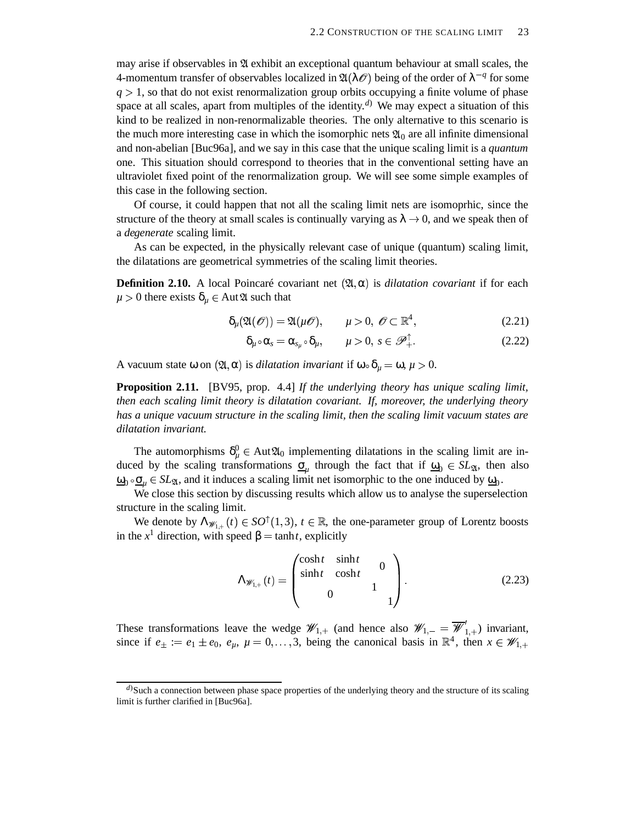may arise if observables in  $\mathfrak A$  exhibit an exceptional quantum behaviour at small scales, the 4-momentum transfer of observables localized in  $\mathfrak{A}(\lambda \mathscr{O})$  being of the order of  $\lambda^{-q}$  for some  $q > 1$ , so that do not exist renormalization group orbits occupying a finite volume of phase space at all scales, apart from multiples of the identity. *<sup>d</sup>*) We may expect a situation of this kind to be realized in non-renormalizable theories. The only alternative to this scenario is the much more interesting case in which the isomorphic nets  $\mathfrak{A}_0$  are all infinite dimensional and non-abelian [Buc96a], and we say in this case that the unique scaling limit is a *quantum* one. This situation should correspond to theories that in the conventional setting have an ultraviolet fixed point of the renormalization group. We will see some simple examples of this case in the following section.

Of course, it could happen that not all the scaling limit nets are isomoprhic, since the structure of the theory at small scales is continually varying as  $\lambda \to 0$ , and we speak then of a *degenerate* scaling limit.

As can be expected, in the physically relevant case of unique (quantum) scaling limit, the dilatations are geometrical symmetries of the scaling limit theories.

**Definition 2.10.** A local Poincaré covariant net  $(\mathfrak{A}, \alpha)$  is *dilatation covariant* if for each  $\mu > 0$  there exists  $\delta_{\mu} \in Aut\mathfrak{A}$  such that

$$
\delta_{\mu}(\mathfrak{A}(\mathcal{O})) = \mathfrak{A}(\mu\mathcal{O}), \qquad \mu > 0, \ \mathcal{O} \subset \mathbb{R}^4,
$$
 (2.21)

$$
\delta_{\mu} \circ \alpha_s = \alpha_{s_{\mu}} \circ \delta_{\mu}, \qquad \mu > 0, \ s \in \mathscr{P}_+^\top. \tag{2.22}
$$

A vacuum state  $\omega$  on  $(\mathfrak{A}, \alpha)$  is *dilatation invariant* if  $\omega \circ \delta_{\mu} = \omega, \mu > 0$ .

**Proposition 2.11.** [BV95, prop. 4.4] *If the underlying theory has unique scaling limit, then each scaling limit theory is dilatation covariant. If, moreover, the underlying theory has a unique vacuum structure in the scaling limit, then the scaling limit vacuum states are dilatation invariant.*

The automorphisms  $\delta_{\mu}^0 \in Aut\mathfrak{A}_0$  implementing dilatations in the scaling limit are induced by the scaling transformations  $\underline{\sigma}_{\mu}$  through the fact that if  $\underline{\omega}_0 \in SL_2$ , then also  $\underline{\omega}_0 \circ \underline{\sigma}_{\mu} \in SL_{\mathfrak{A}}$ , and it induces a scaling limit net isomorphic to the one induced by  $\underline{\omega}_0$ .

We close this section by discussing results which allow us to analyse the superselection structure in the scaling limit.

We denote by  $\Lambda_{\mathscr{W}_{1,+}}(t) \in SO^{\uparrow}(1,3), t \in \mathbb{R}$ , the one-parameter group of Lorentz boosts in the  $x^1$  direction, with speed  $\beta = \tanh t$ , explicitly

$$
\Lambda_{\mathscr{W}_{1,+}}(t) = \begin{pmatrix} \cosh t & \sinh t & 0 \\ \sinh t & \cosh t & 0 \\ 0 & 1 & 1 \end{pmatrix}.
$$
 (2.23)

These transformations leave the wedge  $\mathscr{W}_{1,+}$  (and hence also  $\mathscr{W}_{1,-} = \mathscr{W}'_{1,+}$ ) invariant, since if  $e_{\pm} := e_1 \pm e_0$ ,  $e_{\mu}$ ,  $\mu = 0, \ldots, 3$ , being the canonical basis in  $\mathbb{R}^4$ , then  $x \in \mathscr{W}_{1,+}$ 

*d*)Such a connection between phase space properties of the underlying theory and the structure of its scaling limit is further clarified in [Buc96a].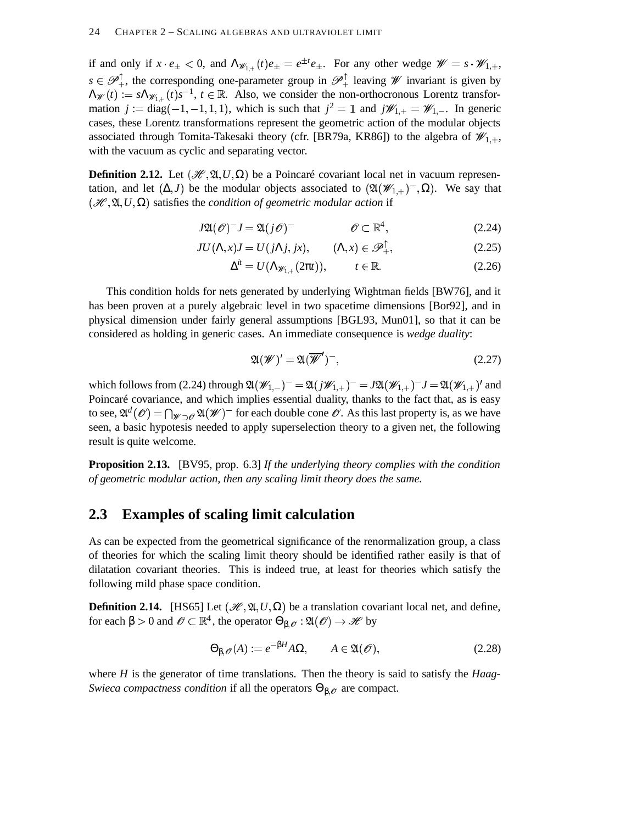if and only if  $x \cdot e_{\pm} < 0$ , and  $\Lambda_{\mathscr{W}_{1,+}}(t)e_{\pm} = e^{\pm t}e_{\pm}$ . For any other wedge  $\mathscr{W} = s \cdot \mathscr{W}_{1,+}$ ,  $s \in \mathscr{P}_+^{\perp}$ , the corresponding one-parameter group in  $\mathscr{P}_+^{\perp}$  leaving *W* invariant is given by  $\Lambda_{\mathscr{W}}(t) := s \Lambda_{\mathscr{W}_{1,+}}(t) s^{-1}, t \in \mathbb{R}$ . Also, we consider the non-orthocronous Lorentz transformation  $j := diag(-1, -1, 1, 1)$ , which is such that  $j^2 = \mathbb{1}$  and  $j\mathscr{W}_{1,+} = \mathscr{W}_{1,-}$ . In generic cases, these Lorentz transformations represent the geometric action of the modular objects associated through Tomita-Takesaki theory (cfr. [BR79a, KR86]) to the algebra of  $\mathscr{W}_{1,+},$ with the vacuum as cyclic and separating vector.

**Definition 2.12.** Let  $(\mathcal{H}, \mathfrak{A}, U, \Omega)$  be a Poincaré covariant local net in vacuum representation, and let  $(\Delta, J)$  be the modular objects associated to  $(\mathfrak{A}(\mathscr{W}_{1,+})^-, \Omega)$ . We say that  $(\mathcal{H}, \mathfrak{A}, U, \Omega)$  satisfies the *condition of geometric modular action* if

$$
J\mathfrak{A}(\mathscr{O})^{-}J = \mathfrak{A}(j\mathscr{O})^{-} \qquad \qquad \mathscr{O} \subset \mathbb{R}^{4}, \qquad (2.24)
$$

$$
JU(\Lambda, x)J = U(j\Lambda j, jx), \qquad (\Lambda, x) \in \mathscr{P}_+^{\uparrow}, \tag{2.25}
$$

$$
\Delta^{it} = U(\Lambda_{\mathscr{W}_{1,+}}(2\pi t)), \qquad t \in \mathbb{R}.
$$
 (2.26)

This condition holds for nets generated by underlying Wightman fields [BW76], and it has been proven at a purely algebraic level in two spacetime dimensions [Bor92], and in physical dimension under fairly general assumptions [BGL93, Mun01], so that it can be considered as holding in generic cases. An immediate consequence is *wedge duality*:

$$
\mathfrak{A}(\mathscr{W})' = \mathfrak{A}(\overline{\mathscr{W}}')^-, \tag{2.27}
$$

which follows from (2.24) through  $\mathfrak{A}(\mathscr{W}_{1,-})^- = \mathfrak{A}(j\mathscr{W}_{1,+})^- = J\mathfrak{A}(\mathscr{W}_{1,+})^- J = \mathfrak{A}(\mathscr{W}_{1,+})'$  and Poincaré covariance, and which implies essential duality, thanks to the fact that, as is easy to see,  $\mathfrak{A}^d(\mathcal{O}) = \bigcap_{\mathscr{W} \supset \mathscr{O}} \mathfrak{A}(\mathscr{W})$ <sup>-</sup> for each double cone  $\mathscr{O}$ . As this last property is, as we have seen, a basic hypotesis needed to apply superselection theory to a given net, the following result is quite welcome.

**Proposition 2.13.** [BV95, prop. 6.3] *If the underlying theory complies with the condition of geometric modular action, then any scaling limit theory does the same.*

### **2.3 Examples of scaling limit calculation**

As can be expected from the geometrical significance of the renormalization group, a class of theories for which the scaling limit theory should be identified rather easily is that of dilatation covariant theories. This is indeed true, at least for theories which satisfy the following mild phase space condition.

**Definition 2.14.** [HS65] Let  $(\mathcal{H}, \mathfrak{A}, U, \Omega)$  be a translation covariant local net, and define, for each  $\beta > 0$  and  $\mathscr{O} \subset \mathbb{R}^4$ , the operator  $\Theta_{\beta,\mathscr{O}} : \mathfrak{A}(\mathscr{O}) \to \mathscr{H}$  by by the contract of the contract of the contract of the contract of the contract of the contract of the contract of the contract of the contract of the contract of the contract of the contract of the contract of the contrac

$$
\Theta_{\beta,\mathcal{O}}(A) := e^{-\beta H} A \Omega, \qquad A \in \mathfrak{A}(\mathcal{O}), \tag{2.28}
$$

where *H* is the generator of time translations. Then the theory is said to satisfy the *Haag-Swieca compactness condition* if all the operators  $\Theta_{\beta,\theta}$  are compact.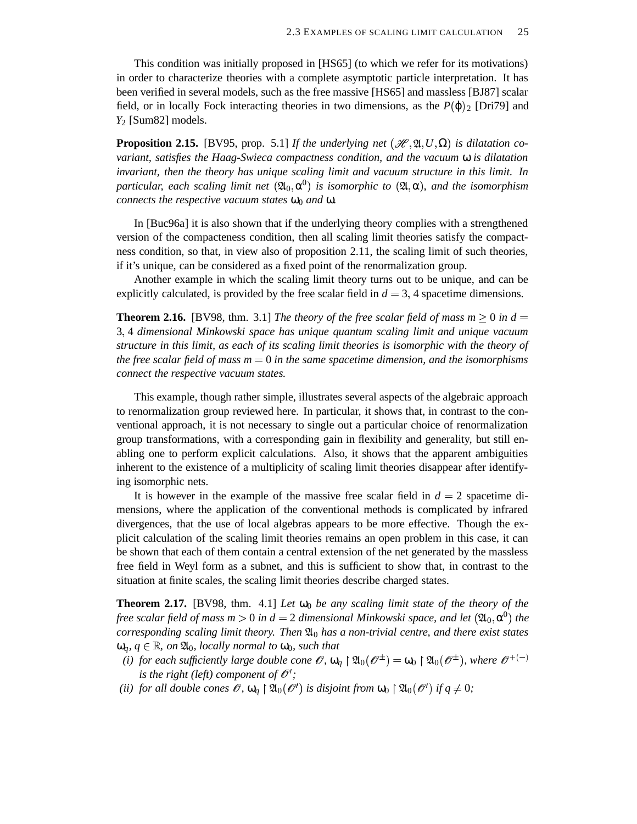This condition was initially proposed in [HS65] (to which we refer for its motivations) in order to characterize theories with a complete asymptotic particle interpretation. It has been verified in several models, such as the free massive [HS65] and massless [BJ87] scalar field, or in locally Fock interacting theories in two dimensions, as the  $P(\phi)_2$  [Dri79] and *Y*<sup>2</sup> [Sum82] models.

**Proposition 2.15.** [BV95, prop. 5.1] If the underlying net  $(\mathcal{H}, \mathfrak{A}, U, \Omega)$  is dilatation co*variant, satisfies the Haag-Swieca compactness condition, and the vacuum* ω *is dilatation invariant, then the theory has unique scaling limit and vacuum structure in this limit. In*  $\alpha$  *particular, each scaling limit net*  $({\mathfrak{A}}_{0}, \alpha^{0})$  *is isomorphic to*  $({\mathfrak{A}}, \alpha)$ *, and the isomorphism connects the respective vacuum states* ω<sub>0</sub> *and* ω.

In [Buc96a] it is also shown that if the underlying theory complies with a strengthened version of the compacteness condition, then all scaling limit theories satisfy the compactness condition, so that, in view also of proposition 2.11, the scaling limit of such theories, if it's unique, can be considered as a fixed point of the renormalization group.

Another example in which the scaling limit theory turns out to be unique, and can be explicitly calculated, is provided by the free scalar field in  $d = 3$ , 4 spacetime dimensions.

**Theorem 2.16.** [BV98, thm. 3.1] *The theory of the free scalar field of mass*  $m \geq 0$  *in*  $d =$ 3 4 *dimensional Minkowski space has unique quantum scaling limit and unique vacuum structure in this limit, as each of its scaling limit theories is isomorphic with the theory of the free scalar field of mass m* 0 *in the same spacetime dimension, and the isomorphisms connect the respective vacuum states.*

This example, though rather simple, illustrates several aspects of the algebraic approach to renormalization group reviewed here. In particular, it shows that, in contrast to the conventional approach, it is not necessary to single out a particular choice of renormalization group transformations, with a corresponding gain in flexibility and generality, but still enabling one to perform explicit calculations. Also, it shows that the apparent ambiguities inherent to the existence of a multiplicity of scaling limit theories disappear after identifying isomorphic nets.

It is however in the example of the massive free scalar field in  $d = 2$  spacetime dimensions, where the application of the conventional methods is complicated by infrared divergences, that the use of local algebras appears to be more effective. Though the explicit calculation of the scaling limit theories remains an open problem in this case, it can be shown that each of them contain a central extension of the net generated by the massless free field in Weyl form as a subnet, and this is sufficient to show that, in contrast to the situation at finite scales, the scaling limit theories describe charged states.

**Theorem 2.17.** [BV98, thm. 4.1] *Let*  $\omega_0$  *be any scaling limit state of the theory of the free scalar field of mass m*  $>$  0 *in d* = 2 *dimensional Minkowski space, and let*  $(\mathfrak{A}_0, \mathfrak{a}^0)$  *the*  $corresponding scaling limit theory. Then  $\mathfrak{A}_0$  has a non-trivial centre, and there exist states$  $\omega_q$ *,*  $q \in \mathbb{R}$ *, on*  $\mathfrak{A}_0$ *, locally normal to*  $\omega_0$ *, such that* 

- *(i) for each sufficiently large double cone*  $\mathscr{O}, \omega_q \restriction \mathfrak{A}_0(\mathscr{O}^{\pm}) = \omega_0 \restriction \mathfrak{A}_0(\mathscr{O}^{\pm})$ , where  $\mathscr{O}^{+(-)}$ *is the right (left) component of*  $\mathcal{O}'$ *;*
- *(ii) for all double cones*  $\mathscr{O}$ ,  $\omega_q \upharpoonright \mathfrak{A}_0(\mathscr{O}^t)$  *is disjoint from*  $\omega_0 \upharpoonright \mathfrak{A}_0(\mathscr{O}^t)$  *if*  $q \neq 0$ ;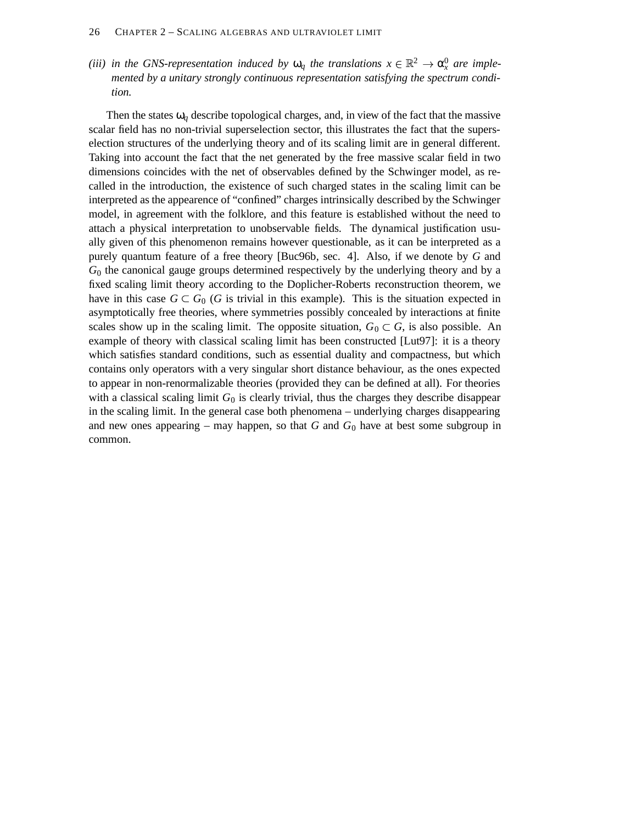*(iii) in the GNS-representation induced by*  $\omega_q$  *the translations*  $x \in \mathbb{R}^2 \to \alpha_x^0$  *are implemented by a unitary strongly continuous representation satisfying the spectrum condition.*

Then the states  $\omega_q$  describe topological charges, and, in view of the fact that the massive scalar field has no non-trivial superselection sector, this illustrates the fact that the superselection structures of the underlying theory and of its scaling limit are in general different. Taking into account the fact that the net generated by the free massive scalar field in two dimensions coincides with the net of observables defined by the Schwinger model, as recalled in the introduction, the existence of such charged states in the scaling limit can be interpreted as the appearence of "confined" charges intrinsically described by the Schwinger model, in agreement with the folklore, and this feature is established without the need to attach a physical interpretation to unobservable fields. The dynamical justification usually given of this phenomenon remains however questionable, as it can be interpreted as a purely quantum feature of a free theory [Buc96b, sec. 4]. Also, if we denote by *G* and *G*<sup>0</sup> the canonical gauge groups determined respectively by the underlying theory and by a fixed scaling limit theory according to the Doplicher-Roberts reconstruction theorem, we have in this case  $G \subset G_0$  (*G* is trivial in this example). This is the situation expected in asymptotically free theories, where symmetries possibly concealed by interactions at finite scales show up in the scaling limit. The opposite situation,  $G_0 \subset G$ , is also possible. An example of theory with classical scaling limit has been constructed [Lut97]: it is a theory which satisfies standard conditions, such as essential duality and compactness, but which contains only operators with a very singular short distance behaviour, as the ones expected to appear in non-renormalizable theories (provided they can be defined at all). For theories with a classical scaling limit  $G_0$  is clearly trivial, thus the charges they describe disappear in the scaling limit. In the general case both phenomena – underlying charges disappearing and new ones appearing – may happen, so that  $G$  and  $G_0$  have at best some subgroup in common.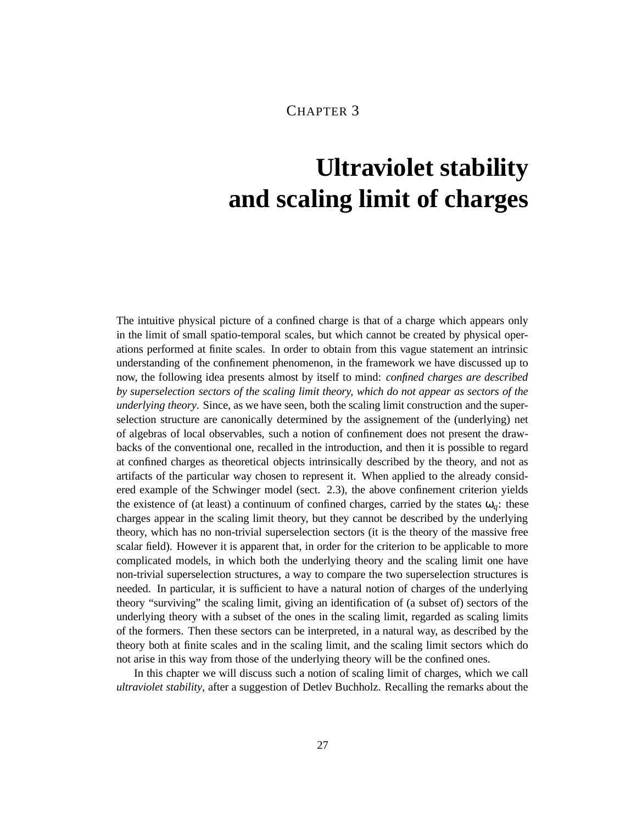### CHAPTER 3

# **Ultraviolet stability and scaling limit of charges**

The intuitive physical picture of a confined charge is that of a charge which appears only in the limit of small spatio-temporal scales, but which cannot be created by physical operations performed at finite scales. In order to obtain from this vague statement an intrinsic understanding of the confinement phenomenon, in the framework we have discussed up to now, the following idea presents almost by itself to mind: *confined charges are described by superselection sectors of the scaling limit theory, which do not appear as sectors of the underlying theory*. Since, as we have seen, both the scaling limit construction and the superselection structure are canonically determined by the assignement of the (underlying) net of algebras of local observables, such a notion of confinement does not present the drawbacks of the conventional one, recalled in the introduction, and then it is possible to regard at confined charges as theoretical objects intrinsically described by the theory, and not as artifacts of the particular way chosen to represent it. When applied to the already considered example of the Schwinger model (sect. 2.3), the above confinement criterion yields the existence of (at least) a continuum of confined charges, carried by the states  $\omega_a$ : these charges appear in the scaling limit theory, but they cannot be described by the underlying theory, which has no non-trivial superselection sectors (it is the theory of the massive free scalar field). However it is apparent that, in order for the criterion to be applicable to more complicated models, in which both the underlying theory and the scaling limit one have non-trivial superselection structures, a way to compare the two superselection structures is needed. In particular, it is sufficient to have a natural notion of charges of the underlying theory "surviving" the scaling limit, giving an identification of (a subset of) sectors of the underlying theory with a subset of the ones in the scaling limit, regarded as scaling limits of the formers. Then these sectors can be interpreted, in a natural way, as described by the theory both at finite scales and in the scaling limit, and the scaling limit sectors which do not arise in this way from those of the underlying theory will be the confined ones.

In this chapter we will discuss such a notion of scaling limit of charges, which we call *ultraviolet stability*, after a suggestion of Detlev Buchholz. Recalling the remarks about the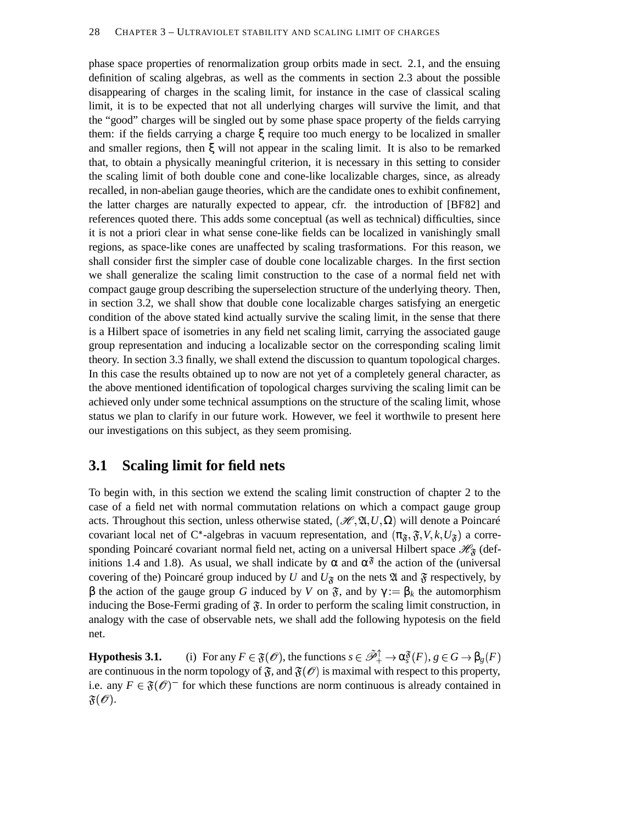phase space properties of renormalization group orbits made in sect. 2.1, and the ensuing definition of scaling algebras, as well as the comments in section 2.3 about the possible disappearing of charges in the scaling limit, for instance in the case of classical scaling limit, it is to be expected that not all underlying charges will survive the limit, and that the "good" charges will be singled out by some phase space property of the fields carrying them: if the fields carrying a charge ξ require too much energy to be localized in smaller and smaller regions, then ξ will not appear in the scaling limit. It is also to be remarked that, to obtain a physically meaningful criterion, it is necessary in this setting to consider the scaling limit of both double cone and cone-like localizable charges, since, as already recalled, in non-abelian gauge theories, which are the candidate ones to exhibit confinement, the latter charges are naturally expected to appear, cfr. the introduction of [BF82] and references quoted there. This adds some conceptual (as well as technical) difficulties, since it is not a priori clear in what sense cone-like fields can be localized in vanishingly small regions, as space-like cones are unaffected by scaling trasformations. For this reason, we shall consider first the simpler case of double cone localizable charges. In the first section we shall generalize the scaling limit construction to the case of a normal field net with compact gauge group describing the superselection structure of the underlying theory. Then, in section 3.2, we shall show that double cone localizable charges satisfying an energetic condition of the above stated kind actually survive the scaling limit, in the sense that there is a Hilbert space of isometries in any field net scaling limit, carrying the associated gauge group representation and inducing a localizable sector on the corresponding scaling limit theory. In section 3.3 finally, we shall extend the discussion to quantum topological charges. In this case the results obtained up to now are not yet of a completely general character, as the above mentioned identification of topological charges surviving the scaling limit can be achieved only under some technical assumptions on the structure of the scaling limit, whose status we plan to clarify in our future work. However, we feel it worthwile to present here our investigations on this subject, as they seem promising.

#### **3.1 Scaling limit for field nets**

To begin with, in this section we extend the scaling limit construction of chapter 2 to the case of a field net with normal commutation relations on which a compact gauge group acts. Throughout this section, unless otherwise stated,  $(\mathcal{H}, \mathfrak{A}, U, \Omega)$  will denote a Poincaré covariant local net of C<sup>\*</sup>-algebras in vacuum representation, and  $(\pi_{\mathfrak{F}}, \mathfrak{F}, V, k, U_{\mathfrak{F}})$  a corresponding Poincaré covariant normal field net, acting on a universal Hilbert space  $\mathcal{H}_{\mathfrak{F}}$  (definitions 1.4 and 1.8). As usual, we shall indicate by  $\alpha$  and  $\alpha^{\delta}$  the action of the (universal covering of the) Poincaré group induced by *U* and  $U_{\mathfrak{F}}$  on the nets  $\mathfrak A$  and  $\mathfrak F$  respectively, by β the action of the gauge group *G* induced by *V* on  $\mathfrak{F}$ , and by  $\gamma := \beta_k$  the automorphism inducing the Bose-Fermi grading of  $\mathfrak{F}$ . In order to perform the scaling limit construction, in analogy with the case of observable nets, we shall add the following hypotesis on the field net.

**Hypothesis 3.1.** (i) For any  $F \in \mathfrak{F}(\mathcal{O})$ , the functions  $s \in \tilde{\mathcal{P}}_+^{\uparrow} \to \alpha_s^{\mathfrak{F}}(F)$ ,  $g \in G \to \beta_g(F)$ are continuous in the norm topology of  $\mathfrak{F}$ , and  $\mathfrak{F}(\mathscr{O})$  is maximal with respect to this property, i.e. any  $F \in \mathfrak{F}(\mathcal{O})$  for which these functions are norm continuous is already contained in  $\mathfrak{F}(\mathscr{O}).$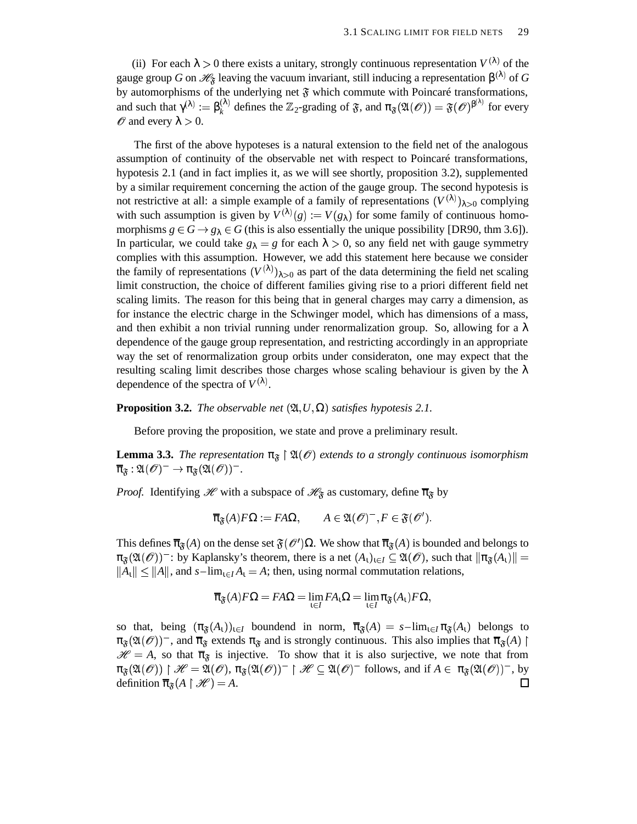(ii) For each  $\lambda > 0$  there exists a unitary, strongly continuous representation  $V^{(\lambda)}$  of the gauge group *G* on  $\mathscr{H}_{\mathfrak{F}}$  leaving the vacuum invariant, still inducing a representation  $\beta^{(\lambda)}$  of *G* by automorphisms of the underlying net  $\mathfrak F$  which commute with Poincaré transformations, and such that  $\gamma^{(\lambda)} := \beta_k^{(\lambda)}$  defines the  $\mathbb{Z}_2$ -grading of  $\mathfrak{F}$ , and  $\pi_{\mathfrak{F}}(\mathfrak{A}(\mathscr{O})) = \mathfrak{F}(\mathscr{O})^{\beta^{(\lambda)}}$  for every  $\mathscr O$  and every  $\lambda > 0$ .

The first of the above hypoteses is a natural extension to the field net of the analogous assumption of continuity of the observable net with respect to Poincaré transformations, hypotesis 2.1 (and in fact implies it, as we will see shortly, proposition 3.2), supplemented by a similar requirement concerning the action of the gauge group. The second hypotesis is not restrictive at all: a simple example of a family of representations  $(V^{(\lambda)})_{\lambda>0}$  complying with such assumption is given by  $V^{(\lambda)}(g) := V(g_{\lambda})$  for some family of continuous homomorphisms  $g \in G \rightarrow g_{\lambda} \in G$  (this is also essentially the unique possibility [DR90, thm 3.6]). In particular, we could take  $g_{\lambda} = g$  for each  $\lambda > 0$ , so any field net with gauge symmetry complies with this assumption. However, we add this statement here because we consider the family of representations  $(V^{(\lambda)})_{\lambda>0}$  as part of the data determining the field net scaling limit construction, the choice of different families giving rise to a priori different field net scaling limits. The reason for this being that in general charges may carry a dimension, as for instance the electric charge in the Schwinger model, which has dimensions of a mass, and then exhibit a non trivial running under renormalization group. So, allowing for a  $\lambda$ dependence of the gauge group representation, and restricting accordingly in an appropriate way the set of renormalization group orbits under consideraton, one may expect that the resulting scaling limit describes those charges whose scaling behaviour is given by the  $\lambda$ dependence of the spectra of  $V^{(\lambda)}$ .

#### **Proposition 3.2.** *The observable net*  $(\mathfrak{A}, U, \Omega)$  *satisfies hypotesis* 2.1.

Before proving the proposition, we state and prove a preliminary result.

**Lemma 3.3.** *The representation*  $\pi_{\mathfrak{F}} \restriction \mathfrak{A}(\mathcal{O})$  *extends to a strongly continuous isomorphism*  $\overline{\pi}_{\mathfrak{F}}:\mathfrak{A}(\mathscr{O})^-\rightarrow\pi_{\mathfrak{F}}(\mathfrak{A}(\mathscr{O}))^-.$ 

*Proof.* Identifying  $\mathcal{H}$  with a subspace of  $\mathcal{H}_{\mathfrak{F}}$  as customary, define  $\overline{\pi}_{\mathfrak{F}}$  by

$$
\overline{\pi}_{\mathfrak{F}}(A)F\Omega := FA\Omega, \qquad A \in \mathfrak{A}(\mathscr{O})^-, F \in \mathfrak{F}(\mathscr{O}').
$$

This defines  $\overline{\pi}_{\mathfrak{F}}(A)$  on the dense set  $\mathfrak{F}(\mathcal{O}')\Omega$ . We show that  $\overline{\pi}_{\mathfrak{F}}(A)$  is bounded and belongs to  $\pi_{\mathfrak{F}}(\mathfrak{A}(\mathscr{O}))^-$ : by Kaplansky's theorem, there is a net  $(A_\iota)_{\iota \in I} \subseteq \mathfrak{A}(\mathscr{O})$ , such that  $\|\pi_{\mathfrak{F}}(A_\iota)\|$  =  $||A_1|| \le ||A||$ , and  $s$ -lim<sub> $i \in I$ </sub>  $A_1 = A$ ; then, using normal commutation relations,

$$
\overline{\pi}_{\mathfrak{F}}(A)F\Omega = F A \Omega = \lim_{\iota \in I} F A_{\iota}\Omega = \lim_{\iota \in I} \pi_{\mathfrak{F}}(A_{\iota})F \Omega,
$$

so that, being  $(\pi_{\mathfrak{F}}(A_1))_{1 \in I}$  boundend in norm,  $\overline{\pi}_{\mathfrak{F}}(A) = s - \lim_{1 \in I} \pi_{\mathfrak{F}}(A_1)$  belongs to  $\pi_{\mathfrak{F}}(\mathfrak{A}(\mathcal{O}))^-$ , and  $\overline{\pi}_{\mathfrak{F}}$  extends  $\pi_{\mathfrak{F}}$  and is strongly continuous. This also implies that  $\overline{\pi}_{\mathfrak{F}}(A)$  |  $\mathcal{H} = A$ , so that  $\overline{\pi}_{\mathfrak{F}}$  is injective. To show that it is also surjective, we note that from  $\pi_{\mathfrak{F}}(\mathfrak{A}(\mathcal{O})) \restriction \mathscr{H} = \mathfrak{A}(\mathcal{O}), \pi_{\mathfrak{F}}(\mathfrak{A}(\mathcal{O}))^- \restriction \mathscr{H} \subseteq \mathfrak{A}(\mathcal{O})^- \text{ follows, and if } A \in \pi_{\mathfrak{F}}(\mathfrak{A}(\mathcal{O}))^- \text{, by}$ definition  $\overline{\pi}_{\mathfrak{F}}(A \upharpoonright \mathcal{H}) = A$ .  $\Box$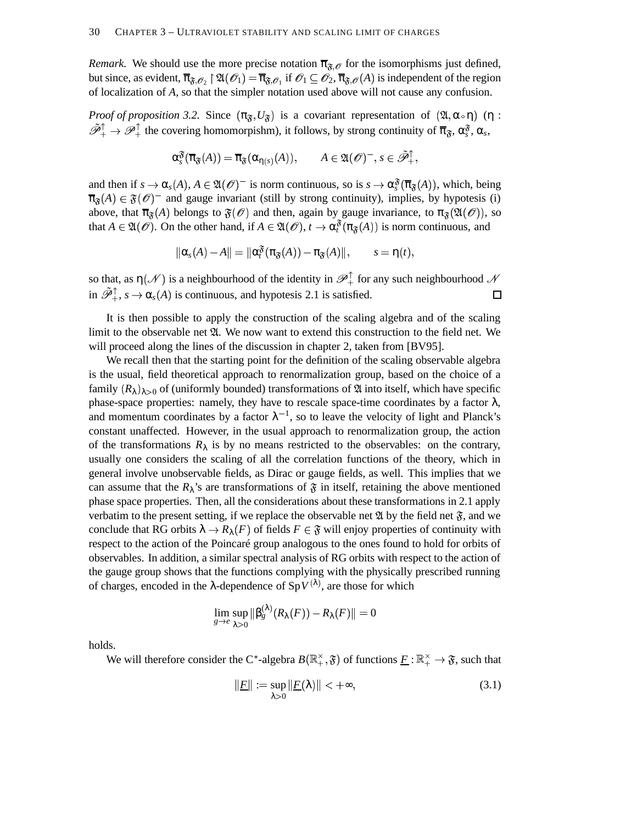*Remark.* We should use the more precise notation  $\bar{\pi}_{\tilde{\mathfrak{F}}, \mathcal{O}}$  for the isomorphisms just defined, but since, as evident,  $\overline{\pi}_{\mathfrak{F},\mathscr{O}_2} \restriction \mathfrak{A}(\mathscr{O}_1) = \overline{\pi}_{\mathfrak{F},\mathscr{O}_1}$  if  $\mathscr{O}_1 \subseteq \mathscr{O}_2$ ,  $\overline{\pi}_{\mathfrak{F},\mathscr{O}}(A)$  is independent of the region of localization of *A*, so that the simpler notation used above will not cause any confusion.

*Proof of proposition* 3.2. Since  $(\pi_{\tilde{\mathfrak{F}}}, U_{\tilde{\mathfrak{F}}})$  is a covariant representation of  $(\mathfrak{A}, \alpha \circ \eta)$  ( $\eta$ :  $\tilde{\mathscr{P}}_+^{\uparrow} \to \mathscr{P}_+^{\uparrow}$  the covering homomorpishm), it follows, by strong continuity of  $\overline{\pi}_{\mathfrak{F}}, \alpha_s^{\mathfrak{F}}, \alpha_s$ ,

$$
\alpha_s^{\mathfrak{F}}(\overline{\pi}_{\mathfrak{F}}(A)) = \overline{\pi}_{\mathfrak{F}}(\alpha_{\eta(s)}(A)), \qquad A \in \mathfrak{A}(\mathscr{O})^-, s \in \tilde{\mathscr{P}}_+^{\uparrow},
$$

and then if  $s \to \alpha_s(A)$ ,  $A \in \mathfrak{A}(\mathcal{O})^-$  is norm continuous, so is  $s \to \alpha_s^{\mathfrak{F}}(\overline{\pi}_{\mathfrak{F}}(A))$ , which, being  $\overline{\pi}_{\mathfrak{F}}(A) \in \mathfrak{F}(\mathcal{O})$ <sup>-</sup> and gauge invariant (still by strong continuity), implies, by hypotesis (i) above, that  $\overline{\pi}_{\mathfrak{F}}(A)$  belongs to  $\mathfrak{F}(\mathcal{O})$  and then, again by gauge invariance, to  $\pi_{\mathfrak{F}}(\mathfrak{A}(\mathcal{O}))$ , so that  $A \in \mathfrak{A}(\mathcal{O})$ . On the other hand, if  $A \in \mathfrak{A}(\mathcal{O}), t \to \alpha_t^{\mathfrak{F}}(\pi_{\mathfrak{F}}(A))$  is norm continuous, and

$$
\|\alpha_s(A)-A\|=\|\alpha_t^{\mathfrak{F}}(\pi_{\mathfrak{F}}(A))-\pi_{\mathfrak{F}}(A)\|,\qquad s=\mathsf{n}(t),
$$

so that, as  $\eta(\mathcal{N})$  is a neighbourhood of the identity in  $\mathscr{P}_+^{\perp}$  for any such neighbourhood  $\mathcal{N}$ in  $\tilde{\mathcal{P}}_+^{\uparrow}$ ,  $s \to \alpha_s(A)$  is continuous, and hypotesis 2.1 is satisfied.  $\Box$ 

It is then possible to apply the construction of the scaling algebra and of the scaling limit to the observable net  $\mathfrak{A}$ . We now want to extend this construction to the field net. We will proceed along the lines of the discussion in chapter 2, taken from [BV95].

We recall then that the starting point for the definition of the scaling observable algebra is the usual, field theoretical approach to renormalization group, based on the choice of a family  $(R_{\lambda})_{\lambda>0}$  of (uniformly bounded) transformations of  $\mathfrak A$  into itself, which have specific phase-space properties: namely, they have to rescale space-time coordinates by a factor  $\lambda$ , and momentum coordinates by a factor  $\lambda^{-1}$ , so to leave the velocity of light and Planck's constant unaffected. However, in the usual approach to renormalization group, the action of the transformations  $R_{\lambda}$  is by no means restricted to the observables: on the contrary, usually one considers the scaling of all the correlation functions of the theory, which in general involve unobservable fields, as Dirac or gauge fields, as well. This implies that we can assume that the  $R_\lambda$ 's are transformations of  $\mathfrak F$  in itself, retaining the above mentioned phase space properties. Then, all the considerations about these transformations in 2.1 apply verbatim to the present setting, if we replace the observable net  $\mathfrak A$  by the field net  $\mathfrak F$ , and we conclude that RG orbits  $\lambda \to R_{\lambda}(F)$  of fields  $F \in \mathfrak{F}$  will enjoy properties of continuity with respect to the action of the Poincaré group analogous to the ones found to hold for orbits of observables. In addition, a similar spectral analysis of RG orbits with respect to the action of the gauge group shows that the functions complying with the physically prescribed running of charges, encoded in the  $\lambda$ -dependence of Sp $V^{(\lambda)}$ , are those for which

$$
\lim_{g\to e}\sup_{\lambda>0}\|\beta^{(\lambda)}_g(R_\lambda(F))-R_\lambda(F)\|=0
$$

holds.

We will therefore consider the C<sup>\*</sup>-algebra  $B(\mathbb{R}_+^{\times}, \mathfrak{F})$  of functions  $\underline{F} : \mathbb{R}_+^{\times} \to \mathfrak{F}$ , such that

$$
\|\underline{F}\| := \sup_{\lambda > 0} \|\underline{F}(\lambda)\| < +\infty,\tag{3.1}
$$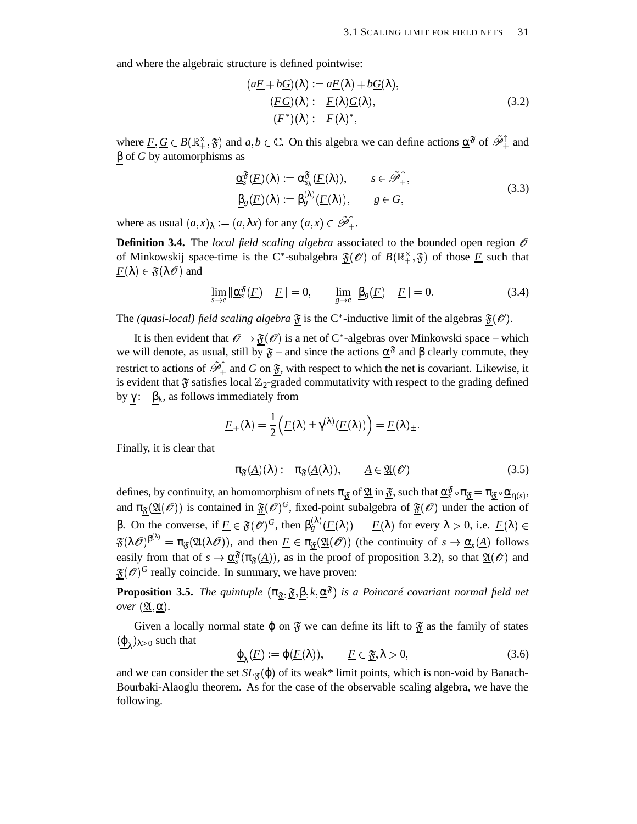and where the algebraic structure is defined pointwise:

$$
(a\underline{F} + b\underline{G})(\lambda) := a\underline{F}(\lambda) + b\underline{G}(\lambda),
$$
  
\n
$$
(\underline{FG})(\lambda) := \underline{F}(\lambda)\underline{G}(\lambda),
$$
  
\n
$$
(\underline{F}^*)(\lambda) := \underline{F}(\lambda)^*,
$$
\n(3.2)

where  $\underline{F}, \underline{G} \in B(\mathbb{R}_+^{\times}, \mathfrak{F})$  and  $a, b \in \mathbb{C}$ . On this algebra we can define actions  $\underline{\alpha}^{\mathfrak{F}}$  of  $\tilde{\mathscr{P}}_+^{\uparrow}$  and β of *G* by automorphisms as

$$
\underline{\alpha}_{s}^{\mathfrak{F}}(\underline{F})(\lambda) := \alpha_{s_{\lambda}}^{\mathfrak{F}}(\underline{F}(\lambda)), \qquad s \in \tilde{\mathscr{P}}_{+}^{\uparrow}, \underline{\beta}_{g}(\underline{F})(\lambda) := \beta_{g}^{(\lambda)}(\underline{F}(\lambda)), \qquad g \in G,
$$
\n(3.3)

where as usual  $(a, x)_{\lambda} := (a, \lambda x)$  for any  $(a, x) \in \tilde{\mathcal{P}}_+^{\uparrow}$ .

**Definition 3.4.** The *local field scaling algebra* associated to the bounded open region  $\mathcal{O}$ of Minkowskij space-time is the C<sup>\*</sup>-subalgebra  $\mathfrak{F}(\mathcal{O})$  of  $B(\mathbb{R}^{\times}_+,\mathfrak{F})$  of those <u>F</u> such that  $\underline{F}(\lambda) \in \mathfrak{F}(\lambda \mathscr{O})$  and

$$
\lim_{s \to e} \|\underline{\alpha}_s^{\mathfrak{F}}(\underline{F}) - \underline{F}\| = 0, \qquad \lim_{g \to e} \|\underline{\beta}_g(\underline{F}) - \underline{F}\| = 0.
$$
\n(3.4)

The *(quasi-local) field scaling algebra*  $\mathfrak{F}$  is the C<sup>\*</sup>-inductive limit of the algebras  $\mathfrak{F}(\mathcal{O})$ .

It is then evident that  $\mathscr{O} \to \mathfrak{F}(\mathscr{O})$  is a net of C\*-algebras over Minkowski space – which we will denote, as usual, still by  $\mathfrak{F}$  – and since the actions  $\alpha^{\mathfrak{F}}$  and β clearly commute, they restrict to actions of  $\tilde{\mathcal{P}}_+^{\uparrow}$  and *G* on  $\tilde{\mathfrak{F}}$ , with respect to which the net is covariant. Likewise, it is evident that  $\mathfrak F$  satisfies local  $\mathbb Z_2$ -graded commutativity with respect to the grading defined by γ : β*k*, as follows immediately from

$$
\underline{F}_{\pm}(\lambda) = \frac{1}{2} \Big( \underline{F}(\lambda) \pm \gamma^{(\lambda)} (\underline{F}(\lambda)) \Big) = \underline{F}(\lambda)_{\pm}.
$$

Finally, it is clear that

$$
\pi_{\underline{\mathfrak{F}}}(A)(\lambda) := \pi_{\mathfrak{F}}(A(\lambda)), \qquad \underline{A} \in \underline{\mathfrak{A}}(\mathscr{O}) \tag{3.5}
$$

defines, by continuity, an homomorphism of nets  $\pi_{\underline{\mathfrak F}}$  of  $\underline{\mathfrak A}$  in  $\underline{\mathfrak F}$ , such that  $\underline{\alpha_s^{\mathfrak F}} \circ \pi_{\underline{\mathfrak F}} = \pi_{\underline{\mathfrak F}} \circ \underline{\alpha}_{\eta(s)},$ and  $\pi_{\mathfrak{F}}(\mathfrak{A}(\mathcal{O}))$  is contained in  $\mathfrak{F}(\mathcal{O})^G$ , fixed-point subalgebra of  $\mathfrak{F}(\mathcal{O})$  under the action of β. On the converse, if  $\underline{F} \in \underline{\mathfrak{F}}(\mathcal{O})^G$ , then  $\beta_g^{(\lambda)}(E(\lambda)) = E(\lambda)$  for every  $\lambda > 0$ , i.e.  $\underline{F}(\lambda) \in$  $\overline{\mathfrak{F}}(\lambda \mathscr{O})^{\beta^{(\lambda)}} = \pi_{\mathfrak{F}}(\mathfrak{A}(\lambda \mathscr{O}))$ , and then  $\underline{F} \in \pi_{\mathfrak{F}}(\mathfrak{A}(\mathscr{O}))$  (the continuity of  $s \to \underline{\alpha}_{s}(\underline{A})$  follows easily from that of  $s \to \underline{\alpha}_s^{\mathfrak{F}}(\pi_{\underline{\mathfrak{F}}}(\underline{A}))$ , as in the proof of proposition 3.2), so that  $\underline{\mathfrak{A}}(\mathcal{O})$  and  $\mathfrak{F}(\mathcal{O})^G$  really coincide. In summary, we have proven:

**Proposition 3.5.** The quintuple  $(\pi_{\mathfrak{F}}, \mathfrak{F}, \beta, k, \underline{\alpha}^{\mathfrak{F}})$  is a Poincaré covariant normal field net *over*  $(\underline{\mathfrak{A}}, \underline{\alpha})$ .

Given a locally normal state  $\varphi$  on  $\mathfrak F$  we can define its lift to  $\mathfrak F$  as the family of states  $(\underline{\varphi}_{\lambda})_{\lambda>0}$  such that

$$
\underline{\varphi}_{\lambda}(E) := \varphi(E(\lambda)), \qquad E \in \underline{\mathfrak{F}}, \lambda > 0,
$$
\n(3.6)

and we can consider the set  $SL_{\mathfrak{F}}(\varphi)$  of its weak\* limit points, which is non-void by Banach- Bourbaki-Alaoglu theorem. As for the case of the observable scaling algebra, we have the following.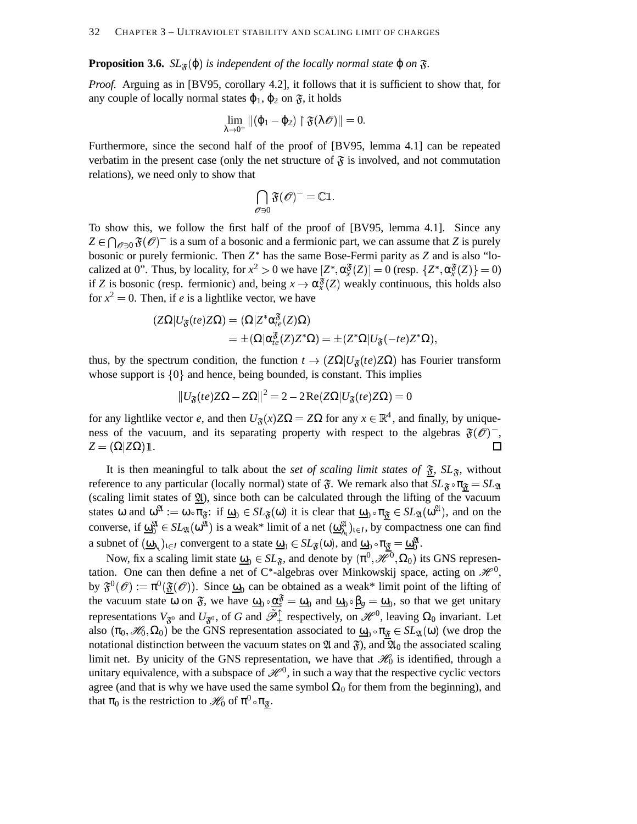**Proposition 3.6.**  $SL_{\mathfrak{F}}(\phi)$  is independent of the locally normal state  $\phi$  on  $\mathfrak{F}$ .

*Proof.* Arguing as in [BV95, corollary 4.2], it follows that it is sufficient to show that, for any couple of locally normal states  $\varphi_1$ ,  $\varphi_2$  on  $\mathfrak{F}$ , it holds

$$
\lim_{\lambda\to 0^+}\|(\phi_1-\phi_2)\restriction \mathfrak{F}(\lambda\mathscr{O})\|=0.
$$

Furthermore, since the second half of the proof of [BV95, lemma 4.1] can be repeated verbatim in the present case (only the net structure of  $\mathfrak F$  is involved, and not commutation relations), we need only to show that

$$
\bigcap_{\mathscr{O} \ni 0} \mathfrak{F}(\mathscr{O})^- = \mathbb{C} \mathbb{1}.
$$

To show this, we follow the first half of the proof of [BV95, lemma 4.1]. Since any  $Z \in \bigcap_{\mathscr{O} \ni 0} \mathfrak{F}(\mathscr{O})^-$  is a sum of a bosonic and a fermionic part, we can assume that *Z* is purely bosonic or purely fermionic. Then  $Z^*$  has the same Bose-Fermi parity as  $Z$  and is also "localized at 0". Thus, by locality, for  $x^2 > 0$  we have  $[Z^*, \alpha_x^{\mathfrak{F}}(Z)] = 0$  (resp.  $\{Z^*, \alpha_x^{\mathfrak{F}}(Z)\} = 0$ ) if *Z* is bosonic (resp. fermionic) and, being  $x \to \alpha_x^3(Z)$  weakly continuous, this holds also for  $x^2 = 0$ . Then, if *e* is a lightlike vector, we have

$$
\begin{aligned} (Z\Omega|U_{\mathfrak{F}}(te)Z\Omega)&=(\Omega|Z^*\alpha_t^\mathfrak{F}(Z)\Omega)\\&=\pm(\Omega|\alpha_t^\mathfrak{F}(Z)Z^*\Omega)=\pm(Z^*\Omega|U_{\mathfrak{F}}(-te)Z^*\Omega),\end{aligned}
$$

thus, by the spectrum condition, the function  $t \to (Z\Omega | U_{\mathfrak{F}}(te)Z\Omega)$  has Fourier transform whose support is  $\{0\}$  and hence, being bounded, is constant. This implies

$$
\|U_{\mathfrak{F}}(te)Z\Omega-Z\Omega\|^2=2-2\operatorname{Re}(Z\Omega|U_{\mathfrak{F}}(te)Z\Omega)=0
$$

for any lightlike vector *e*, and then  $U_{\mathfrak{F}}(x)Z\Omega = Z\Omega$  for any  $x \in \mathbb{R}^4$ , and finally, by uniqueness of the vacuum, and its separating property with respect to the algebras  $\mathfrak{F}(\mathcal{O})$ ,  $Z = (\Omega|Z\Omega)1$ . П

It is then meaningful to talk about the *set of scaling limit states of*  $\mathfrak{F}$ ,  $SL_{\mathfrak{F}}$ , without reference to any particular (locally normal) state of  $\mathfrak{F}$ . We remark also that  $SL_{\mathfrak{F}} \circ \pi_{\underline{\mathfrak{F}}} = SL_{\mathfrak{A}}$ (scaling limit states of  $\underline{\mathfrak{A}}$ ), since both can be calculated through the lifting of the vacuum states  $\omega$  and  $\omega^{\mathfrak{A}} := \omega \circ \pi_{\mathfrak{F}}$ : if  $\underline{\omega}_0 \in SL_{\mathfrak{F}}(\omega)$  it is clear that  $\underline{\omega}_0 \circ \pi_{\mathfrak{F}} \in SL_{\mathfrak{A}}(\omega^{\mathfrak{A}})$ , and on the converse, if  $\underline{\omega}_0^{\mathfrak{A}} \in SL_{\mathfrak{A}}(\omega^{\mathfrak{A}})$  is a weak\* limit of a net  $(\underline{\omega}_{\lambda_1}^{\mathfrak{A}})_{\iota \in I}$ , by compactness one can find a subnet of  $(\underline{\omega}_{\lambda_1})_{1 \in I}$  convergent to a state  $\underline{\omega}_0 \in SL_{\mathfrak{F}}(\omega)$ , and  $\underline{\omega}_0 \circ \pi_{\underline{\mathfrak{F}}} = \underline{\omega}_0^{\mathfrak{A}}$ .

Now, fix a scaling limit state  $\underline{\omega}_0 \in SL_{\mathfrak{F}}$ , and denote by  $(\pi^0, \mathcal{H}^0, \Omega_0)$  its GNS representation. One can then define a net of C\*-algebras over Minkowskij space, acting on  $\mathscr{H}^0$ , by  $\mathfrak{F}^0(\mathcal{O}) := \pi^0(\underline{\mathfrak{F}}(\mathcal{O}))$ . Since  $\underline{\omega}_0$  can be obtained as a weak\* limit point of the lifting of the vacuum state  $\omega$  on  $\mathfrak{F}$ , we have  $\underline{\omega}_0 \circ \underline{\alpha}_s^{\mathfrak{F}} = \underline{\omega}_0$  and  $\underline{\omega}_0 \circ \underline{\beta}_g = \underline{\omega}_0$ , so that we get unitary representations  $V_{\mathfrak{F}^0}$  and  $U_{\mathfrak{F}^0}$ , of *G* and  $\tilde{\mathcal{P}}_+^{\uparrow}$  respectively, on  $\mathcal{H}^0$ , leaving  $\Omega_0$  invariant. Let also  $(\pi_0, \mathcal{H}_0, \Omega_0)$  be the GNS representation associated to  $\underline{\omega}_0 \circ \pi_{\underline{\mathfrak{F}}} \in SL_2(\omega)$  (we drop the notational distinction between the vacuum states on  $\mathfrak A$  and  $\mathfrak F$ ), and  $\mathfrak A_0$  the associated scaling limit net. By unicity of the GNS representation, we have that  $\mathcal{H}_0$  is identified, through a unitary equivalence, with a subspace of  $\mathcal{H}^0$ , in such a way that the respective cyclic vectors agree (and that is why we have used the same symbol  $\Omega_0$  for them from the beginning), and that  $\pi_0$  is the restriction to  $\mathscr{H}_0$  of  $\pi^0 \circ \pi_{\mathfrak{F}}$ .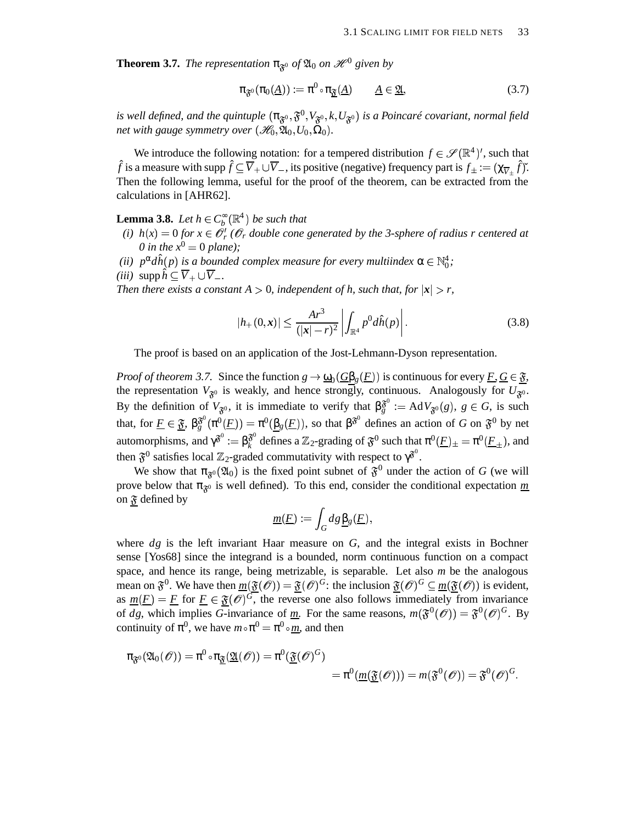**Theorem 3.7.** *The representation*  $\pi_{\mathfrak{F}^0}$  *of*  $\mathfrak{A}_0$  *on*  $\mathcal{H}^0$  *given by* 

$$
\pi_{\mathfrak{F}^0}(\pi_0(\underline{A})) := \pi^0 \circ \pi_{\underline{\mathfrak{F}}}(\underline{A}) \qquad \underline{A} \in \underline{\mathfrak{A}}, \tag{3.7}
$$

is well defined, and the quintuple  $(\pi_{\mathfrak{F}^0}, \mathfrak{F}^0, V_{\mathfrak{F}^0}, k, U_{\mathfrak{F}^0})$  is a Poincaré covariant, normal field *net with gauge symmetry over*  $(\mathscr{H}_0, \mathfrak{A}_0, U_0, \Omega_0)$ *.* 

We introduce the following notation: for a tempered distribution  $f \in \mathscr{S}(\mathbb{R}^4)'$ , such that  $\hat{f}$  is a measure with supp  $\hat{f} \subseteq \overline{V}_+ \cup \overline{V}_-$ , its positive (negative) frequency part is  $f_{\pm} := (\chi_{\overline{V}_+} \hat{f})^{\times}$ . Then the following lemma, useful for the proof of the theorem, can be extracted from the calculations in [AHR62].

**Lemma 3.8.** *Let*  $h \in C_b^{\infty}(\mathbb{R}^4)$  *be such that* 

- (*i*)  $h(x) = 0$  for  $x \in \mathcal{O}_r^t$  ( $\mathcal{O}_r$  double cone generated by the 3-sphere of radius r centered at 0 in the  $x^0 = 0$  plane);
- (*ii*)  $p^{\alpha}d\hat{h}(p)$  is a bounded complex measure for every multiindex  $\alpha \in \mathbb{N}_0^4$ ; *(iii)*  $\sup \hat{h} \subset \overline{V}_{+} \cup \overline{V}_{-}$ .

*Then there exists a constant*  $A > 0$ , *independent of h, such that, for*  $|x| > r$ ,

$$
|h_{+}(0,\mathbf{x})| \leq \frac{Ar^3}{(|\mathbf{x}| - r)^2} \left| \int_{\mathbb{R}^4} p^0 d\hat{h}(p) \right|.
$$
 (3.8)

The proof is based on an application of the Jost-Lehmann-Dyson representation.

*Proof of theorem 3.7.* Since the function  $g \to \underline{\omega}_0(\underline{G\beta}_g(\underline{F}))$  is continuous for every  $\underline{F}, \underline{G} \in \underline{\mathfrak{F}},$ the representation  $V_{\mathfrak{F}^0}$  is weakly, and hence strongly, continuous. Analogously for  $U_{\mathfrak{F}^0}$ . By the definition of  $V_{\mathfrak{F}^0}$ , it is immediate to verify that  $\beta_g^{\mathfrak{F}^0} := AdV_{\mathfrak{F}^0}(g)$ ,  $g \in G$ , is such that, for  $\underline{F} \in \underline{\mathfrak{F}}$ ,  $\beta_g^{\mathfrak{F}^0}(\pi^0(\underline{F})) = \pi^0(\underline{\beta_g(F)})$ , so that  $\beta^{\mathfrak{F}^0}$  defines an action of *G* on  $\mathfrak{F}^0$  by net automorphisms, and  $\gamma^{\mathfrak{F}^0} := \beta_k^{\mathfrak{F}^0}$  defines a Z  $\tilde{k}^{\circ}$  defines a  $\mathbb{Z}_2$ -grading of  $\mathfrak{F}^0$  such that  $\pi^0(\underline{F})_{\pm} = \pi^0(\underline{F}_{\pm})$ , and then  $\mathfrak{F}^{0}$  satisfies local  $\mathbb{Z}_{2}$ -graded commutativity with respect to  $\gamma^{\mathfrak{F}^{0}}.$ 

We show that  $\pi_{\mathfrak{F}^0}(\mathfrak{A}_0)$  is the fixed point subnet of  $\mathfrak{F}^0$  under the action of *G* (we will prove below that  $\pi_{\mathfrak{F}^0}$  is well defined). To this end, consider the conditional expectation  $m$ on  $\mathfrak F$  defined by

$$
\underline{m}(E) := \int_G dg \, \underline{\beta}_g(E),
$$

where *dg* is the left invariant Haar measure on *G*, and the integral exists in Bochner sense [Yos68] since the integrand is a bounded, norm continuous function on a compact space, and hence its range, being metrizable, is separable. Let also *m* be the analogous mean on  $\mathfrak{F}^0$ . We have then  $m(\mathfrak{F}(\mathcal{O})) = \mathfrak{F}(\mathcal{O})^G$ : the inclusion  $\mathfrak{F}(\mathcal{O})^G \subseteq m(\mathfrak{F}(\mathcal{O}))$  is evident, as  $m(F) = F$  for  $F \in \mathfrak{F}(\mathcal{O})^G$ , the reverse one also follows immediately from invariance of *dg*, which implies *G*-invariance of <u>m</u>. For the same reasons,  $m(\mathfrak{F}^0(\mathcal{O})) = \mathfrak{F}^0(\mathcal{O})^G$ . By continuity of  $\pi^0$ , we have  $m \circ \pi^0 = \pi^0 \circ m$ , and then

$$
\pi_{\mathfrak{F}^0}(\mathfrak{A}_0(\mathscr{O})) = \pi^0 \circ \pi_{\underline{\mathfrak{F}}}(\underline{\mathfrak{A}}(\mathscr{O})) = \pi^0(\underline{\mathfrak{F}}(\mathscr{O})^G) \n= \pi^0(\underline{m}(\underline{\mathfrak{F}}(\mathscr{O}))) = m(\mathfrak{F}^0(\mathscr{O})) = \mathfrak{F}^0(\mathscr{O})^G.
$$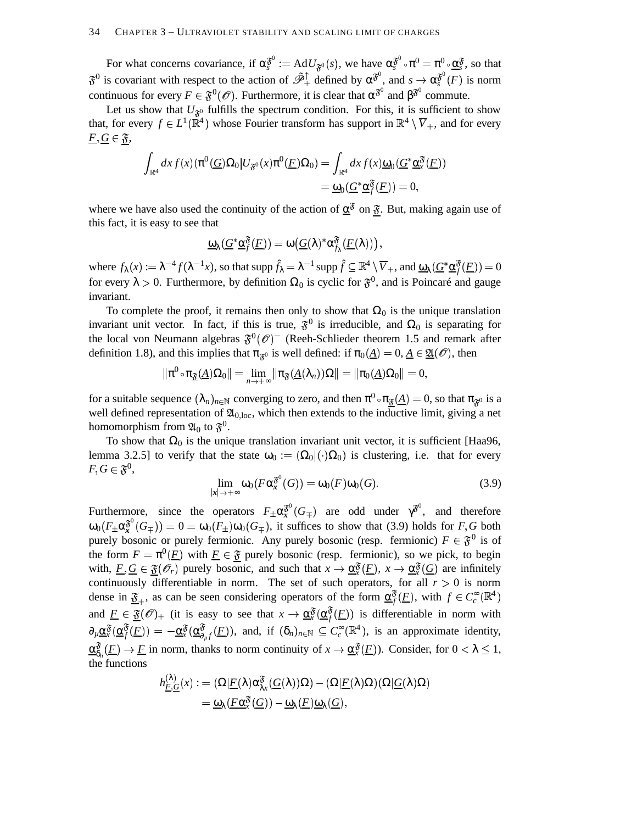### 34 CHAPTER 3 – ULTRAVIOLET STABILITY AND SCALING LIMIT OF CHARGES

For what concerns covariance, if  $\alpha_s^{\mathfrak{F}^0} := \text{Ad}U_{\mathfrak{F}^0}(s)$ , we have  $\alpha_s^{\mathfrak{F}^0} \circ \pi^0 = \pi^0 \circ \underline{\alpha}_s^{\mathfrak{F}}$ , so that  $\mathfrak{F}^0$  is covariant with respect to the action of  $\tilde{\mathcal{P}}_+^{\uparrow}$  defined by  $\alpha^{\mathfrak{F}^0}$ , and  $s \to \alpha^{\mathfrak{F}^0}_{s}(F)$  is norm continuous for every  $F \in \mathfrak{F}^0(\mathcal{O})$ . Furthermore, it is clear that  $\alpha^{\mathfrak{F}^0}$  and  $\beta^{\mathfrak{F}^0}$  commute.

Let us show that  $U_{\mathfrak{F}^0}$  fulfills the spectrum condition. For this, it is sufficient to show that, for every  $f \in L^1(\mathbb{R}^4)$  whose Fourier transform has support in  $\mathbb{R}^4 \setminus \overline{V}_+$ , and for every  $F, G \in \mathfrak{F},$ 

$$
\int_{\mathbb{R}^4} dx f(x) (\pi^0(\underline{G}) \Omega_0 | U_{\mathfrak{F}^0}(x) \pi^0(\underline{F}) \Omega_0) = \int_{\mathbb{R}^4} dx f(x) \underline{\omega}_0(\underline{G}^* \underline{\alpha}_x^{\mathfrak{F}}(\underline{F}))
$$
  
=  $\underline{\omega}_0(\underline{G}^* \underline{\alpha}_f^{\mathfrak{F}}(\underline{F})) = 0,$ 

where we have also used the continuity of the action of  $\alpha^{\delta}$  on  $\tilde{\mathfrak{F}}$ . But, making again use of this fact, it is easy to see that

$$
\underline{\omega}_{\lambda}(\underline{G}^{*}\underline{\alpha}_{f}^{\mathfrak{F}}(\underline{F}))=\omega\big(\underline{G}(\lambda)^{*}\alpha_{f_{\lambda}}^{\mathfrak{F}}(\underline{F}(\lambda))\big),
$$

where  $f_{\lambda}(x) := \lambda^{-4} f(\lambda^{-1} x)$ , so that  $\operatorname{supp} \hat{f}_{\lambda} = \lambda^{-1} \operatorname{supp} \hat{f} \subseteq \mathbb{R}^4 \setminus \overline{V}_+$ , and  $\underline{\omega}_{\lambda}(\underline{G}^* \underline{\alpha}_{f}^{\mathfrak{F}}(\underline{F})) = 0$ for every  $\lambda > 0$ . Furthermore, by definition  $\Omega_0$  is cyclic for  $\mathfrak{F}^0$ , and is Poincaré and gauge invariant.

To complete the proof, it remains then only to show that  $\Omega_0$  is the unique translation invariant unit vector. In fact, if this is true,  $\mathfrak{F}^0$  is irreducible, and  $\Omega_0$  is separating for the local von Neumann algebras  $\mathfrak{F}^0(\mathcal{O})^-$  (Reeh-Schlieder theorem 1.5 and remark after definition 1.8), and this implies that  $\pi_{\mathfrak{F}^0}$  is well defined: if  $\pi_0(\underline{A}) = 0, \underline{A} \in \underline{\mathfrak{A}}(\mathscr{O})$ , then

$$
\|\pi^0\mathop{\raisebox{+.3ex}{\hbox{$\scriptstyle\circ$}}}\nolimits\pi_{\underline{\mathfrak F}}(\underline{A})\Omega_0\|=\lim_{n\to+\infty}\|\pi_{\mathfrak F}(\underline{A}(\lambda_n))\Omega\|=\|\pi_0(\underline{A})\Omega_0\|=0,
$$

for a suitable sequence  $(\lambda_n)_{n\in\mathbb{N}}$  converging to zero, and then  $\pi^0\circ\pi_{\mathfrak{F}}(\underline{A})=0$ , so that  $\pi_{\mathfrak{F}^0}$  is a well defined representation of  $\mathfrak{A}_{0,loc}$ , which then extends to the inductive limit, giving a net homomorphism from  $\mathfrak{A}_0$  to  $\mathfrak{F}^0.$ 

To show that  $\Omega_0$  is the unique translation invariant unit vector, it is sufficient [Haa96, lemma 3.2.5] to verify that the state  $\omega_0 := (\Omega_0 | (\cdot) \Omega_0)$  is clustering, i.e. that for every  $F,G\in \mathfrak{F}^{0},$ 

$$
\lim_{|x| \to +\infty} \omega_0(F \alpha_x^{\mathfrak{F}^0}(G)) = \omega_0(F)\omega_0(G). \tag{3.9}
$$

Furthermore, since the operators  $F_{\pm} \alpha_x^{\mathfrak{F}^0} (G_{\mp})$  are odd under  $\gamma^{\mathfrak{F}^0}$ , and therefore  $\omega_0(F_\pm \alpha_\mathfrak{X}^{\mathfrak{F}^0}(G_\mp)) = 0 = \omega_0(F_\pm) \omega_0(G_\mp)$ , it suffices to show that (3.9) holds for *F*, *G* both purely bosonic or purely fermionic. Any purely bosonic (resp. fermionic)  $F \in \mathfrak{F}^0$  is of the form  $F = \pi^0(\underline{F})$  with  $\underline{F} \in \mathfrak{F}$  purely bosonic (resp. fermionic), so we pick, to beging with,  $\underline{F}, \underline{G} \in \underline{\mathfrak{F}}(\mathcal{O}_r)$  purely bosonic, and such that  $x \to \underline{\alpha}_x^{\mathfrak{F}}(\underline{F})$ ,  $x \to \underline{\alpha}_x^{\mathfrak{F}}(\underline{G})$  are infinitely continuously differentiable in norm. The set of such operators, for all  $r > 0$  is norm dense in  $\underline{\mathfrak{F}}_+$ , as can be seen considering operators of the form  $\underline{\alpha}_f^{\mathfrak{F}}(F)$ , with  $f \in C_c^{\infty}(\mathbb{R}^4)$ and  $\underline{F} \in \underline{\mathfrak{F}}(\mathcal{O})_+$  (it is easy to see that  $x \to \underline{\alpha}_x^{\mathfrak{F}}(\underline{\alpha}_f^{\mathfrak{F}}(\underline{F}))$  is differentiable in norm with  $\partial_{\mu} \underline{\alpha}_{x}^{\mathfrak{F}}(\underline{\alpha}_{f}^{\mathfrak{F}}(E)) = -\underline{\alpha}_{x}^{\mathfrak{F}}(\underline{\alpha}_{\partial_{\mu}f}^{\mathfrak{F}}(E)),$  and, if  $(\delta_{n})_{n \in \mathbb{N}} \subseteq C_{c}^{\infty}(\mathbb{R}^{4}),$  is an approximate identity,  $\underline{\alpha}_{\delta_n}^{\mathfrak{F}}(F) \to F$  in norm, thanks to norm continuity of  $x \to \underline{\alpha}_x^{\mathfrak{F}}(F)$ ). Consider, for  $0 < \lambda \leq 1$ , the functions

$$
\begin{aligned} h_{\underline{F},\underline{G}}^{(\lambda)}(\textbf{x}) :&=(\Omega|\underline{F}(\lambda)\alpha_{\lambda\textbf{x}}^{\mathfrak{F}}(\underline{G}(\lambda))\Omega)-(\Omega|\underline{F}(\lambda)\Omega)(\Omega|\underline{G}(\lambda)\Omega)\\ &=\underline{\omega}_{\lambda}(\underline{F}\underline{\alpha}_{\textbf{x}}^{\mathfrak{F}}(\underline{G}))-\underline{\omega}_{\lambda}(\underline{F})\underline{\omega}_{\lambda}(\underline{G}), \end{aligned}
$$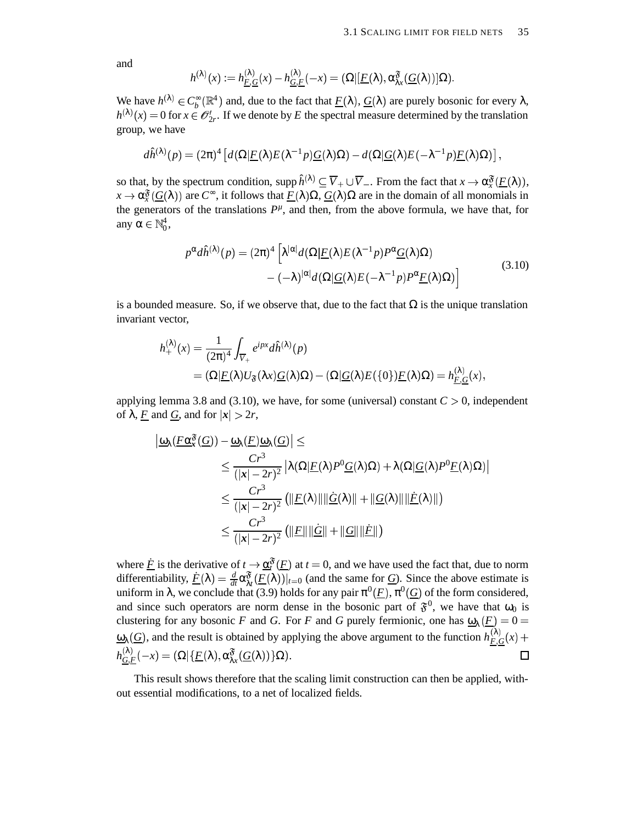and

$$
h^{(\lambda)}(x):=h_{\underline{F},\underline{G}}^{(\lambda)}(x)-h_{\underline{G},\underline{F}}^{(\lambda)}(-x)=(\Omega|[\underline{F}(\lambda),\alpha_{\lambda x}^{\mathfrak{F}}(\underline{G}(\lambda))]\Omega).
$$

We have  $h^{(\lambda)} \in C_b^{\infty}(\mathbb{R}^4)$  and, due to the fact that  $\underline{F}(\lambda)$ ,  $\underline{G}(\lambda)$  are purely bosonic for every  $\lambda$ ,  $h^{(\lambda)}(x) = 0$  for  $x \in \mathcal{O}'_{2r}$ . If we denote by *E* the spectral measure determined by the translation group, we have

$$
d\hat{h}^{(\lambda)}(p) = (2\pi)^4 \left[ d(\Omega | \underline{F}(\lambda) E(\lambda^{-1} p) \underline{G}(\lambda) \Omega) - d(\Omega | \underline{G}(\lambda) E(-\lambda^{-1} p) \underline{F}(\lambda) \Omega) \right],
$$

so that, by the spectrum condition,  $\text{supp }\hat{h}^{(\lambda)} \subseteq \overline{V}_+ \cup \overline{V}_-$ . From the fact that  $x \to \alpha_x^{\mathfrak{F}}(\underline{F}(\lambda))$ ,  $x \to \alpha_x^3(G(\lambda))$  are  $C^{\infty}$ , it follows that  $\underline{F}(\lambda)\Omega$ ,  $\underline{G}(\lambda)\Omega$  are in the domain of all monomials in the generators of the translations  $P^{\mu}$ , and then, from the above formula, we have that, for any α $\in \mathbb{N}_0^4$ ,

$$
p^{\alpha}d\hat{h}^{(\lambda)}(p) = (2\pi)^{4} \left[ \lambda^{|\alpha|} d(\Omega | \underline{F}(\lambda) E(\lambda^{-1} p) P^{\alpha} \underline{G}(\lambda) \Omega) - (-\lambda)^{|\alpha|} d(\Omega | \underline{G}(\lambda) E(-\lambda^{-1} p) P^{\alpha} \underline{F}(\lambda) \Omega) \right]
$$
(3.10)

is a bounded measure. So, if we observe that, due to the fact that  $\Omega$  is the unique translation invariant vector,

$$
h_{+}^{(\lambda)}(x) = \frac{1}{(2\pi)^{4}} \int_{\overline{V}_{+}} e^{ipx} d\hat{h}^{(\lambda)}(p)
$$
  
=  $(\Omega | \underline{F}(\lambda) U_{\mathfrak{F}}(\lambda x) \underline{G}(\lambda) \Omega) - (\Omega | \underline{G}(\lambda) E(\{0\}) \underline{F}(\lambda) \Omega) = h_{\underline{F},\underline{G}}^{(\lambda)}(x),$ 

applying lemma 3.8 and (3.10), we have, for some (universal) constant  $C > 0$ , independent of  $\lambda$ , <u>F</u> and <u>G</u>, and for  $|x| > 2r$ ,

$$
\begin{aligned} \left| \underline{\omega}_{\lambda} (F \underline{\alpha}_{\mathbf{x}}^{\mathfrak{F}}(\underline{G})) - \underline{\omega}_{\lambda} (F) \underline{\omega}_{\lambda} (\underline{G}) \right| &\leq \\ &\leq \frac{Cr^3}{(|\mathbf{x}|-2r)^2} \left| \lambda (\Omega | F(\lambda) P^0 \underline{G}(\lambda) \Omega) + \lambda (\Omega | \underline{G}(\lambda) P^0 \underline{F}(\lambda) \Omega) \right| \\ &\leq \frac{Cr^3}{(|\mathbf{x}|-2r)^2} \left( \| F(\lambda) \| \| \underline{\dot{G}}(\lambda) \| + \| \underline{G}(\lambda) \| \| \underline{\dot{F}}(\lambda) \| \right) \\ &\leq \frac{Cr^3}{(|\mathbf{x}|-2r)^2} \left( \| F \| \| \underline{\dot{G}} \| + \| \underline{G} \| \| \underline{\dot{F}} \| \right) \end{aligned}
$$

where  $\underline{\dot{F}}$  is the derivative of  $t \to \underline{\alpha}^{\mathfrak{F}}_t(\underline{F})$  at  $t = 0$ , and we have used the fact that, due to norm differentiability,  $\underline{F}(\lambda) = \frac{d}{dt} \alpha_{\lambda t}^{\mathfrak{F}} \left( \underline{F}(\lambda) \right)|_{t=0}$  (and the same for *G*). Since the above estimate is uniform in  $\lambda$ , we conclude that (3.9) holds for any pair  $\pi^0(\underline{F})$ ,  $\pi^0(\underline{G})$  of the form considered, and since such operators are norm dense in the bosonic part of  $\mathfrak{F}^0$ , we have that  $\omega_0$  is clustering for any bosonic *F* and *G*. For *F* and *G* purely fermionic, one has  $\underline{\omega}_{\lambda}(\underline{F}) = 0$  $\omega_{\lambda}(G)$ , and the result is obtained by applying the above argument to the function  $h_{E,G}^{(\lambda)}(x)$  +  $h^{\left(\lambda\right)}_{\underline{G},\underline{F}}(-x)=\left(\Omega|\{\underline{F}(\lambda),\alpha_{\lambda x}^{\mathfrak{F}}(\underline{G}(\lambda))\}\Omega\right).$  $\Box$ 

This result shows therefore that the scaling limit construction can then be applied, without essential modifications, to a net of localized fields.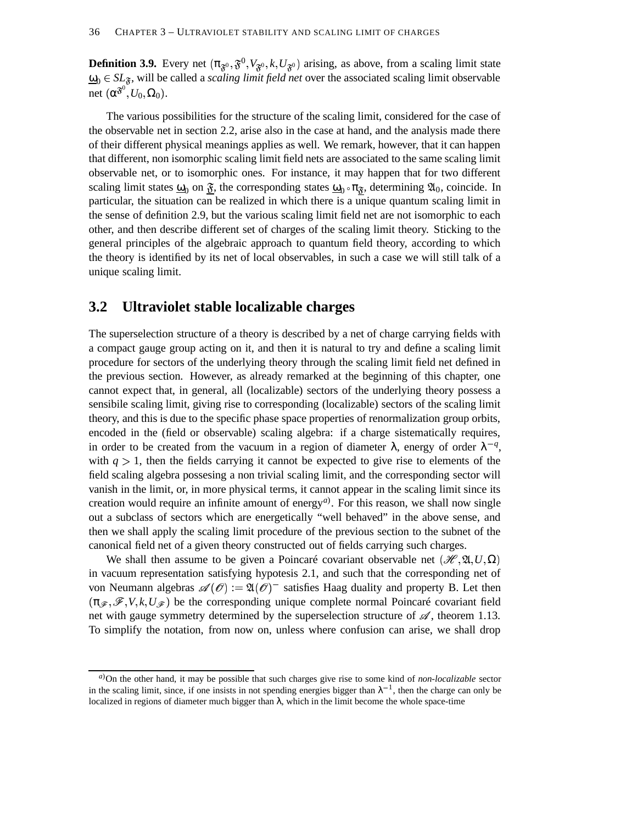**Definition 3.9.** Every net  $(\pi_{\mathfrak{F}^0}, \mathfrak{F}^0, V_{\mathfrak{F}^0}, k, U_{\mathfrak{F}^0})$  arising, as above, from a scaling limit state  $\underline{\omega}_0 \in SL_{\mathfrak{F}}$ , will be called a *scaling limit field net* over the associated scaling limit observable net  $(\alpha^{\mathfrak{F}^0}, U_0, \Omega_0)$ .

The various possibilities for the structure of the scaling limit, considered for the case of the observable net in section 2.2, arise also in the case at hand, and the analysis made there of their different physical meanings applies as well. We remark, however, that it can happen that different, non isomorphic scaling limit field nets are associated to the same scaling limit observable net, or to isomorphic ones. For instance, it may happen that for two different scaling limit states  $\underline{\omega}_0$  on  $\underline{\mathfrak{F}}$ , the corresponding states  $\underline{\omega}_0 \circ \pi_{\underline{\mathfrak{F}}}$ , determining  $\mathfrak{A}_0$ , coincide. In particular, the situation can be realized in which there is a unique quantum scaling limit in the sense of definition 2.9, but the various scaling limit field net are not isomorphic to each other, and then describe different set of charges of the scaling limit theory. Sticking to the general principles of the algebraic approach to quantum field theory, according to which the theory is identified by its net of local observables, in such a case we will still talk of a unique scaling limit.

### **3.2 Ultraviolet stable localizable charges**

The superselection structure of a theory is described by a net of charge carrying fields with a compact gauge group acting on it, and then it is natural to try and define a scaling limit procedure for sectors of the underlying theory through the scaling limit field net defined in the previous section. However, as already remarked at the beginning of this chapter, one cannot expect that, in general, all (localizable) sectors of the underlying theory possess a sensibile scaling limit, giving rise to corresponding (localizable) sectors of the scaling limit theory, and this is due to the specific phase space properties of renormalization group orbits, encoded in the (field or observable) scaling algebra: if a charge sistematically requires, in order to be created from the vacuum in a region of diameter  $\lambda$ , energy of order  $\lambda^{-q}$ , with  $q > 1$ , then the fields carrying it cannot be expected to give rise to elements of the field scaling algebra possesing a non trivial scaling limit, and the corresponding sector will vanish in the limit, or, in more physical terms, it cannot appear in the scaling limit since its creation would require an infinite amount of energy*a*) . For this reason, we shall now single out a subclass of sectors which are energetically "well behaved" in the above sense, and then we shall apply the scaling limit procedure of the previous section to the subnet of the canonical field net of a given theory constructed out of fields carrying such charges.

We shall then assume to be given a Poincaré covariant observable net  $(\mathcal{H}, \mathfrak{A}, U, \Omega)$ in vacuum representation satisfying hypotesis 2.1, and such that the corresponding net of von Neumann algebras  $\mathscr{A}(\mathscr{O}) := \mathfrak{A}(\mathscr{O})^-$  satisfies Haag duality and property B. Let then  $(\pi_{\mathscr{F}}, \mathscr{F}, V, k, U_{\mathscr{F}})$  be the corresponding unique complete normal Poincaré covariant field net with gauge symmetry determined by the superselection structure of  $\mathscr A$ , theorem 1.13. To simplify the notation, from now on, unless where confusion can arise, we shall drop

*<sup>a</sup>*)On the other hand, it may be possible that such charges give rise to some kind of *non-localizable* sector in the scaling limit, since, if one insists in not spending energies bigger than  $\lambda^{-1}$ , then the charge can only be localized in regions of diameter much bigger than  $\lambda$ , which in the limit become the whole space-time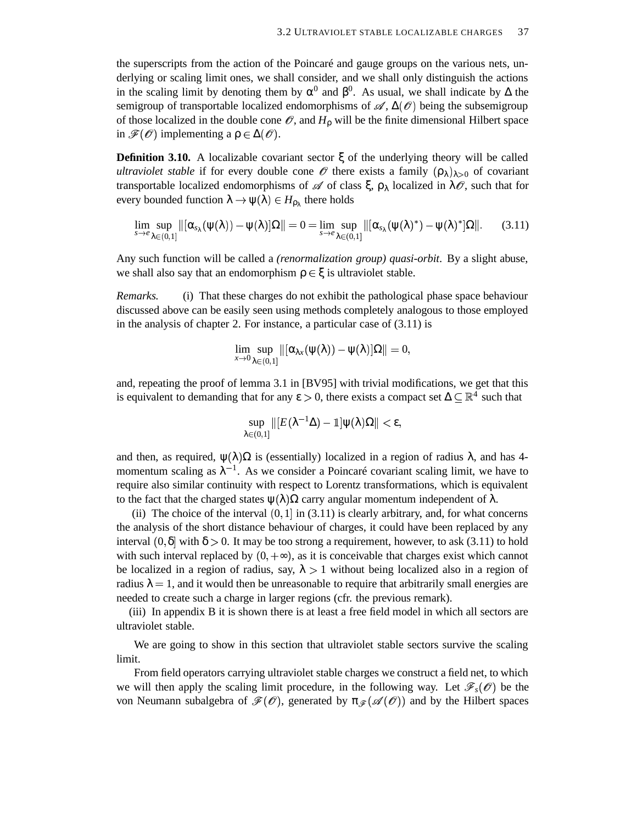the superscripts from the action of the Poincaré and gauge groups on the various nets, underlying or scaling limit ones, we shall consider, and we shall only distinguish the actions in the scaling limit by denoting them by  $\alpha^0$  and  $\beta^0$ . As usual, we shall indicate by  $\Delta$  the semigroup of transportable localized endomorphisms of  $\mathscr{A}, \Delta(\mathscr{O})$  being the subsemigroup of those localized in the double cone  $\mathcal O$ , and  $H_0$  will be the finite dimensional Hilbert space in  $\mathscr{F}(\mathscr{O})$  implementing a  $\rho \in \Delta(\mathscr{O})$ .

**Definition 3.10.** A localizable covariant sector  $\xi$  of the underlying theory will be called *ultraviolet stable* if for every double cone  $\mathscr O$  there exists a family  $(\rho_{\lambda})_{\lambda>0}$  of covariant transportable localized endomorphisms of  $\mathscr A$  of class  $\xi, \rho_\lambda$  localized in  $\lambda \mathscr O$ , such that for every bounded function  $\lambda \to \psi(\lambda) \in H_{\rho_{\lambda}}$  there holds

$$
\lim_{s\to e}\sup_{\lambda\in (0,1]}\|[\alpha_{s_\lambda}(\psi(\lambda))-\psi(\lambda)]\Omega\|=0=\lim_{s\to e}\sup_{\lambda\in (0,1]}\|[\alpha_{s_\lambda}(\psi(\lambda)^*)-\psi(\lambda)^*]\Omega\|.\qquad (3.11)
$$

Any such function will be called a *(renormalization group) quasi-orbit*. By a slight abuse, we shall also say that an endomorphism  $\rho \in \xi$  is ultraviolet stable.

*Remarks.* (i) That these charges do not exhibit the pathological phase space behaviour discussed above can be easily seen using methods completely analogous to those employed in the analysis of chapter 2. For instance, a particular case of (3.11) is

$$
\lim_{x\to 0}\sup_{\lambda\in (0,1]}\|[\alpha_{\lambda x}(\psi(\lambda))-\psi(\lambda)]\Omega\|=0,
$$

and, repeating the proof of lemma 3.1 in [BV95] with trivial modifications, we get that this is equivalent to demanding that for any  $\varepsilon > 0$ , there exists a compact set  $\Delta \subseteq \mathbb{R}^4$  such that

$$
\sup_{\lambda\in(0,1]}\|[E(\lambda^{-1}\Delta)-\mathbb{1}]\psi(\lambda)\Omega\|<\epsilon,
$$

and then, as required,  $\psi(\lambda)\Omega$  is (essentially) localized in a region of radius  $\lambda$ , and has 4momentum scaling as  $\lambda^{-1}$ . As we consider a Poincaré covariant scaling limit, we have to require also similar continuity with respect to Lorentz transformations, which is equivalent to the fact that the charged states  $\psi(\lambda)\Omega$  carry angular momentum independent of  $\lambda$ .

(ii) The choice of the interval  $(0, 1]$  in  $(3.11)$  is clearly arbitrary, and, for what concerns the analysis of the short distance behaviour of charges, it could have been replaced by any interval  $(0, \delta]$  with  $\delta > 0$ . It may be too strong a requirement, however, to ask (3.11) to hold with such interval replaced by  $(0, +\infty)$ , as it is conceivable that charges exist which cannot be localized in a region of radius, say,  $\lambda > 1$  without being localized also in a region of radius  $\lambda = 1$ , and it would then be unreasonable to require that arbitrarily small energies are needed to create such a charge in larger regions (cfr. the previous remark).

(iii) In appendix B it is shown there is at least a free field model in which all sectors are ultraviolet stable.

We are going to show in this section that ultraviolet stable sectors survive the scaling limit.

From field operators carrying ultraviolet stable charges we construct a field net, to which we will then apply the scaling limit procedure, in the following way. Let  $\mathscr{F}_s(\mathscr{O})$  be the von Neumann subalgebra of  $\mathcal{F}(\mathcal{O})$ , generated by  $\pi_{\mathcal{F}}(\mathcal{A}(\mathcal{O}))$  and by the Hilbert spaces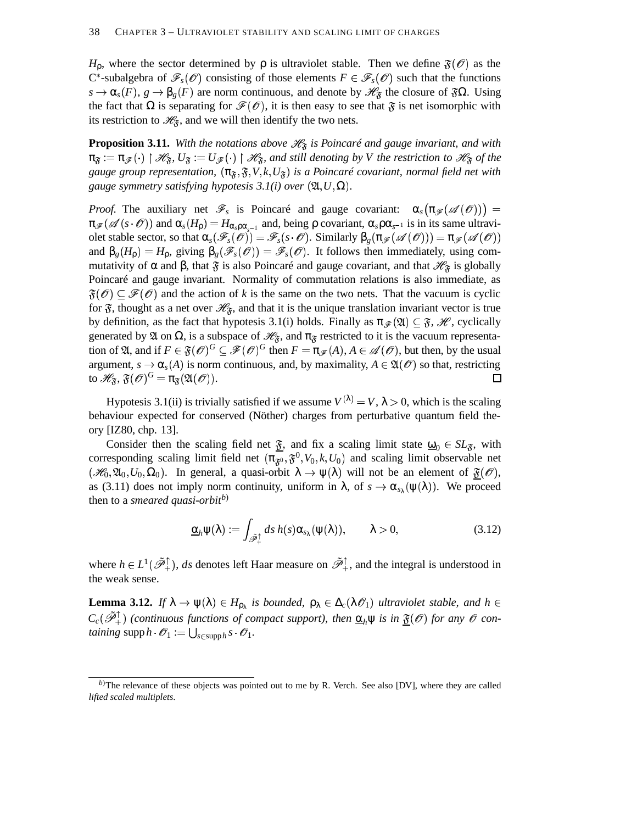$H_0$ , where the sector determined by  $\rho$  is ultraviolet stable. Then we define  $\mathfrak{F}(\mathscr{O})$  as the C<sup>\*</sup>-subalgebra of  $\mathscr{F}_s(\mathscr{O})$  consisting of those elements  $F \in \mathscr{F}_s(\mathscr{O})$  such that the functions  $s \to \alpha_s(F)$ ,  $g \to \beta_g(F)$  are norm continuous, and denote by  $\mathscr{H}_{\mathfrak{F}}$  the closure of  $\mathfrak{F}\Omega$ . Using the fact that  $\Omega$  is separating for  $\mathcal{F}(\mathcal{O})$ , it is then easy to see that  $\mathfrak{F}$  is net isomorphic with its restriction to  $\mathcal{H}_{\mathfrak{F}}$ , and we will then identify the two nets.

**Proposition 3.11.** With the notations above  $\mathcal{H}_{\mathfrak{F}}$  is Poincaré and gauge invariant, and with  $\pi_{\mathfrak{F}} := \pi_{\mathscr{F}}(\cdot) \restriction \mathscr{H}_{\mathfrak{F}}$ ,  $U_{\mathfrak{F}} := U_{\mathscr{F}}(\cdot) \restriction \mathscr{H}_{\mathfrak{F}}$ , and still denoting by V the restriction to  $\mathscr{H}_{\mathfrak{F}}$  of the gauge group representation,  $(\pi_{\mathfrak{F}}, \mathfrak{F}, V, k, U_{\mathfrak{F}})$  is a Poincaré covariant, normal field net with , , , , *gauge symmetry satisfying hypotesis*  $3.1(i)$  *over*  $(\mathfrak{A}, U, \Omega)$ *.* 

*Proof.* The auxiliary net  $\mathscr{F}_s$  is Poincaré and gauge covariant:  $\alpha_s(\pi_{\mathscr{F}}(\mathscr{A}(\mathscr{O})))$  =  $\pi_{\mathscr{F}}(\mathscr{A}(s \cdot \mathscr{O}))$  and  $\alpha_s(H_\rho) = H_{\alpha_s \rho \alpha_{s-1}}$  and, being  $\rho$  covariant,  $\alpha_s \rho \alpha_{s-1}$  is in its same ultraviolet stable sector, so that  $\alpha_s(\mathscr{F}_s(\mathscr{O})) = \mathscr{F}_s(s \cdot \mathscr{O})$ . Similarly  $\beta_g(\pi_{\mathscr{F}}(\mathscr{A}(\mathscr{O}))) = \pi_{\mathscr{F}}(\mathscr{A}(\mathscr{O}))$ and  $\beta_g(H_p) = H_p$ , giving  $\beta_g(\mathscr{F}_s(\mathscr{O})) = \mathscr{F}_s(\mathscr{O})$ . It follows then immediately, using commutativity of  $\alpha$  and  $\beta$ , that  $\tilde{s}$  is also Poincaré and gauge covariant, and that  $\mathcal{H}_{\tilde{s}}$  is globally Poincaré and gauge invariant. Normality of commutation relations is also immediate, as  $\mathfrak{F}(\mathcal{O}) \subseteq \mathcal{F}(\mathcal{O})$  and the action of k is the same on the two nets. That the vacuum is cyclic for  $\mathfrak{F}$ , thought as a net over  $\mathcal{H}_{\mathfrak{F}}$ , and that it is the unique translation invariant vector is true by definition, as the fact that hypotesis 3.1(i) holds. Finally as  $\pi_{\mathscr{F}}(\mathfrak{A}) \subseteq \mathfrak{F}$ ,  $\mathscr{H}$ , cyclically generated by  $\mathfrak A$  on  $\Omega$ , is a subspace of  $\mathcal H_{\mathfrak F}$ , and  $\pi_{\mathfrak F}$  restricted to it is the vacuum representation of  $\mathfrak{A}$ , and if  $F \in \mathfrak{F}(\mathcal{O})^G \subseteq \mathcal{F}(\mathcal{O})^G$  then  $F = \pi_{\mathcal{F}}(A), A \in \mathcal{A}(\mathcal{O})$ , but then, by the usual argument,  $s \to \alpha_s(A)$  is norm continuous, and, by maximality,  $A \in \mathfrak{A}(\mathscr{O})$  so that, restricting to  $\mathscr{H}_{\mathfrak{F}}, \mathfrak{F}(\mathscr{O})^G = \pi_{\mathfrak{F}}(\mathfrak{A}(\mathscr{O})).$  $\Box$ 

Hypotesis 3.1(ii) is trivially satisfied if we assume  $V^{(\lambda)} = V$ ,  $\lambda > 0$ , which is the scaling behaviour expected for conserved (Nöther) charges from perturbative quantum field theory [IZ80, chp. 13].

Consider then the scaling field net  $\underline{\mathfrak{F}}$ , and fix a scaling limit state  $\underline{\omega}_0 \in SL_{\mathfrak{F}}$ , with corresponding scaling limit field net  $(\pi_{\mathfrak{F}^0}^-, \mathfrak{F}^0, V_0, k, U_0)$  and scaling limit observable net  $(\mathscr{H}_0, \mathfrak{A}_0, U_0, \Omega_0)$ . In general, a quasi-orbit  $\lambda \to \psi(\lambda)$  will not be an element of  $\mathfrak{F}(\mathscr{O})$ , as (3.11) does not imply norm continuity, uniform in  $\lambda$ , of  $s \to \alpha_{s_\lambda}(\psi(\lambda))$ . We proceed then to a *smeared quasi-orbitb*)

$$
\underline{\alpha}_h \psi(\lambda) := \int_{\mathscr{F}_+^{\uparrow}} ds \, h(s) \alpha_{s_{\lambda}}(\psi(\lambda)), \qquad \lambda > 0,
$$
\n(3.12)

where  $h \in L^1(\tilde{\mathscr{P}}_+^{\uparrow})$ , *ds* denotes left Haar measure on  $\tilde{\mathscr{P}}_+^{\uparrow}$ , and the integral is understood in the weak sense.

**Lemma 3.12.** If  $\lambda \to \psi(\lambda) \in H_{\rho_\lambda}$  is bounded,  $\rho_\lambda \in \Delta_c(\lambda \mathcal{O}_1)$  ultraviolet stable, and  $h \in$  $C_c(\tilde{\mathscr{P}}_+^{\uparrow})$  (continuous functions of compact support), then  $\underline{\alpha}_h \psi$  is in  $\underline{\mathfrak{F}}(\mathscr{O})$  for any  $\mathscr{O}$  con $taining \text{ supp } h \cdot \mathscr{O}_1 := \bigcup_{s \in \text{supp} h} s \cdot \mathscr{O}_1.$ 

*b*)The relevance of these objects was pointed out to me by R. Verch. See also [DV], where they are called *lifted scaled multiplets*.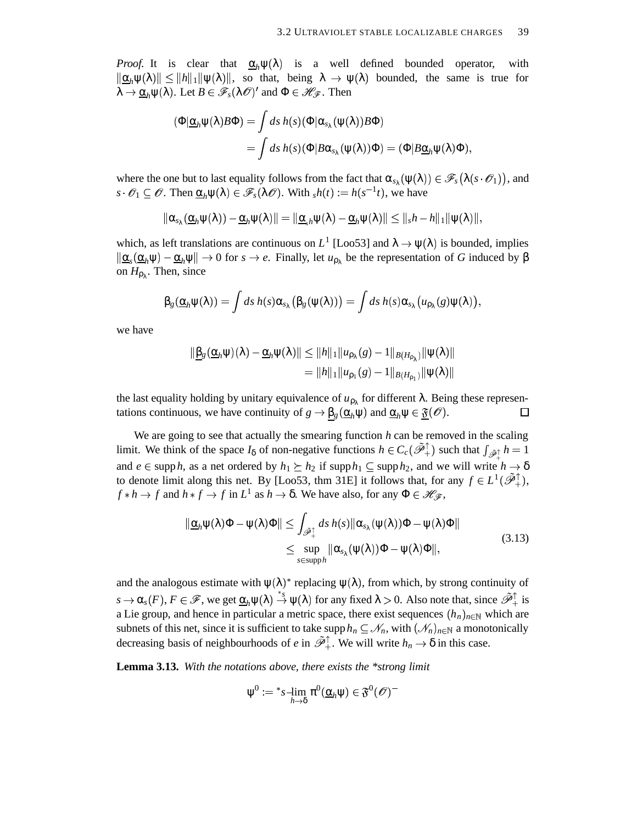*Proof.* It is clear that  $\underline{\alpha}_h \psi(\lambda)$  is a well defined bounded operator, with  $\|\underline{\alpha}_h\psi(\lambda)\| \leq \|h\|_1 \|\psi(\lambda)\|$ , so that, being  $\lambda \to \psi(\lambda)$  bounded, the same is true for  $\lambda \to \underline{\alpha}_h \psi(\lambda)$ . Let  $B \in \mathscr{F}_s(\lambda \mathscr{O})'$  and  $\Phi \in \mathscr{H}_\mathscr{F}$ . Then

$$
\begin{aligned} (\Phi | \underline{\alpha}_h \psi(\lambda) B \Phi) &= \int ds \, h(s) \, (\Phi | \alpha_{s_\lambda} (\psi(\lambda)) B \Phi) \\ &= \int ds \, h(s) \, (\Phi | B \alpha_{s_\lambda} (\psi(\lambda)) \Phi) = (\Phi | B \underline{\alpha}_h \psi(\lambda) \Phi), \end{aligned}
$$

where the one but to last equality follows from the fact that  $\alpha_{s_\lambda}(\psi(\lambda)) \in \mathscr{F}_s(\lambda(s \cdot \mathscr{O}_1))$ , and  $s \cdot \mathscr{O}_1 \subseteq \mathscr{O}$ . Then  $\underline{\alpha}_h \psi(\lambda) \in \mathscr{F}_s(\lambda \mathscr{O})$ . With  $sh(t) := h(s^{-1}t)$ , we have

$$
\|\alpha_{s_{\lambda}}(\underline{\alpha}_h\psi(\lambda))-\underline{\alpha}_h\psi(\lambda)\|=\|\underline{\alpha}_{s}h\psi(\lambda)-\underline{\alpha}_h\psi(\lambda)\|\leq \|_sh-h\|_1\|\psi(\lambda)\|,
$$

which, as left translations are continuous on  $L^1$  [Loo53] and  $\lambda \to \psi(\lambda)$  is bounded, implies  $\|\underline{\alpha}_s(\underline{\alpha}_h\psi) - \underline{\alpha}_h\psi\| \to 0$  for  $s \to e$ . Finally, let  $u_{\rho_\lambda}$  be the representation of *G* induced by  $\beta$ on  $H_{\rho_{\lambda}}$ . Then, since

$$
\beta_g(\underline{\alpha}_h\psi(\lambda))=\int ds\,h(s)\alpha_{s_{\lambda}}\big(\beta_g(\psi(\lambda))\big)=\int ds\,h(s)\alpha_{s_{\lambda}}\big(u_{\rho_{\lambda}}(g)\psi(\lambda)\big),
$$

we have

$$
\|\underline{\beta}_{g}(\underline{\alpha}_{h}\psi)(\lambda)-\underline{\alpha}_{h}\psi(\lambda)\| \leq \|h\|_{1}\|u_{\rho_{\lambda}}(g)-1\|_{B(H_{\rho_{\lambda}})}\|\psi(\lambda)\|
$$
  
=  $\|h\|_{1}\|u_{\rho_{1}}(g)-1\|_{B(H_{\rho_{1}})}\|\psi(\lambda)\|$ 

the last equality holding by unitary equivalence of  $u_{\rho_{\lambda}}$  for different  $\lambda$ . Being these representations continuous, we have continuity of  $g \to \underline{\beta_g}(\underline{\alpha}_h \psi)$  and  $\underline{\alpha}_h \psi \in \underline{\mathfrak{F}}(\mathscr{O})$ . 口

We are going to see that actually the smearing function *h* can be removed in the scaling limit. We think of the space  $I_\delta$  of non-negative functions  $h \in C_c(\tilde{\mathcal{P}}_+^{\uparrow})$  such that  $\int_{\tilde{\mathcal{P}}_+^{\uparrow}} h = 1$ and  $e \in \text{supp } h$ , as a net ordered by  $h_1 \succeq h_2$  if  $\text{supp } h_1 \subseteq \text{supp } h_2$ , and we will write  $h \to \delta$ to denote limit along this net. By [Loo53, thm 31E] it follows that, for any  $f \in L^1(\tilde{\mathscr{P}}_+^{\uparrow})$ ,  $f * h \to f$  and  $h * f \to f$  in  $L^1$  as  $h \to \delta$ . We have also, for any  $\Phi \in \mathcal{H}_{\mathcal{F}}$ ,

$$
\|\underline{\alpha}_h \psi(\lambda)\Phi - \psi(\lambda)\Phi\| \leq \int_{\mathscr{D}_+^{\uparrow}} ds \, h(s) \|\alpha_{s_{\lambda}}(\psi(\lambda))\Phi - \psi(\lambda)\Phi\|
$$
  

$$
\leq \sup_{s \in \text{supp } h} \|\alpha_{s_{\lambda}}(\psi(\lambda))\Phi - \psi(\lambda)\Phi\|,
$$
 (3.13)

and the analogous estimate with  $\psi(\lambda)$ <sup>\*</sup> replacing  $\psi(\lambda)$ , from which, by strong continuity of  $s \to \alpha_s(F)$ ,  $F \in \mathscr{F}$ , we get  $\underline{\alpha}_h \psi(\lambda) \stackrel{*}{\to} \psi(\lambda)$  for any fixed  $\lambda > 0$ . Also note that, since  $\tilde{\mathscr{P}}_+^{\uparrow}$  is a Lie group, and hence in particular a metric space, there exist sequences  $(h_n)_{n \in \mathbb{N}}$  which are subnets of this net, since it is sufficient to take supp  $h_n \subseteq N_n$ , with  $(\mathcal{N}_n)_{n \in \mathbb{N}}$  a monotonically decreasing basis of neighbourhoods of *e* in  $\tilde{\mathcal{P}}_+^{\uparrow}$ . We will write  $h_n \to \delta$  in this case.

**Lemma 3.13.** *With the notations above, there exists the \*strong limit*

$$
\psi^0:= {}^*s\operatornamewithlimits{--}\lim_{h\to\delta}\pi^0(\underline{\alpha}_h\psi)\in \mathfrak{F}^0(\mathscr{O})^-
$$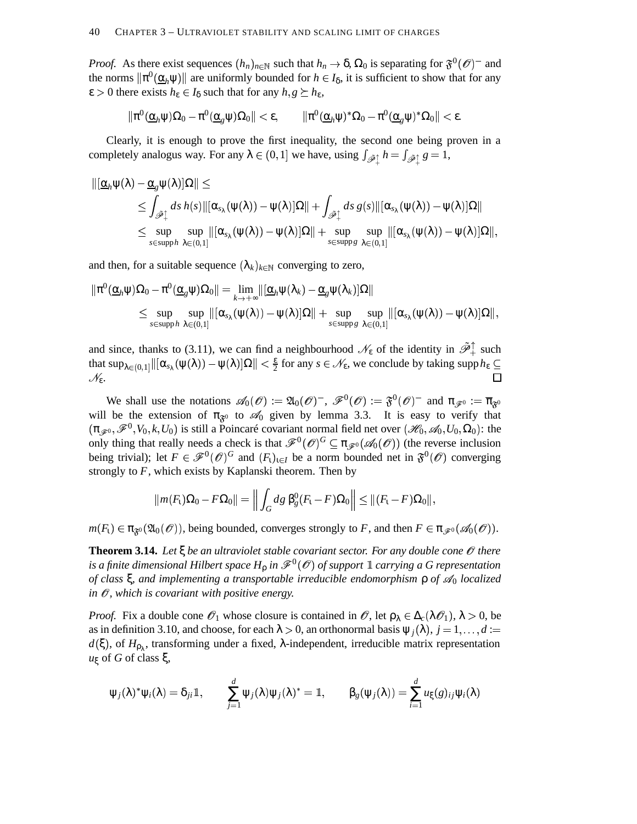*Proof.* As there exist sequences  $(h_n)_{n \in \mathbb{N}}$  such that  $h_n \to \delta$ ,  $\Omega_0$  is separating for  $\mathfrak{F}^0(\mathcal{O})^-$  and the norms  $\|\pi^0(\underline{\alpha}_h\psi)\|$  are uniformly bounded for  $h \in I_\delta$ , it is sufficient to show that for any  $\epsilon > 0$  there exists  $h_{\epsilon} \in I_{\delta}$  such that for any  $h, g \succeq h_{\epsilon}$ ,

$$
\|\pi^0(\underline{\alpha}_h\psi)\Omega_0-\pi^0(\underline{\alpha}_g\psi)\Omega_0\|<\epsilon,\qquad \|\pi^0(\underline{\alpha}_h\psi)^*\Omega_0-\pi^0(\underline{\alpha}_g\psi)^*\Omega_0\|<\epsilon.
$$

Clearly, it is enough to prove the first inequality, the second one being proven in a completely analogus way. For any  $\lambda \in (0,1]$  we have, using  $\int_{\tilde{\mathscr{P}}_1} h = \int_{\tilde{\mathscr{P}}_1} g = 1$ ,

$$
\begin{aligned} \|\left[\underline{\alpha}_h\psi(\lambda)-\underline{\alpha}_g\psi(\lambda)\right]\Omega\|&\leq\\ &\leq\int_{\tilde{\mathscr{P}}_+^{\uparrow}}ds\,h(s)\|[\alpha_{s_{\lambda}}(\psi(\lambda))-\psi(\lambda)]\Omega\|+\int_{\tilde{\mathscr{P}}_+^{\uparrow}}ds\,g(s)\|[\alpha_{s_{\lambda}}(\psi(\lambda))-\psi(\lambda)]\Omega\|\\ &\leq\sup_{s\in\,{\rm supp}\,h}\sup_{\lambda\in(0,1]}\|[\alpha_{s_{\lambda}}(\psi(\lambda))-\psi(\lambda)]\Omega\|+\sup_{s\in\,{\rm supp}\,g}\sup_{\lambda\in(0,1]}\|[\alpha_{s_{\lambda}}(\psi(\lambda))-\psi(\lambda)]\Omega\|, \end{aligned}
$$

and then, for a suitable sequence  $(\lambda_k)_{k \in \mathbb{N}}$  converging to zero,

$$
\begin{aligned} \|\pi^0(\underline{\alpha}_h\psi)\Omega_0-\pi^0(\underline{\alpha}_g\psi)\Omega_0\|&=\lim_{k\to+\infty}\|[\underline{\alpha}_h\psi(\lambda_k)-\underline{\alpha}_g\psi(\lambda_k)]\Omega\|\\ &\leq \sup_{s\in\mathrm{supp}\,h}\sup_{\lambda\in(0,1]}\|[\alpha_{s_\lambda}(\psi(\lambda))-\psi(\lambda)]\Omega\|+\sup_{s\in\mathrm{supp}\,g}\sup_{\lambda\in(0,1]}\|[\alpha_{s_\lambda}(\psi(\lambda))-\psi(\lambda)]\Omega\|, \end{aligned}
$$

and since, thanks to (3.11), we can find a neighbourhood  $\mathcal{N}_{\epsilon}$  of the identity in  $\tilde{\mathcal{P}}_+^{\uparrow}$  such that  $\sup_{\lambda \in (0,1]} \| [\alpha_{s_{\lambda}}(\psi(\lambda)) - \psi(\lambda)]\Omega \| < \frac{\varepsilon}{2}$  for any  $s \in$ that  $\sup_{\lambda \in (0,1]} \| [\alpha_{s_{\lambda}}(\psi(\lambda)) - \psi(\lambda)]\Omega \| < \frac{\varepsilon}{2}$  for any  $s \in \mathscr{N}_{\varepsilon}$ , we conclude by taking  $\sup h_{\varepsilon} \subseteq$  $\mathscr{N}_{ε}$ .

We shall use the notations  $\mathscr{A}_0(\mathscr{O}) := \mathfrak{A}_0(\mathscr{O})^-$ ,  $\mathscr{F}^0(\mathscr{O}) := \mathfrak{F}^0(\mathscr{O})^-$  and  $\pi_{\mathscr{F}^0} := \overline{\pi}_{\mathfrak{F}^0}$ will be the extension of  $\pi_{\mathfrak{F}^0}$  to  $\mathcal{A}_0$  given by lemma 3.3. It is easy to verify that  $(\pi_{\mathscr{F}^0},\mathscr{F}^0,V_0,k,U_0)$  is still a Poincaré covariant normal field net over  $(\mathscr{H}_0,\mathscr{A}_0,U_0,\Omega_0)$ : the only thing that really needs a check is that  $\mathscr{F}^0(\mathscr{O})^G \subseteq \pi_{\mathscr{F}^0}(\mathscr{A}_0(\mathscr{O}))$  (the reverse inclusion being trivial); let  $F \in \mathscr{F}^0(\mathscr{O})^G$  and  $(F_t)_{t \in I}$  be a norm bounded net in  $\mathfrak{F}^0(\mathscr{O})$  converging strongly to *F*, which exists by Kaplanski theorem. Then by

$$
||m(F_1)\Omega_0 - F\Omega_0|| = \left\|\int_G dg\ \beta_g^0 (F_1 - F)\Omega_0\right\| \leq ||(F_1 - F)\Omega_0||,
$$

 $m(F_1) \in \pi_{\mathfrak{F}^0}(\mathfrak{A}_0(\mathcal{O}))$ , being bounded, converges strongly to *F*, and then  $F \in \pi_{\mathscr{F}^0}(\mathscr{A}_0(\mathcal{O}))$ .

**Theorem 3.14.** *Let* ξ *be an ultraviolet stable covariant sector. For any double cone* & *there* is a finite dimensional Hilbert space  $H_{\rho}$  in  $\mathscr{F}^0(\mathscr{O})$  of support  $\mathbb{1}$  carrying a  $G$  representation *of class* ξ*, and implementing a transportable irreducible endomorphism* ρ *of* <sup>0</sup> *localized*  $i$ *n*  $\mathcal{O}$ *, which is covariant with positive energy.* 

*Proof.* Fix a double cone  $\mathscr{O}_1$  whose closure is contained in  $\mathscr{O}$ , let  $\rho_\lambda \in \Delta_c(\lambda \mathscr{O}_1)$ ,  $\lambda > 0$ , be as in definition 3.10, and choose, for each  $\lambda > 0$ , an orthonormal basis  $\psi_j(\lambda)$ ,  $j = 1, \dots, d :=$  $d(\xi)$ , of  $H_{\rho_{\lambda}}$ , transforming under a fixed,  $\lambda$ -independent, irreducible matrix representation *u*<sup>ξ</sup> of *G* of class ξ,

$$
\psi_j(\lambda)^* \psi_i(\lambda) = \delta_{ji} \mathbb{1}, \qquad \sum_{j=1}^d \psi_j(\lambda) \psi_j(\lambda)^* = \mathbb{1}, \qquad \beta_g(\psi_j(\lambda)) = \sum_{i=1}^d u_{\xi}(g)_{ij} \psi_i(\lambda)
$$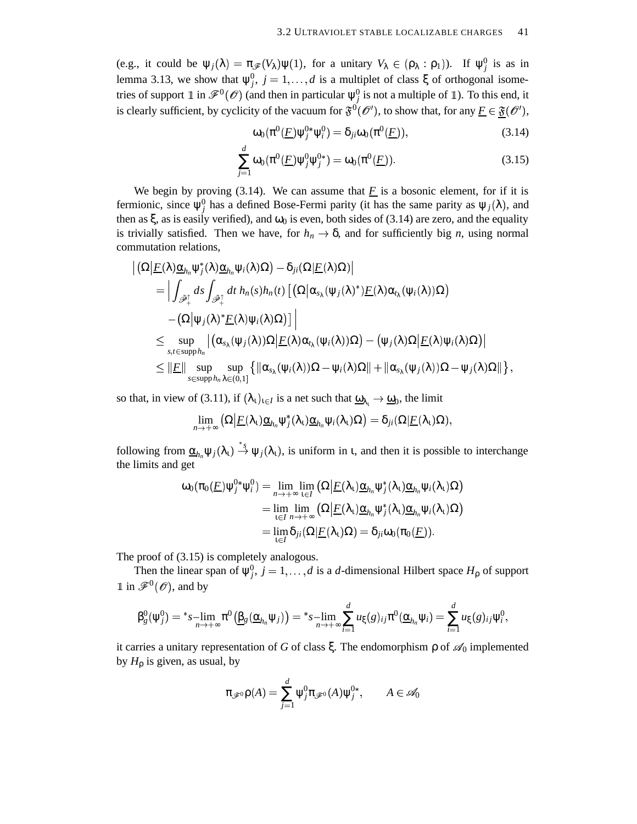(e.g., it could be  $\psi_j(\lambda) = \pi_{\mathscr{F}}(V_\lambda)\psi(1)$ , for a unitary  $V_\lambda \in (\rho_\lambda : \rho_1)$ ). If  $\psi_j^0$  is as in lemma 3.13, we show that  $\psi_j^0$ ,  $j = 1, ..., d$  is a multiplet of class  $\xi$  of orthogonal isometries of support  $\mathbb{1}$  in  $\mathscr{F}^0(\mathscr{O})$  (and then in particular  $\psi^0_j$  is not a multiple of  $\mathbb{1}$ ). To this end, it is clearly sufficient, by cyclicity of the vacuum for  $\tilde{\mathfrak{F}}^{0}(\mathcal{O}')$ , to show that, for any  $\underline{F} \in \underline{\mathfrak{F}}(\mathcal{O}')$ ,

$$
\omega_0(\pi^0(\underline{F})\psi_j^{0*}\psi_i^0) = \delta_{ji}\omega_0(\pi^0(\underline{F})),\tag{3.14}
$$

$$
\sum_{j=1}^{d} \omega_0(\pi^0(\underline{F}) \psi_j^0 \psi_j^{0*}) = \omega_0(\pi^0(\underline{F})).
$$
\n(3.15)

We begin by proving  $(3.14)$ . We can assume that  $\overline{F}$  is a bosonic element, for if it is fermionic, since  $\psi_j^0$  has a defined Bose-Fermi parity (it has the same parity as  $\psi_j(\lambda)$ , and then as  $\xi$ , as is easily verified), and  $\omega_0$  is even, both sides of (3.14) are zero, and the equality is trivially satisfied. Then we have, for  $h_n \to \delta$ , and for sufficiently big *n*, using normal commutation relations,

$$
\begin{aligned}\n&\left|\left(\Omega\middle| \underline{F}(\lambda)\underline{\alpha}_{h_n}\psi_j^*(\lambda)\underline{\alpha}_{h_n}\psi_i(\lambda)\Omega\right)-\delta_{ji}(\Omega\middle| \underline{F}(\lambda)\Omega)\right| \\
&= \Big|\int_{\tilde{\mathscr{P}}_+^{\uparrow}}ds\int_{\tilde{\mathscr{P}}_+^{\uparrow}}dt\;h_n(s)h_n(t)\left[\left(\Omega\middle|\alpha_{s_{\lambda}}(\psi_j(\lambda)^*)\underline{F}(\lambda)\alpha_{t_{\lambda}}(\psi_i(\lambda))\Omega\right)\right. \\
&\left.-\left(\Omega\middle|\psi_j(\lambda)^*\underline{F}(\lambda)\psi_i(\lambda)\Omega\right)\right]\Big|\n\leq \sup_{s,t\in\mathrm{supp}h_n}\left|\left(\alpha_{s_{\lambda}}(\psi_j(\lambda))\Omega\middle| \underline{F}(\lambda)\alpha_{t_{\lambda}}(\psi_i(\lambda))\Omega\right)-\left(\psi_j(\lambda)\Omega\middle| \underline{F}(\lambda)\psi_i(\lambda)\Omega\right)\right|\n\leq \|\underline{F}\| \sup_{s\in\mathrm{supp}h_n}\sup_{\lambda\in(0,1]}\left\{\|\alpha_{s_{\lambda}}(\psi_i(\lambda))\Omega-\psi_i(\lambda)\Omega\|+\|\alpha_{s_{\lambda}}(\psi_j(\lambda))\Omega-\psi_j(\lambda)\Omega\|\right\},\n\end{aligned}
$$

so that, in view of (3.11), if  $(\lambda_1)_{1 \in I}$  is a net such that  $\underline{\omega}_{\lambda_1} \to \underline{\omega}_0$ , the limit

$$
\lim_{n\to+\infty}\big(\Omega\big|\underline{F}(\lambda_{\tau})\underline{\alpha}_{h_n}\psi_j^*(\lambda_{\tau})\underline{\alpha}_{h_n}\psi_i(\lambda_{\tau})\Omega\big)=\delta_{ji}(\Omega|\underline{F}(\lambda_{\tau})\Omega),
$$

following from  $\underline{\alpha}_{h_n}\psi_j(\lambda_1) \stackrel{*}{\rightarrow} \psi_j(\lambda_1)$ , is uniform in *t*, and then it is possible to interchange the limits and get

$$
\omega_0(\pi_0(\underline{F})\psi_j^{0*}\psi_i^0) = \lim_{n \to +\infty} \lim_{t \in I} \left( \Omega \middle| \underline{F}(\lambda_t) \underline{\alpha}_{h_n} \psi_j^*(\lambda_t) \underline{\alpha}_{h_n} \psi_i(\lambda_t) \Omega \right)
$$
  
\n
$$
= \lim_{t \in I} \lim_{n \to +\infty} \left( \Omega \middle| \underline{F}(\lambda_t) \underline{\alpha}_{h_n} \psi_j^*(\lambda_t) \underline{\alpha}_{h_n} \psi_i(\lambda_t) \Omega \right)
$$
  
\n
$$
= \lim_{t \in I} \delta_{ji} (\Omega \middle| \underline{F}(\lambda_t) \Omega) = \delta_{ji} \omega_0(\pi_0(\underline{F})).
$$

The proof of (3.15) is completely analogous.

Then the linear span of  $\psi_j^0$ ,  $j = 1, ..., d$  is a *d*-dimensional Hilbert space  $H_\rho$  of support  $\mathbb{1}$  in  $\mathscr{F}^0(\mathscr{O})$ , and by

$$
\beta_g^0(\psi_j^0) = {}^*s-\lim_{n\to+\infty}\pi^0(\underline{\beta}_g(\underline{\alpha}_{h_n}\psi_j)) = {}^*s-\lim_{n\to+\infty}\sum_{i=1}^d u_{\xi}(g)_{ij}\pi^0(\underline{\alpha}_{h_n}\psi_i) = \sum_{i=1}^d u_{\xi}(g)_{ij}\psi_i^0,
$$

it carries a unitary representation of *G* of class  $\xi$ . The endomorphism  $\rho$  of  $\mathscr{A}_0$  implemented by  $H_{\rho}$  is given, as usual, by

$$
\pi_{\mathscr{F}^0}\rho(A)=\sum_{j=1}^d\psi_j^0\pi_{\mathscr{F}^0}(A)\psi_j^{0*},\qquad A\in\mathscr{A}_0
$$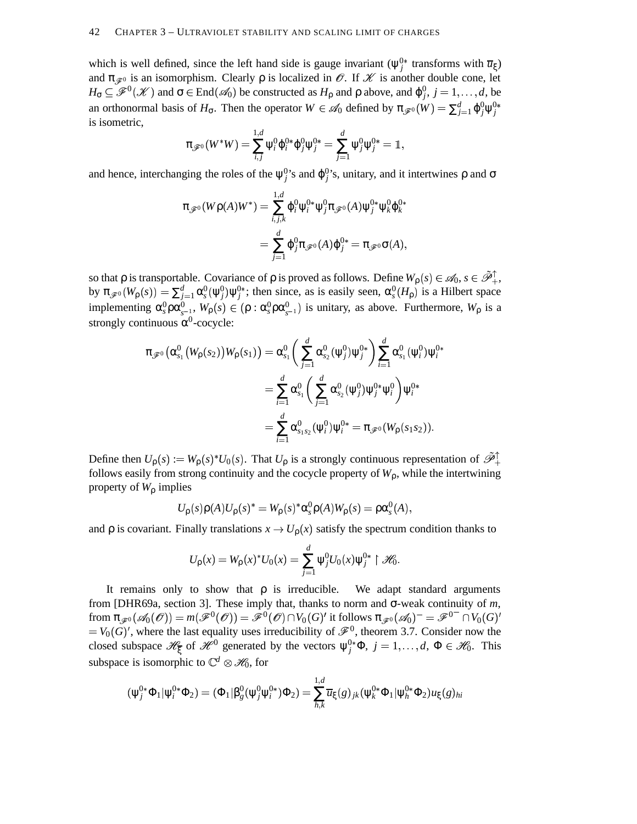### 42 CHAPTER 3 – ULTRAVIOLET STABILITY AND SCALING LIMIT OF CHARGES

which is well defined, since the left hand side is gauge invariant  $(\psi_j^0)$ <sup>\*</sup> transforms with  $\overline{u}_\xi$ ) and  $\pi_{\mathscr{F}}$  is an isomorphism. Clearly  $\rho$  is localized in  $\mathscr{O}$ . If  $\mathscr{K}$  is another double cone, let  $H_{\sigma} \subseteq \mathscr{F}^{0}(\mathscr{K})$  and  $\sigma \in \text{End}(\mathscr{A}_{0})$  be constructed as  $H_{\rho}$  and  $\rho$  above, and  $\varphi_{j}^{0}$ ,  $j = 1, ..., d$ , be an orthonormal basis of  $H_{\sigma}$ . Then the operator  $W \in \mathscr{A}_0$  defined by  $\pi_{\mathscr{F}^0}(W) = \sum_{j=1}^d \phi_j^0 \psi_j^{0*}$ is isometric,

$$
\pi_{\mathscr{F}^0}(W^*W)=\sum_{i,j}^{1,d}\psi_i^0\phi_i^{0*}\phi_j^0\psi_j^{0*}=\sum_{j=1}^d\psi_j^0\psi_j^{0*}=\mathbb{1},
$$

and hence, interchanging the roles of the  $\psi_j^0$ 's and  $\varphi_j^0$ 's, unitary, and it intertwines  $\rho$  and  $\sigma$ 

$$
\pi_{\mathscr{F}^0}(W\rho(A)W^*) = \sum_{i,j,k}^{1,d} \varphi_i^0 \psi_i^{0*} \psi_j^0 \pi_{\mathscr{F}^0}(A) \psi_j^{0*} \psi_k^0 \varphi_k^{0*}
$$

$$
= \sum_{j=1}^d \varphi_j^0 \pi_{\mathscr{F}^0}(A) \varphi_j^{0*} = \pi_{\mathscr{F}^0} \sigma(A),
$$

so that  $\rho$  is transportable. Covariance of  $\rho$  is proved as follows. Define  $W_{\rho}(s) \in \mathscr{A}_0$ ,  $s \in \tilde{\mathscr{P}}_+^{\uparrow}$ , by  $\pi_{\mathscr{F}^0}(W_\rho(s)) = \sum_{j=1}^d \alpha_s^0(\psi_j^0) \psi_j^{0*}$ ; then since, as is easily seen,  $\alpha_s^0(H_\rho)$  is a Hilbert space implementing  $\alpha_s^0 \rho \alpha_{s-1}^0$ ,  $W_\rho(s) \in (\rho : \alpha_s^0 \rho \alpha_{s-1}^0)$  is unitary, as above. Furthermore,  $W_\rho$  is a strongly continuous  $\alpha^0$ -cocycle:

$$
\pi_{\mathscr{F}^0}(\alpha_{s_1}^0(W_p(s_2))W_p(s_1)) = \alpha_{s_1}^0\left(\sum_{j=1}^d \alpha_{s_2}^0(\psi_j^0)\psi_j^{0*}\right)\sum_{i=1}^d \alpha_{s_1}^0(\psi_i^0)\psi_i^{0*}
$$

$$
= \sum_{i=1}^d \alpha_{s_1}^0\left(\sum_{j=1}^d \alpha_{s_2}^0(\psi_j^0)\psi_j^{0*}\psi_i^0\right)\psi_i^{0*}
$$

$$
= \sum_{i=1}^d \alpha_{s_1s_2}^0(\psi_i^0)\psi_i^{0*} = \pi_{\mathscr{F}^0}(W_p(s_1s_2)).
$$

Define then  $U_p(s) := W_p(s)^* U_0(s)$ . That  $U_p$  is a strongly continuous representation of  $\tilde{\mathcal{P}}_+^{\uparrow}$ follows easily from strong continuity and the cocycle property of  $W<sub>0</sub>$ , while the intertwining property of *W*<sup>ρ</sup> implies

$$
U_{\rho}(s)\rho(A)U_{\rho}(s)^{*}=W_{\rho}(s)^{*}\alpha_{s}^{0}\rho(A)W_{\rho}(s)=\rho\alpha_{s}^{0}(A),
$$

and  $\rho$  is covariant. Finally translations  $x \to U_{\rho}(x)$  satisfy the spectrum condition thanks to

$$
U_{\rho}(x) = W_{\rho}(x)^* U_0(x) = \sum_{j=1}^d \psi_j^0 U_0(x) \psi_j^{0*} \upharpoonright \mathscr{H}_0.
$$

It remains only to show that  $\rho$  is irreducible. We adapt standard arguments from [DHR69a, section 3]. These imply that, thanks to norm and σ-weak continuity of *m*,  ${\rm from} \ \pi_{\mathscr{F}^0}(\mathscr{A}_0(\mathscr{O}))=m(\mathscr{F}^0(\mathscr{O}))=\mathscr{F}^0(\mathscr{O})\cap V_0(G)'$  it follows  $\pi_{\mathscr{F}^0}(\mathscr{A}_0)^-=\mathscr{F}^{0-}\cap V_0(G)'$  $= V_0(G)'$ , where the last equality uses irreducibility of  $\mathscr{F}^0$ , theorem 3.7. Consider now the closed subspace  $\mathcal{H}_{\xi}$  of  $\mathcal{H}^{0}$  generated by the vectors  $\psi_{j}^{0*}\Phi$ ,  $j=1,\ldots,d$ ,  $\Phi \in \mathcal{H}_{0}$ . This subspace is isomorphic to  $\mathbb{C}^d \otimes \mathcal{H}_0$ , for

$$
(\psi_j^{0*}\Phi_1|\psi_i^{0*}\Phi_2)=(\Phi_1|\beta_g^0(\psi_j^0\psi_i^{0*})\Phi_2)=\sum_{h,k}^{1,d}\overline{u}_{\xi}(g)_{jk}(\psi_k^{0*}\Phi_1|\psi_h^{0*}\Phi_2)u_{\xi}(g)_{hi}
$$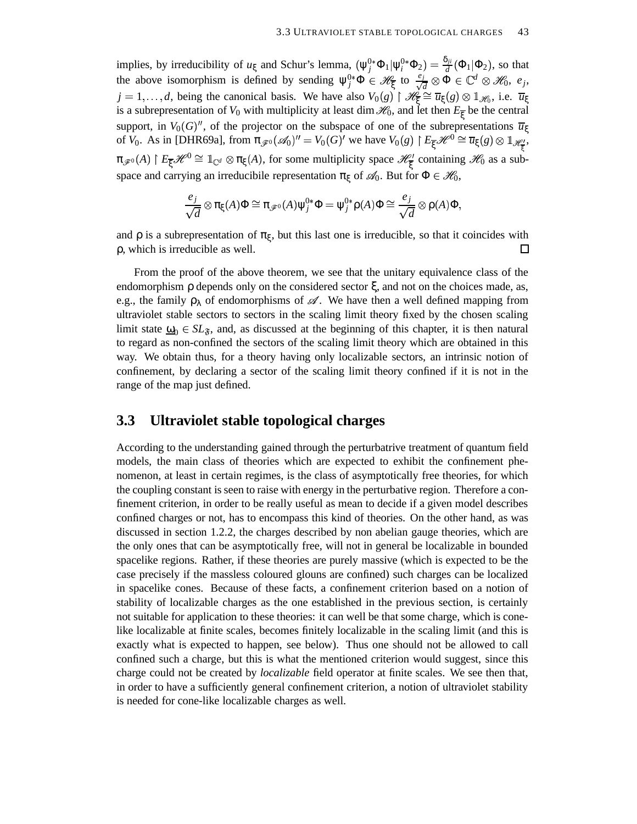implies, by irreducibility of  $u_{\xi}$  and Schur's lemma,  $(\psi_j^{0*} \Phi_1 | \psi_i^{0*} \Phi_2) = \frac{\delta_{ji}}{d} (\Phi_1 | \Phi_2)$ , so that the above isomorphism is defined by sending  $\psi_j^{0*}\Phi \in \mathcal{H}_{\xi}$  to  $\frac{e_j}{\sqrt{d}} \otimes \Phi \in \mathbb{C}^d \otimes \mathcal{H}_0$ ,  $e_j$ ,  $j = 1, ..., d$ , being the canonical basis. We have also  $V_0(g) \upharpoonright \mathcal{H}_{\overline{\xi}} \cong \overline{u}_{\xi}(g) \otimes \mathbb{1}_{\mathcal{H}_0}$ , i.e.  $\overline{u}_{\xi}$ is a subrepresentation of  $V_0$  with multiplicity at least dim  $\mathscr{H}_0$ , and let then  $E_{\overline{\xi}}$  be the central support, in  $V_0(G)''$ , of the projector on the subspace of one of the subrepresentations  $\overline{u}_{\xi}$ of *V*<sub>0</sub>. As in [DHR69a], from  $\pi_{\mathscr{F}^0}(\mathscr{A}_0)^{\prime\prime} = V_0(G)^{\prime}$  we have  $V_0(g) \upharpoonright E_{\overline{\xi}} \mathscr{H}^0 \cong \overline{u}_{\xi}(g) \otimes \mathbb{1}_{\mathscr{H}_{\overline{\xi}}^{\prime}}$ ,  $\pi_{\mathscr{F}^0}(A) \restriction E_{\overline{\xi}}\mathscr{H}^0 \cong \mathbb{1}_{\mathbb{C}^d} \otimes \pi_{\xi}(A)$ , for some multiplicity space  $\mathscr{H}^1_{\overline{\xi}}$  containing  $\mathscr{H}_0$  as a subspace and carrying an irreducibile representation  $\pi_{\xi}$  of  $\mathscr{A}_0$ . But for  $\Phi \in \mathscr{H}_0$ ,

$$
\frac{e_j}{\sqrt{d}} \otimes \pi_{\xi}(A) \Phi \cong \pi_{\mathscr{F}^0}(A) \psi_j^{0*} \Phi = \psi_j^{0*} \rho(A) \Phi \cong \frac{e_j}{\sqrt{d}} \otimes \rho(A) \Phi,
$$

and  $\rho$  is a subrepresentation of  $\pi_{\xi}$ , but this last one is irreducible, so that it coincides with ρ, which is irreducible as well.  $\Box$ 

From the proof of the above theorem, we see that the unitary equivalence class of the endomorphism  $\rho$  depends only on the considered sector  $\xi$ , and not on the choices made, as, e.g., the family  $\rho_{\lambda}$  of endomorphisms of  $\mathscr A$ . We have then a well defined mapping from ultraviolet stable sectors to sectors in the scaling limit theory fixed by the chosen scaling limit state  $\omega_0 \in SL_{\mathfrak{F}}$ , and, as discussed at the beginning of this chapter, it is then natural to regard as non-confined the sectors of the scaling limit theory which are obtained in this way. We obtain thus, for a theory having only localizable sectors, an intrinsic notion of confinement, by declaring a sector of the scaling limit theory confined if it is not in the range of the map just defined.

### **3.3 Ultraviolet stable topological charges**

According to the understanding gained through the perturbatrive treatment of quantum field models, the main class of theories which are expected to exhibit the confinement phenomenon, at least in certain regimes, is the class of asymptotically free theories, for which the coupling constant is seen to raise with energy in the perturbative region. Therefore a confinement criterion, in order to be really useful as mean to decide if a given model describes confined charges or not, has to encompass this kind of theories. On the other hand, as was discussed in section 1.2.2, the charges described by non abelian gauge theories, which are the only ones that can be asymptotically free, will not in general be localizable in bounded spacelike regions. Rather, if these theories are purely massive (which is expected to be the case precisely if the massless coloured glouns are confined) such charges can be localized in spacelike cones. Because of these facts, a confinement criterion based on a notion of stability of localizable charges as the one established in the previous section, is certainly not suitable for application to these theories: it can well be that some charge, which is conelike localizable at finite scales, becomes finitely localizable in the scaling limit (and this is exactly what is expected to happen, see below). Thus one should not be allowed to call confined such a charge, but this is what the mentioned criterion would suggest, since this charge could not be created by *localizable* field operator at finite scales. We see then that, in order to have a sufficiently general confinement criterion, a notion of ultraviolet stability is needed for cone-like localizable charges as well.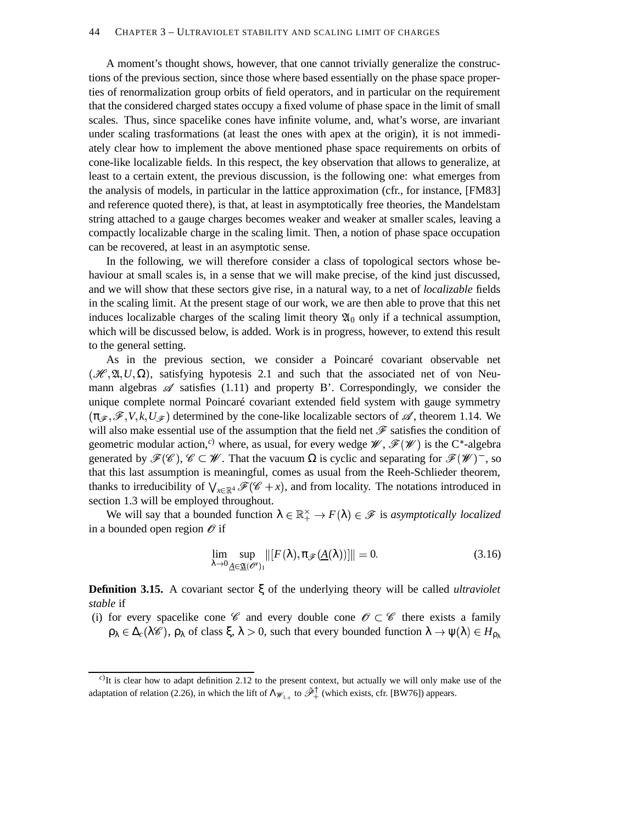A moment's thought shows, however, that one cannot trivially generalize the constructions of the previous section, since those where based essentially on the phase space properties of renormalization group orbits of field operators, and in particular on the requirement that the considered charged states occupy a fixed volume of phase space in the limit of small scales. Thus, since spacelike cones have infinite volume, and, what's worse, are invariant under scaling trasformations (at least the ones with apex at the origin), it is not immediately clear how to implement the above mentioned phase space requirements on orbits of cone-like localizable fields. In this respect, the key observation that allows to generalize, at least to a certain extent, the previous discussion, is the following one: what emerges from the analysis of models, in particular in the lattice approximation (cfr., for instance, [FM83] and reference quoted there), is that, at least in asymptotically free theories, the Mandelstam string attached to a gauge charges becomes weaker and weaker at smaller scales, leaving a compactly localizable charge in the scaling limit. Then, a notion of phase space occupation can be recovered, at least in an asymptotic sense.

In the following, we will therefore consider a class of topological sectors whose behaviour at small scales is, in a sense that we will make precise, of the kind just discussed, and we will show that these sectors give rise, in a natural way, to a net of *localizable* fields in the scaling limit. At the present stage of our work, we are then able to prove that this net induces localizable charges of the scaling limit theory  $\mathfrak{A}_0$  only if a technical assumption, which will be discussed below, is added. Work is in progress, however, to extend this result to the general setting.

As in the previous section, we consider a Poincaré covariant observable net  $(\mathcal{H}, \mathfrak{A}, U, \Omega)$ , satisfying hypotesis 2.1 and such that the associated net of von Neumann algebras  $\mathscr A$  satisfies (1.11) and property B'. Correspondingly, we consider the unique complete normal Poincaré covariant extended field system with gauge symmetry  $(\pi_{\mathscr{F}}, \mathscr{F}, V, k, U_{\mathscr{F}})$  determined by the cone-like localizable sectors of  $\mathscr{A}$ , theorem 1.14. We will also make essential use of the assumption that the field net  $\mathscr F$  satisfies the condition of geometric modular action,<sup>c)</sup> where, as usual, for every wedge  $\mathscr{W}, \mathscr{F}(\mathscr{W})$  is the C<sup>\*</sup>-algebra generated by  $\mathscr{F}(\mathscr{C})$ ,  $\mathscr{C} \subset \mathscr{W}$ . That the vacuum  $\Omega$  is cyclic and separating for  $\mathscr{F}(\mathscr{W})$ , so that this last assumption is meaningful, comes as usual from the Reeh-Schlieder theorem, thanks to irreducibility of  $\bigvee_{x \in \mathbb{R}^4} \mathscr{F}(\mathscr{C} + x)$ , and from locality. The notations introduced in section 1.3 will be employed throughout.

We will say that a bounded function  $\lambda \in \mathbb{R}_+^{\times} \to F(\lambda) \in \mathscr{F}$  is *asymptotically localized* in a bounded open region  $\mathcal O$  if

$$
\lim_{\lambda \to 0} \sup_{\underline{A} \in \underline{\mathfrak{A}}(\mathscr{O}^{\prime})_1} ||[F(\lambda), \pi_{\mathscr{F}}(\underline{A}(\lambda))]|| = 0.
$$
\n(3.16)

**Definition 3.15.** A covariant sector ξ of the underlying theory will be called *ultraviolet stable* if

(i) for every spacelike cone  $\mathscr C$  and every double cone  $\mathscr O \subset \mathscr C$  there exists a family  $\rho_\lambda \in \Delta_c(\lambda \mathscr{C})$ ,  $\rho_\lambda$  of class  $\xi, \lambda > 0$ , such that every bounded function  $\lambda \to \psi(\lambda) \in H_{\rho_\lambda}$ 

*c*) It is clear how to adapt definition 2.12 to the present context, but actually we will only make use of the adaptation of relation (2.26), in which the lift of  $\Lambda_{\mathscr{W}_{1,+}}$  to  $\tilde{\mathscr{P}}_+^{\uparrow}$  (which exists, cfr. [BW76]) appears.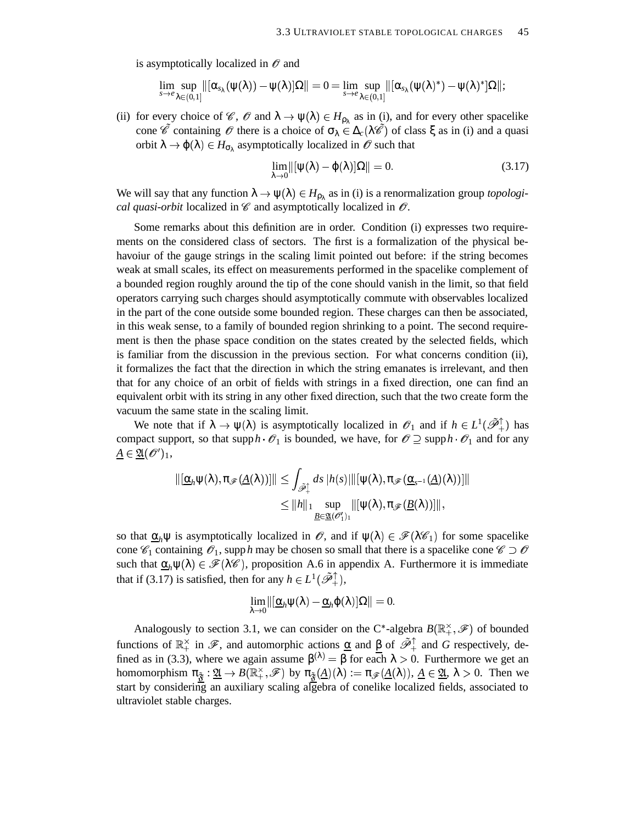is asymptotically localized in  $\mathscr O$  and

$$
\lim_{s\to e}\sup_{\lambda\in(0,1]}\|[\alpha_{s_\lambda}(\psi(\lambda))-\psi(\lambda)]\Omega\|=0=\lim_{s\to e}\sup_{\lambda\in(0,1]}\|[\alpha_{s_\lambda}(\psi(\lambda)^*)-\psi(\lambda)^*]\Omega\|;
$$

(ii) for every choice of  $\mathscr{C}$ ,  $\mathscr{O}$  and  $\lambda \to \psi(\lambda) \in H_{\rho_{\lambda}}$  as in (i), and for every other spacelike cone  $\hat{\mathscr{C}}$  containing  $\hat{\mathscr{O}}$  there is a choice of  $\sigma_{\lambda} \in \Delta_c(\lambda \hat{\mathscr{C}})$  of class  $\xi$  as in (i) and a quasi orbit  $\lambda \to \varphi(\lambda) \in H_{\sigma_{\lambda}}$  asymptotically localized in  $\mathscr O$  such that

$$
\lim_{\lambda \to 0} \left\| [\psi(\lambda) - \varphi(\lambda)] \Omega \right\| = 0. \tag{3.17}
$$

We will say that any function  $\lambda \to \psi(\lambda) \in H_{\rho_\lambda}$  as in (i) is a renormalization group *topological quasi-orbit* localized in  $\mathscr C$  and asymptotically localized in  $\mathscr O$ .

Some remarks about this definition are in order. Condition (i) expresses two requirements on the considered class of sectors. The first is a formalization of the physical behavoiur of the gauge strings in the scaling limit pointed out before: if the string becomes weak at small scales, its effect on measurements performed in the spacelike complement of a bounded region roughly around the tip of the cone should vanish in the limit, so that field operators carrying such charges should asymptotically commute with observables localized in the part of the cone outside some bounded region. These charges can then be associated, in this weak sense, to a family of bounded region shrinking to a point. The second requirement is then the phase space condition on the states created by the selected fields, which is familiar from the discussion in the previous section. For what concerns condition (ii), it formalizes the fact that the direction in which the string emanates is irrelevant, and then that for any choice of an orbit of fields with strings in a fixed direction, one can find an equivalent orbit with its string in any other fixed direction, such that the two create form the vacuum the same state in the scaling limit.

We note that if  $\lambda \to \psi(\lambda)$  is asymptotically localized in  $\mathscr{O}_1$  and if  $h \in L^1(\tilde{\mathscr{P}}_+^{\uparrow})$  has compact support, so that supp  $h \cdot \mathscr{O}_1$  is bounded, we have, for  $\mathscr{O} \supseteq \text{supp } h \cdot \mathscr{O}_1$  and for any  $A \in \mathfrak{A}(\mathcal{O}^{\prime})_1$ ,

$$
\begin{aligned} \|\left[\underline{\alpha}_h \psi(\lambda), \pi_{\mathscr{F}}(\underline{A}(\lambda))\right]\| &\leq \int_{\widetilde{\mathscr{P}}_+^{\uparrow}} ds \, |h(s)| \|\left[\psi(\lambda), \pi_{\mathscr{F}}(\underline{\alpha}_{s^{-1}}(\underline{A})(\lambda))\right]\| \\ &\leq \|h\|_1 \sup_{\underline{B} \in \underline{\mathfrak{A}}(\mathscr{O}_1')_1} \|\left[\psi(\lambda), \pi_{\mathscr{F}}(\underline{B}(\lambda))\right]\|, \end{aligned}
$$

so that  $\underline{\alpha}_h \psi$  is asymptotically localized in  $\mathscr{O}$ , and if  $\psi(\lambda) \in \mathscr{F}(\lambda \mathscr{C}_1)$  for some spacelike cone  $\mathscr{C}_1$  containing  $\mathscr{O}_1$ , supp *h* may be chosen so small that there is a spacelike cone  $\mathscr{C} \supset \mathscr{O}$ such that  $\underline{\alpha}_h \psi(\lambda) \in \mathscr{F}(\lambda \mathscr{C})$ , proposition A.6 in appendix A. Furthermore it is immediate that if (3.17) is satisfied, then for any  $h \in L^1(\tilde{\mathcal{P}}^{\uparrow}_+),$ 

$$
\lim_{\lambda\to 0} \lVert [\underline{\alpha}_h \psi(\lambda) - \underline{\alpha}_h \varphi(\lambda)]\Omega \rVert = 0.
$$

Analogously to section 3.1, we can consider on the C<sup>\*</sup>-algebra  $B(\mathbb{R}_{+}^{\times},\mathscr{F})$  of bounded functions of  $\mathbb{R}_+^{\times}$  in  $\mathscr{F}$ , and automorphic actions <u>α</u> and β of  $\tilde{\mathscr{P}}_+^{\uparrow}$  and *G* respectively, defined as in (3.3), where we again assume  $\beta^{(\lambda)} = \beta$  for each  $\lambda > 0$ . Furthermore we get an homomorphism  $\pi_{\tilde{x}} : \underline{\mathfrak{A}} \to B(\mathbb{R}^{\times}_+, \mathscr{F})$  by  $\pi_{\tilde{x}}(\underline{A})(\lambda) := \pi_{\mathscr{F}}(\underline{A}(\lambda)), \underline{A} \in \underline{\mathfrak{A}}, \lambda > 0$ . Then we start by considering an auxiliary scaling algebra of conelike localized fields, associated to ultraviolet stable charges.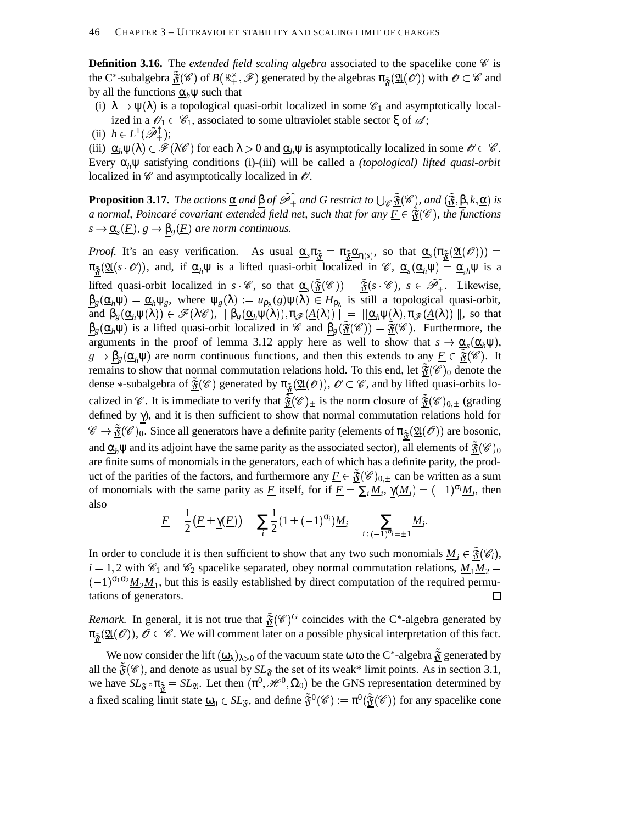**Definition 3.16.** The *extended field scaling algebra* associated to the spacelike cone  $\mathscr{C}$  is the C\*-subalgebra  $\tilde{\mathfrak{F}}(\mathscr{C})$  of  $B(\mathbb{R}^{\times}_+,\mathscr{F})$  generated by the algebras  $\pi_{\tilde{\mathfrak{F}}}(\mathfrak{A}(\mathscr{O}))$  with  $\mathscr{O}\subset\mathscr{C}$  and by all the functions  $\alpha_h \psi$  such that

(i)  $\lambda \to \psi(\lambda)$  is a topological quasi-orbit localized in some  $\mathscr{C}_1$  and asymptotically localized in a  $\mathscr{O}_1 \subset \mathscr{C}_1$ , associated to some ultraviolet stable sector  $\xi$  of  $\mathscr{A}$ ;

(ii)  $h \in L^1(\tilde{\mathscr{P}}_+^{\uparrow})$ ;

(iii)  $\underline{\alpha}_h \psi(\lambda) \in \mathscr{F}(\lambda \mathscr{C})$  for each  $\lambda > 0$  and  $\underline{\alpha}_h \psi$  is asymptotically localized in some  $\mathscr{O} \subset \mathscr{C}$ . Every α*h*ψ satisfying conditions (i)-(iii) will be called a *(topological) lifted quasi-orbit* localized in  $\mathscr C$  and asymptotically localized in  $\mathscr O$ .

**Proposition 3.17.** *The actions*  $\underline{\alpha}$  *and*  $\beta$  *of*  $\tilde{\mathscr{P}}_+^{\uparrow}$  *and G restrict to*  $\bigcup_{\mathscr{C}} \tilde{\mathfrak{F}}(\mathscr{C})$ *, and*  $(\tilde{\mathfrak{F}}, \beta, k, \underline{\alpha})$  *is a* normal, Poincaré covariant extended field net, such that for any  $\overline{F} \in \tilde{\mathfrak{F}}(\mathscr{C})$ , the functions  $s \to \underline{\alpha}_s(\underline{F})$ ,  $g \to \underline{\beta}_g(\underline{F})$  are norm continuous.

*Proof.* It's an easy verification. As usual  $\underline{\alpha}_s \pi_{\underline{\tilde{\alpha}}} = \pi_{\underline{\tilde{\alpha}}} \underline{\alpha}_{\eta(s)}$ , so that  $\underline{\alpha}_s (\pi_{\underline{\tilde{\alpha}}} (\mathfrak{A}(\mathcal{O}))) =$  $\pi_{\tilde{\mathfrak{F}}}(\underline{\mathfrak{A}}(s \cdot \mathscr{O}))$ , and, if  $\underline{\alpha}_h \psi$  is a lifted quasi-orbit localized in  $\mathscr{C}$ ,  $\underline{\alpha}_s(\underline{\alpha}_h \psi) = \underline{\alpha}_{s} \psi$  is a lifted quasi-orbit localized in  $s \cdot \mathscr{C}$ , so that  $\underline{\alpha}_s(\underline{\tilde{\mathfrak{F}}}(\mathscr{C})) = \underline{\tilde{\mathfrak{F}}} (s \cdot \mathscr{C})$ ,  $s \in \tilde{\mathcal{P}}_+^{\uparrow}$ . Likewise,  $\frac{\beta_g(\alpha_h \psi) = \alpha_h \psi_g$ , where  $\psi_g(\lambda) := u_{\rho_\lambda}(g) \psi(\lambda) \in H_{\rho_\lambda}$  is still a topological quasi-orbit, and  $\beta_g(\underline{\alpha}_h\psi(\lambda)) \in \mathscr{F}(\lambda \mathscr{C}), ||[\beta_g(\underline{\alpha}_h\psi(\lambda)), \pi_{\mathscr{F}}(\underline{A}(\lambda))]]|| = ||[\underline{\alpha}_h\psi(\lambda), \pi_{\mathscr{F}}(\underline{A}(\lambda))]]||$ , so that  $\beta_g(\underline{\alpha}_h\psi)$  is a lifted quasi-orbit localized in  $\mathscr{C}$  and  $\beta_g(\underline{\tilde{\mathfrak{F}}}(\mathscr{C})) = \underline{\tilde{\mathfrak{F}}}(\mathscr{C})$ . Furthermore, the arguments in the proof of lemma 3.12 apply here as well to show that  $s \to \underline{\alpha}_s(\underline{\alpha}_h\psi)$ ,  $g \to \underline{\beta}_g(\underline{\alpha}_h \psi)$  are norm continuous functions, and then this extends to any  $\underline{F} \in \underline{\tilde{\mathfrak{F}}}(\mathscr{C})$ . It remains to show that normal commutation relations hold. To this end, let  $\frac{\tilde{\mathfrak{F}}(\mathscr{C})_0}{\mathfrak{d}}$  denote the dense \*-subalgebra of  $\tilde{\mathfrak{F}}(\mathscr{C})$  generated by  $\pi_{\tilde{\mathfrak{F}}}(\mathfrak{U}(\mathscr{O}))$ ,  $\mathscr{O} \subset \mathscr{C}$ , and by lifted quasi-orbits localized in  $\mathscr{C}$ . It is immediate to verify that  $\frac{3}{\tilde{S}}(\mathscr{C})_{\pm}$  is the norm closure of  $\frac{3}{\tilde{S}}(\mathscr{C})_{0,\pm}$  (grading defined by  $\gamma$ ), and it is then sufficient to show that normal commutation relations hold for  $\mathscr{C} \to \underline{\tilde{\mathfrak{F}}}(\mathscr{C})_0$ . Since all generators have a definite parity (elements of  $\pi_{\tilde{\mathfrak{F}}}(\mathfrak{U}(\mathscr{O}))$  are bosonic, and  $\underline{\alpha}_h \psi$  and its adjoint have the same parity as the associated sector), all elements of  $\tilde{\mathfrak{F}}(\mathscr{C})_0$ are finite sums of monomials in the generators, each of which has a definite parity, the product of the parities of the factors, and furthermore any  $\underline{F} \in \underline{\tilde{\mathfrak{F}}}(\mathscr{C})_{0,\pm}$  can be written as a sum of monomials with the same parity as <u>*F*</u> itself, for if  $\underline{F} = \sum_i \underline{M}_i$ ,  $\underline{\gamma}(\underline{M}_i) = (-1)^{\sigma_i} \underline{M}_i$ , then also

$$
\underline{F} = \frac{1}{2} \big( \underline{F} \pm \underline{\gamma}(\underline{F}) \big) = \sum_{i} \frac{1}{2} (1 \pm (-1)^{\sigma_i}) \underline{M}_i = \sum_{i \, : \, (-1)^{\sigma_i} = \pm 1} \underline{M}_i.
$$

In order to conclude it is then sufficient to show that any two such monomials  $\underline{M}_i \in \underline{\tilde{\mathfrak{F}}}(\mathscr{C}_i)$ ,  $i = 1, 2$  with  $\mathcal{C}_1$  and  $\mathcal{C}_2$  spacelike separated, obey normal commutation relations,  $M_1M_2 =$  $(-1)^{\sigma_1 \sigma_2} M_2 M_1$ , but this is easily established by direct computation of the required permutations of generators.  $\Box$ 

*Remark*. In general, it is not true that  $\tilde{\mathfrak{F}}(\mathscr{C})^G$  coincides with the C\*-algebra generated by  $\pi_{\tilde{x}}(\underline{\mathfrak{A}}(\mathcal{O}))$ ,  $\mathcal{O} \subset \mathscr{C}$ . We will comment later on a possible physical interpretation of this fact.

We now consider the lift  $(\underline{\omega}_{\lambda})_{\lambda>0}$  of the vacuum state  $\omega$  to the C\*-algebra  $\frac{\tilde{x}}{\tilde{y}}$  generated by all the  $\tilde{\mathfrak{F}}(\mathscr{C})$ , and denote as usual by  $SL_{\tilde{\mathfrak{F}}}$  the set of its weak\* limit points. As in section 3.1, we have  $SL_{\mathfrak{F}} \circ \pi_{\underline{\mathfrak{F}}} = SL_{\mathfrak{A}}$ . Let then  $(\pi^0, \mathcal{H}^0, \Omega_0)$  be the GNS representation determined by a fixed scaling limit state  $\underline{\omega}_0 \in SL_{\mathfrak{F}}$ , and define  $\tilde{\mathfrak{F}}^0(\mathscr{C}) := \pi^0(\underline{\tilde{\mathfrak{F}}}(\mathscr{C}))$  for any spacelike cone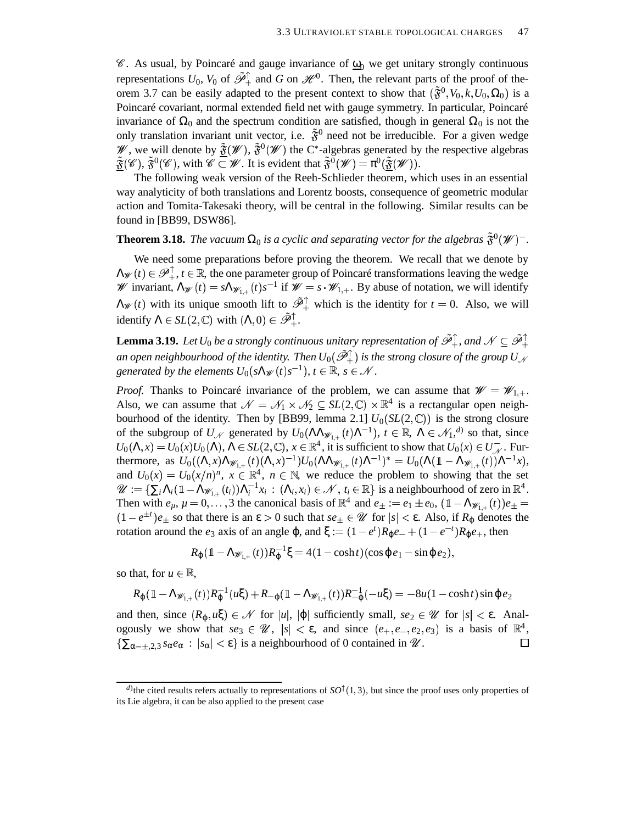$\mathscr{C}$ . As usual, by Poincaré and gauge invariance of  $\mathbf{\underline{\omega}}_0$  we get unitary strongly continuous representations  $U_0$ ,  $V_0$  of  $\tilde{\mathscr{P}}_+^{\uparrow}$  and *G* on  $\mathscr{H}^0$ . Then, the relevant parts of the proof of theorem 3.7 can be easily adapted to the present context to show that  $(\tilde{\mathfrak{F}}^0, V_0, k, U_0, \Omega_0)$  is a Poincaré covariant, normal extended field net with gauge symmetry. In particular, Poincaré invariance of  $\Omega_0$  and the spectrum condition are satisfied, though in general  $\Omega_0$  is not the only translation invariant unit vector, i.e.  $\tilde{\mathfrak{F}}^0$  need not be irreducible. For a given wedge W, we will denote by  $\tilde{\mathfrak{F}}(\mathscr{W})$ ,  $\tilde{\mathfrak{F}}^0(\mathscr{W})$  the C<sup>\*</sup>-algebras generated by the respective algebras  $\tilde{\mathfrak{F}}(\mathscr{C}), \tilde{\mathfrak{F}}^0(\mathscr{C}),$  with  $\mathscr{C} \subset \mathscr{W}$ . It is evident that  $\tilde{\mathfrak{F}}^0(\mathscr{W}) = \pi^0(\tilde{\mathfrak{F}}(\mathscr{W})).$ 

The following weak version of the Reeh-Schlieder theorem, which uses in an essential way analyticity of both translations and Lorentz boosts, consequence of geometric modular action and Tomita-Takesaki theory, will be central in the following. Similar results can be found in [BB99, DSW86].

## **Theorem 3.18.** *The vacuum*  $\Omega_0$  *is a cyclic and separating vector for the algebras*  $\tilde{\mathfrak{F}}^0(\mathscr{W})$ <sup>-</sup>.

We need some preparations before proving the theorem. We recall that we denote by  $\Lambda_{\mathscr{W}}(t) \in \mathscr{P}_+^{\perp}$ ,  $t \in \mathbb{R}$ , the one parameter group of Poincaré transformations leaving the wedge W invariant,  $\Lambda_{\mathscr{W}}(t) = s \Lambda_{\mathscr{W}_{1,+}}(t) s^{-1}$  if  $\mathscr{W} = s \cdot \mathscr{W}_{1,+}$ . By abuse of notation, we will identify  $\Lambda_{\mathscr{W}}(t)$  with its unique smooth lift to  $\tilde{\mathscr{P}}_+^{\uparrow}$  which is the identity for  $t = 0$ . Also, we will identify  $\Lambda \in SL(2,\mathbb{C})$  with  $(\Lambda,0) \in \tilde{\mathscr{P}}_+^{\uparrow}$ .

**Lemma 3.19.** Let  $U_0$  be a strongly continuous unitary representation of  $\tilde{\mathscr{P}}_+^{\uparrow}$ , and  $\mathscr{N} \subseteq \tilde{\mathscr{P}}_+^{\uparrow}$ an open neighbourhood of the identity. Then  $U_0(\tilde{\mathscr{P}}_+^{\uparrow})$  is the strong closure of the group  $U_{\mathscr{N}}$ generated by the elements  $U_0(s \Lambda_{\mathscr{W}}(t) s^{-1})$ ,  $t \in \mathbb{R}$ ,  $s \in \mathscr{N}$ .

*Proof.* Thanks to Poincaré invariance of the problem, we can assume that  $\mathcal{W} = \mathcal{W}_{1,+}$ . Also, we can assume that  $\mathcal{N} = \mathcal{N}_1 \times \mathcal{N}_2 \subseteq SL(2,\mathbb{C}) \times \mathbb{R}^4$  is a rectangular open neighbourhood of the identity. Then by [BB99, lemma 2.1]  $U_0(SL(2,\mathbb{C}))$  is the strong closure of the subgroup of  $U_{\mathcal{N}}$  generated by  $U_0(\Lambda \Lambda_{\mathscr{W}_{1,+}}(t) \Lambda^{-1}), t \in \mathbb{R}, \Lambda \in \mathcal{N}_1, \mathcal{N}$  so that, since  $U_0(\Lambda, x) = U_0(x)U_0(\Lambda), \Lambda \in SL(2, \mathbb{C}), x \in \mathbb{R}^4$ , it is sufficient to show that  $U_0(x) \in U_{\mathcal{N}}^-$ . Furthermore, as  $U_0((\Lambda,x)\Lambda_{\mathscr{W}_{1,+}}(t)(\Lambda,x)^{-1})U_0(\Lambda\Lambda_{\mathscr{W}_{1,+}}(t)\Lambda^{-1})^* = U_0(\Lambda(\mathbb{1}-\Lambda_{\mathscr{W}_{1,+}}(t))\Lambda^{-1}x),$ and  $U_0(x) = U_0(x/n)^n$ ,  $x \in \mathbb{R}^4$ ,  $n \in \mathbb{N}$ , we reduce the problem to showing that the set  $\mathscr{U} := \{ \sum_i \Lambda_i (\mathbb{1} - \Lambda_{\mathscr{W}_{1,+}}(t_i)) \Lambda_i^{-1} x_i : (\Lambda_i, x_i) \in \mathscr{N}, t_i \in \mathbb{R} \}$  is a neighbourhood of zero in  $\mathbb{R}^4$ . Then with  $e_{\mu}$ ,  $\mu = 0, \ldots, 3$  the canonical basis of  $\mathbb{R}^4$  and  $e_{\pm} := e_1 \pm e_0$ ,  $(\mathbb{1} - \Lambda_{\mathscr{W}_{1,+}}(t))e_{\pm} =$  $(1 - e^{\pm t})e_{\pm}$  so that there is an  $\varepsilon > 0$  such that  $se_{\pm} \in \mathcal{U}$  for  $|s| < \varepsilon$ . Also, if  $R_{\varphi}$  denotes the rotation around the *e*<sub>3</sub> axis of an angle φ, and ξ :=  $(1 - e^t)R_\phi e^+ + (1 - e^{-t})R_\phi e^+$ , then

$$
R_{\varphi}(1-\Lambda_{\mathscr{W}_{1,+}}(t))R_{\varphi}^{-1}\xi=4(1-\cosh t)(\cos\varphi e_1-\sin\varphi e_2),
$$

so that, for  $u \in \mathbb{R}$ ,

$$
R_{\varphi}(1-\Lambda_{\mathscr{W}_{1,+}}(t))R_{\varphi}^{-1}(u\xi)+R_{-\varphi}(1-\Lambda_{\mathscr{W}_{1,+}}(t))R_{-\varphi}^{-1}(-u\xi)=-8u(1-\cosh t)\sin \varphi e_2
$$

and then, since  $(R_{\varphi}, u\xi) \in \mathcal{N}$  for  $|u|, |\varphi|$  sufficiently small,  $se_2 \in \mathcal{U}$  for  $|s| < \varepsilon$ . Analogously we show that  $se_3 \in \mathcal{U}$ ,  $|s| < \varepsilon$ , and since  $(e_+, e_-, e_2, e_3)$  is a basis of  $\mathbb{R}^4$ ,  $\{\sum_{\alpha=\pm,2,3} s_{\alpha}e_{\alpha} : |s_{\alpha}| < \varepsilon\}$  is a neighbourhood of 0 contained in *W*.  $\Box$ 

 $d$ ) the cited results refers actually to representations of  $SO^{\dagger}(1,3)$ , but since the proof uses only properties of its Lie algebra, it can be also applied to the present case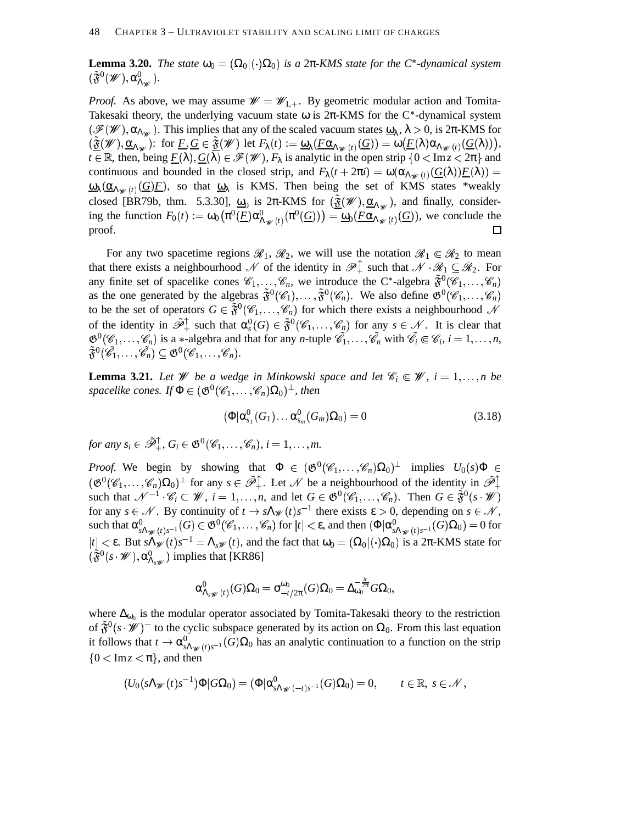**Lemma 3.20.** *The state*  $\omega_0 = (\Omega_0 | (\cdot) \Omega_0)$  *is a* 2 $\pi$ -KMS *state for the C*<sup>\*</sup>-dynamical *system*  $(\tilde{\mathfrak{F}}^{0}(\mathscr{W}),\alpha^{0}_{\Lambda_{\mathscr{W}}}).$ 

*Proof.* As above, we may assume  $W = W_{1,+}$ . By geometric modular action and Tomita-Takesaki theory, the underlying vacuum state  $\omega$  is  $2\pi$ -KMS for the C<sup>\*</sup>-dynamical system  $(\mathscr{F}(\mathscr{W}), \alpha_{\Lambda_{\mathscr{W}}})$ . This implies that any of the scaled vacuum states  $\underline{\omega}_{\lambda}$ ,  $\lambda > 0$ , is  $2\pi$ -KMS for  $(\underline{\tilde{\mathfrak{F}}}(\mathscr{W}),\underline{\alpha}_{\Lambda_{\mathscr{W}}})$ : for  $\underline{F},\underline{G}\in \underline{\tilde{\mathfrak{F}}}(\mathscr{W})$  let  $F_{\lambda}(t):=\underline{\omega}_{\lambda}(\underline{F\alpha}_{\Lambda_{\mathscr{W}}(t)}(\underline{G}))=\omega(\underline{F(\lambda)}\alpha_{\Lambda_{\mathscr{W}}(t)}(\underline{G(\lambda)})),$  $t \in \mathbb{R}$ , then, being  $\underline{F}(\lambda), \underline{G}(\lambda) \in \mathscr{F}(\mathscr{W}), F_{\lambda}$  is analytic in the open strip  $\{0 < \text{Im} z < 2\pi\}$  and continuous and bounded in the closed strip, and  $F_{\lambda}(t + 2\pi i) = \omega(\alpha_{\Lambda_{\mathscr{W}}(t)}(\underline{G}(\lambda))\underline{F}(\lambda)) =$  $\frac{\omega_{\lambda}(\alpha_{\Lambda_{\mathscr{W}}(t)}(G)F)}{(\omega_{\Lambda_{\mathscr{W}}(t)}(G)F)}$ , so that  $\frac{\omega_{\lambda}}{\omega_{\Lambda}}$  is KMS. Then being the set of KMS states \*weakly closed [BR79b, thm. 5.3.30],  $\underline{\omega}_0$  is  $2\pi$ -KMS for  $(\underline{\tilde{\mathfrak{F}}}(\mathscr{W}), \underline{\alpha}_{\Lambda_{\mathscr{W}}})$ , and finally, considering the function  $F_0(t) := \omega_0(\pi^0(\underline{F})\alpha_{\Lambda_{\mathscr{W}}(t)}^0(\pi^0(\underline{G})) = \underline{\omega}_0(\underline{F\alpha}_{\Lambda_{\mathscr{W}}(t)}(\underline{G}))$ , we conclude the proof.

For any two spacetime regions  $\mathcal{R}_1, \mathcal{R}_2$ , we will use the notation  $\mathcal{R}_1 \in \mathcal{R}_2$  to mean that there exists a neighbourhood  $\mathscr N$  of the identity in  $\mathscr P^{\perp}_+$  such that  $\mathscr N \cdot \mathscr R_1 \subseteq \mathscr R_2$ . For any finite set of spacelike cones  $\mathscr{C}_1,\ldots,\mathscr{C}_n$ , we introduce the C<sup>\*</sup>-algebra  $\tilde{\mathfrak{F}}^0(\mathscr{C}_1,\ldots,\mathscr{C}_n)$ as the one generated by the algebras  $\tilde{\mathfrak{F}}^0(\mathscr{C}_1), \ldots, \tilde{\mathfrak{F}}^0(\mathscr{C}_n)$ . We also define  $\mathfrak{G}^0(\mathscr{C}_1, \ldots, \mathscr{C}_n)$ to be the set of operators  $G \in \tilde{\mathfrak{F}}^0(\mathscr{C}_1,\ldots,\mathscr{C}_n)$  for which there exists a neighbourhood  $\mathscr{N}$ of the identity in  $\tilde{\mathcal{P}}_+^{\uparrow}$  such that  $\alpha_s^0(G) \in \tilde{\mathfrak{F}}^0(\mathscr{C}_1,\ldots,\mathscr{C}_n)$  for any  $s \in \mathcal{N}$ . It is clear that  $\mathfrak{G}^0(\mathscr{C}_1,\ldots,\mathscr{C}_n)$  is a \*-algebra and that for any *n*-tuple  $\tilde{\mathscr{C}}_1,\ldots,\tilde{\mathscr{C}}_n$  with  $\tilde{\mathscr{C}}_i \in \mathscr{C}_i$ ,  $i=1,\ldots,n$ ,  $\tilde{\mathfrak{F}}^0(\mathscr{C}_1,\ldots,\mathscr{C}_n) \subseteq \mathfrak{G}^0(\mathscr{C}_1,\ldots,\mathscr{C}_n).$ 

**Lemma 3.21.** Let  $W$  be a wedge in Minkowski space and let  $\mathscr{C}_i \in \mathscr{W}$ ,  $i = 1, ..., n$  be  $spacelike\ cones.$   $If \Phi \in (\mathfrak{G}^0(\mathscr{C}_1,\ldots,\mathscr{C}_n)\Omega_0)^\perp$ , then

$$
(\Phi | \alpha_{s_1}^0(G_1) \dots \alpha_{s_m}^0(G_m) \Omega_0) = 0 \qquad (3.18)
$$

*for any*  $s_i \in \tilde{\mathscr{P}}_+^{\uparrow}$ ,  $G_i \in \mathfrak{G}^0(\mathscr{C}_1, \ldots, \mathscr{C}_n)$ ,  $i = 1, \ldots, m$ .

*Proof.* We begin by showing that  $\Phi \in (\mathfrak{G}^0(\mathscr{C}_1,\ldots,\mathscr{C}_n)\Omega_0)^{\perp}$  implies  $U_0(s)\Phi \in$  $(\mathfrak{G}^0(\mathscr{C}_1,\ldots,\mathscr{C}_n)\Omega_0)^{\perp}$  for any  $s \in \tilde{\mathscr{P}}_+^{\uparrow}$ . Let  $\mathscr{N}$  be a neighbourhood of the identity in  $\tilde{\mathscr{P}}_+^{\uparrow}$ such that  $\mathcal{N}^{-1}$   $\mathcal{C}_i \subset \mathcal{W}$ ,  $i = 1, ..., n$ , and let  $G \in \mathfrak{G}^0(\mathcal{C}_1, ..., \mathcal{C}_n)$ . Then  $G \in \tilde{\mathfrak{F}}^0(s \cdot \mathcal{W})$ for any  $s \in \mathcal{N}$ . By continuity of  $t \to s\Lambda_{\mathcal{W}}(t)s^{-1}$  there exists  $\varepsilon > 0$ , depending on  $s \in \mathcal{N}$ ,  $\sup_{s\Lambda_{\mathscr{W}}(t)s^{-1}}(G)\in \mathfrak{G}^0(\mathscr{C}_1,\ldots,\mathscr{C}_n) \text{ for } |t|<\varepsilon, \text{ and then } (\Phi|\alpha^0_{s\Lambda_{\mathscr{W}}(t)s^{-1}}(G)\Omega_0)=0 \text{ for } t\in\mathbb{C}.$  $|t| < \varepsilon$ . But  $s \Lambda_{\mathscr{W}}(t) s^{-1} = \Lambda_{s \mathscr{W}}(t)$ , and the fact that  $\omega_0 = (\Omega_0 | (\cdot) \Omega_0)$  is a  $2\pi$ -KMS state for  $(\tilde{\mathfrak{F}}^{0}(s\cdot\mathscr{W}),\alpha_{\Lambda_{s\mathscr{W}}^{0}}^{0})$  implies that [KR86]

$$
\alpha^0_{\Lambda_s\mathscr{W}(t)}(G)\Omega_0=\sigma_{-t/2\pi}^{\omega_0}(G)\Omega_0=\Delta_{\omega_0}^{-\frac{it}{2\pi}}G\Omega_0,
$$

where  $\Delta_{\omega_0}$  is the modular operator associated by Tomita-Takesaki theory to the restriction of  $\tilde{\mathfrak{F}}^{0}(s \cdot \mathscr{W})$ <sup>-</sup> to the cyclic subspace generated by its action on  $\Omega_0$ . From this last equation it follows that  $t \to \alpha_{s\Lambda\#(t)s^{-1}}^0(G)\Omega_0$  has an analytic continuation to a function on the strip  ${0 < \text{Im} z < \pi}$ , and then

$$
(U_0(s\Lambda_\mathscr{W}(t)s^{-1})\Phi|G\Omega_0)=(\Phi|\alpha^0_{s\Lambda_\mathscr{W}(-t)s^{-1}}(G)\Omega_0)=0,\qquad t\in\mathbb{R},\ s\in\mathscr{N},
$$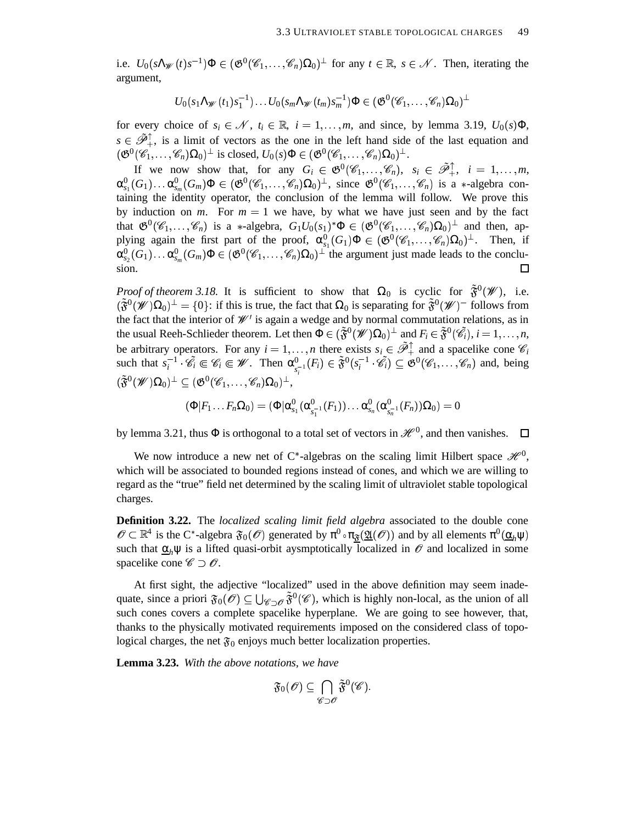i.e.  $U_0(s \Lambda_{\mathscr{W}}(t) s^{-1}) \Phi \in (\mathfrak{G}^0(\mathscr{C}_1,\ldots,\mathscr{C}_n) \Omega_0)^{\perp}$  for any  $t \in \mathbb{R}, s \in \mathscr{N}$ . Then, iterating the argument,

$$
U_0(s_1\Lambda_\mathscr{W}(t_1)s_1^{-1})\ldots U_0(s_m\Lambda_\mathscr{W}(t_m)s_m^{-1})\Phi\in (\mathfrak{G}^0(\mathscr{C}_1,\ldots,\mathscr{C}_n)\Omega_0)^\perp
$$

for every choice of  $s_i \in \mathcal{N}$ ,  $t_i \in \mathbb{R}$ ,  $i = 1, ..., m$ , and since, by lemma 3.19,  $U_0(s)\Phi$ ,  $s \in \tilde{\mathcal{P}}_+^{\uparrow}$ , is a limit of vectors as the one in the left hand side of the last equation and  $(\mathfrak{G}^0(\mathscr{C}_1,\ldots,\mathscr{C}_n)\Omega_0)^{\perp}$  is closed,  $U_0(s)\Phi\in (\mathfrak{G}^0(\mathscr{C}_1,\ldots,\mathscr{C}_n)\Omega_0)^{\perp}$ .

If we now show that, for any  $G_i \in \mathfrak{G}^0(\mathscr{C}_1, \ldots, \mathscr{C}_n)$ ,  $s_i \in \tilde{\mathcal{P}}_+^{\uparrow}$ ,  $i = 1, \ldots, m$ ,  $\alpha_{s_1}^0(G_1)\ldots\alpha_{s_m}^0(G_m)\Phi\in(\mathfrak{G}^0(\mathscr{C}_1,\ldots,\mathscr{C}_n)\Omega_0)^{\perp},$  since  $\mathfrak{G}^0(\mathscr{C}_1,\ldots,\mathscr{C}_n)$  is a  $*$ -algebra containing the identity operator, the conclusion of the lemma will follow. We prove this by induction on  $m$ . For  $m = 1$  we have, by what we have just seen and by the fact that  $\mathfrak{G}^0(\mathscr{C}_1,\ldots,\mathscr{C}_n)$  is a \*-algebra,  $G_1U_0(s_1)^*\Phi \in (\mathfrak{G}^0(\mathscr{C}_1,\ldots,\mathscr{C}_n)\Omega_0)^{\perp}$  and then, applying again the first part of the proof,  $\alpha_{s_1}^0(G_1)\Phi \in (\mathfrak{G}^0(\mathscr{C}_1,\ldots,\mathscr{C}_n)\Omega_0)^{\perp}$ . Then, if  $\alpha_{s_2}^0(G_1)\ldots\alpha_{s_m}^0(G_m)\Phi\in(\mathfrak{G}^0(\mathscr{C}_1,\ldots,\mathscr{C}_n)\Omega_0)^{\perp}$  the argument just made leads to the conclusion.  $\Box$ 

*Proof of theorem* 3.18. It is sufficient to show that  $\Omega_0$  is cyclic for  $\tilde{\mathfrak{F}}^0(\mathscr{W})$ , i.e.  $(\tilde{\mathfrak{F}}^0(\mathscr{W})\Omega_0)^{\perp} = \{0\}$ : if this is true, the fact that  $\Omega_0$  is separating for  $\tilde{\mathfrak{F}}^0(\mathscr{W})$  follows from the fact that the interior of  $\mathcal{W}'$  is again a wedge and by normal commutation relations, as in the usual Reeh-Schlieder theorem. Let then  $\Phi \in (\tilde{\mathfrak{F}}^0(\mathscr{W})\Omega_0)^{\perp}$  and  $F_i \in \tilde{\mathfrak{F}}^0(\mathscr{C}_i)$ ,  $i = 1, \ldots, n$ , be arbitrary operators. For any  $i = 1, ..., n$  there exists  $s_i \in \tilde{\mathcal{P}}_+^{\uparrow}$  and a spacelike cone  $\mathcal{C}_i$ such that  $s_i^{-1} \cdot \mathscr{C}_i \in \mathscr{C}_i \in \mathscr{W}$ . Then  $\alpha_{s_i^{-1}}^0(F_i) \in \tilde{\mathfrak{F}}^0(s_i^{-1} \cdot \tilde{\mathscr{C}}_i) \subseteq \mathfrak{G}^0(\mathscr{C}_1, \ldots, \mathscr{C}_n)$  and, being  $(\tilde{\mathfrak{F}}^0(\mathscr{W})\Omega_0)^{\perp} \subseteq (\mathfrak{G}^0(\mathscr{C}_1, \ldots, \mathscr{C}_n)\Omega_0)^{\perp},$ 

$$
(\Phi|F_1\ldots F_n\Omega_0)=(\Phi|\alpha_{s_1}^0(\alpha_{s_1^{-1}}^0(F_1))\ldots \alpha_{s_n}^0(\alpha_{s_n^{-1}}^0(F_n))\Omega_0)=0
$$

by lemma 3.21, thus  $\Phi$  is orthogonal to a total set of vectors in  $\mathcal{H}^0$ , and then vanishes.

We now introduce a new net of C\*-algebras on the scaling limit Hilbert space  $\mathcal{H}^0$ , which will be associated to bounded regions instead of cones, and which we are willing to regard as the "true" field net determined by the scaling limit of ultraviolet stable topological charges.

**Definition 3.22.** The *localized scaling limit field algebra* associated to the double cone  $\mathscr{O} \subset \mathbb{R}^4$  is the C\*-algebra  $\mathfrak{F}_0(\mathscr{O})$  generated by  $\pi^0 \circ \pi_{\underline{\mathfrak{F}}}(\underline{\mathfrak{A}}(\mathscr{O}))$  and by all elements  $\pi^0(\underline{\alpha}_h\psi)$ such that  $\underline{\alpha}_h \psi$  is a lifted quasi-orbit aysmptotically localized in  $\mathcal O$  and localized in some spacelike cone  $\mathscr{C} \supset \mathscr{O}$ .

At first sight, the adjective "localized" used in the above definition may seem inadequate, since a priori  $\mathfrak{F}_0(\mathscr{O}) \subseteq \bigcup_{\mathscr{C} \supset \mathscr{O}} \tilde{\mathfrak{F}}^0(\mathscr{C})$ , which is highly non-local, as the union of all such cones covers a complete spacelike hyperplane. We are going to see however, that, thanks to the physically motivated requirements imposed on the considered class of topological charges, the net  $\mathfrak{F}_0$  enjoys much better localization properties.

**Lemma 3.23.** *With the above notations, we have*

$$
\mathfrak{F}_0(\mathscr{O})\subseteq \bigcap_{\mathscr{C}\supset \mathscr{O}}\tilde{\mathfrak{F}}^0(\mathscr{C}).
$$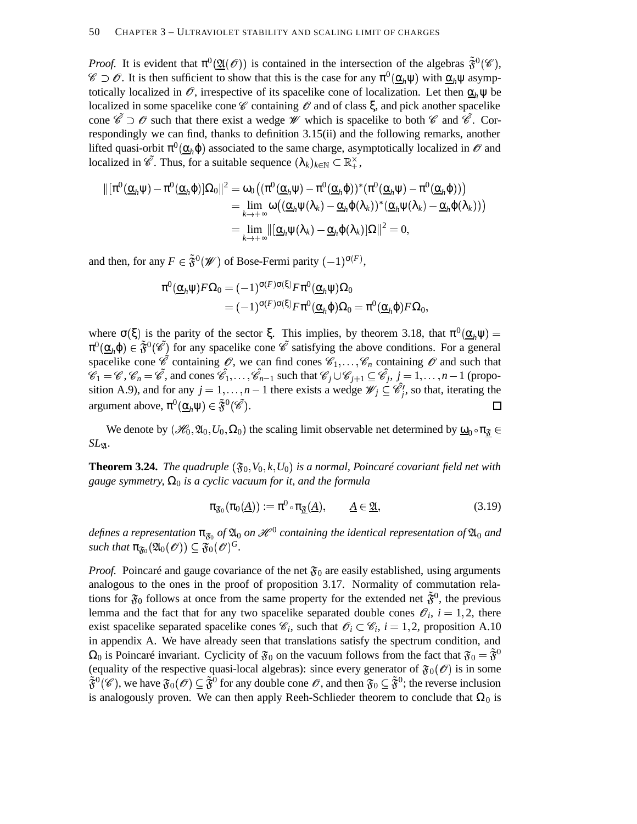*Proof.* It is evident that  $\pi^0(\mathfrak{A}(\mathcal{O}))$  is contained in the intersection of the algebras  $\tilde{\mathfrak{F}}^0(\mathscr{C})$ ,  $\mathscr{C} \supset \mathscr{O}$ . It is then sufficient to show that this is the case for any  $\pi^0(\underline{\alpha}_h\psi)$  with  $\underline{\alpha}_h\psi$  asymptotically localized in  $\mathscr O$ , irrespective of its spacelike cone of localization. Let then  $\alpha_h \psi$  be localized in some spacelike cone  $\mathscr C$  containing  $\mathscr O$  and of class  $\xi$ , and pick another spacelike cone  $\tilde{\mathscr{C}} \supset \mathscr{O}$  such that there exist a wedge  $\mathscr{W}$  which is spacelike to both  $\mathscr{C}$  and  $\tilde{\mathscr{C}}$ . Correspondingly we can find, thanks to definition 3.15(ii) and the following remarks, another lifted quasi-orbit  $\pi^0(\underline{\alpha}_h\varphi)$  associated to the same charge, asymptotically localized in  $\mathscr O$  and localized in  $\mathscr{C}$ . Thus, for a suitable sequence  $(\lambda_k)_{k \in \mathbb{N}} \subset \mathbb{R}_+^{\times}$ ,

$$
\begin{aligned} \Vert [\pi^0(\underline{\alpha}_h\psi)-\pi^0(\underline{\alpha}_h\phi)]\Omega_0\Vert^2&=\omega_0\big((\pi^0(\underline{\alpha}_h\psi)-\pi^0(\underline{\alpha}_h\phi))^*(\pi^0(\underline{\alpha}_h\psi)-\pi^0(\underline{\alpha}_h\phi))\big)\\ &=\lim_{k\rightarrow+\infty}\omega\big((\underline{\alpha}_h\psi(\lambda_k)-\underline{\alpha}_h\phi(\lambda_k))^*(\underline{\alpha}_h\psi(\lambda_k)-\underline{\alpha}_h\phi(\lambda_k))\big)\\ &=\lim_{k\rightarrow+\infty}\Vert [\underline{\alpha}_h\psi(\lambda_k)-\underline{\alpha}_h\phi(\lambda_k)]\Omega\Vert^2=0,\end{aligned}
$$

and then, for any  $F \in \tilde{\mathfrak{F}}^0(\mathscr{W})$  of Bose-Fermi parity  $(-1)^{\sigma(F)}$ ,

$$
\pi^{0}(\underline{\alpha}_{h}\psi)F\Omega_{0} = (-1)^{\sigma(F)\sigma(\xi)}F\pi^{0}(\underline{\alpha}_{h}\psi)\Omega_{0}
$$
  
= 
$$
(-1)^{\sigma(F)\sigma(\xi)}F\pi^{0}(\underline{\alpha}_{h}\phi)\Omega_{0} = \pi^{0}(\underline{\alpha}_{h}\phi)F\Omega_{0},
$$

where  $\sigma(\xi)$  is the parity of the sector  $\xi$ . This implies, by theorem 3.18, that  $\pi^0(\underline{\alpha}_h\psi)$  =  $\pi^0(\underline{\alpha}_h \varphi) \in \tilde{\mathfrak{F}}^0(\tilde{\mathscr{C}})$  for any spacelike cone  $\tilde{\mathscr{C}}$  satisfying the above conditions. For a general spacelike cone  $\hat{\mathscr{C}}$  containing  $\mathscr{O}$ , we can find cones  $\mathscr{C}_1, \ldots, \mathscr{C}_n$  containing  $\mathscr{O}$  and such that  $\hat{\mathcal{C}}_1 = \mathcal{C}, \mathcal{C}_n = \hat{\mathcal{C}}$ , and cones  $\hat{\mathcal{C}}_1, \ldots, \hat{\mathcal{C}}_{n-1}$  such that  $\mathcal{C}_j \cup \mathcal{C}_{j+1} \subseteq \hat{\mathcal{C}}_j$ ,  $j = 1, \ldots, n-1$  (proposition A.9), and for any  $j = 1, ..., n-1$  there exists a wedge  $\mathscr{W}_j \subseteq \mathscr{C}_j^j$ , so that, iterating the argument above,  $\pi^0(\underline{\alpha}_h\psi)\in\tilde{\mathfrak{F}}^0(\tilde{\mathscr{C}}).$ П

We denote by  $(\mathscr{H}_0, \mathfrak{A}_0, U_0, \Omega_0)$  the scaling limit observable net determined by  $\underline{\omega}_0 \circ \pi_{\underline{\mathfrak{F}}} \in$  $\frac{v}{c}$ *SL*.

**Theorem 3.24.** The quadruple  $(\mathfrak{F}_0, V_0, k, U_0)$  is a normal, Poincaré covariant field net with *gauge symmetry,* Ω<sup>0</sup> *is a cyclic vacuum for it, and the formula*

$$
\pi_{\mathfrak{F}_0}(\pi_0(\underline{A})) := \pi^0 \circ \pi_{\underline{\mathfrak{F}}}(\underline{A}), \qquad \underline{A} \in \underline{\mathfrak{A}}, \tag{3.19}
$$

 $d$ efines a representation  $\pi_{\mathfrak{F}_0}$  of  $\mathfrak{A}_0$  on  $\mathscr{H}^0$  containing the identical representation of  $\mathfrak{A}_0$  and  $\mathfrak{such}$  *that*  $\pi_{\mathfrak{F}_0}(\mathfrak{A}_0(\mathscr{O})) \subseteq \mathfrak{F}_0(\mathscr{O})^G.$ 

*Proof.* Poincaré and gauge covariance of the net  $\mathfrak{F}_0$  are easily established, using arguments analogous to the ones in the proof of proposition 3.17. Normality of commutation relations for  $\mathfrak{F}_0$  follows at once from the same property for the extended net  $\tilde{\mathfrak{F}}^0$ , the previous lemma and the fact that for any two spacelike separated double cones  $\mathcal{O}_i$ ,  $i = 1, 2$ , there exist spacelike separated spacelike cones  $\mathcal{C}_i$ , such that  $\mathcal{O}_i \subset \mathcal{C}_i$ ,  $i = 1, 2$ , proposition A.10 in appendix A. We have already seen that translations satisfy the spectrum condition, and  $\Omega_0$  is Poincaré invariant. Cyclicity of  $\mathfrak{F}_0$  on the vacuum follows from the fact that  $\mathfrak{F}_0 = \tilde{\mathfrak{F}}^0$ (equality of the respective quasi-local algebras): since every generator of  $\mathfrak{F}_0(\mathcal{O})$  is in some  $\tilde{F}^0(\mathscr{C})$ , we have  $\tilde{F}_0(\mathscr{O}) \subseteq \tilde{F}^0$  for any double cone  $\mathscr{O}$ , and then  $\mathfrak{F}_0 \subseteq \tilde{F}^0$ ; the reverse inclusion is analogously proven. We can then apply Reeh-Schlieder theorem to conclude that  $\Omega_0$  is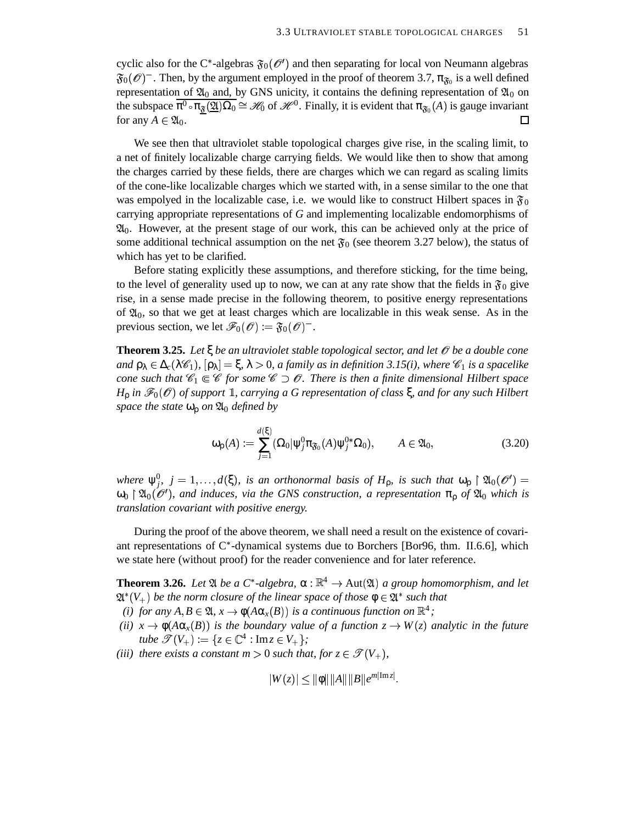cyclic also for the C\*-algebras  $\mathfrak{F}_0(\mathscr{O}')$  and then separating for local von Neumann algebras  $\mathfrak{F}_0(\mathscr{O})$ <sup>-</sup>. Then, by the argument employed in the proof of theorem 3.7,  $\pi_{\mathfrak{F}_0}$  is a well defined representation of  $\mathfrak{A}_0$  and, by GNS unicity, it contains the defining representation of  $\mathfrak{A}_0$  on the subspace  $\overline{\pi^0 \cdot \pi_{\underline{\mathfrak{F}}}(\underline{\mathfrak{A}})\Omega_0} \cong \mathscr{H}_0$  of  $\mathscr{H}^0$ . Finally, it is evident that  $\pi_{\mathfrak{F}_0}(A)$  is gauge invariant for any  $A \in \mathfrak{A}_0$ . П

We see then that ultraviolet stable topological charges give rise, in the scaling limit, to a net of finitely localizable charge carrying fields. We would like then to show that among the charges carried by these fields, there are charges which we can regard as scaling limits of the cone-like localizable charges which we started with, in a sense similar to the one that was empolyed in the localizable case, i.e. we would like to construct Hilbert spaces in  $\mathfrak{F}_0$ carrying appropriate representations of *G* and implementing localizable endomorphisms of  $\mathfrak{A}_0$ . However, at the present stage of our work, this can be achieved only at the price of some additional technical assumption on the net  $\mathfrak{F}_0$  (see theorem 3.27 below), the status of which has yet to be clarified.

Before stating explicitly these assumptions, and therefore sticking, for the time being, to the level of generality used up to now, we can at any rate show that the fields in  $\mathfrak{F}_0$  give rise, in a sense made precise in the following theorem, to positive energy representations of  $\mathfrak{A}_0$ , so that we get at least charges which are localizable in this weak sense. As in the previous section, we let  $\mathscr{F}_0(\mathscr{O}) := \mathfrak{F}_0(\mathscr{O})^-$ .

**Theorem 3.25.** Let  $\xi$  be an ultraviolet stable topological sector, and let  $\theta$  be a double cone  $\alpha$   $\beta$ <sub>λ</sub>  $\in$   $\Delta_c(\lambda \mathscr{C}_1)$ ,  $[\beta_\lambda] = \xi$ ,  $\lambda > 0$ , *a family as in definition* 3.15(*i*), where  $\mathscr{C}_1$  *is a spacelike cone* such that  $\mathscr{C}_1 \in \mathscr{C}$  for some  $\mathscr{C} \supset \mathscr{O}$ . There is then a finite dimensional Hilbert space  $H_{\rho}$  *in*  $\mathscr{F}_{0}(\mathscr{O})$  *of support*  $\mathbb{1}$ *, carrying a G representation of class*  $\xi$ *, and for any such Hilbert space the state*  $\omega_0$  *on*  $\mathfrak{A}_0$  *defined by* 

$$
\omega_{\mathsf{p}}(A) := \sum_{j=1}^{d(\xi)} (\Omega_0 | \psi_j^0 \pi_{\mathfrak{F}_0}(A) \psi_j^{0*} \Omega_0), \qquad A \in \mathfrak{A}_0,
$$
\n(3.20)

*where*  $\psi_j^0$ ,  $j = 1, ..., d(\xi)$ , *is an orthonormal basis of*  $H_\rho$ , *is such that*  $\omega_\rho \restriction \mathfrak{A}_0(\mathcal{O}') =$  $\omega_0$   $\mid$   $\mathfrak{A}_0(\mathcal{O}')$ , and *induces, via the GNS construction, a representation*  $\pi_0$  of  $\mathfrak{A}_0$  *which is translation covariant with positive energy.*

During the proof of the above theorem, we shall need a result on the existence of covariant representations of  $C^*$ -dynamical systems due to Borchers [Bor96, thm. II.6.6], which we state here (without proof) for the reader convenience and for later reference.

**Theorem 3.26.** *Let*  $\mathfrak{A}$  *be a*  $C^*$ -*algebra*,  $\alpha : \mathbb{R}^4 \to \text{Aut}(\mathfrak{A})$  *a group homomorphism, and let*  $\mathfrak{A}^*(V_+)$  be the norm closure of the linear space of those  $\mathfrak{\phi} \in \mathfrak{A}^*$  such that

- *(i) for any*  $A, B \in \mathfrak{A}, x \to \phi(A\alpha_x(B))$  *is a continuous function on*  $\mathbb{R}^4$ ;
- $\phi(x) = \phi(A\alpha_x(B))$  is the boundary value of a function  $z \to W(z)$  analytic in the future  $$
- *(iii) there exists a constant*  $m > 0$  *such that, for*  $z \in \mathscr{T}(V_+),$

$$
|W(z)| \le ||\phi|| ||A|| ||B|| e^{m|\text{Im} z|}
$$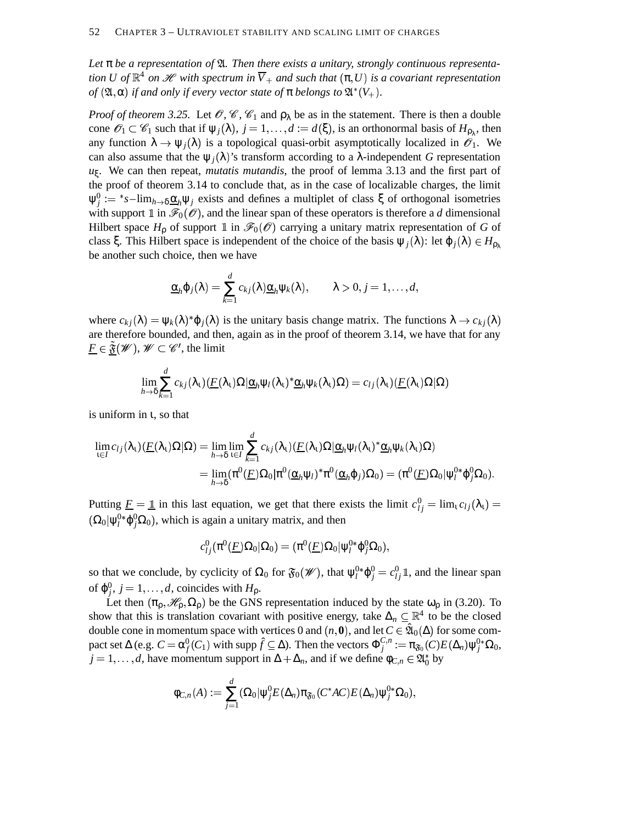$Let \pi be a representation of \mathfrak{A}.$  Then there exists a unitary, strongly continuous representa $t$  *tion U of*  $\mathbb{R}^4$  *on*  $\mathscr H$  *with spectrum in*  $\overline V_+$  *and such that*  $(\pi,U)$  *is a covariant representation*  $of$   $(2l, \alpha)$  *if and only if every vector state of*  $\pi$  *belongs to*  $2l^*(V_+).$ 

*Proof of theorem* 3.25. Let  $\mathscr{O}, \mathscr{C}, \mathscr{C}_1$  and  $\rho_\lambda$  be as in the statement. There is then a double cone  $\mathscr{O}_1 \subset \mathscr{C}_1$  such that if  $\psi_j(\lambda), j = 1, ..., d := d(\xi)$ , is an orthonormal basis of  $H_{\rho_\lambda}$ , then any function  $\lambda \to \psi_j(\lambda)$  is a topological quasi-orbit asymptotically localized in  $\mathscr{O}_1$ . We can also assume that the  $\psi_j(\lambda)$ 's transform according to a  $\lambda$ -independent *G* representation *u*ξ . We can then repeat, *mutatis mutandis*, the proof of lemma 3.13 and the first part of the proof of theorem 3.14 to conclude that, as in the case of localizable charges, the limit  $ψ_j^0 := *s$ –lim<sub>*h*→δ</sub>α*<sub>h</sub>* $ψ_j$  exists and defines a multiplet of class ξ of orthogonal isometries with support  $\mathbb{1}$  in  $\mathscr{F}_0(\mathscr{O})$ , and the linear span of these operators is therefore a *d* dimensional Hilbert space  $H_{\rho}$  of support 1 in  $\mathscr{F}_0(\mathscr{O})$  carrying a unitary matrix representation of *G* of class  $\xi$ . This Hilbert space is independent of the choice of the basis  $\psi_j(\lambda)$ : let  $\varphi_j(\lambda) \in H_{\rho_\lambda}$ be another such choice, then we have

$$
\underline{\alpha}_h \varphi_j(\lambda) = \sum_{k=1}^d c_{kj}(\lambda) \underline{\alpha}_h \psi_k(\lambda), \qquad \lambda > 0, j = 1, \ldots, d,
$$

where  $c_{kj}(\lambda) = \psi_k(\lambda)^* \varphi_j(\lambda)$  is the unitary basis change matrix. The functions  $\lambda \to c_{kj}(\lambda)$ are therefore bounded, and then, again as in the proof of theorem 3.14, we have that for any  $\underline{F} \in \tilde{\mathfrak{F}}(\mathscr{W}), \mathscr{W} \subset \mathscr{C}$ , the limit

$$
\lim_{h\to\delta}\sum_{k=1}^d c_{kj}(\lambda_1)(\underline{F}(\lambda_1)\Omega|\underline{\alpha}_h\psi_l(\lambda_1)^*\underline{\alpha}_h\psi_k(\lambda_1)\Omega)=c_{lj}(\lambda_1)(\underline{F}(\lambda_1)\Omega|\Omega)
$$

is uniform in ι, so that

$$
\lim_{t \in I} c_{lj}(\lambda_1) (\underline{F}(\lambda_1) \Omega | \Omega) = \lim_{h \to \delta} \lim_{t \in I} \sum_{k=1}^d c_{kj}(\lambda_1) (\underline{F}(\lambda_1) \Omega | \underline{\alpha}_h \psi_l(\lambda_1)^* \underline{\alpha}_h \psi_k(\lambda_1) \Omega) \n= \lim_{h \to \delta} (\pi^0 (\underline{F}) \Omega_0 | \pi^0 (\underline{\alpha}_h \psi_l)^* \pi^0 (\underline{\alpha}_h \varphi_j) \Omega_0) = (\pi^0 (\underline{F}) \Omega_0 | \psi_l^{0*} \varphi_j^0 \Omega_0).
$$

Putting  $\underline{F} = \underline{1}$  in this last equation, we get that there exists the limit  $c_{ij}^0 = \lim_i c_{lj}(\lambda_i) =$  $(\Omega_0 | \psi_l^{0*}\phi_j^{0}\Omega_0),$  which is again a unitary matrix, and then

$$
c^0_{lj}(\pi^0(\underline{F})\Omega_0|\Omega_0)=(\pi^0(\underline{F})\Omega_0|\psi^{0*}_l\phi^0_j\Omega_0),
$$

so that we conclude, by cyclicity of  $\Omega_0$  for  $\mathfrak{F}_0(\mathscr{W})$ , that  $\psi_l^{0*}\varphi_j^0 = c_{lj}^0\mathbb{1}$ , and the linear span of  $\varphi_j^0$ ,  $j = 1, ..., d$ , coincides with  $H_\rho$ .

Let then  $(\pi_{\rho}, \mathcal{H}_{\rho}, \Omega_{\rho})$  be the GNS representation induced by the state  $\omega_{\rho}$  in (3.20). To show that this is translation covariant with positive energy, take  $\Delta_n \subseteq \mathbb{R}^4$  to be the closed double cone in momentum space with vertices 0 and  $(n, 0)$ , and let  $C \in \hat{\mathfrak{A}}_0(\Delta)$  for some compact set  $\Delta$  (e.g.  $C = \alpha_f^0(C_1)$  with supp  $\hat{f} \subseteq \Delta$ ). Then the vectors  $\Phi_j^{C,n}$ :  $\pi_{\mathfrak{F}_0}^{C,n}:=\pi_{\mathfrak{F}_0}(C)E(\Delta_n)\psi_j^{0*}\Omega_0,$  $j = 1, ..., d$ , have momentum support in  $\Delta + \Delta_n$ , and if we define  $\phi_{C,n} \in \mathfrak{A}_0^*$  by

$$
\varphi_{C,n}(A):=\sum_{j=1}^d(\Omega_0|\psi_j^0E(\Delta_n)\pi_{\mathfrak{F}_0}(C^*AC)E(\Delta_n)\psi_j^{0*}\Omega_0),
$$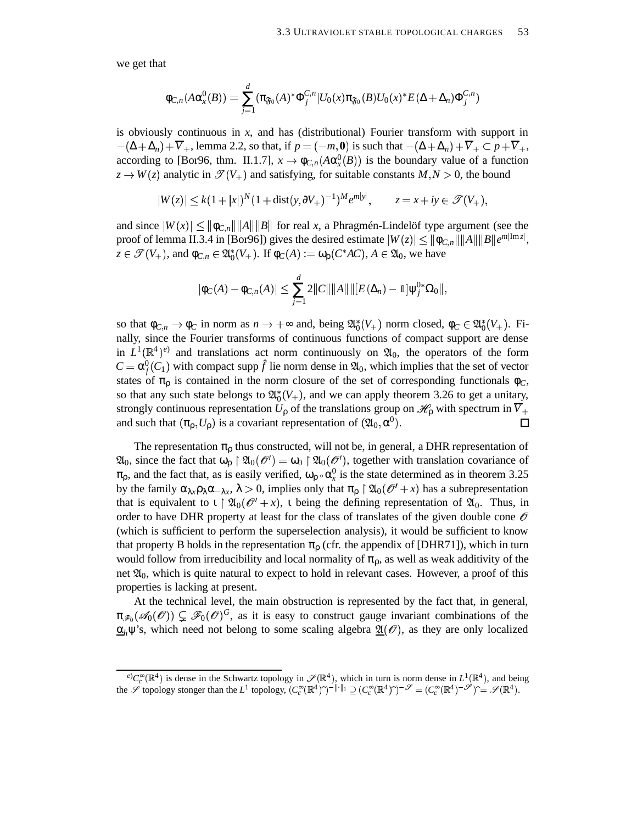we get that

$$
\varphi_{C,n}(A\alpha_x^0(B))=\sum_{j=1}^d(\pi_{\mathfrak{F}_0}(A)^*\Phi_j^{C,n}|U_0(x)\pi_{\mathfrak{F}_0}(B)U_0(x)^*E(\Delta+\Delta_n)\Phi_j^{C,n})
$$

is obviously continuous in *x*, and has (distributional) Fourier transform with support in  $-(\Delta + \Delta_n) + \overline{V}_+$ , lemma 2.2, so that, if  $p = (-m, 0)$  is such that  $-(\Delta + \Delta_n) + \overline{V}_+ \subset p + \overline{V}_+$ , according to [Bor96, thm. II.1.7],  $x \to \phi_{C,n}(A\alpha_x^0(B))$  is the boundary value of a function  $z \to W(z)$  analytic in  $\mathcal{T}(V_+)$  and satisfying, for suitable constants  $M, N > 0$ , the bound

$$
|W(z)| \le k(1+|x|)^N (1+\text{dist}(y,\partial V_+)^{-1})^M e^{m|y|}, \qquad z = x + iy \in \mathcal{F}(V_+),
$$

and since  $|W(x)| \le ||\phi_{C,n}|| ||A|| ||B||$  for real *x*, a Phragmén-Lindelöf type argument (see the proof of lemma II.3.4 in [Bor96]) gives the desired estimate  $|W(z)| \leq \|\phi_{C,n}\| \|A\| \|B\| e^{m|\text{Im} z|},$  $z \in \mathscr{T}(V_+)$ , and  $\phi_{C,n} \in \mathfrak{A}_0^*(V_+)$ . If  $\phi_C(A) := \omega_\rho(C^*AC)$ ,  $A \in \mathfrak{A}_0$ , we have

$$
|\Phi_C(A) - \Phi_{C,n}(A)| \leq \sum_{j=1}^d 2||C|| ||A|| ||[E(\Delta_n) - \mathbb{1}]\psi_j^{0*}\Omega_0||,
$$

so that  $\phi_{C,n} \to \phi_C$  in norm as  $n \to +\infty$  and, being  $\mathfrak{A}^*_0(V_+)$  norm closed,  $\phi_C \in \mathfrak{A}^*_0(V_+)$ . Finally, since the Fourier transforms of continuous functions of compact support are dense in  $L^1(\mathbb{R}^4)^e$  and translations act norm continuously on  $\mathfrak{A}_0$ , the operators of the form  $C = \alpha_f^0(C_1)$  with compact supp  $\hat{f}$  lie norm dense in  $\mathfrak{A}_0$ , which implies that the set of vector states of  $\pi_{\rho}$  is contained in the norm closure of the set of corresponding functionals  $\phi_C$ , so that any such state belongs to  $\mathfrak{A}_{0}^{*}(V_{+})$ , and we can apply theorem 3.26 to get a unitary, strongly continuous representation  $U_{\rho}$  of the translations group on  $\mathscr{H}_{\rho}$  with spectrum in  $\overline{V}_{+}$ and such that  $(\pi_{\rho}, U_{\rho})$  is a covariant representation of  $({\mathfrak{A}}_0, \alpha^0)$ .  $\Box$ 

The representation  $\pi_{\rho}$  thus constructed, will not be, in general, a DHR representation of  $\mathfrak{A}_0$ , since the fact that  $\omega_\rho \restriction \mathfrak{A}_0(\mathcal{O}') = \omega_0 \restriction \mathfrak{A}_0(\mathcal{O}'),$  together with translation covariance of  $\pi_{\rho}$ , and the fact that, as is easily verified,  $\omega_{\rho} \circ \alpha_x^0$  is the state determined as in theorem 3.25 by the family  $\alpha_{\lambda x} \rho_{\lambda} \alpha_{-\lambda x}$ ,  $\lambda > 0$ , implies only that  $\pi_{\rho} \upharpoonright \mathfrak{A}_0(\mathscr{O}' + x)$  has a subrepresentation that is equivalent to  $\iota \restriction \mathfrak{A}_0(\mathcal{O}' + x)$ ,  $\iota$  being the defining representation of  $\mathfrak{A}_0$ . Thus, in order to have DHR property at least for the class of translates of the given double cone  $\mathcal O$ (which is sufficient to perform the superselection analysis), it would be sufficient to know that property B holds in the representation  $\pi_0$  (cfr. the appendix of [DHR71]), which in turn would follow from irreducibility and local normality of  $\pi_{\rho}$ , as well as weak additivity of the net  $\mathfrak{A}_0$ , which is quite natural to expect to hold in relevant cases. However, a proof of this properties is lacking at present.

At the technical level, the main obstruction is represented by the fact that, in general,  $\pi_{\mathscr{F}_0}(\mathscr{A}_0(\mathscr{O})) \subsetneq \mathscr{F}_0(\mathscr{O})^G$ , as it is easy to construct gauge invariant combinations of the  $\underline{\alpha}_h \psi$ 's, which need not belong to some scaling algebra  $\underline{\mathfrak{A}}(\mathcal{O})$ , as they are only localized

 $e^{\rho}C_c^{\infty}(\mathbb{R}^4)$  is dense in the Schwartz topology in  $\mathscr{S}(\mathbb{R}^4)$ , which in turn is norm dense in  $L^1(\mathbb{R}^4)$ , and being the  $\mathscr S$  topology stonger than the  $L^1$  topology,  $(C_c^{\infty}(\mathbb{R}^4)^{\frown})^{-||\cdot||_1} \supseteq (C_c^{\infty}(\mathbb{R}^4)^{\frown})^{-\mathscr S} = (C_c^{\infty}(\mathbb{R}^4)^{-\mathscr S})^{\frown} = \mathscr S(\mathbb{R}^4)$ .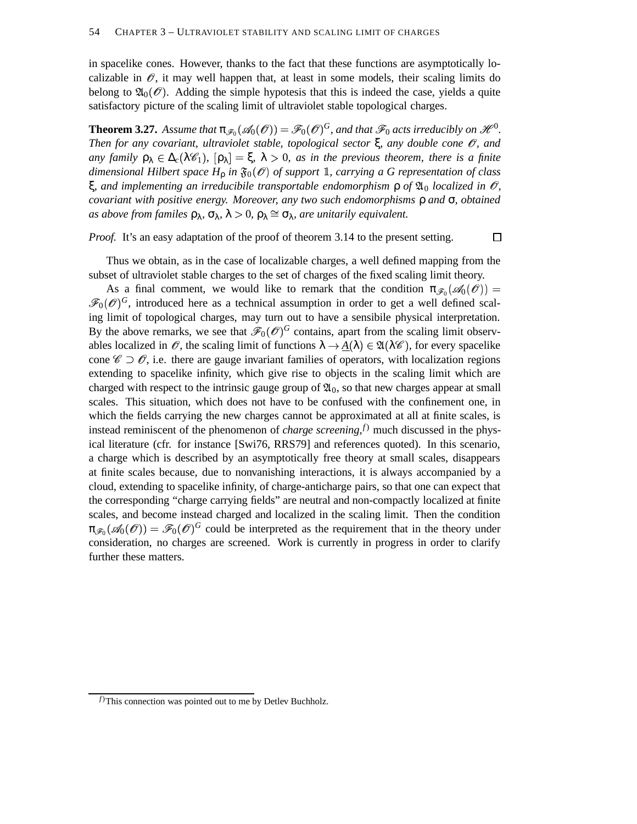in spacelike cones. However, thanks to the fact that these functions are asymptotically localizable in  $\mathscr O$ , it may well happen that, at least in some models, their scaling limits do belong to  $\mathfrak{A}_0(\mathcal{O})$ . Adding the simple hypotesis that this is indeed the case, yields a quite satisfactory picture of the scaling limit of ultraviolet stable topological charges.

**Theorem 3.27.** Assume that  $\pi_{\mathscr{F}_0}(\mathscr{A}_0(\mathscr{O})) = \mathscr{F}_0(\mathscr{O})^G$ , and that  $\mathscr{F}_0$  acts irreducibly on  $\mathscr{H}^0$ . *Then for any covariant, ultraviolet stable, topological sector* ξ*, any double cone* &*, and*  $\alpha$  *any family*  $\rho_{\lambda} \in \Delta_c(\lambda \mathscr{C}_1)$ ,  $[\rho_{\lambda}] = \xi$ ,  $\lambda > 0$ , *as in the previous theorem, there is a finite dimensional Hilbert space*  $H_p$  *in*  $\mathfrak{F}_0(\mathscr{O})$  *of support* 1, *carrying a G representation of class*  $ξ$ , and *implementing* an *irreducibile transportable endomorphism*  $ρ$  *of*  $\mathfrak{A}_0$  *localized in*  $\mathcal{O}_i$ *covariant with positive energy. Moreover, any two such endomorphisms* ρ *and* σ*, obtained as above from familes*  $\rho_{\lambda}$ ,  $\sigma_{\lambda}$ ,  $\lambda > 0$ ,  $\rho_{\lambda} \cong \sigma_{\lambda}$ , *are unitarily equivalent.* 

*Proof.* It's an easy adaptation of the proof of theorem 3.14 to the present setting.

 $\Box$ 

Thus we obtain, as in the case of localizable charges, a well defined mapping from the subset of ultraviolet stable charges to the set of charges of the fixed scaling limit theory.

As a final comment, we would like to remark that the condition  $\pi_{\mathscr{F}_0}(\mathscr{A}_0(\mathscr{O})) =$  $\mathscr{F}_0(\mathscr{O})^G$ , introduced here as a technical assumption in order to get a well defined scaling limit of topological charges, may turn out to have a sensibile physical interpretation. By the above remarks, we see that  $\mathscr{F}_0(\mathscr{O})^G$  contains, apart from the scaling limit observables localized in  $\mathscr O$ , the scaling limit of functions  $\lambda \to \underline{A}(\lambda) \in \mathfrak{A}(\lambda \mathscr C)$ , for every spacelike cone  $\mathscr{C} \supset \mathscr{O}$ , i.e. there are gauge invariant families of operators, with localization regions extending to spacelike infinity, which give rise to objects in the scaling limit which are charged with respect to the intrinsic gauge group of  $\mathfrak{A}_0$ , so that new charges appear at small scales. This situation, which does not have to be confused with the confinement one, in which the fields carrying the new charges cannot be approximated at all at finite scales, is instead reminiscent of the phenomenon of *charge screening*, *<sup>f</sup>*) much discussed in the physical literature (cfr. for instance [Swi76, RRS79] and references quoted). In this scenario, a charge which is described by an asymptotically free theory at small scales, disappears at finite scales because, due to nonvanishing interactions, it is always accompanied by a cloud, extending to spacelike infinity, of charge-anticharge pairs, so that one can expect that the corresponding "charge carrying fields" are neutral and non-compactly localized at finite scales, and become instead charged and localized in the scaling limit. Then the condition  $\pi_{\mathscr{F}_0}(\mathscr{A}_0(\mathscr{O})) = \mathscr{F}_0(\mathscr{O})^G$  could be interpreted as the requirement that in the theory under consideration, no charges are screened. Work is currently in progress in order to clarify further these matters.

*<sup>f</sup>*)This connection was pointed out to me by Detlev Buchholz.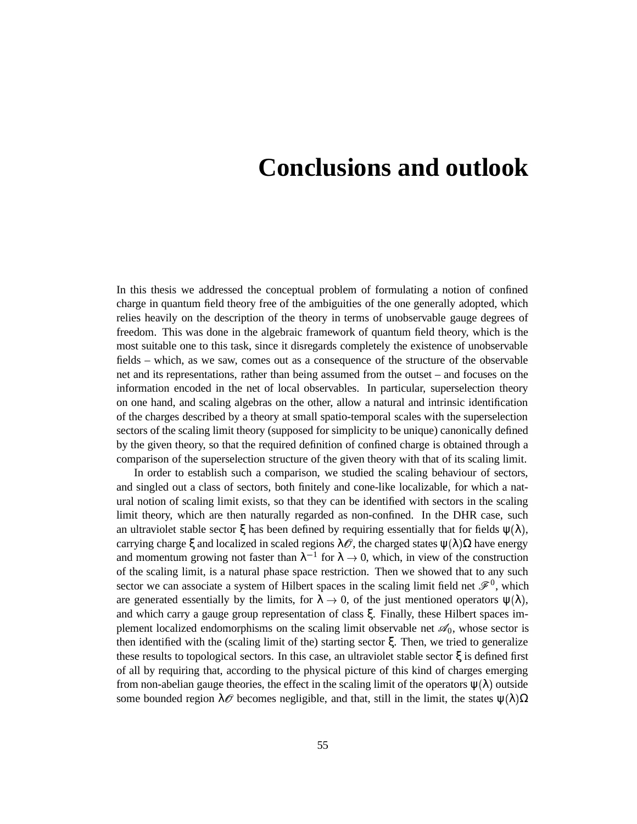## **Conclusions and outlook**

In this thesis we addressed the conceptual problem of formulating a notion of confined charge in quantum field theory free of the ambiguities of the one generally adopted, which relies heavily on the description of the theory in terms of unobservable gauge degrees of freedom. This was done in the algebraic framework of quantum field theory, which is the most suitable one to this task, since it disregards completely the existence of unobservable fields – which, as we saw, comes out as a consequence of the structure of the observable net and its representations, rather than being assumed from the outset – and focuses on the information encoded in the net of local observables. In particular, superselection theory on one hand, and scaling algebras on the other, allow a natural and intrinsic identification of the charges described by a theory at small spatio-temporal scales with the superselection sectors of the scaling limit theory (supposed for simplicity to be unique) canonically defined by the given theory, so that the required definition of confined charge is obtained through a comparison of the superselection structure of the given theory with that of its scaling limit.

In order to establish such a comparison, we studied the scaling behaviour of sectors, and singled out a class of sectors, both finitely and cone-like localizable, for which a natural notion of scaling limit exists, so that they can be identified with sectors in the scaling limit theory, which are then naturally regarded as non-confined. In the DHR case, such an ultraviolet stable sector  $\xi$  has been defined by requiring essentially that for fields  $\psi(\lambda)$ , carrying charge  $\xi$  and localized in scaled regions  $\lambda \mathscr{O}$ , the charged states  $\psi(\lambda) \Omega$  have energy and momentum growing not faster than  $\lambda^{-1}$  for  $\lambda \to 0$ , which, in view of the construction of the scaling limit, is a natural phase space restriction. Then we showed that to any such sector we can associate a system of Hilbert spaces in the scaling limit field net  $\mathscr{F}^0$ , which are generated essentially by the limits, for  $\lambda \to 0$ , of the just mentioned operators  $\psi(\lambda)$ , and which carry a gauge group representation of class ξ. Finally, these Hilbert spaces implement localized endomorphisms on the scaling limit observable net  $\mathscr{A}_0$ , whose sector is then identified with the (scaling limit of the) starting sector ξ. Then, we tried to generalize these results to topological sectors. In this case, an ultraviolet stable sector  $\xi$  is defined first of all by requiring that, according to the physical picture of this kind of charges emerging from non-abelian gauge theories, the effect in the scaling limit of the operators  $\psi(\lambda)$  outside some bounded region  $\lambda \mathscr{O}$  becomes negligible, and that, still in the limit, the states  $\psi(\lambda) \Omega$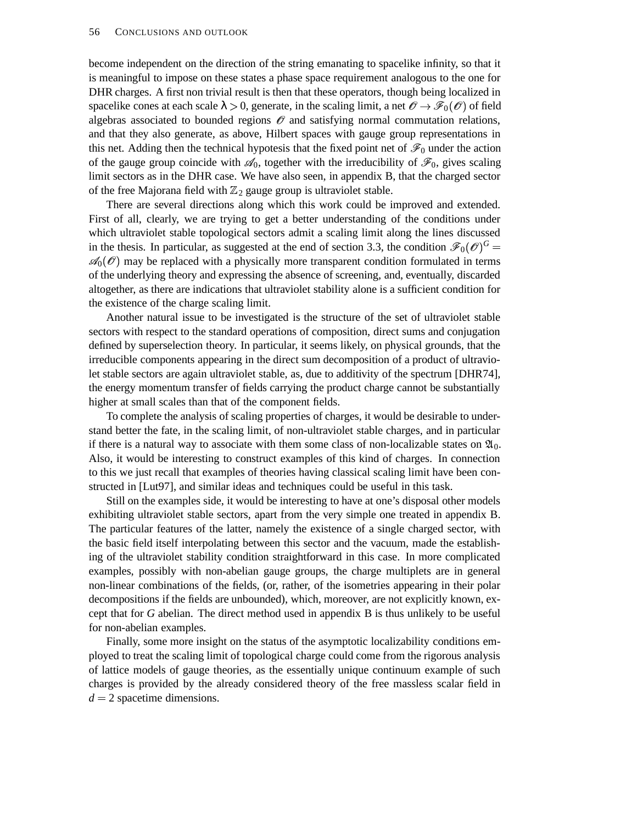become independent on the direction of the string emanating to spacelike infinity, so that it is meaningful to impose on these states a phase space requirement analogous to the one for DHR charges. A first non trivial result is then that these operators, though being localized in spacelike cones at each scale  $\lambda > 0$ , generate, in the scaling limit, a net  $\mathscr{O} \to \mathscr{F}_0(\mathscr{O})$  of field algebras associated to bounded regions  $\mathscr O$  and satisfying normal commutation relations, and that they also generate, as above, Hilbert spaces with gauge group representations in this net. Adding then the technical hypotesis that the fixed point net of  $\mathscr{F}_0$  under the action of the gauge group coincide with  $\mathcal{A}_0$ , together with the irreducibility of  $\mathcal{F}_0$ , gives scaling limit sectors as in the DHR case. We have also seen, in appendix B, that the charged sector of the free Majorana field with  $\mathbb{Z}_2$  gauge group is ultraviolet stable.

There are several directions along which this work could be improved and extended. First of all, clearly, we are trying to get a better understanding of the conditions under which ultraviolet stable topological sectors admit a scaling limit along the lines discussed in the thesis. In particular, as suggested at the end of section 3.3, the condition  $\mathscr{F}_0(\mathscr{O})^G$  =  $\mathscr{A}_0(\mathscr{O})$  may be replaced with a physically more transparent condition formulated in terms of the underlying theory and expressing the absence of screening, and, eventually, discarded altogether, as there are indications that ultraviolet stability alone is a sufficient condition for the existence of the charge scaling limit.

Another natural issue to be investigated is the structure of the set of ultraviolet stable sectors with respect to the standard operations of composition, direct sums and conjugation defined by superselection theory. In particular, it seems likely, on physical grounds, that the irreducible components appearing in the direct sum decomposition of a product of ultraviolet stable sectors are again ultraviolet stable, as, due to additivity of the spectrum [DHR74], the energy momentum transfer of fields carrying the product charge cannot be substantially higher at small scales than that of the component fields.

To complete the analysis of scaling properties of charges, it would be desirable to understand better the fate, in the scaling limit, of non-ultraviolet stable charges, and in particular if there is a natural way to associate with them some class of non-localizable states on  $\mathfrak{A}_0$ . Also, it would be interesting to construct examples of this kind of charges. In connection to this we just recall that examples of theories having classical scaling limit have been constructed in [Lut97], and similar ideas and techniques could be useful in this task.

Still on the examples side, it would be interesting to have at one's disposal other models exhibiting ultraviolet stable sectors, apart from the very simple one treated in appendix B. The particular features of the latter, namely the existence of a single charged sector, with the basic field itself interpolating between this sector and the vacuum, made the establishing of the ultraviolet stability condition straightforward in this case. In more complicated examples, possibly with non-abelian gauge groups, the charge multiplets are in general non-linear combinations of the fields, (or, rather, of the isometries appearing in their polar decompositions if the fields are unbounded), which, moreover, are not explicitly known, except that for *G* abelian. The direct method used in appendix B is thus unlikely to be useful for non-abelian examples.

Finally, some more insight on the status of the asymptotic localizability conditions employed to treat the scaling limit of topological charge could come from the rigorous analysis of lattice models of gauge theories, as the essentially unique continuum example of such charges is provided by the already considered theory of the free massless scalar field in  $d = 2$  spacetime dimensions.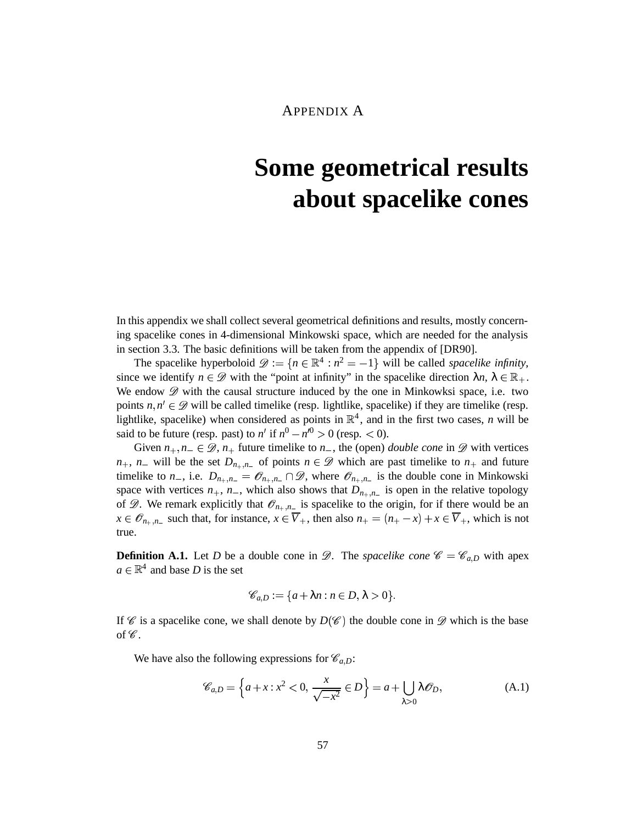### APPENDIX A

# **Some geometrical results about spacelike cones**

In this appendix we shall collect several geometrical definitions and results, mostly concerning spacelike cones in 4-dimensional Minkowski space, which are needed for the analysis in section 3.3. The basic definitions will be taken from the appendix of [DR90].

The spacelike hyperboloid  $\mathcal{D} := \{ n \in \mathbb{R}^4 : n^2 = -1 \}$  will be called *spacelike infinity*, since we identify  $n \in \mathcal{D}$  with the "point at infinity" in the spacelike direction  $\lambda n, \lambda \in \mathbb{R}_+$ . We endow  $\mathscr D$  with the causal structure induced by the one in Minkowksi space, i.e. two points  $n, n' \in \mathcal{D}$  will be called timelike (resp. lightlike, spacelike) if they are timelike (resp. lightlike, spacelike) when considered as points in  $\mathbb{R}^4$ , and in the first two cases, *n* will be said to be future (resp. past) to  $n'$  if  $n^0 - n'^0 > 0$  (resp.  $< 0$ ).

Given  $n_+, n_- \in \mathcal{D}$ ,  $n_+$  future timelike to  $n_-,$  the (open) *double cone* in  $\mathcal{D}$  with vertices  $n_+$ ,  $n_-$  will be the set  $D_{n_+,n_-}$  of points  $n \in \mathcal{D}$  which are past timelike to  $n_+$  and future timelike to *n*<sub>-</sub>, i.e.  $D_{n_+,n_-} = \mathcal{O}_{n_+,n_-} \cap \mathcal{D}$ , where  $\mathcal{O}_{n_+,n_-}$  is the double cone in Minkowski space with vertices  $n_+$ ,  $n_-$ , which also shows that  $D_{n_+,n_-}$  is open in the relative topology of  $\mathscr{D}$ . We remark explicitly that  $\mathscr{O}_{n_+,n_-}$  is spacelike to the origin, for if there would be an  $x \in \mathcal{O}_{n_+,n_-}$  such that, for instance,  $x \in \overline{V}_+$ , then also  $n_+ = (n_+ - x) + x \in \overline{V}_+$ , which is not true.

**Definition A.1.** Let *D* be a double cone in  $\mathscr{D}$ . The *spacelike cone*  $\mathscr{C} = \mathscr{C}_{a,D}$  with apex  $a \in \mathbb{R}^4$  and base *D* is the set

$$
\mathscr{C}_{a,D} := \{ a + \lambda n : n \in D, \lambda > 0 \}.
$$

If  $\mathscr C$  is a spacelike cone, we shall denote by  $D(\mathscr C)$  the double cone in  $\mathscr D$  which is the base of  $\mathscr C$ .

We have also the following expressions for  $\mathcal{C}_{a,D}$ :

$$
\mathscr{C}_{a,D} = \left\{ a + x : x^2 < 0, \, \frac{x}{\sqrt{-x^2}} \in D \right\} = a + \bigcup_{\lambda > 0} \lambda \mathscr{O}_D,\tag{A.1}
$$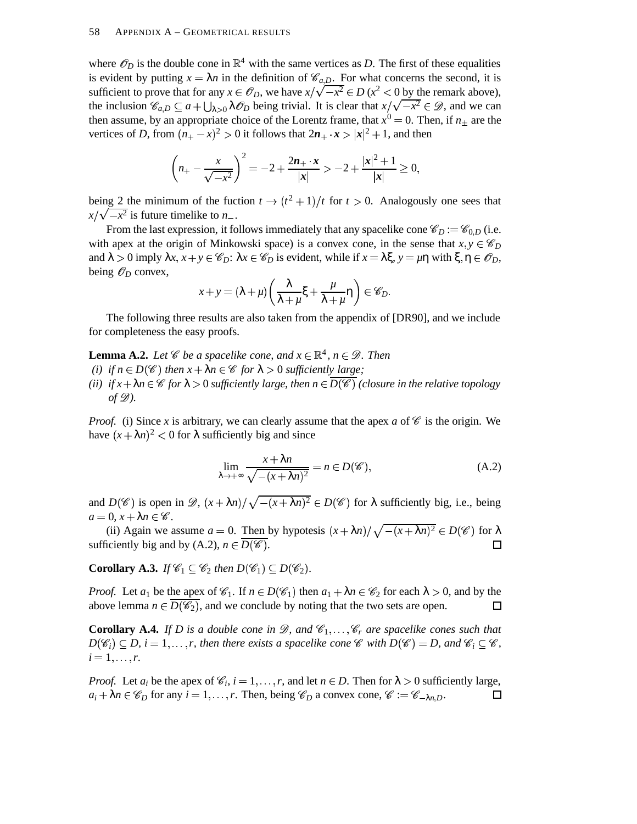where  $\mathscr{O}_D$  is the double cone in  $\mathbb{R}^4$  with the same vertices as *D*. The first of these equalities is evident by putting  $x = \lambda n$  in the definition of  $\mathcal{C}_{a,D}$ . For what concerns the second, it is sufficient to prove that for any  $x \in \mathcal{O}_D$ , we have  $x/\sqrt{-x^2} \in D$  ( $x^2 < 0$  by the remark above), the inclusion  $\mathscr{C}_{a,D} \subseteq a + \bigcup_{\lambda>0} \lambda \mathscr{O}_D$  being trivial. It is clear that  $x/\sqrt{-x^2} \in \mathscr{D}$ , and we can then assume, by an appropriate choice of the Lorentz frame, that  $x^0 = 0$ . Then, if  $n_{\pm}$  are the vertices of *D*, from  $(n_+ - x)^2 > 0$  it follows that  $2n_+ \cdot x > |x|^2 + 1$ , and then

$$
\left(n_{+} - \frac{x}{\sqrt{-x^{2}}} \right)^{2} = -2 + \frac{2n_{+} \cdot x}{|x|} > -2 + \frac{|x|^{2} + 1}{|x|} \ge 0,
$$

being 2 the minimum of the fuction  $t \to (t^2 + 1)/t$  for  $t > 0$ . Analogously one sees that  $x/\sqrt{-x^2}$  is future timelike to *n*.

From the last expression, it follows immediately that any spacelike cone  $\mathscr{C}_D := \mathscr{C}_{0,D}$  (i.e. with apex at the origin of Minkowski space) is a convex cone, in the sense that  $x, y \in \mathscr{C}_D$ and  $\lambda > 0$  imply  $\lambda x, x + y \in \mathscr{C}_D$ :  $\lambda x \in \mathscr{C}_D$  is evident, while if  $x = \lambda \xi, y = \mu \eta$  with  $\xi, \eta \in \mathscr{O}_D$ , being  $\mathscr{O}_D$  convex,

$$
x+y=(\lambda+\mu)\left(\frac{\lambda}{\lambda+\mu}\xi+\frac{\mu}{\lambda+\mu}\eta\right)\in\mathscr{C}_D.
$$

The following three results are also taken from the appendix of [DR90], and we include for completeness the easy proofs.

**Lemma A.2.** Let  $\mathscr{C}$  be a spacelike cone, and  $x \in \mathbb{R}^4$ ,  $n \in \mathscr{D}$ . Then

- *(i) if*  $n \in D(\mathscr{C})$  *then*  $x + \lambda n \in \mathscr{C}$  *for*  $\lambda > 0$  *sufficiently large;*
- *(ii)*  $if x + \lambda n \in \mathscr{C}$  *for*  $\lambda > 0$  *sufficiently large, then*  $n \in D(\mathscr{C})$  *(closure in the relative topology of ).*

*Proof.* (i) Since x is arbitrary, we can clearly assume that the apex  $a$  of  $\mathscr C$  is the origin. We have  $(x + \lambda n)^2 < 0$  for  $\lambda$  sufficiently big and since

$$
\lim_{\lambda \to +\infty} \frac{x + \lambda n}{\sqrt{-(x + \lambda n)^2}} = n \in D(\mathscr{C}),\tag{A.2}
$$

and  $D(\mathscr{C})$  is open in  $\mathscr{D}, (x + \lambda n)/\sqrt{-(x + \lambda n)^2} \in D(\mathscr{C})$  for  $\lambda$  sufficiently big, i.e., being  $a = 0, x + \lambda n \in \mathscr{C}$ .

(ii) Again we assume  $a = 0$ . Then by hypotesis  $(x + \lambda n) / \sqrt{-(x + \lambda n)^2} \in D(\mathscr{C})$  for  $\lambda$ sufficiently big and by  $(A.2)$ ,  $n \in D(\mathscr{C})$ .  $\Box$ 

**Corollary A.3.** *If*  $\mathscr{C}_1 \subseteq \mathscr{C}_2$  then  $D(\mathscr{C}_1) \subseteq D(\mathscr{C}_2)$ .

*Proof.* Let  $a_1$  be the apex of  $\mathcal{C}_1$ . If  $n \in D(\mathcal{C}_1)$  then  $a_1 + \lambda n \in \mathcal{C}_2$  for each  $\lambda > 0$ , and by the above lemma  $n \in D(\mathscr{C}_2)$ , and we conclude by noting that the two sets are open.  $\Box$ 

**Corollary A.4.** If D is a double cone in  $\mathscr{D}$ , and  $\mathscr{C}_1, \ldots, \mathscr{C}_r$  are spacelike cones such that  $D(\mathscr{C}_i) \subseteq D$ ,  $i = 1, \ldots, r$ , then there exists a spacelike cone  $\mathscr{C}$  with  $D(\mathscr{C}) = D$ , and  $\mathscr{C}_i \subseteq \mathscr{C}$ ,  $i = 1, \ldots, r$ .

*Proof.* Let  $a_i$  be the apex of  $\mathcal{C}_i$ ,  $i = 1, ..., r$ , and let  $n \in D$ . Then for  $\lambda > 0$  sufficiently large,  $a_i + \lambda n \in \mathscr{C}_D$  for any  $i = 1, ..., r$ . Then, being  $\mathscr{C}_D$  a convex cone,  $\mathscr{C} := \mathscr{C}_{-\lambda n,D}$ .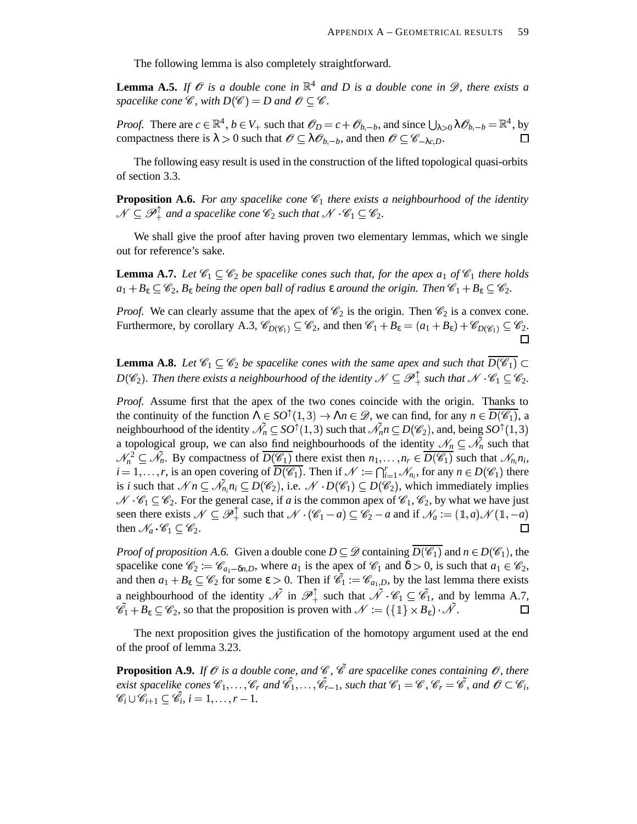The following lemma is also completely straightforward.

**Lemma** A.5. If  $\mathcal{O}$  *is a double cone in*  $\mathbb{R}^4$  *and D is a double cone in*  $\mathcal{D}$ *, there exists a* spacelike cone  $\mathscr{C}$ , with  $D(\mathscr{C}) = D$  and  $\mathscr{O} \subseteq \mathscr{C}$ .

*Proof.* There are  $c \in \mathbb{R}^4$ ,  $b \in V_+$  such that  $\mathcal{O}_D = c + \mathcal{O}_{b,-b}$ , and since  $\bigcup_{\lambda > 0} \lambda \mathcal{O}_{b,-b} = \mathbb{R}^4$ , by compactness there is  $\lambda > 0$  such that  $\mathscr{O} \subseteq \lambda \mathscr{O}_{b,-b}$ , and then  $\mathscr{O} \subseteq \mathscr{C}_{-\lambda c,D}$ . П

The following easy result is used in the construction of the lifted topological quasi-orbits of section 3.3.

**Proposition A.6.** For any spacelike cone  $\mathscr{C}_1$  there exists a neighbourhood of the identity  $\mathcal{N} \subseteq \mathcal{P}_+^{\perp}$  and a spacelike cone  $\mathscr{C}_2$  such that  $\mathcal{N} \cdot \mathscr{C}_1 \subseteq \mathscr{C}_2$ .

We shall give the proof after having proven two elementary lemmas, which we single out for reference's sake.

**Lemma A.7.** Let  $\mathscr{C}_1 \subseteq \mathscr{C}_2$  be spacelike cones such that, for the apex  $a_1$  of  $\mathscr{C}_1$  there holds  $a_1 + B_\varepsilon \subseteq \mathscr{C}_2$ ,  $B_\varepsilon$  *being the open ball of radius*  $\varepsilon$  *around the origin. Then*  $\mathscr{C}_1 + B_\varepsilon \subseteq \mathscr{C}_2$ .

*Proof.* We can clearly assume that the apex of  $\mathcal{C}_2$  is the origin. Then  $\mathcal{C}_2$  is a convex cone. Furthermore, by corollary A.3,  $\mathscr{C}_{D(\mathscr{C}_1)} \subseteq \mathscr{C}_2$ , and then  $\mathscr{C}_1 + B_{\varepsilon} = (a_1 + B_{\varepsilon}) + \mathscr{C}_{D(\mathscr{C}_1)} \subseteq \mathscr{C}_2$ .

**Lemma A.8.** Let  $\mathscr{C}_1 \subseteq \mathscr{C}_2$  be spacelike cones with the same apex and such that  $D(\mathscr{C}_1) \subset$  $D(\mathscr{C}_2)$ . Then there exists a neighbourhood of the identity  $\mathscr{N} \subseteq \mathscr{P}_+^{\perp}$  such that  $\mathscr{N} \cdot \mathscr{C}_1 \subseteq \mathscr{C}_2$ .

*Proof.* Assume first that the apex of the two cones coincide with the origin. Thanks to the continuity of the function  $\Lambda \in SO^{\uparrow}(1,3) \to \Lambda n \in \mathcal{D}$ , we can find, for any  $n \in D(\mathcal{C}_1)$ , a neighbourhood of the identity  $\tilde{\mathcal{N}_n} \subseteq SO^{\uparrow}(1,3)$  such that  $\tilde{\mathcal{N}_n}$   $n \subseteq D(\mathscr{C}_2)$ , and, being  $SO^{\uparrow}(1,3)$ a topological group, we can also find neighbourhoods of the identity  $\mathcal{N}_n \subseteq \tilde{\mathcal{N}_n}$  such that  $\mathcal{N}_n^2 \subseteq \mathcal{N}_n$ . By compactness of  $\overline{D(\mathcal{C}_1)}$  there exist then  $n_1, \ldots, n_r \in \overline{D(\mathcal{C}_1)}$  such that  $\mathcal{N}_{n_i} n_i$ ,  $i = 1, \ldots, r$ , is an open covering of  $\overline{D(\mathscr{C}_1)}$ . Then if  $\mathscr{N} := \bigcap_{i=1}^r \mathscr{N}_{n_i}$ , for any  $n \in D(\mathscr{C}_1)$  there is *i* such that  $\mathcal{N}n \subseteq \mathcal{N}_{n_i}n_i \subseteq D(\mathcal{C}_2)$ , i.e.  $\mathcal{N} \cdot D(\mathcal{C}_1) \subseteq D(\mathcal{C}_2)$ , which immediately implies  $\mathscr{C}_1 \subseteq \mathscr{C}_2$ . For the general case, if *a* is the common apex of  $\mathscr{C}_1$ ,  $\mathscr{C}_2$ , by what we have just seen there exists  $\mathcal{N} \subseteq \mathcal{P}_+^{\perp}$  such that  $\mathcal{N} \cdot (\mathcal{C}_1 - a) \subseteq \mathcal{C}_2 - a$  and if  $\mathcal{N}_a := (1, a) \mathcal{N}(1, -a)$ then  $\mathcal{N}_a \cdot \mathcal{C}_1 \subseteq \mathcal{C}_2$ .  $\Box$ 

*Proof of proposition A.6.* Given a double cone  $D \subseteq \mathcal{D}$  containing  $D(\mathcal{C}_1)$  and  $n \in D(\mathcal{C}_1)$ , the spacelike cone  $\mathcal{C}_2 := \mathcal{C}_{a_1 - \delta n, D}$ , where  $a_1$  is the apex of  $\mathcal{C}_1$  and  $\delta > 0$ , is such that  $a_1 \in \mathcal{C}_2$ , and then  $a_1 + B_\varepsilon \subseteq \mathcal{C}_2$  for some  $\varepsilon > 0$ . Then if  $\tilde{\mathcal{C}}_1 := \mathcal{C}_{a_1,D}$ , by the last lemma there exists a neighbourhood of the identity  $\tilde{\mathcal{N}}$  in  $\mathcal{P}_+^{\uparrow}$  such that  $\tilde{\mathcal{N}} \cdot \mathcal{C}_1 \subseteq \tilde{\mathcal{C}_1}$ , and by lemma A.7,  $\mathscr{C}_1 + B_{\varepsilon} \subseteq \mathscr{C}_2$ , so that the proposition is proven with  $\mathscr{N} := (\{\pmb{\mathbb{1}}\} \times B_{\varepsilon}) \cdot \mathscr{N}$ .  $\Box$ 

The next proposition gives the justification of the homotopy argument used at the end of the proof of lemma 3.23.

**Proposition A.9.** If  $\mathscr O$  is a double cone, and  $\mathscr C$ ,  $\mathscr{\tilde C}$  are spacelike cones containing  $\mathscr O$ , there exist spacelike cones  $\mathscr{C}_1,\ldots,\mathscr{C}_r$  and  $\hat{\mathscr{C}}_1,\ldots,\hat{\mathscr{C}}_{r-1}$ , such that  $\mathscr{C}_1=\mathscr{C}$ ,  $\mathscr{C}_r=\tilde{\mathscr{C}}$ , and  $\mathscr{O}\subset\mathscr{C}_i$ ,  $\mathscr{C}_i \cup \mathscr{C}_{i+1} \subseteq \mathscr{C}_i$ ,  $i = 1, \ldots, r-1$ .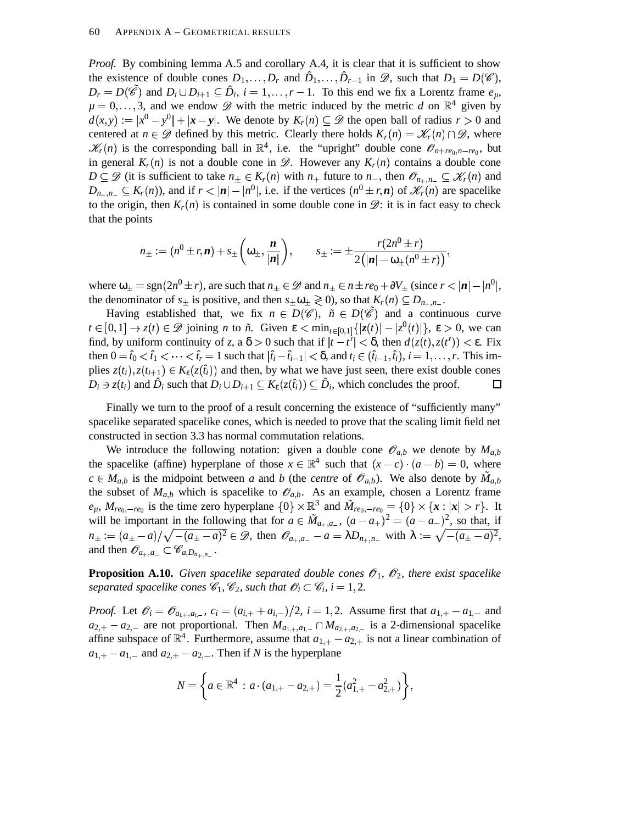*Proof.* By combining lemma A.5 and corollary A.4, it is clear that it is sufficient to show the existence of double cones  $D_1, \ldots, D_r$  and  $\hat{D}_1, \ldots, \hat{D}_{r-1}$  in  $\mathscr{D}$ , such that  $D_1 = D(\mathscr{C})$ ,  $D_r = D(\mathscr{C})$  and  $D_i \cup D_{i+1} \subseteq \hat{D}_i$ ,  $i = 1, ..., r-1$ . To this end we fix a Lorentz frame  $e_{\mu}$ ,  $\mu = 0, \ldots, 3$ , and we endow  $\mathscr{D}$  with the metric induced by the metric *d* on  $\mathbb{R}^4$  given by  $d(x, y) := |x^0 - y^0| + |\mathbf{x} - \mathbf{y}|$ . We denote by  $K_r(n) \subseteq \mathcal{D}$  the open ball of radius  $r > 0$  and centered at  $n \in \mathcal{D}$  defined by this metric. Clearly there holds  $K_r(n) = \mathcal{K}_r(n) \cap \mathcal{D}$ , where  $f(r)$  is the corresponding ball in  $\mathbb{R}^4$ , i.e. the "upright" double cone  $\mathscr{O}_{n+re_0,n-re_0}$ , but in general  $K_r(n)$  is not a double cone in  $\mathscr{D}$ . However any  $K_r(n)$  contains a double cone  $D \subseteq \mathscr{D}$  (it is sufficient to take  $n_{\pm} \in K_r(n)$  with  $n_+$  future to  $n_-,$  then  $\mathscr{O}_{n_+,n_-} \subseteq \mathscr{K}_r(n)$  and  $D_{n_+,n_-} \subseteq K_r(n)$ , and if  $r < |n| - |n^0|$ , i.e. if the vertices  $(n^0 \pm r, n)$  of  $\mathscr{K}_r(n)$  are spacelike to the origin, then  $K_r(n)$  is contained in some double cone in  $\mathscr{D}$ : it is in fact easy to check that the points

$$
n_{\pm} := (n^0 \pm r, \mathbf{n}) + s_{\pm} \left( \omega_{\pm}, \frac{\mathbf{n}}{|\mathbf{n}|} \right), \qquad s_{\pm} := \pm \frac{r(2n^0 \pm r)}{2(|\mathbf{n}| - \omega_{\pm}(n^0 \pm r))},
$$

where  $\omega_{\pm} = \text{sgn}(2n^0 \pm r)$ , are such that  $n_{\pm} \in \mathcal{D}$  and  $n_{\pm} \in n \pm r e_0 + \partial V_{\pm}$  (since  $r < |\mathbf{n}| - |n^0|$ , the denominator of  $s_{\pm}$  is positive, and then  $s_{\pm}\omega_{\pm} \ge 0$ , so that  $K_r(n) \subseteq D_{n_+,n_-}$ .

Having established that, we fix  $n \in D(\mathscr{C})$ ,  $\tilde{n} \in D(\tilde{\mathscr{C}})$  and a continuous curve  $t \in [0,1] \to z(t) \in \mathcal{D}$  joining *n* to  $\tilde{n}$ . Given  $\varepsilon < \min_{t \in [0,1]} \{|z(t)| - |z^0(t)|\}$ ,  $\varepsilon > 0$ , we can find, by uniform continuity of *z*, a  $\delta > 0$  such that if  $|t - t'| < \delta$ , then  $d(z(t), z(t')) < \epsilon$ . Fix then  $0 = \hat{t}_0 < \hat{t}_1 < \cdots < \hat{t}_r = 1$  such that  $|\hat{t}_i - \hat{t}_{i-1}| < \delta$ , and  $t_i \in (\hat{t}_{i-1}, \hat{t}_i)$ ,  $i = 1, \ldots, r$ . This implies  $z(t_i)$ ,  $z(t_{i+1}) \in K_{\varepsilon}(z(\hat{t}_i))$  and then, by what we have just seen, there exist double cones  $D_i \ni z(t_i)$  and  $\hat{D}_i$  such that  $D_i \cup D_{i+1} \subseteq K_{\varepsilon}(z(\hat{t}_i)) \subseteq \hat{D}_i$ , which concludes the proof.  $\Box$ 

Finally we turn to the proof of a result concerning the existence of "sufficiently many" spacelike separated spacelike cones, which is needed to prove that the scaling limit field net constructed in section 3.3 has normal commutation relations.

We introduce the following notation: given a double cone  $\mathcal{O}_{a,b}$  we denote by  $M_{a,b}$ the spacelike (affine) hyperplane of those  $x \in \mathbb{R}^4$  such that  $(x - c) \cdot (a - b) = 0$ , where  $c \in M_{a,b}$  is the midpoint between *a* and *b* (the *centre* of  $\mathscr{O}_{a,b}$ ). We also denote by  $\tilde{M}_{a,b}$ the subset of  $M_{a,b}$  which is spacelike to  $\mathcal{O}_{a,b}$ . As an example, chosen a Lorentz frame  $e_{\mu}$ ,  $M_{re_0,-re_0}$  is the time zero hyperplane  $\{0\} \times \mathbb{R}^3$  and  $\tilde{M}_{re_0,-re_0} = \{0\} \times \{x : |x| > r\}$ . It will be important in the following that for  $a \in \tilde{M}_{a_+,a_-}$ ,  $(a - a_+)^2 = (a - a_-)^2$ , so that, if  $n_{\pm} := (a_{\pm} - a) / \sqrt{- (a_{\pm} - a)^2} \in \mathcal{D}$ , then  $\mathcal{O}_{a_{+},a_{-}} - a = \lambda D_{n_{+},n_{-}}$  with  $\lambda := \sqrt{- (a_{\pm} - a)^2}$ , and then  $\mathscr{O}_{a_+,a_-} \subset \mathscr{C}_{a,D_{n_+,n_-}}$ .

**Proposition A.10.** Given spacelike separated double cones  $\mathcal{O}_1$ ,  $\mathcal{O}_2$ , there exist spacelike *separated spacelike cones*  $\mathscr{C}_1$ ,  $\mathscr{C}_2$ , such that  $\mathscr{O}_i \subset \mathscr{C}_i$ ,  $i = 1, 2$ .

*Proof.* Let  $\mathcal{O}_i = \mathcal{O}_{a_{i+1}, a_{i-1}}$ ,  $c_i = (a_{i+1} + a_{i-1})/2$ ,  $i = 1, 2$ . Assume first that  $a_{1,+} - a_{1,-}$  and  $a_{2,+} - a_{2,-}$  are not proportional. Then  $M_{a_{1,+},a_{1,-}} \cap M_{a_{2,+},a_{2,-}}$  is a 2-dimensional spacelike affine subspace of  $\mathbb{R}^4$ . Furthermore, assume that  $a_{1,+} - a_{2,+}$  is not a linear combination of  $a_{1,+}$  –  $a_{1,-}$  and  $a_{2,+}$  –  $a_{2,-}$ . Then if *N* is the hyperplane

$$
N = \left\{ a \in \mathbb{R}^4 : a \cdot (a_{1,+} - a_{2,+}) = \frac{1}{2} (a_{1,+}^2 - a_{2,+}^2) \right\},\,
$$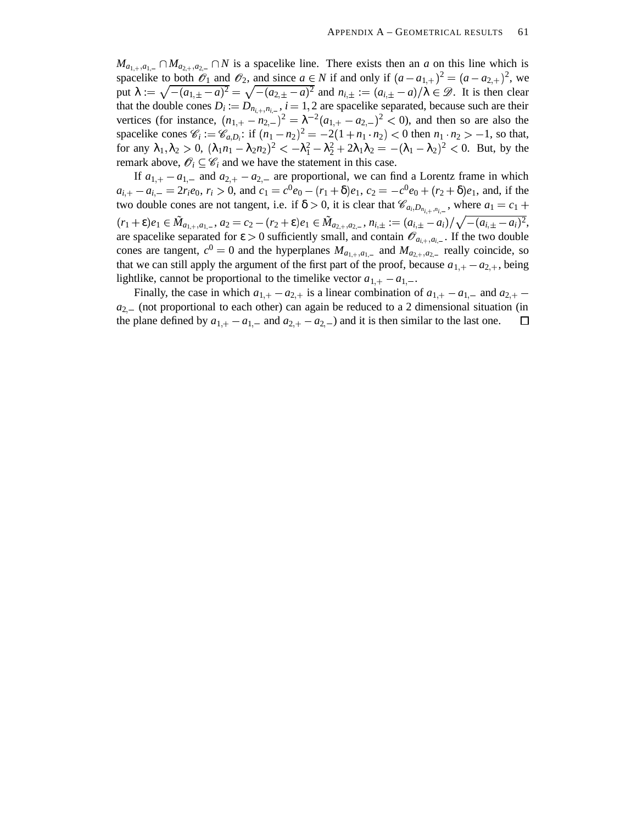$M_{a_{1,+},a_{1,-}} \cap M_{a_{2,+},a_{2,-}} \cap N$  is a spacelike line. There exists then an *a* on this line which is spacelike to both  $\mathscr{O}_1$  and  $\mathscr{O}_2$ , and since  $a \in N$  if and only if  $(a - a_{1,+})^2 = (a - a_{2,+})^2$ , we put  $\lambda := \sqrt{-(a_{1,\pm} - a)^2} = \sqrt{-(a_{2,\pm} - a)^2}$  and  $n_{i,\pm} := (a_{i,\pm} - a)/\lambda \in \mathcal{D}$ . It is then clear that the double cones  $D_i := D_{n_{i+1}, n_{i-1}}$ ,  $i = 1, 2$  are spacelike separated, because such are their vertices (for instance,  $(n_{1,+} - n_{2,-})^2 = \lambda^{-2} (a_{1,+} - a_{2,-})^2 < 0$ ), and then so are also the spacelike cones  $\mathcal{C}_i := \mathcal{C}_{a,D_i}$ : if  $(n_1 - n_2)^2 = -2(1 + n_1 \cdot n_2) < 0$  then  $n_1 \cdot n_2 > -1$ , so that, for any  $\lambda_1, \lambda_2 > 0$ ,  $(\lambda_1 n_1 - \lambda_2 n_2)^2 < -\lambda_1^2 - \lambda_2^2 + 2\lambda_1 \lambda_2 = -(\lambda_1 - \lambda_2)^2 < 0$ . But, by the remark above,  $\mathscr{O}_i \subseteq \mathscr{C}_i$  and we have the statement in this case.

If  $a_{1,+} - a_{1,-}$  and  $a_{2,+} - a_{2,-}$  are proportional, we can find a Lorentz frame in which  $a_{i,+}-a_{i,-}=2r_ie_0, r_i>0$ , and  $c_1=c^0e_0-(r_1+\delta)e_1, c_2=-c^0e_0+(r_2+\delta)e_1$ , and, if the two double cones are not tangent, i.e. if  $\delta > 0$ , it is clear that  $\mathscr{C}_{a_i, D_{n_{i,+}, n_{i,-}}}$ , where  $a_1 = c_1 +$  $(r_1+\epsilon) e_1\in \tilde{M}_{a_{1,+},a_{1,-}}, a_2=c_2-(r_2+\epsilon) e_1\in \tilde{M}_{a_{2,+},a_{2,-}}, n_{i,\pm}:=(a_{i,\pm}-a_i)/\sqrt{-(a_{i,\pm}-a_i)^2},$ are spacelike separated for  $\varepsilon > 0$  sufficiently small, and contain  $\mathscr{O}_{a_{i,+},a_{i,-}}$ . If the two double cones are tangent,  $c^0 = 0$  and the hyperplanes  $M_{a_{1,+},a_{1,-}}$  and  $M_{a_{2,+},a_{2,-}}$  really coincide, so that we can still apply the argument of the first part of the proof, because  $a_{1,+} - a_{2,+}$ , being lightlike, cannot be proportional to the timelike vector  $a_{1,+} - a_{1,-}$ .

Finally, the case in which  $a_{1,+} - a_{2,+}$  is a linear combination of  $a_{1,+} - a_{1,-}$  and  $a_{2,+}$  $a_{2}$  (not proportional to each other) can again be reduced to a 2 dimensional situation (in the plane defined by  $a_{1,+} - a_{1,-}$  and  $a_{2,+} - a_{2,-}$  and it is then similar to the last one.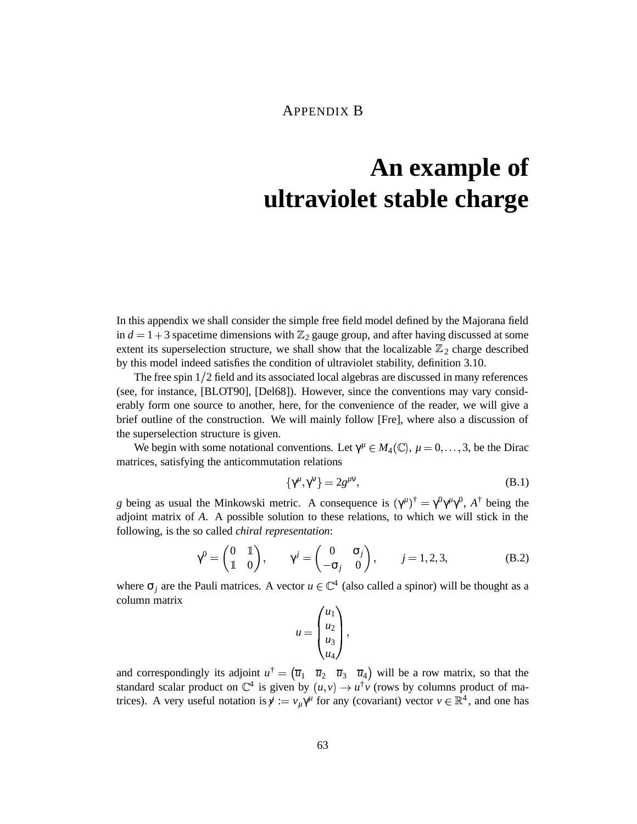### APPENDIX B

# **An example of ultraviolet stable charge**

In this appendix we shall consider the simple free field model defined by the Majorana field in  $d = 1 + 3$  spacetime dimensions with  $\mathbb{Z}_2$  gauge group, and after having discussed at some extent its superselection structure, we shall show that the localizable  $\mathbb{Z}_2$  charge described by this model indeed satisfies the condition of ultraviolet stability, definition 3.10.

The free spin 1 2 field and its associated local algebras are discussed in many references (see, for instance, [BLOT90], [Del68]). However, since the conventions may vary considerably form one source to another, here, for the convenience of the reader, we will give a brief outline of the construction. We will mainly follow [Fre], where also a discussion of the superselection structure is given.

We begin with some notational conventions. Let  $\gamma^{\mu} \in M_4(\mathbb{C}), \mu = 0, \ldots, 3$ , be the Dirac matrices, satisfying the anticommutation relations

$$
\{\gamma^{\mu},\gamma^{\nu}\} = 2g^{\mu\nu},\tag{B.1}
$$

*g* being as usual the Minkowski metric. A consequence is  $(\gamma^{\mu})^{\dagger} = \gamma^0 \gamma^{\mu} \gamma^0$ ,  $A^{\dagger}$  being the  $\mathbf{z}$  . The state of  $\mathbf{z}$ adjoint matrix of *A*. A possible solution to these relations, to which we will stick in the following, is the so called *chiral representation*:

$$
\gamma^{0} = \begin{pmatrix} 0 & 1 \\ 1 & 0 \end{pmatrix}, \qquad \gamma^{j} = \begin{pmatrix} 0 & \sigma_{j} \\ -\sigma_{j} & 0 \end{pmatrix}, \qquad j = 1, 2, 3,
$$
 (B.2)

where  $\sigma_j$  are the Pauli matrices. A vector  $u \in \mathbb{C}^4$  (also called a spinor) will be thought as a column matrix

$$
u = \begin{pmatrix} u_1 \\ u_2 \\ u_3 \\ u_4 \end{pmatrix},
$$

and correspondingly its adjoint  $u^{\dagger} = (\overline{u}_1 \ \overline{u}_2 \ \overline{u}_3 \ \overline{u}_4)$  will be a row matrix, so that the standard scalar product on  $\mathbb{C}^4$  is given by  $(u, v) \to u^{\dagger}v$  (rows by columns product of matrices). A very useful notation is  $\gamma := v_\mu \gamma^\mu$  for any (covariant) vector  $v \in \mathbb{R}^4$ , and one has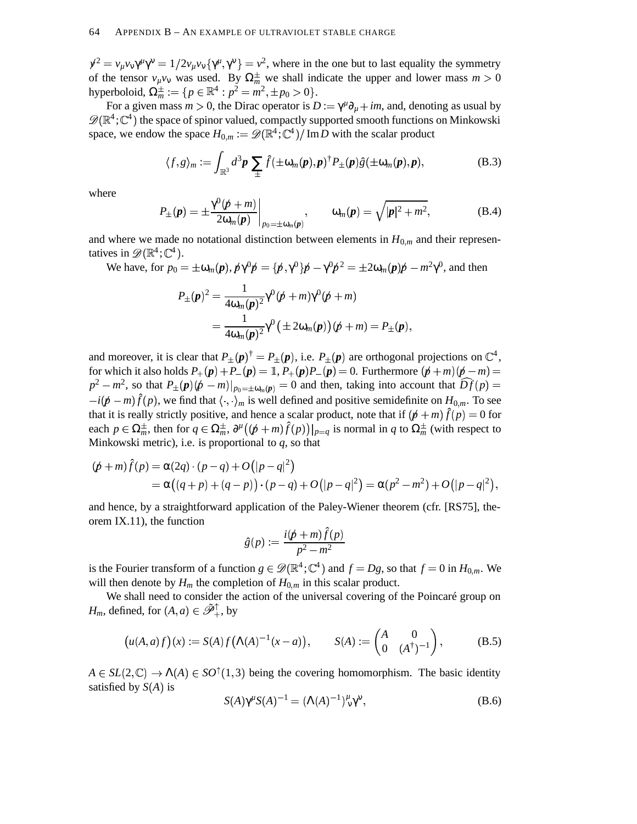$\gamma^2 = v_\mu v_v \gamma^\mu \gamma^\nu = 1/2 v_\mu v_v {\gamma^\mu, \gamma^\nu} = v^2$ , where in the one but to last equality the symmetry of the tensor  $v_{\mu}v_{\nu}$  was used. By  $\Omega_m^{\pm}$  we shall indicate the upper and lower mass  $m > 0$ hyperboloid,  $\Omega_m^{\pm} := \{ p \in \mathbb{R}^4 : p^2 = m^2, \pm p_0 > 0 \}.$ 

For a given mass  $m > 0$ , the Dirac operator is  $D := \gamma^{\mu} \partial_{\mu} + im$ , and, denoting as usual by  $\mathscr{D}(\mathbb{R}^4;\mathbb{C}^4)$  the space of spinor valued, compactly supported smooth functions on Minkowski space, we endow the space  $H_{0,m} := \mathscr{D}(\mathbb{R}^4; \mathbb{C}^4)/\mathrm{Im}D$  with the scalar product

$$
\langle f, g \rangle_m := \int_{\mathbb{R}^3} d^3 \mathbf{p} \sum_{\pm} \hat{f}(\pm \omega_m(\mathbf{p}), \mathbf{p})^{\dagger} P_{\pm}(\mathbf{p}) \hat{g}(\pm \omega_m(\mathbf{p}), \mathbf{p}), \tag{B.3}
$$

where

$$
P_{\pm}(\boldsymbol{p}) = \pm \frac{\gamma^0(\boldsymbol{p} + m)}{2\omega_m(\boldsymbol{p})}\bigg|_{p_0 = \pm \omega_m(\boldsymbol{p})}, \qquad \omega_m(\boldsymbol{p}) = \sqrt{|\boldsymbol{p}|^2 + m^2}, \qquad (B.4)
$$

and where we made no notational distinction between elements in  $H_{0,m}$  and their representatives in  $\mathscr{D}(\mathbb{R}^4; \mathbb{C}^4)$ .

We have, for  $p_0 = \pm \omega_m(p)$ ,  $p\gamma^0 p = \{p',\gamma^0\}p - \gamma^0 p^2 = \pm 2\omega_m(p)p - m^2\gamma^0$ , and then  $P_{\pm}(p)^2 = \frac{1}{(p+1)^2} \gamma^0(p+m) \gamma^0(p+m)$ 

$$
\pm \Psi = 4\omega_m(\mathbf{p})^2 \mathbf{1} \Psi + m_f \mathbf{1} \Psi + m_f
$$
  
= 
$$
\frac{1}{4\omega_m(\mathbf{p})^2} \gamma^0 (\pm 2\omega_m(\mathbf{p})) (\mathbf{p} + \mathbf{m}) = P_{\pm}(\mathbf{p}),
$$

and moreover, it is clear that  $P_{\pm}(\mathbf{p})^{\dagger} = P_{\pm}(\mathbf{p})$ , i.e.  $P_{\pm}(\mathbf{p})$  are orthogonal projections on  $\mathbb{C}^4$ , for which it also holds  $P_+({\bf p}) + P_-({\bf p}) = \mathbb{1}$ ,  $P_+({\bf p})P_-({\bf p}) = 0$ . Furthermore  $({\bf p} + m)({\bf p} - m) = 0$  $p^2 - m^2$ , so that  $P_{\pm}(p)(p-m)|_{p_0=\pm\omega_m(p)} = 0$  and then, taking into account that  $\widehat{Df}(p) = 0$  $-i(\cancel{p}-m)\hat{f}(p)$ , we find that  $\langle \cdot, \cdot \rangle_m$  is well defined and positive semidefinite on  $H_{0,m}$ . To see that it is really strictly positive, and hence a scalar product, note that if  $(p + m) \hat{f}(p) = 0$  for each  $p \in \Omega_m^{\pm}$ , then for  $q \in \Omega_m^{\pm}$ ,  $\partial^{\mu}((p+m)\hat{f}(p))|_{p=q}$  is normal in  $q$  to  $\Omega_m^{\pm}$  (with respect to  $\sqrt{2}$ Minkowski metric), i.e. is proportional to *q*, so that

$$
(\not p + m)\hat{f}(p) = \alpha(2q) \cdot (p - q) + O(|p - q|^2) = \alpha((q + p) + (q - p)) \cdot (p - q) + O(|p - q|^2) = \alpha(p^2 - m^2) + O(|p - q|^2),
$$

and hence, by a straightforward application of the Paley-Wiener theorem (cfr. [RS75], theorem IX.11), the function

$$
\hat{g}(p) := \frac{i(p+m)\hat{f}(p)}{p^2 - m^2}
$$

is the Fourier transform of a function  $g \in \mathscr{D}(\mathbb{R}^4; \mathbb{C}^4)$  and  $f = Dg$ , so that  $f = 0$  in  $H_{0,m}$ . We will then denote by  $H_m$  the completion of  $H_{0,m}$  in this scalar product.

We shall need to consider the action of the universal covering of the Poincaré group on *H<sub>m</sub>*, defined, for  $(A, a) \in \tilde{\mathcal{P}}_+^{\uparrow}$ , by

$$
\left(u(A,a)f\right)(x) := S(A)f\left(\Lambda(A)^{-1}(x-a)\right), \qquad S(A) := \begin{pmatrix} A & 0 \\ 0 & (A^{\dagger})^{-1} \end{pmatrix}, \tag{B.5}
$$

 $A \in SL(2,\mathbb{C}) \rightarrow \Lambda(A) \in SO^{\uparrow}(1,3)$  being the covering homomorphism. The basic identity satisfied by  $S(A)$  is

$$
S(A)\gamma^{\mu}S(A)^{-1} = (\Lambda(A)^{-1})^{\mu}_{\nu}\gamma^{\nu}, \tag{B.6}
$$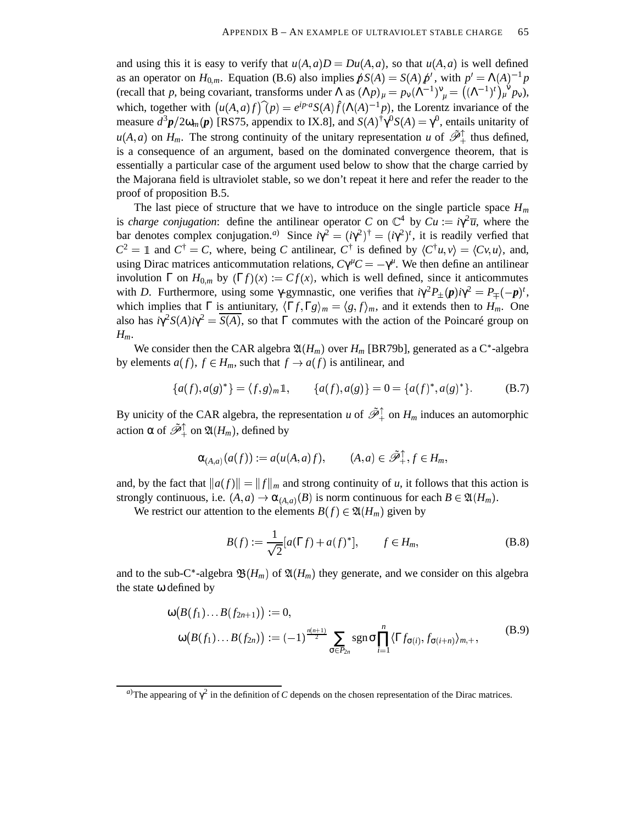and using this it is easy to verify that  $u(A, a)D = Du(A, a)$ , so that  $u(A, a)$  is well defined as an operator on  $H_{0,m}$ . Equation (B.6) also implies  $pS(A) = S(A) p'$ , with  $p' = \Lambda(A)^{-1}p$ (recall that *p*, being covariant, transforms under  $\Lambda$  as  $(\Lambda p)_{\mu} = p_{\nu} (\Lambda^{-1})^{\nu}_{\mu} = ((\Lambda^{-1})^t)^{\nu}_{\mu} p_{\nu}$ ), which, together with  $(u(A, a)f)(p) = e^{ip \cdot a} S(A) \hat{f}(\Lambda(A)^{-1} p)$ , the Lorentz invariance of the measure  $d^3p/2\omega_m(p)$  [RS75, appendix to IX.8], and  $S(A)^{\dagger}\gamma^0S(A) = \gamma^0$ , entails unitarity of  $u(A,a)$  on  $H_m$ . The strong continuity of the unitary representation *u* of  $\tilde{\mathcal{P}}_+^{\uparrow}$  thus defined, is a consequence of an argument, based on the dominated convergence theorem, that is essentially a particular case of the argument used below to show that the charge carried by the Majorana field is ultraviolet stable, so we don't repeat it here and refer the reader to the proof of proposition B.5.

The last piece of structure that we have to introduce on the single particle space  $H_m$ is *charge conjugation*: define the antilinear operator *C* on  $\mathbb{C}^4$  by  $Cu := i\gamma^2 \overline{u}$ , where the bar denotes complex conjugation.<sup>*a*</sup> Since  $i\gamma^2 = (i\gamma^2)^{\dagger} = (i\gamma^2)^t$ , it is readily verfied that  $\mathbf{r}$  and  $\mathbf{r}$  and  $\mathbf{r}$  $\mathbf{r}$  . The contract of the contract of the contract of the contract of the contract of the contract of the contract of the contract of the contract of the contract of the contract of the contract of the contract of th  $C^2 = \mathbb{1}$  and  $C^{\dagger} = C$ , where, being *C* antilinear,  $C^{\dagger}$  is defined by  $\langle C^{\dagger}u, v \rangle = \langle Cv, u \rangle$ , and, using Dirac matrices anticommutation relations,  $C\gamma^{\mu}C = -\gamma^{\mu}$ . We then define an antilinear involution  $\Gamma$  on  $H_{0,m}$  by  $(\Gamma f)(x) := Cf(x)$ , which is well defined, since it anticommutes with *D*. Furthermore, using some  $\gamma$ -gymnastic, one verifies that  $i\gamma^2 P_{\pm}(\mathbf{p})i\gamma^2 = P_{\mp}(-\mathbf{p})^t$ , which implies that  $\Gamma$  is antiunitary,  $\langle \Gamma f, \Gamma g \rangle_m = \langle g, f \rangle_m$ , and it extends then to  $H_m$ . One also has  $i\gamma^2 S(A) i\gamma^2 = \overline{S(A)}$ , so that  $\Gamma$  commutes with the action of the Poincaré group on *Hm*.

We consider then the CAR algebra  $\mathfrak{A}(H_m)$  over  $H_m$  [BR79b], generated as a C<sup>\*</sup>-algebra by elements  $a(f)$ ,  $f \in H_m$ , such that  $f \to a(f)$  is antilinear, and

$$
\{a(f), a(g)^*\} = \langle f, g \rangle_m \mathbb{1}, \qquad \{a(f), a(g)\} = 0 = \{a(f)^*, a(g)^*\}.
$$
 (B.7)

By unicity of the CAR algebra, the representation *u* of  $\tilde{\mathcal{P}}_+^{\uparrow}$  on  $H_m$  induces an automorphic action  $\alpha$  of  $\tilde{\mathscr{P}}_+^\uparrow$  on  $\mathfrak{A}(H_m)$ , defined by

$$
\alpha_{(A,a)}(a(f)) := a(u(A,a)f), \qquad (A,a) \in \tilde{\mathscr{P}}_+^{\uparrow}, f \in H_m,
$$

and, by the fact that  $||a(f)|| = ||f||_m$  and strong continuity of *u*, it follows that this action is strongly continuous, i.e.  $(A, a) \rightarrow \alpha_{(A, a)}(B)$  is norm continuous for each  $B \in \mathfrak{A}(H_m)$ .

We restrict our attention to the elements  $B(f) \in \mathfrak{A}(H_m)$  given by

$$
B(f) := \frac{1}{\sqrt{2}} [a(\Gamma f) + a(f)^*], \qquad f \in H_m,
$$
 (B.8)

and to the sub-C\*-algebra  $\mathfrak{B}(H_m)$  of  $\mathfrak{A}(H_m)$  they generate, and we consider on this algebra the state ω defined by

$$
\omega\big(B(f_1)\dots B(f_{2n+1})\big) := 0,
$$
  
\n
$$
\omega\big(B(f_1)\dots B(f_{2n})\big) := (-1)^{\frac{n(n+1)}{2}} \sum_{\sigma \in P_{2n}} \operatorname{sgn} \sigma \prod_{i=1}^n \langle \Gamma f_{\sigma(i)}, f_{\sigma(i+n)} \rangle_{m,+},
$$
\n(B.9)

*a*)The appearing of  $\gamma^2$  in the definition of *C* depends on the chosen representation of the Dirac matrices.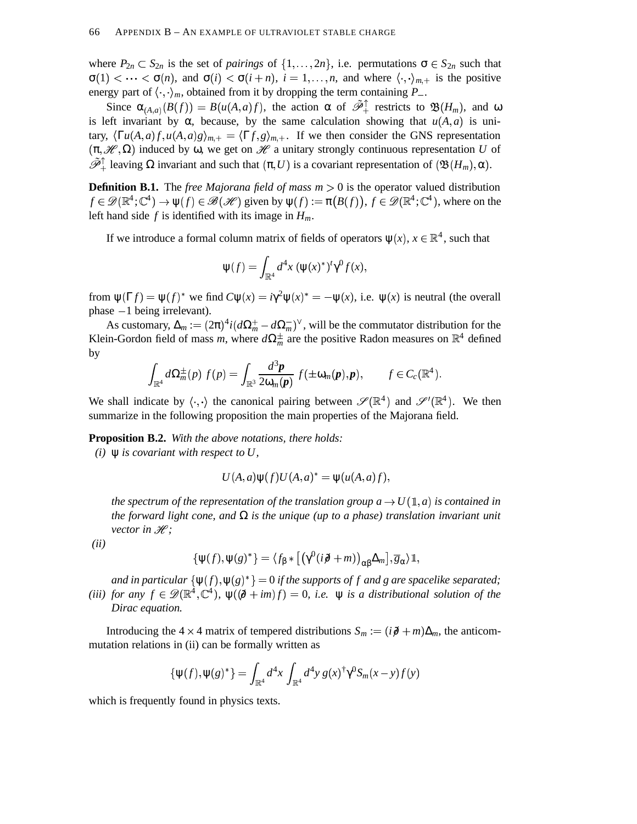where  $P_{2n} \subset S_{2n}$  is the set of *pairings* of  $\{1, \ldots, 2n\}$ , i.e. permutations  $\sigma \in S_{2n}$  such that  $\sigma(1) < \cdots < \sigma(n)$ , and  $\sigma(i) < \sigma(i+n)$ ,  $i = 1, \ldots, n$ , and where  $\langle \cdot, \cdot \rangle_{m,+}$  is the positive energy part of  $\langle \cdot, \cdot \rangle_m$ , obtained from it by dropping the term containing  $P_-$ .

Since  $\alpha_{(A,a)}(B(f)) = B(u(A,a)f)$ , the action  $\alpha$  of  $\tilde{\mathcal{P}}_+^{\uparrow}$  restricts to  $\mathfrak{B}(H_m)$ , and  $\omega$ is left invariant by  $\alpha$ , because, by the same calculation showing that  $u(A, a)$  is unitary,  $\langle \Gamma u(A,a)f, u(A,a)g \rangle_{m,+} = \langle \Gamma f, g \rangle_{m,+}$ . If we then consider the GNS representation  $(\pi, \mathcal{H}, \Omega)$  induced by  $\omega$ , we get on  $\mathcal{H}$  a unitary strongly continuous representation *U* of  $\tilde{\mathcal{P}}_+^{\uparrow}$  leaving  $\Omega$  invariant and such that  $(\pi, U)$  is a covariant representation of  $(\mathfrak{B}(H_m), \alpha)$ .

**Definition B.1.** The *free Majorana field of mass m* 0 is the operator valued distribution  $f \in \mathscr{D}(\mathbb{R}^4; \mathbb{C}^4) \to \psi(f) \in \mathscr{B}(\mathscr{H})$  given by  $\psi(f) := \pi(B(f)), f \in \mathscr{D}(\mathbb{R}^4; \mathbb{C}^4)$ , where on the left hand side *f* is identified with its image in *Hm*.

If we introduce a formal column matrix of fields of operators  $\psi(x)$ ,  $x \in \mathbb{R}^4$ , such that

$$
\Psi(f) = \int_{\mathbb{R}^4} d^4x \, (\Psi(x)^*)^t \gamma^0 f(x),
$$

from  $\psi(\Gamma f) = \psi(f)^*$  we find  $C\psi(x) = i\gamma^2 \psi(x)^* = -\psi(x)$ , i.e.  $\psi(x)$  is neutral (the overall phase  $-1$  being irrelevant).

As customary,  $\Delta_m := (2\pi)^4 i (d\Omega_m^+ - d\Omega_m^-)^\vee$ , will be the commutator distribution for the Klein-Gordon field of mass *m*, where  $d\Omega_m^{\pm}$  are the positive Radon measures on  $\mathbb{R}^4$  defined by

$$
\int_{\mathbb{R}^4} d\Omega_m^{\pm}(p) f(p) = \int_{\mathbb{R}^3} \frac{d^3 \mathbf{p}}{2 \omega_m(\mathbf{p})} f(\pm \omega_m(\mathbf{p}), \mathbf{p}), \qquad f \in C_c(\mathbb{R}^4).
$$

We shall indicate by  $\langle \cdot, \cdot \rangle$  the canonical pairing between  $\mathscr{S}(\mathbb{R}^4)$  and  $\mathscr{S}'(\mathbb{R}^4)$ . We then summarize in the following proposition the main properties of the Majorana field.

**Proposition B.2.** *With the above notations, there holds:*

*(i)* ψ *is covariant with respect to U,*

$$
U(A,a)\psi(f)U(A,a)^* = \psi(u(A,a)f),
$$

*the* spectrum of the representation of the translation group  $a \rightarrow U(\mathbb{1},a)$  is contained in *the forward light cone,* and  $\Omega$  *is the unique (up to a phase) translation invariant unit vector in H*;

*(ii)*

$$
\{\Psi(f),\Psi(g)^*\}=\langle f_{\beta}*\big[\big(\gamma^0(i\partial\!\!\! /+m)\big)_{\alpha\beta}\Delta_m\big],\overline{g}_{\alpha}\rangle\mathbb{1},
$$

and in particular  $\{\psi(f), \psi(g)^*\} = 0$  if the supports of f and g are spacelike separated; (*iii*) *for* any  $f \in \mathscr{D}(\mathbb{R}^4, \mathbb{C}^4)$ ,  $\psi(\partial \theta + im)f = 0$ , *i.e.*  $\psi$  *is a distributional solution of the Dirac equation.*

Introducing the 4  $\times$  4 matrix of tempered distributions  $S_m := (i\partial + m)\Delta_m$ , the anticommutation relations in (ii) can be formally written as

$$
\{\psi(f),\psi(g)^*\}=\int_{\mathbb{R}^4}d^4x\int_{\mathbb{R}^4}d^4y\ g(x)^{\dagger}\gamma^0S_m(x-y)f(y)
$$

which is frequently found in physics texts.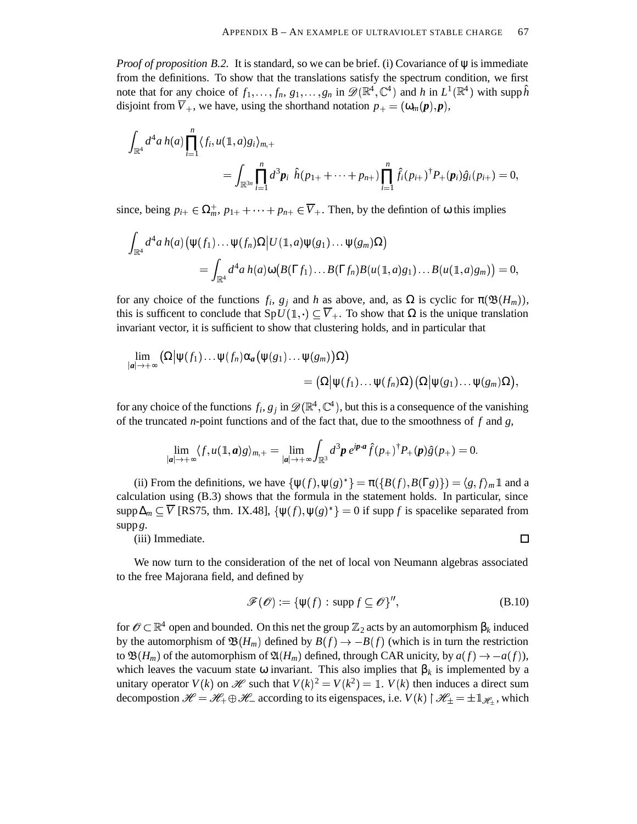*Proof of proposition B.2.* It is standard, so we can be brief. (i) Covariance of ψ is immediate from the definitions. To show that the translations satisfy the spectrum condition, we first note that for any choice of  $f_1, \ldots, f_n, g_1, \ldots, g_n$  in  $\mathscr{D}(\mathbb{R}^4, \mathbb{C}^4)$  and *h* in  $L^1(\mathbb{R}^4)$  with supp  $\hat{h}$ disjoint from  $\overline{V}_+$ , we have, using the shorthand notation  $p_+ = (\omega_m(p), p)$ ,

$$
\int_{\mathbb{R}^4} d^4 a \, h(a) \prod_{i=1}^n \langle f_i, u(1,a)g_i \rangle_{m,+} \n= \int_{\mathbb{R}^{3n}} \prod_{i=1}^n d^3 p_i \, \hat{h}(p_{1+} + \cdots + p_{n+}) \prod_{i=1}^n \hat{f}_i(p_{i+})^{\dagger} P_+(p_i) \hat{g}_i(p_{i+}) = 0,
$$

since, being  $p_{i+} \in \Omega_m^+$ ,  $p_{1+} + \cdots + p_{n+} \in \overline{V}_+$ . Then, by the defintion of  $\omega$  this implies

$$
\int_{\mathbb{R}^4} d^4 a h(a) \big( \psi(f_1) \dots \psi(f_n) \Omega \big| U(\mathbb{1}, a) \psi(g_1) \dots \psi(g_m) \Omega \big) \n= \int_{\mathbb{R}^4} d^4 a h(a) \omega \big( B(\Gamma f_1) \dots B(\Gamma f_n) B(\mu(\mathbb{1}, a) g_1) \dots B(\mu(\mathbb{1}, a) g_m) \big) = 0,
$$

for any choice of the functions  $f_i$ ,  $g_j$  and *h* as above, and, as  $\Omega$  is cyclic for  $\pi(\mathfrak{B}(H_m))$ , this is sufficent to conclude that  $SpU(\mathbb{1},.) \subseteq \overline{V}_+$ . To show that  $\Omega$  is the unique translation invariant vector, it is sufficient to show that clustering holds, and in particular that

$$
\begin{aligned} \lim_{|\bm a| \to +\infty} \big( \Omega \big| \bm{\psi}(f_1) \ldots \bm{\psi}(f_n) \alpha_{\bm a} \big( \bm{\psi}(g_1) \ldots \bm{\psi}(g_m) \big) \Omega \big) \\ & \qquad \qquad = \big( \Omega \big| \bm{\psi}(f_1) \ldots \bm{\psi}(f_n) \Omega \big) \big( \Omega \big| \bm{\psi}(g_1) \ldots \bm{\psi}(g_m) \Omega \big), \end{aligned}
$$

for any choice of the functions  $f_i$ ,  $g_j$  in  $\mathscr{D}(\mathbb{R}^4, \mathbb{C}^4)$ , but this is a consequence of the vanishing of the truncated *n*-point functions and of the fact that, due to the smoothness of *f* and *g*,

$$
\lim_{|\bm a| \to +\infty} \langle f, u(\mathbb{1},\bm a) g \rangle_{m,+} = \lim_{|\bm a| \to +\infty} \int_{\mathbb{R}^3} d^3 \bm p \; e^{\bm i \bm p \cdot \bm a} \hat f(p_+)^{\dagger} P_+ (\bm p) \hat g(p_+) = 0.
$$

(ii) From the definitions, we have  $\{\psi(f), \psi(g)^*\} = \pi(\{B(f), B(\Gamma g)\}) = \langle g, f \rangle_m \mathbb{1}$  and a calculation using (B.3) shows that the formula in the statement holds. In particular, since  $\supp \Delta_m \subseteq \overline{V}$  [RS75, thm. IX.48],  $\{\psi(f), \psi(g)^*\} = 0$  if supp *f* is spacelike separated from supp *g*.

(iii) Immediate.

We now turn to the consideration of the net of local von Neumann algebras associated to the free Majorana field, and defined by

$$
\mathcal{F}(\mathcal{O}) := \{ \psi(f) : \text{supp} f \subseteq \mathcal{O} \}^{\prime\prime},\tag{B.10}
$$

for  $\mathscr{O}\subset\mathbb{R}^4$  open and bounded. On this net the group  $\mathbb{Z}_2$  acts by an automorphism  $\beta_k$  induced by the automorphism of  $\mathfrak{B}(H_m)$  defined by  $B(f) \to -B(f)$  (which is in turn the restriction to  $\mathfrak{B}(H_m)$  of the automorphism of  $\mathfrak{A}(H_m)$  defined, through CAR unicity, by  $a(f) \to -a(f)$ ), which leaves the vacuum state  $\omega$  invariant. This also implies that  $\beta_k$  is implemented by a unitary operator  $V(k)$  on  $\mathcal{H}$  such that  $V(k)^2 = V(k^2) = 1$ .  $V(k)$  then induces a direct sum decompostion  $\mathcal{H} = \mathcal{H}_+ \oplus \mathcal{H}_-$  according to its eigenspaces, i.e.  $V(k) \upharpoonright \mathcal{H}_\pm = \pm \mathbb{1}_{\mathcal{H}_+}$ , which

□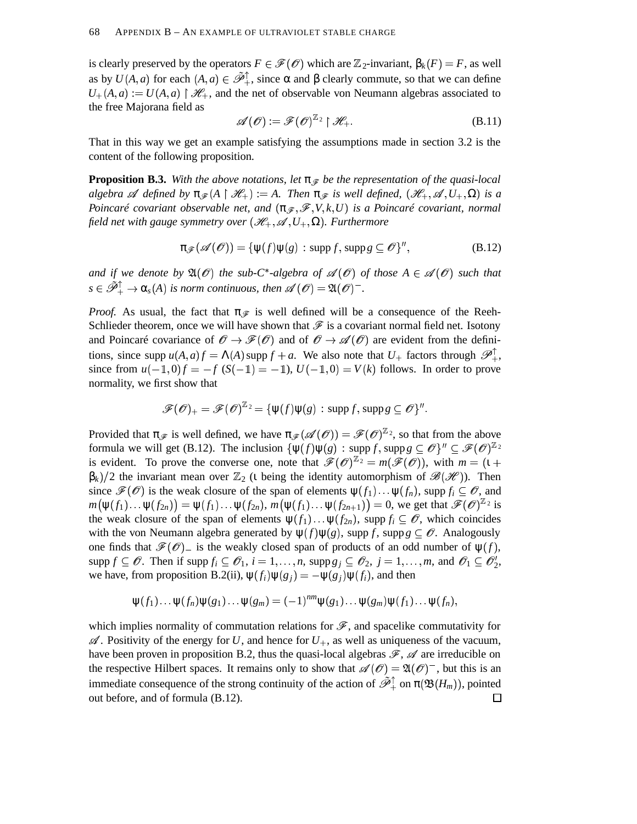is clearly preserved by the operators  $F \in \mathscr{F}(\mathscr{O})$  which are  $\mathbb{Z}_2$ -invariant,  $\beta_k(F) = F$ , as well as by  $U(A, a)$  for each  $(A, a) \in \tilde{\mathcal{P}}_+^{\uparrow}$ , since  $\alpha$  and  $\beta$  clearly commute, so that we can define  $U_{+}(A,a) := U(A,a) \upharpoonright \mathcal{H}_{+}$ , and the net of observable von Neumann algebras associated to the free Majorana field as

$$
\mathscr{A}(\mathscr{O}) := \mathscr{F}(\mathscr{O})^{\mathbb{Z}_2} \upharpoonright \mathscr{H}_+.
$$
 (B.11)

That in this way we get an example satisfying the assumptions made in section 3.2 is the content of the following proposition.

**Proposition B.3.** With the above notations, let  $\pi \circledast$  be the representation of the quasi-local  $a$ *lgebra*  $\mathscr A$  *defined by*  $\pi_{\mathscr F}(A \restriction \mathscr H_+) := A$ . Then  $\pi_{\mathscr F}$  is well defined,  $(\mathscr H_+, \mathscr A, U_+, \Omega)$  is a *Poincaré covariant observable net, and*  $(\pi_{\mathscr{F}}, \mathscr{F}, V, k, U)$  *is a Poincaré covariant, normal field net with gauge symmetry over*  $(\mathscr{H}_+, \mathscr{A}, U_+, \Omega)$ *. Furthermore* 

$$
\pi_{\mathscr{F}}(\mathscr{A}(\mathscr{O})) = \{ \psi(f)\psi(g) : \operatorname{supp} f, \operatorname{supp} g \subseteq \mathscr{O} \}^{\prime\prime},
$$
\n(B.12)

*and* if we denote by  $\mathfrak{A}(\mathcal{O})$  the sub-C<sup>\*</sup>-algebra of  $\mathcal{A}(\mathcal{O})$  of those  $A \in \mathcal{A}(\mathcal{O})$  such that  $s \in \tilde{\mathscr{P}}_+^{\uparrow} \to \alpha_s(A)$  is norm continuous, then  $\mathscr{A}(\mathscr{O}) = \mathfrak{A}(\mathscr{O})^-$ .

*Proof.* As usual, the fact that  $\pi_{\mathscr{F}}$  is well defined will be a consequence of the Reeh-Schlieder theorem, once we will have shown that  $\mathscr F$  is a covariant normal field net. Isotony and Poincaré covariance of  $\mathscr{O} \to \mathscr{F}(\mathscr{O})$  and of  $\mathscr{O} \to \mathscr{A}(\mathscr{O})$  are evident from the definitions, since supp  $u(A, a)f = \Lambda(A)$  supp  $f + a$ . We also note that  $U_+$  factors through  $\mathscr{P}_+^+$ , since from  $u(-1,0)f = -f(S(-1)) = -1$ ,  $U(-1,0) = V(k)$  follows. In order to prove normality, we first show that

$$
\mathscr{F}(\mathscr{O})_+ = \mathscr{F}(\mathscr{O})^{\mathbb{Z}_2} = {\psi(f)\psi(g) : \operatorname{supp} f, \operatorname{supp} g \subseteq \mathscr{O}}^{\mathbb{Z}}.
$$

Provided that  $\pi_{\mathscr{F}}$  is well defined, we have  $\pi_{\mathscr{F}}(\mathscr{A}(\mathscr{O})) = \mathscr{F}(\mathscr{O})^{\mathbb{Z}_2}$ , so that from the above formula we will get (B.12). The inclusion  $\{\psi(f)\psi(g) : \text{supp } f, \text{supp } g \subseteq \mathscr{O}\}^{\prime\prime} \subseteq \mathscr{F}(\mathscr{O})^{\mathbb{Z}_2}$ is evident. To prove the converse one, note that  $\mathscr{F}(\mathscr{O})^{\mathbb{Z}_2} = m(\mathscr{F}(\mathscr{O}))$ , with  $m = (1 +$  $\beta_k$ )/2 the invariant mean over  $\mathbb{Z}_2$  (*i* being the identity automorphism of  $\mathscr{B}(\mathscr{H})$ ). Then since  $\mathscr{F}(\mathscr{O})$  is the weak closure of the span of elements  $\psi(f_1) \dots \psi(f_n)$ , supp  $f_i \subseteq \mathscr{O}$ , and  $m(\psi(f_1) \dots \psi(f_{2n})) = \psi(f_1) \dots \psi(f_{2n}), m(\psi(f_1) \dots \psi(f_{2n+1})) = 0$ , we get that  $\mathscr{F}(\mathscr{O})^{\mathbb{Z}_2}$  is the weak closure of the span of elements  $\psi(f_1) \dots \psi(f_{2n})$ , supp  $f_i \subseteq \mathcal{O}$ , which coincides with the von Neumann algebra generated by  $\psi(f)\psi(g)$ , supp *f*, supp  $g \subseteq \mathscr{O}$ . Analogously one finds that  $\mathscr{F}(\mathscr{O})$  is the weakly closed span of products of an odd number of  $\psi(f)$ ,  $\sup p f \subseteq \mathcal{O}$ . Then if  $\sup p f_i \subseteq \mathcal{O}_1$ ,  $i = 1, ..., n$ ,  $\sup p g_j \subseteq \mathcal{O}_2$ ,  $j = 1, ..., m$ , and  $\mathcal{O}_1 \subseteq \mathcal{O}_2'$ , we have, from proposition B.2(ii),  $\psi(f_i)\psi(g_j) = -\psi(g_j)\psi(f_i)$ , and then

$$
\psi(f_1)\dots\psi(f_n)\psi(g_1)\dots\psi(g_m)=(-1)^{nm}\psi(g_1)\dots\psi(g_m)\psi(f_1)\dots\psi(f_n),
$$

which implies normality of commutation relations for  $\mathscr F$ , and spacelike commutativity for  $\mathscr A$ . Positivity of the energy for U, and hence for  $U_+$ , as well as uniqueness of the vacuum, have been proven in proposition B.2, thus the quasi-local algebras  $\mathscr{F}, \mathscr{A}$  are irreducible on the respective Hilbert spaces. It remains only to show that  $\mathscr{A}(\mathscr{O}) = \mathfrak{A}(\mathscr{O})^-$ , but this is an immediate consequence of the strong continuity of the action of  $\tilde{\mathscr{P}}_+^{\uparrow}$  on  $\pi(\mathfrak{B}(H_m))$ , pointed out before, and of formula (B.12). $\Box$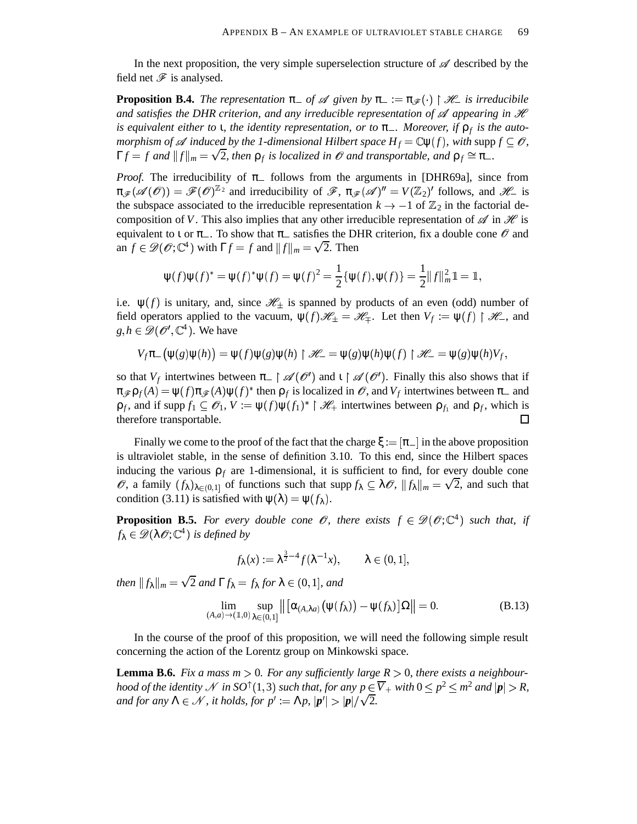In the next proposition, the very simple superselection structure of  $\mathscr A$  described by the field net  $\mathscr F$  is analysed.

**Proposition B.4.** *The representation*  $\pi$  *af*  $\mathscr A$  *given by*  $\pi$   $:= \pi_{\mathscr F}(\cdot) \restriction \mathscr H$  *is irreducibile*  $\mathbf{r}$  . The state of  $\mathbf{r}$ and satisfies the DHR criterion, and any irreducible representation of  $\mathscr A$  appearing in  $\mathscr H$ *is equivalent either to* ι*, the identity representation, or to* π *. Moreover, if* ρ*<sup>f</sup> is the automorphism of*  $\mathscr A$  *induced by the 1-dimensional Hilbert space*  $H_f = \mathbb C \psi(f)$ , with  $\text{supp } f \subseteq \mathscr O$ ,  $\Gamma f = f$  and  $||f||_m = \sqrt{2}$ , then  $\rho_f$  is localized in  $\mathcal O$  and transportable, and  $\rho_f \cong \pi_-$ .

*Proof.* The irreducibility of  $\pi$  follows from the arguments in [DHR69a], since from  $\pi_{\mathscr{F}}(\mathscr{A}(\mathscr{O})) = \mathscr{F}(\mathscr{O})^{\mathbb{Z}_2}$  and irreducibility of  $\mathscr{F}, \pi_{\mathscr{F}}(\mathscr{A})'' = V(\mathbb{Z}_2)'$  follows, and  $\mathscr{H}_-$  is the subspace associated to the irreducible representation  $k \to -1$  of  $\mathbb{Z}_2$  in the factorial decomposition of *V*. This also implies that any other irreducible representation of  $\mathscr A$  in  $\mathscr H$  is is equivalent to  $\iota$  or  $\pi_{-}$ . To show that  $\pi_{-}$  satisfies the DHR criterion, fix a double cone  $\mathscr O$  and an  $f \in \mathscr{D}(\mathscr{O}; \mathbb{C}^4)$  with  $\Gamma f = f$  and  $||f||_m = \sqrt{2}$ . Then

$$
\psi(f)\psi(f)^* = \psi(f)^*\psi(f) = \psi(f)^2 = \frac{1}{2}\{\psi(f), \psi(f)\} = \frac{1}{2}||f||_m^2 \mathbb{1} = \mathbb{1},
$$

i.e.  $\psi(f)$  is unitary, and, since  $\mathcal{H}_{\pm}$  is spanned by products of an even (odd) number of field operators applied to the vacuum,  $\psi(f) \mathcal{H}_{\pm} = \mathcal{H}_{\mp}$ . Let then  $V_f := \psi(f) \upharpoonright \mathcal{H}_-$ , and  $g, h \in \mathcal{D}(\mathcal{O}', \mathbb{C}^4)$ . We have

$$
V_f \pi_{-}(\psi(g)\psi(h)) = \psi(f)\psi(g)\psi(h) \upharpoonright \mathscr{H}_{-} = \psi(g)\psi(h)\psi(f) \upharpoonright \mathscr{H}_{-} = \psi(g)\psi(h)V_f,
$$

so that  $V_f$  intertwines between  $\pi$  |  $\mathscr{A}(\mathscr{O}')$  and  $\iota \restriction \mathscr{A}(\mathscr{O}')$ . Finally this also shows that if  $\pi_{\mathscr{F}}\rho_f(A) = \psi(f)\pi_{\mathscr{F}}(A)\psi(f)^*$  then  $\rho_f$  is localized in  $\mathscr{O}$ , and  $V_f$  intertwines between  $\pi_-$  and  $\rho_f$ , and if supp  $f_1 \subseteq \mathcal{O}_1$ ,  $V := \psi(f)\psi(f_1)^* \upharpoonright \mathcal{H}_+$  intertwines between  $\rho_{f_1}$  and  $\rho_f$ , which is therefore transportable.  $\Box$ 

Finally we come to the proof of the fact that the charge  $\xi := [\pi]$  in the above proposition is ultraviolet stable, in the sense of definition 3.10. To this end, since the Hilbert spaces inducing the various  $\rho_f$  are 1-dimensional, it is sufficient to find, for every double cone  $\emptyset$ , a family  $(f_\lambda)_{\lambda \in (0,1]}$  of functions such that supp  $f_\lambda \subseteq \lambda \emptyset$ ,  $||f_\lambda||_m = \sqrt{2}$ , and such that condition (3.11) is satisfied with  $\psi(\lambda) = \psi(f_{\lambda})$ .

**Proposition B.5.** For every double cone  $\mathcal{O}$ , there exists  $f \in \mathcal{D}(\mathcal{O};\mathbb{C}^4)$  such that, if  $f_{\lambda} \in \mathscr{D}(\lambda \mathscr{O}; \mathbb{C}^{4})$  *is defined by* 

$$
f_{\lambda}(x) := \lambda^{\frac{3}{2}-4} f(\lambda^{-1}x), \qquad \lambda \in (0,1],
$$

*then*  $||f_{\lambda}||_{m} = \sqrt{2}$  *and*  $\Gamma f_{\lambda} = f_{\lambda}$  *for*  $\lambda \in (0, 1]$ *, and* 

$$
\lim_{(A,a)\to(1,0)}\sup_{\lambda\in(0,1]}\left\|\left[\alpha_{(A,\lambda a)}(\psi(f_{\lambda}))-\psi(f_{\lambda})\right]\Omega\right\|=0.
$$
\n(B.13)

In the course of the proof of this proposition, we will need the following simple result concerning the action of the Lorentz group on Minkowski space.

**Lemma B.6.** Fix a mass  $m > 0$ . For any sufficiently large  $R > 0$ , there exists a neighbour*hood of the identity*  $\mathscr N$  *in SO*  $^\uparrow (1,3)$  *such that, for any*  $p\in \overline V_+$  *with*  $0\leq p^2\leq m^2$  *and*  $|{\bm p}|>R$ , *and for any*  $\Lambda \in \mathcal{N}$ , *it holds, for*  $p' := \Lambda p$ ,  $|p'| > |p|/\sqrt{2}$ .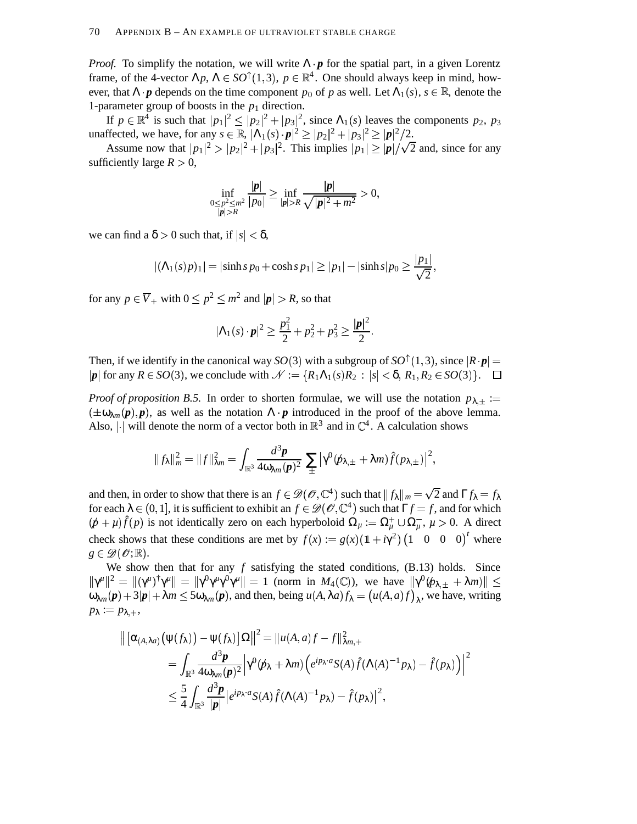*Proof.* To simplify the notation, we will write  $\Lambda \cdot p$  for the spatial part, in a given Lorentz frame, of the 4-vector  $\Lambda p$ ,  $\Lambda \in SO^{\uparrow}(1,3)$ ,  $p \in \mathbb{R}^4$ . One should always keep in mind, however, that  $\Lambda \cdot \boldsymbol{p}$  depends on the time component  $p_0$  of  $p$  as well. Let  $\Lambda_1(s)$ ,  $s \in \mathbb{R}$ , denote the 1-parameter group of boosts in the  $p_1$  direction.

If  $p \in \mathbb{R}^4$  is such that  $|p_1|^2 \le |p_2|^2 + |p_3|^2$ , since  $\Lambda_1(s)$  leaves the components  $p_2$ ,  $p_3$ unaffected, we have, for any  $s \in \mathbb{R}$ ,  $|\Lambda_1(s) \cdot p|^2 \ge |p_2|^2 + |p_3|^2 \ge |p|^2/2$ .

Assume now that  $|p_1|^2 > |p_2|^2 + |p_3|^2$ . This implies  $|p_1| \geq |p|/\sqrt{2}$  and, since for any sufficiently large  $R > 0$ ,

$$
\inf_{\substack{0 \leq p^2 \leq m^2 \\ |p| > R}} \frac{|p|}{|p_0|} \geq \inf_{|p| > R} \frac{|p|}{\sqrt{|p|^2 + m^2}} > 0,
$$

we can find a  $\delta > 0$  such that, if  $|s| < \delta$ ,

$$
|(\Lambda_1(s)p)_1| = |\sinh s p_0 + \cosh s p_1| \ge |p_1| - |\sinh s| p_0 \ge \frac{|p_1|}{\sqrt{2}},
$$

for any  $p \in \overline{V}_+$  with  $0 \le p^2 \le m^2$  and  $|\boldsymbol{p}| > R$ , so that

$$
|\Lambda_1(s) \cdot \mathbf{p}|^2 \geq \frac{p_1^2}{2} + p_2^2 + p_3^2 \geq \frac{|\mathbf{p}|^2}{2}.
$$

Then, if we identify in the canonical way  $SO(3)$  with a subgroup of  $SO^{\uparrow}(1,3)$ , since  $|R \cdot p| =$  $|p|$  for any  $R \in SO(3)$ , we conclude with  $\mathcal{N} := \{R_1 \Lambda_1(s)R_2 : |s| < \delta, R_1, R_2 \in SO(3)\}\.$   $\Box$ 

*Proof of proposition B.5.* In order to shorten formulae, we will use the notation  $p_{\lambda, \pm}$  :=  $(\pm \omega_{\lambda m}(p), p)$ , as well as the notation  $\Lambda \cdot p$  introduced in the proof of the above lemma. Also, | $\cdot$ | will denote the norm of a vector both in  $\mathbb{R}^3$  and in  $\mathbb{C}^4$ . A calculation shows

$$
||f_{\lambda}||_{m}^{2} = ||f||_{\lambda m}^{2} = \int_{\mathbb{R}^{3}} \frac{d^{3}p}{4\omega_{\lambda m}(p)^{2}} \sum_{\pm} |\gamma^{0}(\mathbf{p}_{\lambda,\pm} + \lambda m)\hat{f}(p_{\lambda,\pm})|^{2},
$$

and then, in order to show that there is an  $f \in \mathscr{D}(\mathscr{O}, \mathbb{C}^4)$  such that  $||f_\lambda||_m = \sqrt{2}$  and  $\Gamma f_\lambda = f_\lambda$ for each  $\lambda \in (0, 1]$ , it is sufficient to exhibit an  $f \in \mathscr{D}(\mathscr{O}, \mathbb{C}^4)$  such that  $\Gamma f = f$ , and for which  $(p + \mu)\hat{f}(p)$  is not identically zero on each hyperboloid  $\Omega_{\mu} := \Omega_{\mu}^{+} \cup \Omega_{\mu}^{-}$ ,  $\mu > 0$ . A direct check shows that these conditions are met by  $f(x) := g(x) (1 + i \gamma^2) (1 \ 0 \ 0 \ 0)^t$  where  $\cdots$  $g \in \mathscr{D}(\mathscr{O};\mathbb{R})$ .

We show then that for any *f* satisfying the stated conditions, (B.13) holds. Since  $||\gamma^{\mu}||^2 = ||(\gamma^{\mu})^{\dagger}\gamma^{\mu}|| = ||\gamma^0\gamma^{\mu}\gamma^0\gamma^{\mu}|| = 1$  (norm in  $M_4(\mathbb{C})$ ), we have  $||\gamma^0(\cancel{p}_{\lambda,\pm} + \lambda m)|| \le$  $\omega_{\lambda m}(p) + 3|p| + \lambda m \le 5\omega_{\lambda m}(p)$ , and then, being  $u(A, \lambda a) f_{\lambda} = (u(A, a) f)_{\lambda}$ , we have, writing  $p_{\lambda} := p_{\lambda,+},$ 

$$
\begin{split} \left\| \left[ \alpha_{(A,\lambda a)} \big( \psi(f_\lambda) \big) - \psi(f_\lambda) \right] \Omega \right\|^2 &= \left\| u(A,a)f - f \right\|_{\lambda m,+}^2 \\ &= \int_{\mathbb{R}^3} \frac{d^3 \mathbf{p}}{4 \omega_{\lambda m}(\mathbf{p})^2} \left| \gamma^0(\mathbf{p}_\lambda + \lambda m) \left( e^{i p_\lambda \cdot a} S(A) \hat{f}(\Lambda(A)^{-1} p_\lambda) - \hat{f}(p_\lambda) \right) \right|^2 \\ &\leq \frac{5}{4} \int_{\mathbb{R}^3} \frac{d^3 \mathbf{p}}{|\mathbf{p}|} \left| e^{i p_\lambda \cdot a} S(A) \hat{f}(\Lambda(A)^{-1} p_\lambda) - \hat{f}(p_\lambda) \right|^2, \end{split}
$$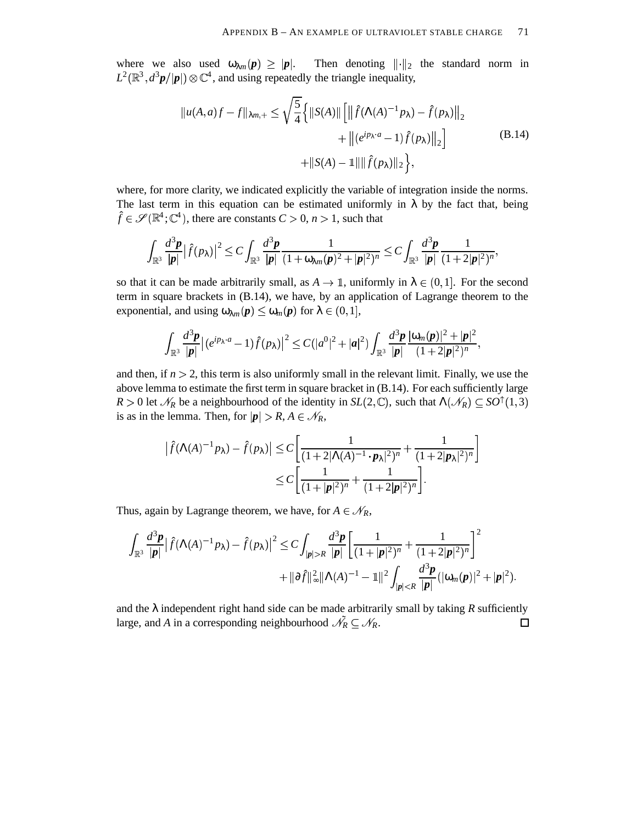where we also used  $\omega_{\lambda m}(p) \geq |p|$ . Then  $|p|$ . Then denoting  $\|\cdot\|_2$  the standard norm in  $L^2(\mathbb{R}^3, d^3p/|\mathbf{p}|) \otimes \mathbb{C}^4$ , and using repeatedly the triangle inequality,

$$
||u(A,a)f - f||_{\lambda m,+} \le \sqrt{\frac{5}{4}} \left\{ ||S(A)|| \left[ \left\| \hat{f}(\Lambda(A)^{-1} p_{\lambda}) - \hat{f}(p_{\lambda}) \right\|_{2} + \left\| (e^{ip_{\lambda} \cdot a} - 1) \hat{f}(p_{\lambda}) \right\|_{2} \right\} + ||S(A) - 1|| \|\hat{f}(p_{\lambda})\|_{2} \right\},
$$
\n(B.14)

where, for more clarity, we indicated explicitly the variable of integration inside the norms. The last term in this equation can be estimated uniformly in  $\lambda$  by the fact that, being  $\hat{f} \in \mathscr{S}(\mathbb{R}^4; \mathbb{C}^4)$ , there are constants  $C > 0$ ,  $n > 1$ , such that

$$
\int_{\mathbb{R}^3}\frac{d^3\boldsymbol{p}}{|\boldsymbol{p}|}|\widehat{f}(p_\lambda)|^2\leq C\int_{\mathbb{R}^3}\frac{d^3\boldsymbol{p}}{|\boldsymbol{p}|}\frac{1}{(1+\omega_{\lambda m}(\boldsymbol{p})^2+|\boldsymbol{p}|^2)^n}\leq C\int_{\mathbb{R}^3}\frac{d^3\boldsymbol{p}}{|\boldsymbol{p}|}\frac{1}{(1+2|\boldsymbol{p}|^2)^n},
$$

so that it can be made arbitrarily small, as  $A \to \mathbb{I}$ , uniformly in  $\lambda \in (0,1]$ . For the second term in square brackets in (B.14), we have, by an application of Lagrange theorem to the exponential, and using  $\omega_{\lambda m}(p) \leq \omega_m(p)$  for  $\lambda \in (0, 1]$ ,

$$
\int_{\mathbb{R}^3} \frac{d^3 \pmb{p}}{|\pmb{p}|} \big| (e^{i p_\lambda \cdot a} - 1) \hat{f}(p_\lambda) \big|^2 \leq C (|a^0|^2 + |\pmb{a}|^2) \int_{\mathbb{R}^3} \frac{d^3 \pmb{p}}{|\pmb{p}|} \frac{|\omega_m(\pmb{p})|^2 + |\pmb{p}|^2}{(1 + 2 |\pmb{p}|^2)^n},
$$

and then, if  $n > 2$ , this term is also uniformly small in the relevant limit. Finally, we use the above lemma to estimate the first term in square bracket in (B.14). For each sufficiently large *R* > 0 let  $\mathcal{N}_R$  be a neighbourhood of the identity in *SL*(2, C), such that  $\Lambda(\mathcal{N}_R) \subseteq SO^{\uparrow}(1,3)$ is as in the lemma. Then, for  $|p| > R$ ,  $A \in \mathcal{N}_R$ ,

$$
\left|\hat{f}(\Lambda(A)^{-1}p_{\lambda}) - \hat{f}(p_{\lambda})\right| \le C \left[\frac{1}{(1+2|\Lambda(A)^{-1} \cdot p_{\lambda}|^2)^n} + \frac{1}{(1+2|p_{\lambda}|^2)^n}\right] \le C \left[\frac{1}{(1+|p|^2)^n} + \frac{1}{(1+2|p|^2)^n}\right].
$$

Thus, again by Lagrange theorem, we have, for  $A \in \mathcal{N}_R$ ,

$$
\int_{\mathbb{R}^3} \frac{d^3 \mathbf{p}}{|\mathbf{p}|} |\hat{f}(\Lambda(A)^{-1} p_\lambda) - \hat{f}(p_\lambda)|^2 \leq C \int_{|\mathbf{p}| > R} \frac{d^3 \mathbf{p}}{|\mathbf{p}|} \left[ \frac{1}{(1+|\mathbf{p}|^2)^n} + \frac{1}{(1+2|\mathbf{p}|^2)^n} \right]^2
$$
  
+  $||\partial \hat{f}||_{\infty}^2 ||\Lambda(A)^{-1} - 1 ||^2 \int_{|\mathbf{p}| < R} \frac{d^3 \mathbf{p}}{|\mathbf{p}|} (|\omega_m(\mathbf{p})|^2 + |\mathbf{p}|^2).$ 

and the  $\lambda$  independent right hand side can be made arbitrarily small by taking  $R$  sufficiently large, and *A* in a corresponding neighbourhood  $\mathcal{N}_R \subseteq \mathcal{N}_R$ .  $\Box$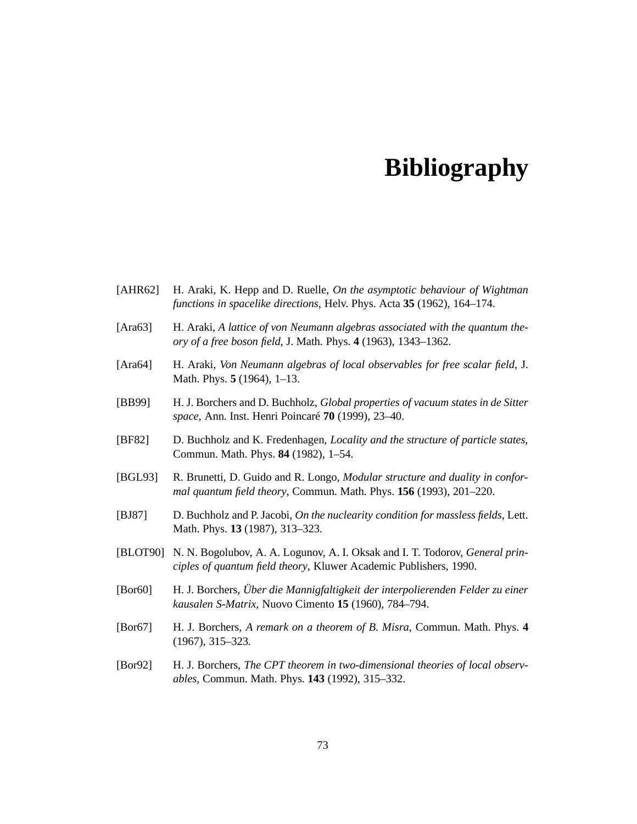## **Bibliography**

- [AHR62] H. Araki, K. Hepp and D. Ruelle, *On the asymptotic behaviour of Wightman functions in spacelike directions*, Helv. Phys. Acta **35** (1962), 164–174.
- [Ara63] H. Araki, *A lattice of von Neumann algebras associated with the quantum theory of a free boson field*, J. Math. Phys. **4** (1963), 1343–1362.
- [Ara64] H. Araki, *Von Neumann algebras of local observables for free scalar field*, J. Math. Phys. **5** (1964), 1–13.
- [BB99] H. J. Borchers and D. Buchholz, *Global properties of vacuum states in de Sitter space*, Ann. Inst. Henri Poincaré **70** (1999), 23–40.
- [BF82] D. Buchholz and K. Fredenhagen, *Locality and the structure of particle states*, Commun. Math. Phys. **84** (1982), 1–54.
- [BGL93] R. Brunetti, D. Guido and R. Longo, *Modular structure and duality in conformal quantum field theory*, Commun. Math. Phys. **156** (1993), 201–220.
- [BJ87] D. Buchholz and P. Jacobi, *On the nuclearity condition for massless fields*, Lett. Math. Phys. **13** (1987), 313–323.
- [BLOT90] N. N. Bogolubov, A. A. Logunov, A. I. Oksak and I. T. Todorov, *General principles of quantum field theory*, Kluwer Academic Publishers, 1990.
- [Bor60] H. J. Borchers, *Über die Mannigfaltigkeit der interpolierenden Felder zu einer kausalen S-Matrix*, Nuovo Cimento **15** (1960), 784–794.
- [Bor67] H. J. Borchers, *A remark on a theorem of B. Misra*, Commun. Math. Phys. **4** (1967), 315–323.
- [Bor92] H. J. Borchers, *The CPT theorem in two-dimensional theories of local observables*, Commun. Math. Phys. **143** (1992), 315–332.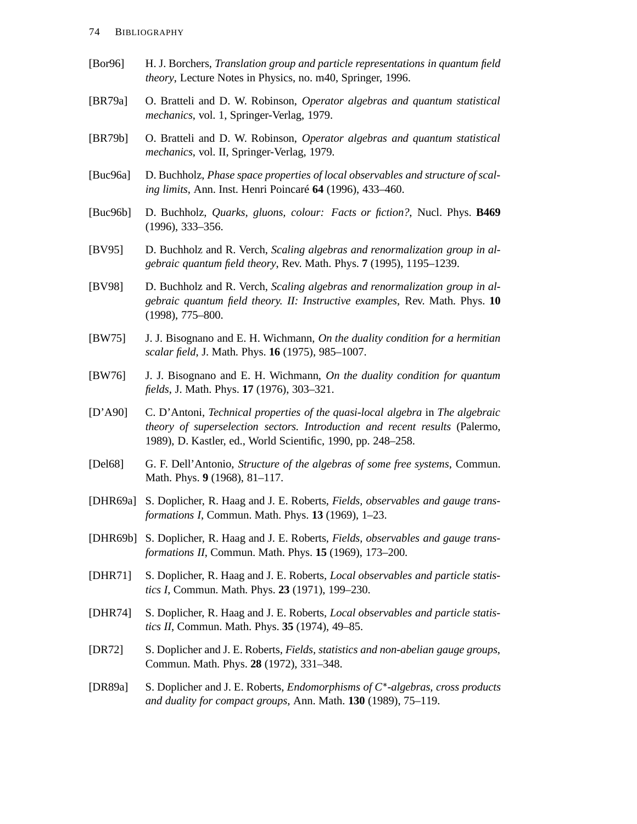- [Bor96] H. J. Borchers, *Translation group and particle representations in quantum field theory*, Lecture Notes in Physics, no. m40, Springer, 1996.
- [BR79a] O. Bratteli and D. W. Robinson, *Operator algebras and quantum statistical mechanics*, vol. 1, Springer-Verlag, 1979.
- [BR79b] O. Bratteli and D. W. Robinson, *Operator algebras and quantum statistical mechanics*, vol. II, Springer-Verlag, 1979.
- [Buc96a] D. Buchholz, *Phase space properties of local observables and structure of scaling limits*, Ann. Inst. Henri Poincaré **64** (1996), 433–460.
- [Buc96b] D. Buchholz, *Quarks, gluons, colour: Facts or fiction?*, Nucl. Phys. **B469** (1996), 333–356.
- [BV95] D. Buchholz and R. Verch, *Scaling algebras and renormalization group in algebraic quantum field theory*, Rev. Math. Phys. **7** (1995), 1195–1239.
- [BV98] D. Buchholz and R. Verch, *Scaling algebras and renormalization group in algebraic quantum field theory. II: Instructive examples*, Rev. Math. Phys. **10** (1998), 775–800.
- [BW75] J. J. Bisognano and E. H. Wichmann, *On the duality condition for a hermitian scalar field*, J. Math. Phys. **16** (1975), 985–1007.
- [BW76] J. J. Bisognano and E. H. Wichmann, *On the duality condition for quantum fields*, J. Math. Phys. **17** (1976), 303–321.
- [D'A90] C. D'Antoni, *Technical properties of the quasi-local algebra* in *The algebraic theory of superselection sectors. Introduction and recent results* (Palermo, 1989), D. Kastler, ed., World Scientific, 1990, pp. 248–258.
- [Del68] G. F. Dell'Antonio, *Structure of the algebras of some free systems*, Commun. Math. Phys. **9** (1968), 81–117.
- [DHR69a] S. Doplicher, R. Haag and J. E. Roberts, *Fields, observables and gauge transformations I*, Commun. Math. Phys. **13** (1969), 1–23.
- [DHR69b] S. Doplicher, R. Haag and J. E. Roberts, *Fields, observables and gauge transformations II*, Commun. Math. Phys. **15** (1969), 173–200.
- [DHR71] S. Doplicher, R. Haag and J. E. Roberts, *Local observables and particle statistics I*, Commun. Math. Phys. **23** (1971), 199–230.
- [DHR74] S. Doplicher, R. Haag and J. E. Roberts, *Local observables and particle statistics II*, Commun. Math. Phys. **35** (1974), 49–85.
- [DR72] S. Doplicher and J. E. Roberts, *Fields, statistics and non-abelian gauge groups*, Commun. Math. Phys. **28** (1972), 331–348.
- [DR89a] S. Doplicher and J. E. Roberts, *Endomorphisms of C* <sup>+</sup> *-algebras, cross products and duality for compact groups*, Ann. Math. **130** (1989), 75–119.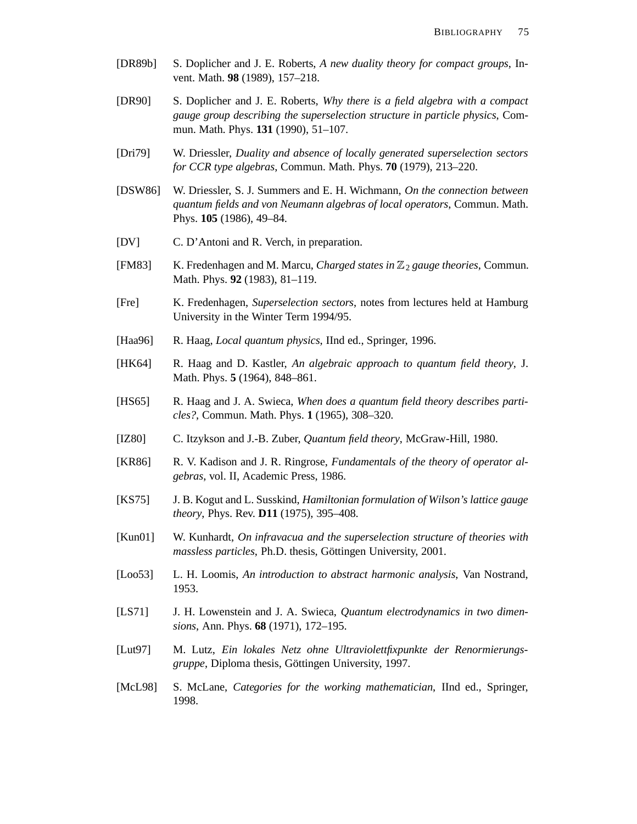- [DR89b] S. Doplicher and J. E. Roberts, *A new duality theory for compact groups*, Invent. Math. **98** (1989), 157–218.
- [DR90] S. Doplicher and J. E. Roberts, *Why there is a field algebra with a compact gauge group describing the superselection structure in particle physics*, Commun. Math. Phys. **131** (1990), 51–107.
- [Dri79] W. Driessler, *Duality and absence of locally generated superselection sectors for CCR type algebras*, Commun. Math. Phys. **70** (1979), 213–220.
- [DSW86] W. Driessler, S. J. Summers and E. H. Wichmann, *On the connection between quantum fields and von Neumann algebras of local operators*, Commun. Math. Phys. **105** (1986), 49–84.
- [DV] C. D'Antoni and R. Verch, in preparation.
- [FM83] K. Fredenhagen and M. Marcu, *Charged states in* <sup>2</sup> *gauge theories*, Commun. Math. Phys. **92** (1983), 81–119.
- [Fre] K. Fredenhagen, *Superselection sectors*, notes from lectures held at Hamburg University in the Winter Term 1994/95.
- [Haa96] R. Haag, *Local quantum physics*, IInd ed., Springer, 1996.
- [HK64] R. Haag and D. Kastler, *An algebraic approach to quantum field theory*, J. Math. Phys. **5** (1964), 848–861.
- [HS65] R. Haag and J. A. Swieca, *When does a quantum field theory describes particles?*, Commun. Math. Phys. **1** (1965), 308–320.
- [IZ80] C. Itzykson and J.-B. Zuber, *Quantum field theory*, McGraw-Hill, 1980.
- [KR86] R. V. Kadison and J. R. Ringrose, *Fundamentals of the theory of operator algebras*, vol. II, Academic Press, 1986.
- [KS75] J. B. Kogut and L. Susskind, *Hamiltonian formulation of Wilson's lattice gauge theory*, Phys. Rev. **D11** (1975), 395–408.
- [Kun01] W. Kunhardt, *On infravacua and the superselection structure of theories with massless particles*, Ph.D. thesis, Göttingen University, 2001.
- [Loo53] L. H. Loomis, *An introduction to abstract harmonic analysis*, Van Nostrand, 1953.
- [LS71] J. H. Lowenstein and J. A. Swieca, *Quantum electrodynamics in two dimensions*, Ann. Phys. **68** (1971), 172–195.
- [Lut97] M. Lutz, *Ein lokales Netz ohne Ultraviolettfixpunkte der Renormierungsgruppe*, Diploma thesis, Göttingen University, 1997.
- [McL98] S. McLane, *Categories for the working mathematician*, IInd ed., Springer, 1998.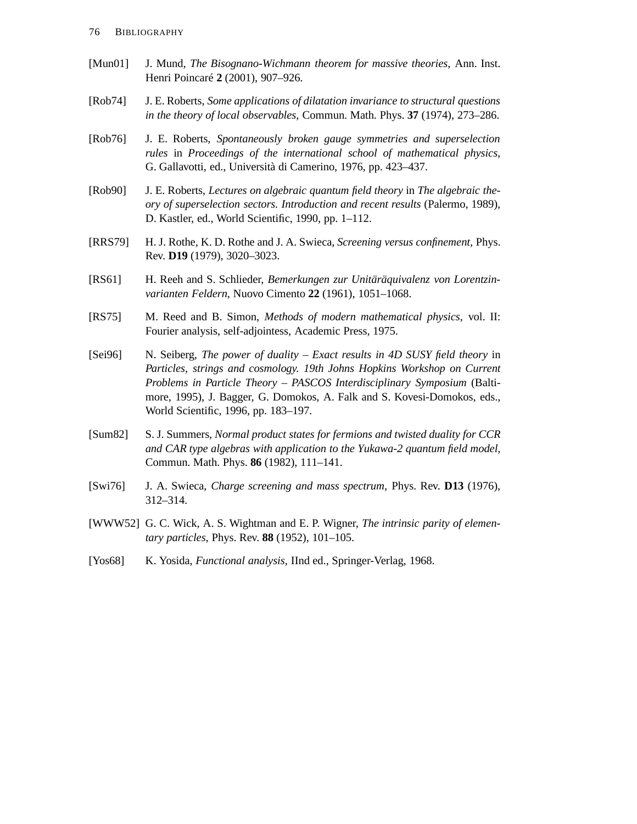- [Mun01] J. Mund, *The Bisognano-Wichmann theorem for massive theories*, Ann. Inst. Henri Poincaré **2** (2001), 907–926.
- [Rob74] J. E. Roberts, *Some applications of dilatation invariance to structural questions in the theory of local observables*, Commun. Math. Phys. **37** (1974), 273–286.
- [Rob76] J. E. Roberts, *Spontaneously broken gauge symmetries and superselection rules* in *Proceedings of the international school of mathematical physics*, G. Gallavotti, ed., Università di Camerino, 1976, pp. 423–437.
- [Rob90] J. E. Roberts, *Lectures on algebraic quantum field theory* in *The algebraic theory of superselection sectors. Introduction and recent results* (Palermo, 1989), D. Kastler, ed., World Scientific, 1990, pp. 1–112.
- [RRS79] H. J. Rothe, K. D. Rothe and J. A. Swieca, *Screening versus confinement*, Phys. Rev. **D19** (1979), 3020–3023.
- [RS61] H. Reeh and S. Schlieder, *Bemerkungen zur Unitäräquivalenz von Lorentzinvarianten Feldern*, Nuovo Cimento **22** (1961), 1051–1068.
- [RS75] M. Reed and B. Simon, *Methods of modern mathematical physics*, vol. II: Fourier analysis, self-adjointess, Academic Press, 1975.
- [Sei96] N. Seiberg, *The power of duality – Exact results in 4D SUSY field theory* in *Particles, strings and cosmology. 19th Johns Hopkins Workshop on Current Problems in Particle Theory – PASCOS Interdisciplinary Symposium* (Baltimore, 1995), J. Bagger, G. Domokos, A. Falk and S. Kovesi-Domokos, eds., World Scientific, 1996, pp. 183–197.
- [Sum82] S. J. Summers, *Normal product states for fermions and twisted duality for CCR and CAR type algebras with application to the Yukawa-2 quantum field model*, Commun. Math. Phys. **86** (1982), 111–141.
- [Swi76] J. A. Swieca, *Charge screening and mass spectrum*, Phys. Rev. **D13** (1976), 312–314.
- [WWW52] G. C. Wick, A. S. Wightman and E. P. Wigner, *The intrinsic parity of elementary particles*, Phys. Rev. **88** (1952), 101–105.
- [Yos68] K. Yosida, *Functional analysis*, IInd ed., Springer-Verlag, 1968.